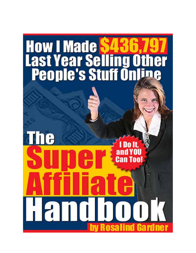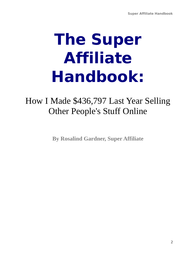# **The Super Affiliate Handbook:**

# How I Made \$436,797 Last Year Selling Other People's Stuff Online

**By Rosalind Gardner, Super Affiliate**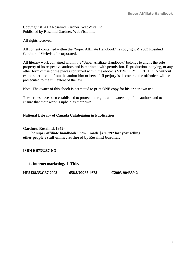Copyright © 2003 Rosalind Gardner, WebVista Inc. Published by Rosalind Gardner, WebVista Inc.

All rights reserved.

All content contained within the "Super Affiliate Handbook" is copyright © 2003 Rosalind Gardner of Webvista Incorporated.

All literary work contained within the "Super Affiliate Handbook" belongs to and is the sole property of its respective authors and is reprinted with permission. Reproduction, copying, or any other form of use of the pieces contained within the ebook is STRICTLY FORBIDDEN without express permission from the author him or herself. If perjury is discovered the offenders will be prosecuted to the full extent of the law.

Note: The owner of this ebook is permitted to print ONE copy for his or her own use.

These rules have been established to protect the rights and ownership of the authors and to ensure that their work is upheld as their own.

#### **National Library of Canada Cataloguing in Publication**

**Gardner, Rosalind, 1959-** 

 **The super affiliate handbook : how I made \$436,797 last year selling other people's stuff online / authored by Rosalind Gardner.** 

**ISBN 0-9733287-0-3** 

 **1. Internet marketing. I. Title.** 

**HF5438.35.G37 2003 658.8'00285'4678 C2003-904359-2**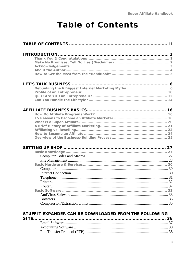## <span id="page-3-0"></span>**Table of Contents**

| STUFFIT EXPANDER CAN BE DOWNLOADED FROM THE FOLLOWING |  |
|-------------------------------------------------------|--|
|                                                       |  |
|                                                       |  |
|                                                       |  |
|                                                       |  |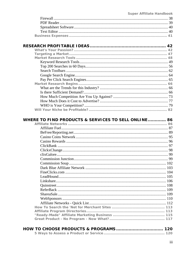#### WHERE TO FIND PRODUCTS & SERVICES TO SELL ONLINE............. 86

| HOW TO CHOOSE PRODUCTS & PROGRAMS 120 |  |
|---------------------------------------|--|

|--|--|--|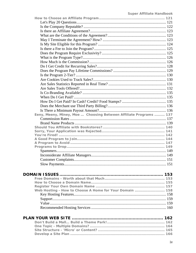| Eeny, Meeny, Miney, Moe  Choosing Between Affiliate Programs  137 |  |
|-------------------------------------------------------------------|--|
|                                                                   |  |
|                                                                   |  |
|                                                                   |  |
|                                                                   |  |
|                                                                   |  |
|                                                                   |  |
|                                                                   |  |
|                                                                   |  |
|                                                                   |  |
|                                                                   |  |
|                                                                   |  |
|                                                                   |  |
|                                                                   |  |
|                                                                   |  |
|                                                                   |  |
|                                                                   |  |

| Web Hosting - How to Choose A Home for Your Domain  158 |  |
|---------------------------------------------------------|--|
|                                                         |  |
|                                                         |  |
|                                                         |  |
|                                                         |  |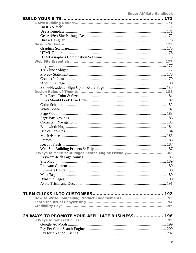| 9 Ways to Make Your Pages Search Engine Friendly 188  |  |
|-------------------------------------------------------|--|
|                                                       |  |
|                                                       |  |
|                                                       |  |
|                                                       |  |
|                                                       |  |
|                                                       |  |
|                                                       |  |
|                                                       |  |
|                                                       |  |
|                                                       |  |
|                                                       |  |
|                                                       |  |
|                                                       |  |
|                                                       |  |
| <b>29 WAYS TO PROMOTE YOUR AFFILIATE BUSINESS 198</b> |  |
|                                                       |  |
|                                                       |  |
|                                                       |  |
|                                                       |  |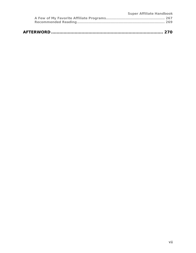| <b>Super Affiliate Handbook</b> |
|---------------------------------|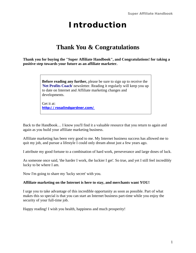# <span id="page-10-0"></span>**Introduction**

### <span id="page-10-1"></span>**Thank You & Congratulations**

**Thank you for buying the "Super Affiliate Handbook", and Congratulations! for taking a positive step towards your future as an affiliate marketer.** 

> **Before reading any further,** please be sure to sign up to receive the '**Net Profits Coach**' newsletter. Reading it regularly will keep you up to date on Internet and Affiliate marketing changes and developments.

Get it at: **<http://rosalindgardner.com/>**

Back to the Handbook… I know you'll find it a valuable resource that you return to again and again as you build your affiliate marketing business.

Affiliate marketing has been very good to me. My Internet business success has allowed me to quit my job, and pursue a lifestyle I could only dream about just a few years ago.

I attribute my good fortune to a combination of hard work, perseverance and large doses of luck.

As someone once said, 'the harder I work, the luckier I get'. So true, and yet I still feel incredibly lucky to be where I am.

Now I'm going to share my 'lucky secret' with you.

#### **Affiliate marketing on the Internet is here to stay, and merchants want YOU!**

I urge you to take advantage of this incredible opportunity as soon as possible. Part of what makes this so special is that you can start an Internet business part-time while you enjoy the security of your full-time job.

Happy reading! I wish you health, happiness and much prosperity!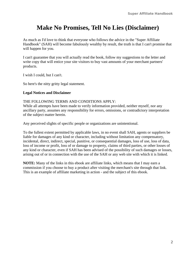### <span id="page-11-0"></span>**Make No Promises, Tell No Lies (Disclaimer)**

As much as I'd love to think that everyone who follows the advice in the "Super Affiliate Handbook" (SAH) will become fabulously wealthy by result, the truth is that I can't promise that will happen for you.

I can't guarantee that you will actually read the book, follow my suggestions to the letter and write copy that will entice your site visitors to buy vast amounts of your merchant partners' products.

I wish I could, but I can't.

So here's the nitty gritty legal statement.

#### **Legal Notices and Disclaimer**

#### THE FOLLOWING TERMS AND CONDITIONS APPLY:

While all attempts have been made to verify information provided, neither myself, nor any ancillary party, assumes any responsibility for errors, omissions, or contradictory interpretation of the subject matter herein.

Any perceived slights of specific people or organizations are unintentional.

To the fullest extent permitted by applicable laws, in no event shall SAH, agents or suppliers be liable for damages of any kind or character, including without limitation any compensatory, incidental, direct, indirect, special, punitive, or consequential damages, loss of use, loss of data, loss of income or profit, loss of or damage to property, claims of third parties, or other losses of any kind or character, even if SAH has been advised of the possibility of such damages or losses, arising out of or in connection with the use of the SAH or any web site with which it is linked.

**NOTE:** Many of the links in this ebook are affiliate links, which means that I may earn a commission if you choose to buy a product after visiting the merchant's site through that link. This is an example of affiliate marketing in action - and the subject of this ebook.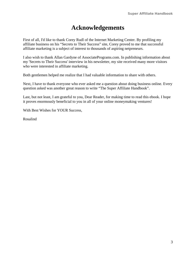### <span id="page-12-0"></span>**Acknowledgements**

First of all, I'd like to thank Corey Rudl of the Internet Marketing Center. By profiling my affiliate business on his "Secrets to Their Success" site, Corey proved to me that successful affiliate marketing is a subject of interest to thousands of aspiring netpreneurs.

I also wish to thank Allan Gardyne of AssociatePrograms.com. In publishing information about my 'Secrets to Their Success' interview in his newsletter, my site received many more visitors who were interested in affiliate marketing.

Both gentlemen helped me realize that I had valuable information to share with others.

Next, I have to thank everyone who ever asked me a question about doing business online. Every question asked was another great reason to write "The Super Affiliate Handbook".

Last, but not least, I am grateful to you, Dear Reader, for making time to read this ebook. I hope it proves enormously beneficial to you in all of your online moneymaking ventures!

With Best Wishes for YOUR Success,

Rosalind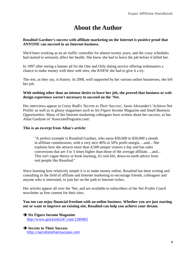### <span id="page-13-0"></span>**About the Author**

#### **Rosalind Gardner's success with affiliate marketing on the Internet is positive proof that ANYONE can succeed in an Internet business.**

She'd been working as an air traffic controller for almost twenty years, and the crazy schedules had started to seriously affect her health. She knew she had to leave the job before it killed her.

In 1997 after seeing a banner ad for the One and Only dating service offering webmasters a chance to make money with their web sites, she KNEW she had to give it a try.

The rest, as they say, is history. In 2000, well supported by her various online businesses, she left her job.

#### **With nothing other than an intense desire to leave her job, she proved that business or web design experience weren't necessary to succeed on the 'Net.**

Her interviews appear in Corey Rudl's *'Secrets to Their Success'*, Jason Alexander's 'Achieve Net Profits' as well as in glossy magazines such as *Six Figure Income* Magazine and *Small Business Opportunities*. Many of her Internet marketing colleagues have written about her success, as has Allan Gardyne of 'AssociatePrograms.com'.

#### **This is an excerpt from Allan's article:**

"A perfect example is Rosalind Gardner, who earns \$30,000 to \$50,000 a month in affiliate commissions, with a very nice 40% to 50% profit margin. ...and... She explains how she attracts more than 4,500 unique visitors a day and has sales conversions that are 3 to 5 times higher than those of the average affiliate. ...and... This isn't vague theory or book learning, it's real-life, down-to-earth advice from real people like Rosalind."

Since learning how relatively simple it is to make money online, Rosalind has been writing and consulting in the field of affiliate and Internet marketing to encourage friends, colleagues and anyone who is interested, to join her on the path to Internet riches.

Her articles appear all over the 'Net, and are available to subscribers of the *Net Profits Coach* newsletter as free content for their sites.

**You too can enjoy financial freedom with an online business. Whether you are just starting out or want to improve an existing site, Rosalind can help you achieve your dream.** 

 $\rightarrow$  **Six Figure Income Magazine** <http://www.quickinfo247.com/1289465>

 $→$  **Secrets to Their Success** [http://secretstotheirsuccess.com](http://dynamic.secretstotheirsuccess.com/t.cgi/3885)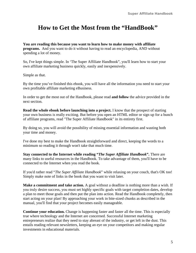### <span id="page-14-0"></span>**How to Get the Most from the "HandBook"**

**You are reading this because you want to learn how to make money with affiliate programs.** And you want to do it without having to read an encyclopedia, AND without spending a lot of money.

So, I've kept things simple. In 'The Super Affiliate Handbook", you'll learn how to start your own affiliate marketing business quickly, easily and inexpensively.

Simple as that.

By the time you've finished this ebook, you will have all the information you need to start your own profitable affiliate marketing eBusiness.

In order to get the most out of the Handbook, please read **and follow** the advice provided in the next section.

**Read the whole ebook before launching into a project.** I know that the prospect of starting your own business is really exciting. But before you open an HTML editor or sign up for a bunch of affiliate programs, read "The Super Affiliate Handbook" in its entirety first.

By doing so, you will avoid the possibility of missing essential information and wasting both your time and money.

I've done my best to make the Handbook straightforward and direct, keeping the words to a minimum so reading it through won't take that much time.

**Stay connected to the Internet while reading "***The Super Affiliate Handbook***".** There are many links to useful resources in the Handbook. To take advantage of them, you'll have to be connected to the Internet when you read the book.

If you'd rather read "*The Super Affiliate Handbook*" while relaxing on your couch, that's OK too! Simply make note of links in the book that you want to visit later.

**Make a commitment and take action.** A goal without a deadline is nothing more than a wish. If you truly desire success, you must set highly specific goals with target completion dates, develop a plan to meet those goals and then put the plan into action. Read the Handbook completely, then start acting on your plan! By approaching your work in bite-sized chunks as described in the manual, you'll find that your project becomes easily manageable.

**Continue your education.** Change is happening faster and faster all the time. This is especially true where technology and the Internet are concerned. Successful Internet marketing entrepreneurs realize that they need to stay abreast of the industry, or get left in the dust. This entails reading relevant newsletters, keeping an eye on your competitors and making regular investments in educational materials.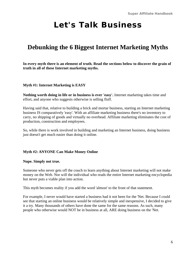# <span id="page-15-0"></span>**Let's Talk Business**

### <span id="page-15-1"></span>**Debunking the 6 Biggest Internet Marketing Myths**

**In every myth there is an element of truth. Read the sections below to discover the grain of truth in all of these Internet marketing myths.** 

#### **Myth #1: Internet Marketing is EASY**

**Nothing worth doing in life or in business is ever 'easy'.** Internet marketing takes time and effort, and anyone who suggests otherwise is selling fluff.

Having said that, relative to building a brick and mortar business, starting an Internet marketing business IS comparatively 'easy'. With an affiliate marketing business there's no inventory to carry, no shipping of goods and virtually no overhead. Affiliate marketing eliminates the cost of production, construction and employees.

So, while there is work involved in building and marketing an Internet business, doing business just doesn't get much easier than doing it online.

#### **Myth #2: ANYONE Can Make Money Online**

#### **Nope. Simply not true.**

Someone who never gets off the couch to learn anything about Internet marketing will not make money on the Web. Nor will the individual who reads the entire Internet marketing encyclopedia but never puts a viable plan into action.

This myth becomes reality if you add the word 'almost' to the front of that statement.

For example, I never would have started a business had it not been for the 'Net. Because I could see that starting an online business would be relatively simple and inexpensive, I decided to give it a try. Many thousands of others have done the same for the same reasons. As such, many people who otherwise would NOT be in business at all, ARE doing business on the 'Net.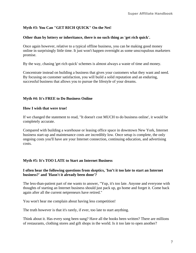#### **Myth #3: You Can "GET RICH QUICK" On the Net!**

#### **Other than by lottery or inheritance, there is no such thing as 'get rich quick'.**

Once again however, relative to a typical offline business, you can be making good money online in surprisingly little time. It just won't happen overnight as some unscrupulous marketers promise.

By the way, chasing 'get rich quick' schemes is almost always a waste of time and money.

Concentrate instead on building a business that gives your customers what they want and need. By focusing on customer satisfaction, you will build a solid reputation and an enduring, successful business that allows you to pursue the lifestyle of your dreams.

#### **Myth #4: It's FREE to Do Business Online**

#### **How I wish that were true!**

If we changed the statement to read, "It doesn't cost MUCH to do business online', it would be completely accurate.

Compared with building a warehouse or leasing office space in downtown New York, Internet business start-up and maintenance costs are incredibly low. Once setup is complete, the only ongoing costs you'll have are your Internet connection, continuing education, and advertising costs.

#### **Myth #5: It's TOO LATE to Start an Internet Business**

#### **I often hear the following questions from skeptics, 'Isn't it too late to start an Internet business?' and 'Hasn't it already been done'?**

The less-than-patient part of me wants to answer, "Yup, it's too late. Anyone and everyone with thoughts of starting an Internet business should just pack up, go home and forget it. Come back again after all the current netpreneurs have retired."

You won't hear me complain about having less competition!

The truth however is that it's rarely, if ever, too late to start anything.

Think about it. Has every song been sung? Have all the books been written? There are millions of restaurants, clothing stores and gift shops in the world. Is it too late to open another?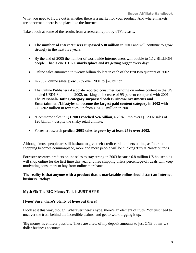What you need to figure out is whether there is a market for your product. And where markets are concerned, there is no place like the Internet.

Take a look at some of the results from a research report by eTForecasts:

- **The number of Internet users surpassed 530 million in 2001** and will continue to grow strongly in the next five years.
- By the end of 2005 the number of worldwide Internet users will double to 1.12 BILLION people. That is one **HUGE marketplace** and it's getting bigger every day!
- Online sales amounted to twenty billion dollars in each of the first two quarters of 2002.
- In 2002, online **sales grew 52%** over 2001 to \$78 billion.
- The Online Publishers Associate reported consumer spending on online content in the US totaled USD1.3 billion in 2002, marking an increase of 95 percent compared with 2001. The **Personals/Dating category surpassed both Business/Investments and Entertainment/Lifestyles to become the largest paid content category in 2002** with USD302 million in revenues, up from USD72 million in 2001.
- eCommerce sales in **Q1 2003 reached \$24 billion**, a 20% jump over Q1 2002 sales of \$20 billion - despite the shaky retail climate.
- Forrester research predicts **2003 sales to grow by at least 25% over 2002**.

Although 'most' people are still hesitant to give their credit card numbers online, as Internet shopping becomes commonplace, more and more people will be clicking 'Buy it Now!' buttons.

Forrester research predicts online sales to stay strong in 2003 because 6.8 million US households will shop online for the first time this year and free shipping offers percentage-off deals will keep motivating consumers to buy from online merchants.

#### **The reality is that anyone with a product that is marketable online should start an Internet business...today!**

#### **Myth #6: The BIG Money Talk is JUST HYPE**

#### **Hype? Sure, there's plenty of hype out there!**

I look at it this way, though. Wherever there's hype, there's an element of truth. You just need to uncover the truth behind the incredible claims, and get to work digging it up.

'Big money' is entirely possible. These are a few of my deposit amounts to just ONE of my US dollar business accounts.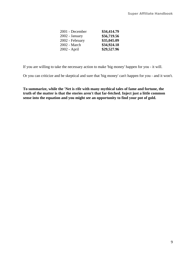| 2001 - December | \$34,414.79 |
|-----------------|-------------|
| 2002 - January  | \$56,719.56 |
| 2002 - February | \$35,045.09 |
| 2002 - March    | \$34,924.18 |
| 2002 - April    | \$29,527.96 |

If you are willing to take the necessary action to make 'big money' happen for you - it will.

Or you can criticize and be skeptical and sure that 'big money' can't happen for you - and it won't.

**To summarize, while the 'Net is rife with many mythical tales of fame and fortune, the truth of the matter is that the stories aren't that far-fetched. Inject just a little common sense into the equation and you might see an opportunity to find your pot of gold.**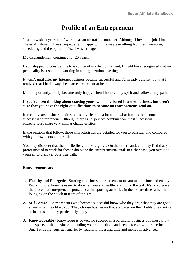### <span id="page-19-0"></span>**Profile of an Entrepreneur**

Just a few short years ago I worked as an air traffic controller. Although I loved the job, I hated 'the establishment'. I was perpetually unhappy with the way everything from remuneration, scheduling and the operation itself was managed.

My disgruntlement continued for 20 years.

Had I stopped to consider the true source of my disgruntlement, I might have recognized that my personality isn't suited to working in an organizational setting.

It wasn't until after my Internet business became successful and I'd already quit my job, that I realized that I had always been an entrepreneur at heart.

More importantly, I only became truly happy when I honored my spirit and followed my path.

#### **If you've been thinking about starting your own home-based Internet business, but aren't sure that you have the right qualifications to become an entrepreneur, read on.**

In recent years business professionals have learned a lot about what it takes to become a successful entrepreneur. Although there is no 'perfect' combination, most successful entrepreneurs share very similar characteristics.

In the sections that follow, those characteristics are detailed for you to consider and compared with your own personal profile.

You may discover that the profile fits you like a glove. On the other hand, you may find that you prefer instead to work for those who blaze the entrepreneurial trail. In either case, you owe it to yourself to discover your true path.

#### **Entrepreneurs are:**

- 1. **Healthy and Energetic**  Starting a business takes an enormous amount of time and energy. Working long hours is easier to do when you are healthy and fit for the task. It's no surprise therefore that entrepreneurs pursue healthy sporting activities in their spare time rather than lounging on the couch in front of the TV.
- **2. Self-Aware**  Entrepreneurs who become successful know who they are, what they are good at and what they like to do. They choose businesses that are based on their fields of expertise or in areas that they particularly enjoy.
- **3. Knowledgeable**  Knowledge is power. To succeed in a particular business you must know all aspects of that business, including your competition and trends for growth or decline. Smart entrepreneurs get smarter by regularly investing time and money in advanced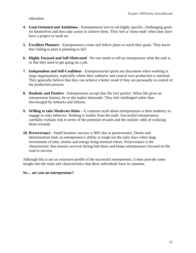education.

- **4. Goal-Oriented and Ambitious**  Entrepreneurs love to set highly specific, challenging goals for themselves and then take action to achieve them. They feel at 'loose ends' when they don't have a project to work on.
- **5. Excellent Planners** Entrepreneurs create and follow plans to reach their goals. They know that 'failing to plan is planning to fail'.
- **6. Highly Focused and Self-Motivated**  No one needs to tell an entrepreneur what the task is, or that they need to get going on a job.
- **7. Independent and Self-Confident**  Entrepreneurial spirits are discontent when working in large organizations, especially where their authority and control over production is minimal. They generally believe that they can achieve a better result if they are personally in control of the production process.
- **8. Realistic and Positive**  Entrepreneurs accept that life isn't perfect. When life gives an entrepreneur lemons, he or she makes lemonade. They feel challenged rather than discouraged by setbacks and failures.
- **9. Willing to take Moderate Risks** A common myth about entrepreneurs is their tendency to engage in risky behavior. Nothing is further from the truth. Successful entrepreneurs carefully evaluate risk in terms of the potential rewards and the realistic odds of realizing those rewards.
- **10. Perseverance** Small business success is 90% due to perseverance. Desire and determination fuels an entrepreneur's ability to tough out the early days when large investments of time, money and energy bring minimal return. Perseverance is the characteristic that ensures survival during bad times and keeps entrepreneurs focused on the road to success.

Although this is not an extensive profile of the successful entrepreneur, it does provide some insight into the traits and characteristics that these individuals have in common.

#### **So… are you an entrepreneur?**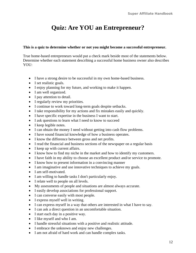### <span id="page-21-0"></span>**Quiz: Are YOU an Entrepreneur?**

#### **This is a quiz to determine whether or not you might become a successful entrepreneur.**

True home-based entrepreneurs would put a check mark beside most of the statements below. Determine whether each statement describing a successful home business owner also describes YOU:

- I have a strong desire to be successful in my own home-based business.
- I set realistic goals.
- I enjoy planning for my future, and working to make it happen.
- I am well organized.
- I pay attention to detail.
- I regularly review my priorities.
- I continue to work toward long-term goals despite setbacks.
- I take responsibility for my actions and fix mistakes easily and quickly.
- I have specific expertise in the business I want to start.
- I ask questions to learn what I need to know to succeed
- I keep legible notes.
- I can obtain the money I need without getting into cash flow problems.
- I have sound financial knowledge of how a business operates.
- I know the difference between gross and net profits.
- I read the financial and business sections of the newspaper on a regular basis
- I keep up with current affairs.
- I know how to find my niche in the market and how to identify my customers.
- I have faith in my ability to choose an excellent product and/or service to promote.
- I know how to present information in a convincing manner
- I am imaginative and use innovative techniques to achieve my goals.
- I am self-motivated.
- I am willing to handle tasks I don't particularly enjoy.
- I relate well to people on all levels.
- My assessments of people and situations are almost always accurate.
- I easily develop associations for professional support.
- I can converse easily with most people.
- I express myself well in writing.
- I can express myself in a way that others are interested in what I have to say.
- I can ask a direct question in an uncomfortable situation.
- I start each day in a positive way.
- I like myself and who I am.
- I handle stressful situations with a positive and realistic attitude.
- I embrace the unknown and enjoy new challenges.
- I am not afraid of hard work and can handle complex tasks.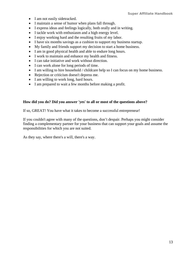- I am not easily sidetracked.
- I maintain a sense of humor when plans fall through.
- I express ideas and feelings logically, both orally and in writing.
- I tackle work with enthusiasm and a high energy level.
- I enjoy working hard and the resulting fruits of my labor.
- I have six months savings as a cushion to support my business startup.
- My family and friends support my decision to start a home business.
- I am in good physical health and able to endure long hours.
- I work to maintain and enhance my health and fitness.
- I can take initiative and work without direction.
- I can work alone for long periods of time.
- I am willing to hire household / childcare help so I can focus on my home business.
- Rejection or criticism doesn't depress me.
- I am willing to work long, hard hours.
- I am prepared to wait a few months before making a profit.

#### **How did you do? Did you answer 'yes' to all or most of the questions above?**

If so, GREAT! You have what it takes to become a successful entrepreneur!

If you couldn't agree with many of the questions, don't despair. Perhaps you might consider finding a complementary partner for your business that can support your goals and assume the responsibilities for which you are not suited.

As they say, where there's a will, there's a way.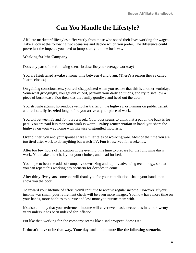### <span id="page-23-0"></span>**Can You Handle the Lifestyle?**

Affiliate marketers' lifestyles differ vastly from those who spend their lives working for wages. Take a look at the following two scenarios and decide which you prefer. The difference could prove just the impetus you need to jump-start your new business.

#### **Working for 'the Company'**

Does any part of the following scenario describe your average workday?

You are **frightened awake** at some time between 4 and 8 am. (There's a reason they're called 'alarm' clocks.)

On gaining consciousness, you feel disappointed when you realize that this is another workday. Somewhat grudgingly, you get out of bed, perform your daily ablutions, and try to swallow a piece of burnt toast. You then kiss the family goodbye and head out the door.

You struggle against horrendous vehicular traffic on the highway, or humans on public transit, and feel **totally frazzled** long before you arrive at your place of work.

You toil between 35 and 70 hours a week. Your boss seems to think that a pat on the back is for pets. You are paid less than your work is worth. **Paltry remuneration** in hand, you share the highway on your way home with likewise disgruntled motorists.

Over dinner, you and your spouse share similar tales of **working woe**. Most of the time you are too tired after work to do anything but watch TV. Fun is reserved for weekends.

After too few hours of relaxation in the evening, it is time to prepare for the following day's work. You make a lunch, lay out your clothes, and head for bed.

You hope to beat the odds of company downsizing and rapidly advancing technology, so that you can repeat this working day scenario for decades to come.

After thirty-five years, someone will thank you for your contribution, shake your hand, then show you the door.

To reward your lifetime of effort, you'll continue to receive regular income. However, if your income was small, your retirement check will be even more meager. You now have more time on your hands, more hobbies to pursue and less money to pursue them with.

It's also unlikely that your retirement income will cover even basic necessities in ten or twenty years unless it has been indexed for inflation.

Put like that, working for 'the company' seems like a sad prospect, doesn't it?

#### **It doesn't have to be that way. Your day could look more like the following scenario.**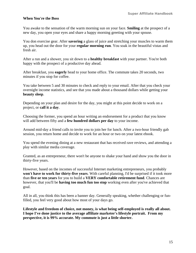#### **When You're the Boss**

You awake to the sensation of the warm morning sun on your face. **Smiling** at the prospect of a new day, you open your eyes and share a happy morning greeting with your spouse.

You don exercise gear. After **savoring** a glass of juice and stretching your muscles to warm them up, you head out the door for your **regular morning run**. You soak in the beautiful vistas and fresh air.

After a run and a shower, you sit down to a **healthy breakfast** with your partner. You're both happy with the prospect of a productive day ahead.

After breakfast, you **eagerly** head to your home office. The commute takes 20 seconds, two minutes if you stop for coffee.

You take between 5 and 30 minutes to check and reply to your email. After that you check your overnight income statistics, and see that you made about a thousand dollars while getting your **beauty sleep**.

Depending on your plan and desire for the day, you might at this point decide to work on a project, or **call it a day**.

Choosing the former, you spend an hour writing an endorsement for a product that you know will add between fifty and a **few hundred dollars per day** to your income.

Around mid-day a friend calls to invite you to join her for lunch. After a two-hour friendly gab session, you return home and decide to work for an hour or two on your latest ebook.

You spend the evening dining at a new restaurant that has received rave reviews, and attending a play with similar media coverage.

Granted, as an entrepreneur, there won't be anyone to shake your hand and show you the door in thirty-five years.

However, based on the incomes of successful Internet marketing entrepreneurs, you probably **won't have to work for thirty-five years**. With careful planning, I'd be surprised if it took more than **five or ten years** for you to build a **VERY comfortable retirement fund**. Chances are however, that you'll be **having too much fun too stop** working even after you've achieved that goal.

All in all, you think this has been a banner day. Generally speaking, whether challenging or funfilled, you feel very good about how most of your days go.

**Lifestyle and freedom of choice, not money, is what being self-employed is really all about. I hope I've done justice to the average affiliate marketer's lifestyle portrait. From my perspective, it is 99% accurate. My commute is just a little shorter.**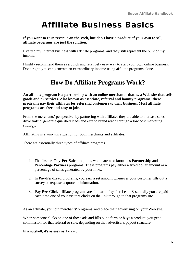# <span id="page-25-0"></span>**Affiliate Business Basics**

**If you want to earn revenue on the Web, but don't have a product of your own to sell, affiliate programs are just the solution.** 

I started my Internet business with affiliate programs, and they still represent the bulk of my income.

I highly recommend them as a quick and relatively easy way to start your own online business. Done right, you can generate an extraordinary income using affiliate programs alone.

### <span id="page-25-1"></span>**How Do Affiliate Programs Work?**

**An affiliate program is a partnership with an online merchant - that is, a Web site that sells goods and/or services. Also known as associate, referral and bounty programs; these programs pay their affiliates for referring customers to their business. Most affiliate programs are free and easy to join.** 

From the merchants' perspective, by partnering with affiliates they are able to increase sales, drive traffic, generate qualified leads and extend brand reach through a low cost marketing strategy.

Affiliating is a win-win situation for both merchants and affiliates.

There are essentially three types of affiliate programs.

- 1. The first are **Pay-Per-Sale** programs, which are also known as **Partnership** and **Percentage Partners** programs. These programs pay either a fixed dollar amount or a percentage of sales generated by your links.
- 2. In **Pay-Per-Lead** programs, you earn a set amount whenever your customer fills out a survey or requests a quote or information.
- 3. **Pay-Per-Click** affiliate programs are similar to Pay-Per-Lead. Essentially you are paid each time one of your visitors clicks on the link through to that programs site.

As an affiliate, you join merchants' programs, and place their advertising on your Web site.

When someone clicks on one of those ads and fills out a form or buys a product, you get a commission for that referral or sale, depending on that advertiser's payout structure.

In a nutshell, it's as easy as  $1 - 2 - 3$ :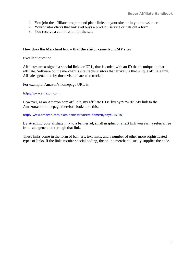- 1. You join the affiliate program and place links on your site, or in your newsletter.
- 2. Your visitor clicks that link **and** buys a product, service or fills out a form.
- 3. You receive a commission for the sale.

#### **How does the Merchant know that the visitor came from MY site?**

Excellent question!

Affiliates are assigned a **special link**, or URL, that is coded with an ID that is unique to that affiliate. Software on the merchant's site tracks visitors that arrive via that unique affiliate link. All sales generated by those visitors are also tracked.

For example, Amazon's homepage URL is:

#### [http://www.amazon.com](http://www.amazon.com/).

However, as an Amazon.com affiliate, my affiliate ID is 'byebye925-20'. My link to the Amazon.com homepage therefore looks like this:

<http://www.amazon.com/exec/obidos/redirect-home/byebye925-20>

By attaching your affiliate link to a banner ad, small graphic or a text link you earn a referral fee from sale generated through that link.

These links come in the form of banners, text links, and a number of other more sophisticated types of links. If the links require special coding, the online merchant usually supplies the code.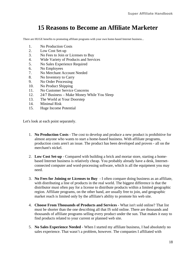### <span id="page-27-0"></span>**15 Reasons to Become an Affiliate Marketer**

There are HUGE benefits to promoting affiliate programs with your own home-based Internet business...

- 1. No Production Costs
- 2. Low Cost Set-up
- 3. No Fees to Join or Licenses to Buy
- 4. Wide Variety of Products and Services
- 5. No Sales Experience Required
- 6. No Employees
- 7. No Merchant Account Needed
- 8. No Inventory to Carry
- 9. No Order Processing
- 10. No Product Shipping
- 11. No Customer Service Concerns
- 12. 24/7 Business Make Money While You Sleep
- 13. The World at Your Doorstep
- 14. Minimal Risk
- 15. Huge Income Potential

Let's look at each point separately.

- 1. **No Production Costs** The cost to develop and produce a new product is prohibitive for almost anyone who wants to start a home-based business. With affiliate programs, production costs aren't an issue. The product has been developed and proven - all on the merchant's nickel.
- 2. **Low Cost Set-up** Compared with building a brick and mortar store, starting a homebased Internet business is relatively cheap. You probably already have a desk, Internetconnected computer and word-processing software, which is all the equipment you may need.
- 3. **No Fees for Joining or Licenses to Buy**  I often compare doing business as an affiliate, with distributing a line of products in the real world. The biggest difference is that the distributor must often pay for a license to distribute products within a limited geographic region. Affiliate programs, on the other hand, are usually free to join, and geographic market reach is limited only by the affiliate's ability to promote his web site.
- 4. **Choose From Thousands of Products and Services** What isn't sold online? That list must be shorter than the one describing all that IS sold online. There are thousands and thousands of affiliate programs selling every product under the sun. That makes it easy to find products related to your current or planned web site.
- 5. **No Sales Experience Needed**  When I started my affiliate business, I had absolutely no sales experience. That wasn't a problem, however. The companies I affiliated with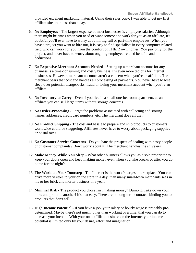provided excellent marketing material. Using their sales copy, I was able to get my first affiliate site up in less than a day.

- 6. **No Employees** The largest expense of most businesses is employee salaries. Although there might be times when you need or want someone to work for you as an affiliate, it's doubtful you'll ever have to worry about hiring full or part-time employees. When you have a project you want to hire out, it is easy to find specialists in every computer-related field who can work for you from the comfort of THEIR own homes. You pay only for the project, and never have to worry about ongoing employee-related benefits and deductions.
- 7. **No Expensive Merchant Accounts Needed** Setting up a merchant account for any business is a time-consuming and costly business. It's even more tedious for Internet businesses. However, merchant accounts aren't a concern when you're an affiliate. The merchant bears that cost and handles all processing of payments. You never have to lose sleep over potential chargebacks, fraud or losing your merchant account when you're an affiliate.
- 8. **No Inventory to Carry** Even if you live in a small one-bedroom apartment, as an affiliate you can sell large items without storage concerns.
- 9. **No Order-Processing** Forget the problems associated with collecting and storing names, addresses, credit card numbers, etc. The merchant does all that!
- 10. **No Product Shipping** The cost and hassle to prepare and ship products to customers worldwide could be staggering. Affiliates never have to worry about packaging supplies or postal rates.
- 11. **No Customer Service Concerns** Do you hate the prospect of dealing with nasty people or customer complaints? Don't worry about it! The merchant handles the snivelers.
- 12. **Make Money While You Sleep** What other business allows you as a sole proprietor to keep your doors open and keep making money even when you take breaks or after you go home for the night?
- 13. **The World at Your Doorstep** The Internet is the world's largest marketplace. You can drive more visitors to your online store in a day, than many small-town merchants sees in his or her brick and mortar business in a year.
- 14. **Minimal Risk** The product you chose isn't making money? Dump it. Take down your links and promote another! It's that easy. There are no long-term contracts binding you to products that don't sell.
- 15. **High Income Potential** If you have a job, your salary or hourly wage is probably predetermined. Maybe there's not much, other than working overtime, that you can do to increase your income. With your own affiliate business on the Internet your income potential is limited only by your desire, effort and imagination.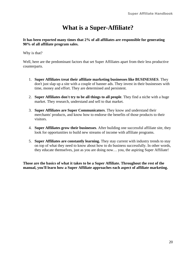### <span id="page-29-0"></span>**What is a Super-Affiliate?**

**It has been reported many times that 2% of all affiliates are responsible for generating 90% of all affiliate program sales.** 

Why is that?

Well, here are the predominant factors that set Super Affiliates apart from their less productive counterparts.

- 1. **Super Affiliates treat their affiliate marketing businesses like BUSINESSES**. They don't just slap up a site with a couple of banner ads. They invest in their businesses with time, money and effort. They are determined and persistent.
- 2. **Super Affiliates don't try to be all things to all people**. They find a niche with a huge market. They research, understand and sell to that market.
- 3. **Super Affiliates are Super Communicators**. They know and understand their merchants' products, and know how to endorse the benefits of those products to their visitors.
- 4. **Super Affiliates grow their businesses**. After building one successful affiliate site, they look for opportunities to build new streams of income with affiliate programs.
- 5. **Super Affiliates are constantly learning.** They stay current with industry trends to stay on top of what they need to know about how to do business successfully. In other words, they educate themselves, just as you are doing now… you, the aspiring Super Affiliate!

**Those are the basics of what it takes to be a Super Affiliate. Throughout the rest of the manual, you'll learn how a Super Affiliate approaches each aspect of affiliate marketing.**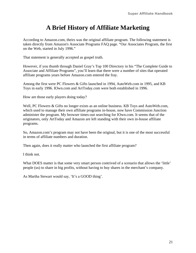### <span id="page-30-0"></span>**A Brief History of Affiliate Marketing**

According to Amazon.com, theirs was the original affiliate program. The following statement is taken directly from Amazon's Associate Programs FAQ page. "Our Associates Program, the first on the Web, started in July 1996."

That statement is generally accepted as gospel truth.

However, if you thumb through Daniel Gray's Top 100 Directory in his "The Complete Guide to Associate and Affiliate Programs", you'll learn that there were a number of sites that operated affiliate programs years before Amazon.com entered the fray.

Among the first were PC Flowers & Gifts launched in 1994, AutoWeb.com in 1995, and KB Toys in early 1996. IOwn.com and ArtToday.com were both established in 1996.

How are those early players doing today?

Well, PC Flowers & Gifts no longer exists as an online business. KB Toys and AutoWeb.com, which used to manage their own affiliate programs in-house, now have Commission Junction administer the program. My browser times-out searching for IOwn.com. It seems that of the originators, only ArtToday and Amazon are left standing with their own in-house affiliate programs.

So, Amazon.com's program may not have been the original, but it is one of the most successful in terms of affiliate numbers and duration.

Then again, does it really matter who launched the first affiliate program?

I think not.

What DOES matter is that some very smart person contrived of a scenario that allows the 'little' people (us) to share in big profits, without having to buy shares in the merchant's company.

As Martha Stewart would say, 'It's a GOOD thing'.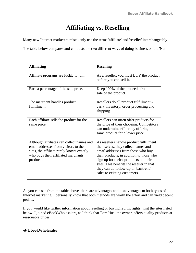### <span id="page-31-0"></span>**Affiliating vs. Reselling**

Many new Internet marketers mistakenly use the terms 'affiliate' and 'reseller' interchangeably.

The table below compares and contrasts the two different ways of doing business on the 'Net.

| <b>Affiliating</b>                                                                                                                                                                    | <b>Reselling</b>                                                                                                                                                                                                                                                                                                               |
|---------------------------------------------------------------------------------------------------------------------------------------------------------------------------------------|--------------------------------------------------------------------------------------------------------------------------------------------------------------------------------------------------------------------------------------------------------------------------------------------------------------------------------|
| Affiliate programs are FREE to join.                                                                                                                                                  | As a reseller, you must BUY the product<br>before you can sell it.                                                                                                                                                                                                                                                             |
| Earn a percentage of the sale price.                                                                                                                                                  | Keep 100% of the proceeds from the<br>sale of the product.                                                                                                                                                                                                                                                                     |
| The merchant handles product<br>fulfillment.                                                                                                                                          | Resellers do all product fulfillment -<br>carry inventory, order processing and<br>shipping.                                                                                                                                                                                                                                   |
| Each affiliate sells the product for the<br>same price.                                                                                                                               | Resellers can often offer products for<br>the price of their choosing. Competitors<br>can undermine efforts by offering the<br>same product for a lower price.                                                                                                                                                                 |
| Although affiliates can collect names and<br>email addresses from visitors to their<br>sites, the affiliate rarely knows exactly<br>who buys their affiliated merchants'<br>products. | As resellers handle product fulfillment<br>themselves, they collect names and<br>email addresses from those who buy<br>their products, in addition to those who<br>sign up for their opt-in lists on their<br>sites. This benefits the reseller in that<br>they can do follow-up or 'back-end'<br>sales to existing customers. |

As you can see from the table above, there are advantages and disadvantages to both types of Internet marketing. I personally know that both methods are worth the effort and can yield decent profits.

If you would like further information about reselling or buying reprint rights, visit the sites listed below. I joined eBookWholesalers, as I think that Tom Hua, the owner, offers quality products at reasonable prices.

#### **→ EbookWholesaler**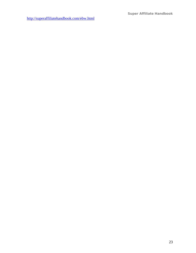<http://superaffiliatehandbook.com/ebw.html>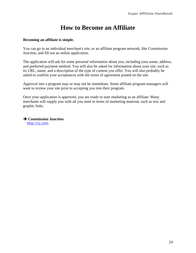### <span id="page-33-0"></span>**How to Become an Affiliate**

#### **Becoming an affiliate is simple.**

You can go to an individual merchant's site, or an affiliate program network, like Commission Junction, and fill out an online application.

The application will ask for some personal information about you, including your name, address, and preferred payment method. You will also be asked for information about your site, such as its URL, name, and a description of the type of content you offer. You will also probably be asked to confirm your acceptances with the terms of agreement posted on the site.

Approval into a program may or may not be immediate. Some affiliate program managers will want to review your site prior to accepting you into their program.

Once your application is approved, you are ready to start marketing as an affiliate. Many merchants will supply you with all you need in terms of marketing material, such as text and graphic links.

 $→$  **Commission Junction** [http://cj.com](http://www.qksrv.net/click-211898-7282777)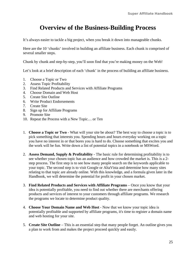### <span id="page-34-0"></span>**Overview of the Business-Building Process**

It's always easier to tackle a big project, when you break it down into manageable chunks.

Here are the 10 'chunks' involved in building an affiliate business. Each chunk is comprised of several smaller steps.

Chunk by chunk and step-by-step, you'll soon find that you're making money on the Web!

Let's look at a brief description of each 'chunk' in the process of building an affiliate business.

- 1. Choose a Topic or Two
- 2. Assess Topic Profitability
- 3. Find Related Products and Services with Affiliate Programs
- 4. Choose Domain and Web Host
- 5. Create Site Outline
- 6. Write Product Endorsements
- 7. Create Site
- 8. Sign up for Affiliate Programs
- 9. Promote Site
- 10. Repeat the Process with a New Topic… or Ten
- 1. **Choose a Topic or Two** What will your site be about? The best way to choose a topic is to pick something that interests you. Spending hours and hours everyday working on a topic you have no interest in or that bores you is hard to do. Choose something that excites you and the work will be fun. Write down a list of potential topics in a notebook or MSWord.
- 2. **Assess Demand, Supply & Profitability** The basic rule for determining profitability is to see whether your chosen topic has an audience and how crowded the market is. This is a 2 step process. The first step is to see how many people search on the keywords applicable to your topic. The second step is to visit Google or AltaVista and determine how many sites relating to that topic are already online. With this knowledge, and a formula given later in the Handbook, we will determine the potential for profit in your chosen market.
- 3. **Find Related Products and Services with Affiliate Programs** Once you know that your idea is potentially profitable, you need to find out whether there are merchants offering products and services of interest to your customers through affiliate programs. We research the programs we locate to determine product quality.
- 4. **Choose Your Domain Name and Web Host** Now that we know your topic idea is potentially profitable and supported by affiliate programs, it's time to register a domain name and web hosting for your site.
- 5. **Create Site Outline** This is an essential step that many people forget. An outline gives you a plan to work from and makes the project proceed quickly and easily.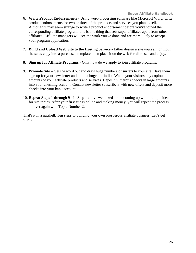- 6. **Write Product Endorsements** Using word-processing software like Microsoft Word, write product endorsements for two or three of the products and services you plan to sell. Although it may seem strange to write a product endorsement before you've joined the corresponding affiliate program, this is one thing that sets super affiliates apart from other affiliates. Affiliate managers will see the work you've done and are more likely to accept your program application.
- 7. **Build and Upload Web Site to the Hosting Service** Either design a site yourself, or input the sales copy into a purchased template, then place it on the web for all to see and enjoy.
- 8. **Sign up for Affiliate Programs**  Only now do we apply to join affiliate programs.
- 9. **Promote Site** Get the word out and draw huge numbers of surfers to your site. Have them sign up for your newsletter and build a huge opt-in list. Watch your visitors buy copious amounts of your affiliate products and services. Deposit numerous checks in large amounts into your checking account. Contact newsletter subscribers with new offers and deposit more checks into your bank account.
- 10. **Repeat Steps 1 through 9** In Step 1 above we talked about coming up with multiple ideas for site topics. After your first site is online and making money, you will repeat the process all over again with Topic Number 2.

That's it in a nutshell. Ten steps to building your own prosperous affiliate business. Let's get started!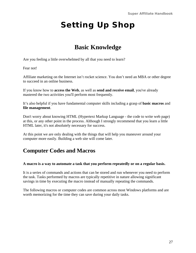# **Setting Up Shop**

# **Basic Knowledge**

Are you feeling a little overwhelmed by all that you need to learn?

Fear not!

Affiliate marketing on the Internet isn't rocket science. You don't need an MBA or other degree to succeed in an online business.

If you know how to **access the Web**, as well as **send and receive email**, you've already mastered the two activities you'll perform most frequently.

It's also helpful if you have fundamental computer skills including a grasp of **basic macros** and **file management**.

Don't worry about knowing HTML (Hypertext Markup Language - the code to write web page) at this, or any other point in the process. Although I strongly recommend that you learn a little HTML later, it's not absolutely necessary for success.

At this point we are only dealing with the things that will help you maneuver around your computer more easily. Building a web site will come later.

### **Computer Codes and Macros**

#### **A macro is a way to automate a task that you perform repeatedly or on a regular basis.**

It is a series of commands and actions that can be stored and run whenever you need to perform the task. Tasks performed by macros are typically repetitive in nature allowing significant savings in time by executing the macro instead of manually repeating the commands.

The following macros or computer codes are common across most Windows platforms and are worth memorizing for the time they can save during your daily tasks.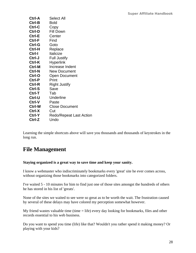| Ctrl-A        | Select All              |
|---------------|-------------------------|
| Ctrl-B        | <b>Bold</b>             |
| Ctrl-C        | Copy                    |
| Ctrl-D        | <b>Fill Down</b>        |
| Ctrl-E        | Center                  |
| Ctrl-F        | Find                    |
| Ctrl-G        | Goto                    |
| Ctrl-H        | Replace                 |
| Ctrl-l        | Italicize               |
| Ctrl-J        | <b>Full Justify</b>     |
| <b>Ctrl-K</b> | <b>Hyperlink</b>        |
| <b>Ctrl-M</b> | Increase Indent         |
| Ctrl-N        | <b>New Document</b>     |
| Ctrl-O        | Open Document           |
| Ctrl-P        | Print                   |
| Ctrl-R        | <b>Right Justify</b>    |
| Ctrl-S        | Save                    |
| Ctrl-T        | Tab                     |
| Ctrl-U        | Underline               |
| Ctrl-V        | Paste                   |
| Ctrl-W        | <b>Close Document</b>   |
| <b>Ctrl-X</b> | Cut                     |
| Ctrl-Y        | Redo/Repeat Last Action |
| Ctrl-Z        | Undo                    |

Learning the simple shortcuts above will save you thousands and thousands of keystrokes in the long run.

### **File Management**

#### **Staying organized is a great way to save time and keep your sanity.**

I know a webmaster who indiscriminately bookmarks every 'great' site he ever comes across, without organizing those bookmarks into categorized folders.

I've waited 5 - 10 minutes for him to find just one of those sites amongst the hundreds of others he has stored in his list of 'greats'.

None of the sites we waited to see were so great as to be worth the wait. The frustration caused by several of these delays may have colored my perception somewhat however.

My friend wastes valuable time (time  $=$  life) every day looking for bookmarks, files and other records essential to his web business.

Do you want to spend you time (life) like that? Wouldn't you rather spend it making money? Or playing with your kids?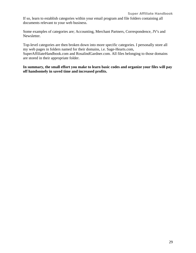If so, learn to establish categories within your email program and file folders containing all documents relevant to your web business.

Some examples of categories are; Accounting, Merchant Partners, Correspondence, JV's and Newsletter.

Top-level categories are then broken down into more specific categories. I personally store all my web pages in folders named for their domains, i.e. Sage-Hearts.com, SuperAffiliateHandbook.com and RosalindGardner.com. All files belonging to those domains are stored in their appropriate folder.

**In summary, the small effort you make to learn basic codes and organize your files will pay off handsomely in saved time and increased profits.**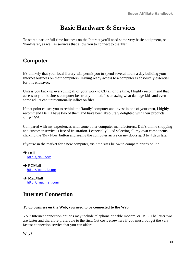# **Basic Hardware & Services**

To start a part or full-time business on the Internet you'll need some very basic equipment, or 'hardware', as well as services that allow you to connect to the 'Net.

### **Computer**

It's unlikely that your local library will permit you to spend several hours a day building your Internet business on their computers. Having ready access to a computer is absolutely essential for this endeavor.

Unless you back up everything all of your work to CD all of the time, I highly recommend that access to your business computer be strictly limited. It's amazing what damage kids and even some adults can unintentionally inflict on files.

If that point causes you to rethink the 'family' computer and invest in one of your own, I highly recommend Dell. I have two of them and have been absolutely delighted with their products since 1998.

Compared with my experiences with some other computer manufacturers, Dell's online shopping and customer service is free of frustration. I especially liked selecting all my own components, clicking the 'Buy Now' button and seeing the computer arrive on my doorstep 3 to 4 days later.

If you're in the market for a new computer, visit the sites below to compare prices online.

 $\rightarrow$  Dell [http://dell.com](http://service.bfast.com/bfast/serve?bfmid=37628499&siteid=38205096&bfpage=automerch12)

**→ PCMall** [http://pcmall.com](http://www.qksrv.net/click-1316974-51965)

**→ MacMall** [http://macmall.com](http://www.qksrv.net/click-1316974-53427)

### **Internet Connection**

#### **To do business on the Web, you need to be connected to the Web.**

Your Internet connection options may include telephone or cable modem, or DSL. The latter two are faster and therefore preferable to the first. Cut costs elsewhere if you must, but get the very fastest connection service that you can afford.

Why?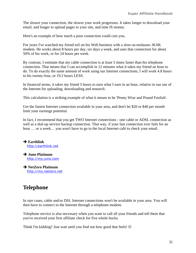The slower your connection, the slower your work progresses. It takes longer to download your email, and longer to upload pages to your site, and time IS money.

Here's an example of how much a poor connection could cost you.

For years I've watched my friend toil on his Web business with a slow-as-molasses 36.6K modem. He works about 8 hours per day, six days a week, and uses that connection for about 50% of his work, or for 24 hours per week.

By contrast, I estimate that my cable connection is at least 5 times faster than his telephone connection. That means that I can accomplish in 12 minutes what it takes my friend an hour to do. To do exactly the same amount of work using our Internet connections, I will work 4.8 hours to his twenty-four, or 19.2 hours LESS.

In financial terms, it takes my friend 5 hours to earn what I earn in an hour, relative to our use of the Internet for uploading, downloading and research.

This calculation is a striking example of what it means to be 'Penny Wise and Pound Foolish'.

Get the fastest Internet connection available in your area, and don't let \$20 or \$40 per month limit your earnings potential.

In fact, I recommend that you get TWO Internet connections - one cable or ADSL connection as well as a dial-up service backup connection. That way, if your fast connection ever fails for an hour ... or a week... you won't have to go to the local Internet café to check your email.

 $\rightarrow$  Earthlink [http://earthlink.net](http://www.qksrv.net/click-1316974-10276819)

 $→$  **Juno Platinum** [http://my.juno.com](http://www.qksrv.net/click-1316974-10278076)

**→ NetZero Platinum** [http://my.netzero.net](http://www.qksrv.net/click-1316974-3483074)

## **Telephone**

In rare cases, cable and/or DSL Internet connections won't be available in your area. You will then have to connect to the Internet through a telephone modem.

Telephone service is also necessary when you want to call all your friends and tell them that you've received your first affiliate check for five whole bucks.

Think I'm kidding? Just wait until you find out how good that feels!  $\odot$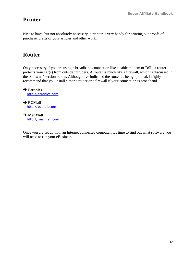# **Printer**

Nice to have, but not absolutely necessary, a printer is very handy for printing out proofs of purchase, drafts of your articles and other work.

### **Router**

Only necessary if you are using a broadband connection like a cable modem or DSL, a router protects your PC(s) from outside intruders. A router is much like a firewall, which is discussed in the 'Software' section below. Although I've indicated the router as being optional, I highly recommend that you install either a router or a firewall if your connection is broadband.

**→ Etronics** [http://etronics.com](http://www.qksrv.net/image-1316974-2681115)

**→ PCMall** [http://pcmall.com](http://www.qksrv.net/click-1316974-51965)

 $\rightarrow$  MacMall [http://macmall.com](http://www.qksrv.net/click-1316974-53427)

Once you are set up with an Internet connected computer, it's time to find out what software you will need to run your eBusiness.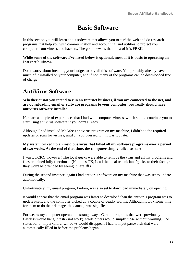# **Basic Software**

In this section you will learn about software that allows you to surf the web and do research, programs that help you with communication and accounting, and utilities to protect your computer from viruses and hackers. The good news is that most of it is FREE!

#### **While some of the software I've listed below is optional, most of it is basic to operating an Internet business.**

Don't worry about breaking your budget to buy all this software. You probably already have much of it installed on your computer, and if not, many of the programs can be downloaded free of charge.

### **AntiVirus Software**

**Whether or not you intend to run an Internet business, if you are connected to the net, and are downloading email or software programs to your computer, you really should have antivirus software installed.** 

Here are a couple of experiences that I had with computer viruses, which should convince you to start using antivirus software if you don't already.

Although I had installed McAfee's antivirus program on my machine, I didn't do the required updates or scan for viruses, until … you guessed it ... it was too late.

#### **My system picked up an insidious virus that killed all my software programs over a period of two weeks. At the end of that time, the computer simply failed to start.**

I was LUCKY, however! The local geeks were able to remove the virus and all my programs and files remained fully functional. (Note: it's OK, I call the local technicians 'geeks' to their faces, so they won't be offended by seeing it here.  $\circledcirc$ )

During the second instance, again I had antivirus software on my machine that was set to update automatically.

Unfortunately, my email program, Eudora, was also set to download immediately on opening.

It would appear that the email program was faster to download than the antivirus program was to update itself, and the computer picked up a couple of deadly worms. Although it took some time for them to do their damage, the damage was significant.

For weeks my computer operated in strange ways. Certain programs that were previously flawless would hang (crash - not work), while others would simply close without warning. The status bar on my Explorer windows would disappear. I had to input passwords that were automatically filled in before the problems began.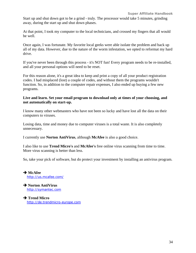Start up and shut down got to be a grind - truly. The processor would take 5 minutes, grinding away, during the start up and shut down phases.

At that point, I took my computer to the local technicians, and crossed my fingers that all would be well.

Once again, I was fortunate. My favorite local geeks were able isolate the problem and back up all of my data. However, due to the nature of the worm infestation, we opted to reformat my hard drive.

If you've never been through this process - it's NOT fun! Every program needs to be re-installed, and all your personal options will need to be reset.

For this reason alone, it's a great idea to keep and print a copy of all your product registration codes. I had misplaced (lost) a couple of codes, and without them the programs wouldn't function. So, in addition to the computer repair expenses, I also ended up buying a few new programs.

#### **Live and learn. Set your email program to download only at times of your choosing, and not automatically on start-up.**

I know many other webmasters who have not been so lucky and have lost all the data on their computers to viruses.

Losing data, time and money due to computer viruses is a total waste. It is also completely unnecessary.

I currently use **Norton AntiVirus**, although **McAfee** is also a good choice.

I also like to use **Trend Micro's** and **McAfee's** free online virus scanning from time to time. More virus scanning is better than less.

So, take your pick of software, but do protect your investment by installing an antivirus program.

**→ McAfee** <http://us.mcafee.com/>

**→ Norton AntiVirus** [http://symantec.com](http://symantec.com/)

**→ Trend Micro** [http://de.trendmicro-europe.com](http://de.trendmicro-europe.com/)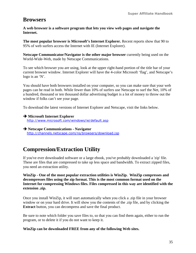### **Browsers**

**A web browser is a software program that lets you view web pages and navigate the Internet.** 

**The most popular browser is Microsoft's Internet Explorer.** Recent reports show that 90 to 95% of web surfers access the Internet with IE (Internet Explorer).

**Netscape Communicator/Navigator is the other major browser** currently being used on the World-Wide-Web, made by Netscape Communications.

To see which browser you are using, look at the upper right-hand portion of the title bar of your current browser window. Internet Explorer will have the 4-color Microsoft 'flag', and Netscape's logo is an 'N'.

You should have both browsers installed on your computer, so you can make sure that your web pages can be read in both. While fewer than 10% of surfers use Netscape to surf the Net, 10% of a hundred, thousand or ten thousand dollar advertising budget is a lot of money to throw out the window if folks can't see your page.

To download the latest versions of Internet Explorer and Netscape, visit the links below.

**→ Microsoft Internet Explorer** <http://www.microsoft.com/windows/ie/default.asp>

Î **Netscape Communications - Navigator** <http://channels.netscape.com/ns/browsers/download.jsp>

## **Compression/Extraction Utility**

If you've ever downloaded software or a large ebook, you've probably downloaded a 'zip' file. These are files that are compressed to take up less space and bandwidth. To extract zipped files, you need an extraction utility.

#### **WinZip - One of the most popular extraction utilities is WinZip. WinZip compresses and decompresses files using the zip format. This is the most common format used on the Internet for compressing Windows files. Files compressed in this way are identified with the extension .zip.**

Once you install WinZip, it will start automatically when you click a .zip file in your browser window or on your hard drive. It will show you the contents of the .zip file, and by clicking the **Extract** button, you can decompress and save the final product.

Be sure to note which folder you save files to, so that you can find them again, either to run the program, or to delete it if you do not want to keep it.

**WinZip can be downloaded FREE from any of the following Web sites.**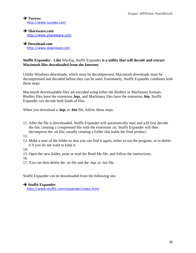#### $\rightarrow$  Tucows

[http://www.tucows.com](http://www.tucows.com/)

#### **→ Shareware.com** [http://www.shareware.com](http://www.shareware.com/)

#### **→ Download.com** [http://www.download.com](http://www.download.com/)

#### **Stuffit Expander - Like** WinZip**,** Stuffit Expander **is a utility that will decode and extract Macintosh files downloaded from the Internet.**

Unlike Windows downloads, which must be decompressed, Macintosh downloads must be decompressed and decoded before they can be used. Fortunately, Stuffit Expander combines both these steps.

Macintosh downloadable files are encoded using either the BinHex or Macbinary formats. BinHex files have the extension **.hqx**, and Macbinary files have the extension **.bin**. Stuffit Expander can decode both kinds of files.

When you download a **.hqx** or **.bin** file, follow these steps.

11. After the file is downloaded, Stuffit Expander will automatically start and will first decode the file, creating a compressed file with the extension .sit. Stuffit Expander will then decompress the .sit file; usually creating a folder that holds the final product.

12.

13. Make a note of the folder so that you can find it again, either to run the program, or to delete it if you do not want to keep it.

14.

15. Open the new folder, print or read the Read Me file, and follow the instructions.

16.

17. You can then delete the .sit file and the .hqx or .bin file.

Stuffit Expander can be downloaded from the following site.

#### **→ Stuffit Expander**

<http://www.stuffit.com/expander/index.html>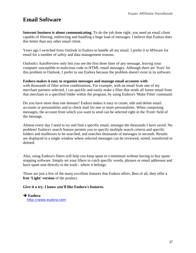## **Email Software**

**Internet business is about communicating.** To do the job done right, you need an email client capable of filtering, redirecting and handling a huge load of messages. I believe that Eudora does this better than any other email client.

Years ago I switched from Outlook to Eudora to handle all my email. I prefer it to MSware for email for a number of safety and data management reasons.

Outlook's AutoPreview only lets you see the first three lines of any message, leaving your computer susceptible to malicious code in HTML email messages. Although there are 'fixes' for this problem in Outlook, I prefer to use Eudora because the problem doesn't exist in its software.

#### **Eudora makes it easy to organize messages and manage email accounts with**

with thousands of filter action combinations. For example, with an email from one of my merchant partners selected, I can quickly and easily make a filter that sends all future email from that merchant to a specified folder within the program, by using Eudora's 'Make Filter' command.

Do you have more than one domain? Eudora makes it easy to create, edit and delete email accounts or personalities and to check mail for one or more personalities. When composing messages, the account from which you want to send can be selected right in the 'From' field of the message.

Almost every day I need to try and find a specific email, amongst the thousands I have saved. No problem! Eudora's search feature permits you to specify multiple search criteria and specific folders and mailboxes to be searched, and searches thousands of messages in seconds. Results are displayed in a single window where selected messages can be reviewed, sorted, transferred or deleted.

Also, using Eudora's filters will help you keep spam to a minimum without having to buy spamstopping software. Simply set your filters to catch specific words, phrases or email addresses and have spam sent directly to the trash - where it belongs.

Those are just a few of the many excellent features that Eudora offers. Best of all, they offer a **free 'Light' version** of the product.

#### **Give it a try. I know you'll like Eudora's features.**

 $\rightarrow$  Eudora [http://www.eudora.com](http://www.eudora.com/)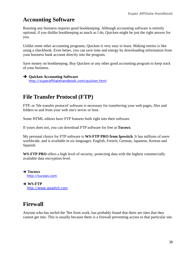## **Accounting Software**

Running any business requires good bookkeeping. Although accounting software is entirely optional, if you dislike bookkeeping as much as I do, Quicken might be just the right answer for you.

Unlike some other accounting programs, Quicken is very easy to learn. Making entries is like using a checkbook. Even better, you can save time and energy by downloading information from your business bank account directly into the program.

Save money on bookkeeping. Buy Quicken or any other good accounting program to keep track of your business.

#### $→$  **Ouicken Accounting Software** <http://superaffiliatehandbook.com/quicken.html>

## **File Transfer Protocol (FTP)**

FTP, or 'file transfer protocol' software is necessary for transferring your web pages, files and folders to and from your web site's server or host.

Some HTML editors have FTP features built right into their software.

If yours does not, you can download FTP software for free at **Tucows**.

My personal choice for FTP software is **WS-FTP PRO from Ipswitch**. It has millions of users worldwide, and is available in six languages: English, French, German, Japanese, Korean and Spanish.

**WS-FTP PRO** offers a high level of security, protecting data with the highest commercially available data encryption level.

 $\rightarrow$  Tucows [http://tucows.com](http://tucows.com/)

 $\rightarrow$  WS-FTP [http://www.ipswitch.com](http://www.ipswitch.com/)

## **Firewall**

Anyone who has surfed the 'Net from work, has probably found that there are sites that they cannot get into. This is usually because there is a firewall preventing access to that particular site.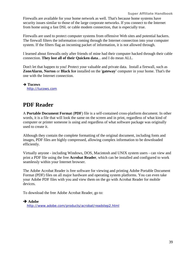Firewalls are available for your home network as well. That's because home systems have security issues similar to those of the large corporate networks. If you connect to the Internet from home using a fast DSL or cable modem connection, that is especially true.

Firewalls are used to protect computer systems from offensive Web sites and potential hackers. The firewall filters the information coming through the Internet connection into your computer system. If the filters flag an incoming packet of information, it is not allowed through.

I learned about firewalls only after friends of mine had their computer hacked through their cable connection. **They lost all of their Quicken data**... and I do mean ALL.

Don't let that happen to you! Protect your valuable and private data. Install a firewall, such as **ZoneAlarm**, **Norton** or **Black Ice** installed on the '**gateway'** computer in your home. That's the one with the Internet connection.

**→ Tucows** [http://tucows.com](http://tucows.com/)

## **PDF Reader**

A **Portable Document Format** (**PDF**) file is a self-contained cross-platform document. In other words, it is a file that will look the same on the screen and in print, regardless of what kind of computer or printer someone is using and regardless of what software package was originally used to create it.

Although they contain the complete formatting of the original document, including fonts and images, PDF files are highly compressed, allowing complex information to be downloaded efficiently.

Virtually anyone - including Windows, DOS, Macintosh and UNIX system users - can view and print a PDF file using the free **Acrobat Reader**, which can be installed and configured to work seamlessly within your Internet browser.

The Adobe Acrobat Reader is free software for viewing and printing Adobe Portable Document Format (PDF) files on all major hardware and operating system platforms. You can even take your Adobe PDF files with you and view them on the go with Acrobat Reader for mobile devices.

To download the free Adobe Acrobat Reader, go to:

#### **→ Adobe**

<http://www.adobe.com/products/acrobat/readstep2.html>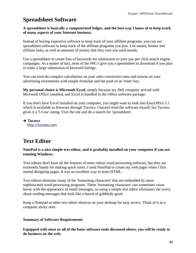### **Spreadsheet Software**

**A spreadsheet is basically a computerized ledger, and the best way I know of to keep track of many aspects of your Internet business.** 

Instead of buying expensive software to keep track of your affiliate programs, you can use spreadsheet software to keep track of the affiliate programs you join. List names, broker and affiliate links, as well as amounts of money that they owe you each month.

Use a spreadsheet to create lists of keywords for submission to your pay per click search engine campaigns. As a matter of fact, most of the PPC's give you a spreadsheet to download if you plan to make a large submission of keyword listings.

You can even do complex calculations on your sales conversion rates and returns on your advertising investments with simple formulae and the push of an 'enter' key.

**My personal choice is Microsoft Excel**, simply because my Dell computer arrived with Microsoft Office installed, and Excel is bundled in the Office software package.

If you don't have Excel installed on your computer, you might want to look into EasyOffice 5.1 which is available as freeware through Tucows. I haven't tried the software myself, but Tucows gives it a '5 Cow' rating. Visit the site and do a search for 'spreadsheet'.

 $\rightarrow$  [Tucows](http://tucows.com/) [http://tucows.com](http://tucows.com/)

## **Text Editor**

#### **NotePad is a nice simple text editor, and is probably installed on your computer if you are running Windows.**

Text editors don't have all the features of more robust word-processing software, but they are extremely handy for making quick notes. I used NotePad to create my web pages when I first started designing pages. It was an excellent way to learn HTML.

Text editors eliminate many of the 'formatting characters' that are embedded by more sophisticated word-processing programs. These 'formatting characters' can sometimes cause havoc with the appearance of email messages, so using a simple text editor eliminates the worry about sending messages that look like a bunch of gobbledy-gook.

Keep a Notepad or other text editor shortcut on your desktop for easy access. Think of it as a computer sticky note.

#### **Summary of Software Requirements**

**Equipped with most or all of the basic software tools discussed above, you will be ready to do business on the web.**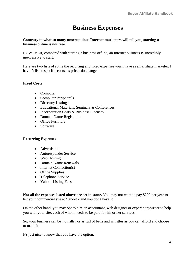# **Business Expenses**

#### **Contrary to what so many unscrupulous Internet marketers will tell you, starting a business online is not free.**

HOWEVER, compared with starting a business offline, an Internet business IS incredibly inexpensive to start.

Here are two lists of some the recurring and fixed expenses you'll have as an affiliate marketer. I haven't listed specific costs, as prices do change.

#### **Fixed Costs**

- Computer
- Computer Peripherals
- Directory Listings
- Educational Materials, Seminars & Conferences
- Incorporation Costs & Business Licenses
- Domain Name Registration
- Office Furniture
- Software

#### **Recurring Expenses**

- Advertising
- Autoresponder Service
- Web Hosting
- Domain Name Renewals
- Internet Connection(s)
- Office Supplies
- Telephone Service
- Yahoo! Listing Fees

**Not all the expenses listed above are set in stone.** You may not want to pay \$299 per year to list your commercial site at Yahoo! - and you don't have to.

On the other hand, you may opt to hire an accountant, web designer or expert copywriter to help you with your site, each of whom needs to be paid for his or her services.

So, your business can be 'no frills', or as full of bells and whistles as you can afford and choose to make it.

It's just nice to know that you have the option.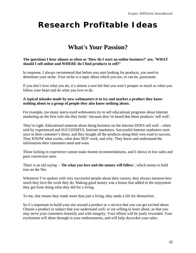# **Research Profitable Ideas**

# **What's Your Passion?**

#### **The questions I hear almost as often as 'How do I start an online business?' are, 'WHAT should I sell online and WHERE do I find products to sell?'**

In response, I always recommend that before you start looking for products, you need to determine your niche. Your niche is a topic about which you are, or can be, passionate.

If you don't love what you do, it's almost a sure bet that you won't prosper as much as when you follow your heart and do what you love to do.

#### **A typical mistake made by new webmasters it to try and market a product they know nothing about to a group of people they also know nothing about.**

For example, too many starry-eyed webmasters try to sell educational programs about Internet marketing on the first web site they build - because they've heard that these products 'sell well'.

They're right. Educational material about doing business on the Internet DOES sell well – when sold by experienced and SUCCESSFUL Internet marketers. Successful Internet marketers were once in their customer's shoes, and they bought all the products along their own road to success. They KNOW what works, what does NOT work, and why. They know and understand the information their customers need and want.

Those lacking in experience cannot make honest recommendations, and it shows in low sales and poor conversion rates.

There is an old saying – '**Do what you love and the money will follow**', which seems to hold true on the Net.

Whenever I've spoken with very successful people about their careers, they always mention how much they love the work they do. Making good money was a bonus that added to the enjoyment they got from doing what they did for a living.

To me, that means they made more than just a living, they made a life for themselves.

So it's important to build your site around a product or a service that you can get excited about. Choose a product or subject that you understand well, or are willing to learn about, so that you may serve your customers honestly and with integrity. Your efforts will be justly rewarded. Your excitement will shine through in your endorsements, and will help skyrocket your sales.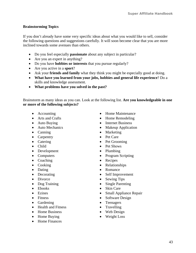#### **Brainstorming Topics**

If you don't already have some very specific ideas about what you would like to sell, consider the following questions and suggestions carefully. It will soon become clear that you are more inclined towards some avenues than others.

- Do you feel especially **passionate** about any subject in particular?
- Are you an expert in anything?
- Do you have **hobbies or interests** that you pursue regularly?
- Are you active in a **sport**?
- Ask your **friends and family** what they think you might be especially good at doing.
- **What have you learned from your jobs, hobbies and general life experience**? Do a skills and knowledge assessment.
- **What problems have you solved in the past?**

Brainstorm as many ideas as you can. Look at the following list. **Are you knowledgeable in one or more of the following subjects?** 

- Accounting
- Arts and Crafts
- Auto Buying
- Auto Mechanics
- Canning
- Carpentry
- Catering
- Child
- Development
- Computers
- Coaching
- Cooking
- Dating
- Decorating
- Divorce
- Dog Training
- Ebooks
- Ezines
- Fitness
- Gardening
- Health and Fitness
- Home Business
- Home Buying
- Home Finances
- Home Maintenance
- Home Remodeling
- Internet Business
- Makeup Application
- Marketing
- Pet Care
- Pet Grooming
- Pet Shows
- Plumbing
- Program Scripting
- Recipes
- Relationships
- Romance
- Self Improvement
- Sewing Tips
- Single Parenting
- Skin Care
- Small Appliance Repair
- Software Design
- Teenagers
- Travelling
- Web Design
- Weight Loss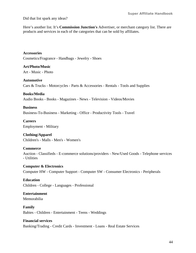Did that list spark any ideas?

Here's another list. It's **Commission Junction's** Advertiser, or merchant category list. There are products and services in each of the categories that can be sold by affiliates.

**Accessories**  Cosmetics/Fragrance - Handbags - Jewelry - Shoes

**Art/Photo/Music**  Art - Music - Photo

**Automotive** 

Cars & Trucks - Motorcycles - Parts & Accessories - Rentals - Tools and Supplies

**Books/Media**  Audio Books - Books - Magazines - News - Television - Videos/Movies

**Business**  Business-To-Business - Marketing - Office - Productivity Tools - Travel

**Careers**  Employment - Military

**Clothing/Apparel**  Children's - Malls - Men's - Women's

#### **Commerce**

Auction - Classifieds - E-commerce solutions/providers - New/Used Goods - Telephone services - Utilities

**Computer & Electronics**  Computer HW - Computer Support - Computer SW - Consumer Electronics - Peripherals

**Education**  Children - College - Languages - Professional

**Entertainment**  Memorabilia

**Family**  Babies - Children - Entertainment - Teens - Weddings

#### **Financial services**

Banking/Trading - Credit Cards - Investment - Loans - Real Estate Services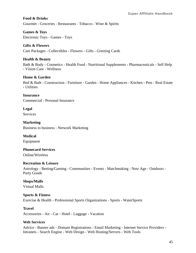#### **Food & Drinks**

Gourmet - Groceries - Restaurants - Tobacco - Wine & Spirits

**Games & Toys**  Electronic Toys - Games - Toys

# **Gifts & Flowers**

Care Packages - Collectibles - Flowers - Gifts - Greeting Cards

#### **Health & Beauty**

Bath & Body - Cosmetics - Health Food - Nutritional Supplements - Pharmaceuticals - Self Help - Vision Care - Wellness

#### **Home & Garden**

Bed & Bath - Construction - Furniture - Garden - Home Appliances - Kitchen - Pets - Real Estate - Utilities

**Insurance**  Commercial - Personal Insurance

**Legal Services** 

**Marketing**  Business to business - Network Marketing

**Medical**  Equipment

**Phonecard Services**  Online/Wireless

#### **Recreation & Leisure**

Astrology - Betting/Gaming - Communities - Events - Matchmaking - New Age - Outdoors - Party Goods

**Shops/Malls**  Virtual Malls

**Sports & Fitness**  Exercise & Health - Professional Sports Organizations - Sports - WaterSports

**Travel** 

Accessories - Air - Car - Hotel - Luggage - Vacation

#### **Web Services**

Advice - Banner ads - Domain Registrations - Email Marketing - Internet Service Providers - Intranets - Search Engine - Web Design - Web Hosting/Servers - Web Tools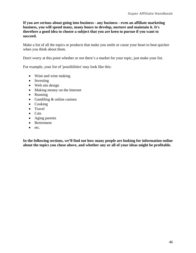**If you are serious about going into business - any business - even an affiliate marketing business, you will spend many, many hours to develop, nurture and maintain it. It's therefore a good idea to choose a subject that you are keen to pursue if you want to succeed.** 

Make a list of all the topics or products that make you smile or cause your heart to beat quicker when you think about them.

Don't worry at this point whether or not there's a market for your topic, just make your list.

For example, your list of 'possibilities' may look like this:

- Wine and wine making
- Investing
- Web site design
- Making money on the Internet
- Running
- Gambling & online casinos
- Cooking
- Travel
- Cats
- Aging parents
- Retirement
- etc.

**In the following sections, we'll find out how many people are looking for information online about the topics you chose above, and whether any or all of your ideas might be profitable.**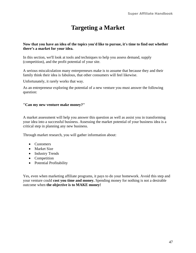# **Targeting a Market**

#### **Now that you have an idea of the topics you'd like to pursue, it's time to find out whether there's a market for your idea.**

In this section, we'll look at tools and techniques to help you assess demand, supply (competition), and the profit potential of your site.

A serious miscalculation many entrepreneurs make is to assume that because they and their family think their idea is fabulous, that other consumers will feel likewise.

Unfortunately, it rarely works that way.

As an entrepreneur exploring the potential of a new venture you must answer the following question:

#### **"Can my new venture make money?"**

A market assessment will help you answer this question as well as assist you in transforming your idea into a successful business. Assessing the market potential of your business idea is a critical step in planning any new business.

Through market research, you will gather information about:

- Customers
- Market Size
- Industry Trends
- Competition
- Potential Profitability

Yes, even when marketing affiliate programs, it pays to do your homework. Avoid this step and your venture could **cost you time and money.** Spending money for nothing is not a desirable outcome when **the objective is to MAKE money!**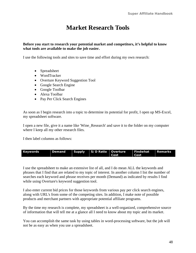# **Market Research Tools**

#### **Before you start to research your potential market and competitors, it's helpful to know what tools are available to make the job easier.**

I use the following tools and sites to save time and effort during my own research:

- Spreadsheet
- WordTracker
- Overture Keyword Suggestion Tool
- Google Search Engine
- Google Toolbar
- Alexa Toolbar
- Pay Per Click Search Engines

As soon as I begin research into a topic to determine its potential for profit, I open up MS-Excel, my spreadsheet software.

I open a new file, give it a name like 'Wine\_Research' and save it to the folder on my computer where I keep all my other research files.

I then label columns as follows:



I use the spreadsheet to make an extensive list of all, and I do mean ALL the keywords and phrases that I find that are related to my topic of interest. In another column I list the number of searches each keyword and phrase receives per month (Demand) as indicated by results I find while using Overture's keyword suggestion tool.

I also enter current bid prices for those keywords from various pay per click search engines, along with URL's from some of the competing sites. In addition, I make note of possible products and merchant partners with appropriate potential affiliate programs.

By the time my research is complete, my spreadsheet is a well-organized, comprehensive source of information that will tell me at a glance all I need to know about my topic and its market.

You can accomplish the same task by using tables in word-processing software, but the job will not be as easy as when you use a spreadsheet.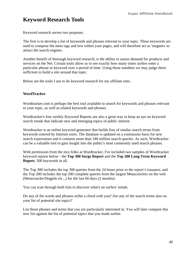### **Keyword Research Tools**

Keyword research serves two purposes.

The first is to develop a list of keywords and phrases relevant to your topic. These keywords are used to compose the meta tags and text within your pages, and will therefore act as 'magnets' to attract the search engines.

Another benefit of thorough keyword research, is the ability to assess demand for products and services on the Net. Certain tools allow us to see exactly how many times surfers enter a particular phrase or keyword over a period of time. Using those numbers we may judge them sufficient to build a site around that topic.

Below are the tools I use to do keyword research for my affiliate sites.

#### **WordTracker**

Wordtracker.com is perhaps the best tool available to search for keywords and phrases relevant to your topic, as well as related keywords and phrases.

Wordtracker's free weekly Keyword Reports are also a great way to keep an eye on keyword search trends that indicate new and emerging topics of public interest.

Wordtracker is an online keyword generator that builds lists of similar search terms from keywords entered by Internet users. The database is updated on a continuous basis for new search expressions and it contains more than 340 million search queries. As such, Wordtracker can be a valuable tool to gain insight into the public's most commonly used search phrases.

With permission from the nice folks at Wordtracker, I've included two samples of Wordtracker keyword reports below - the **Top 300 Surge Report** and the **Top 200 Long Term Keyword Report**, 500 keywords in all.

The Top 300 includes the top 300 queries from the 24 hours prior to the report's issuance, and the Top 200 includes the top 200 complete queries from the largest Metacrawlers on the web (Metacrawler/Dogpile etc...) for the last 60 days (2 months).

You can scan through both lists to discover what's on surfers' minds.

Do any of the words and phrases strike a chord with you? Are any of the search terms also on your list of potential site topics?

List those phrases and terms that you are particularly interested in. You will later compare this new list against the list of potential topics that you made earlier.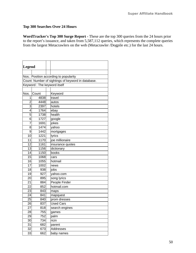#### **Top 300 Searches Over 24 Hours**

**WordTracker's Top 300 Surge Report -** These are the top 300 queries from the 24 hours prior to the report's issuance, and taken from 5,587,112 queries, which represents the complete queries from the largest Metacrawlers on the web (Metacrawler /Dogpile etc.) for the last 24 hours.

| <b>Legend</b>   |                             |                                                    |
|-----------------|-----------------------------|----------------------------------------------------|
|                 |                             |                                                    |
|                 |                             | Nos.: Position according to popularity             |
|                 |                             | Count: Number of sightings of keyword in database. |
|                 | Keyword: The keyword itself |                                                    |
|                 |                             |                                                    |
| Nos.            | Count                       | Keyword                                            |
| 1               | 4838                        | travel                                             |
| $\overline{2}$  | 4448                        | autos                                              |
| 3               | 2397                        | hotels                                             |
| 4               | 1764                        | ebay                                               |
| 5               | 1738                        | health                                             |
| 6               | 1727                        | google                                             |
| $\overline{7}$  | 1691                        | jokes                                              |
| 8               | 1474                        | yahoo                                              |
| 9               | 1442                        | mortgages                                          |
| 10              | 1221                        | lyrics                                             |
| 11              | 1170                        | joe millionaire                                    |
| 12              | 1161                        | insurance quotes                                   |
| 13              | 1156                        | dictionary                                         |
| $\overline{14}$ | $\frac{1}{1150}$            | books                                              |
| 15              | 1068                        | cars                                               |
| 16              | 1055                        | hotmail                                            |
| 17              | 1002                        | news                                               |
| 18              | 938                         | iobs                                               |
| 19              | 927                         | yahoo.com                                          |
| 20              | 895                         | song lyrics                                        |
| 21              | 884                         | People Finder                                      |
| 22              | 852                         | hotmail.com                                        |
| 23              | 843                         | maps                                               |
| 24              | 841                         | mapquest                                           |
| 25              | 840                         | prom dresses                                       |
| $\overline{26}$ | 837                         | <b>Used Cars</b>                                   |
| 27              | 818                         | search engines                                     |
| 28              | 755                         | games                                              |
| 29              | 752                         | palm                                               |
| 30              | 734                         | ricin                                              |
| 31              | 682                         | parent                                             |
| 32              | 673                         | Addresses                                          |
| 33              | 662                         | baby names                                         |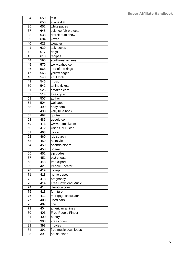| 34              | 659 | milf                       |
|-----------------|-----|----------------------------|
| 35              | 656 | atkins diet                |
| 36              | 652 | white pages                |
| 37              | 648 | science fair projects      |
| 38              | 638 | detroit auto show          |
| 39              | 634 | kazaa                      |
| 40              | 623 | weather                    |
| 41              | 620 | ask jeeves                 |
| 42              | 617 | dogs                       |
| 43              | 610 | recipes                    |
| 44              | 595 | southwest airlines         |
| 45              | 579 | www.yahoo.com              |
| 46              | 568 | lord of the rings          |
| 47              | 565 | yellow pages               |
| 48              | 548 | april fools                |
| 49              | 546 | music                      |
| 50              | 542 | airline tickets            |
| 51              | 525 | amazon.com                 |
| $\overline{52}$ | 514 | free clip art              |
| 53              | 507 | author                     |
| 54              | 504 | wallpaper                  |
| 55              | 499 | ebay.com                   |
| 56              | 498 | kelly blue book            |
| 57              | 492 | quotes                     |
| 58              | 485 | google.com                 |
| 59              | 473 | www.hotmail.com            |
| 60              | 472 | <b>Used Car Prices</b>     |
| 61              | 468 | clip art                   |
| 62              | 460 | job search                 |
| 63              | 459 | hairstyles                 |
| 64              | 459 | orlando bloom              |
| 65              | 453 | poems                      |
| 66              | 452 | zip codes                  |
| 67              | 451 | ps2 cheats                 |
| 68              | 448 | free clipart               |
| 69              | 421 | People Locator             |
| 70              | 419 | winzip                     |
| 71              | 418 | home depot                 |
| 72              | 418 | pregnancy                  |
| 73              | 414 | <b>Free Download Music</b> |
| 74              | 414 | literotica.com             |
| 75              | 413 | furniture                  |
| 76              | 411 | mortgage calculator        |
| 77              | 408 | used cars                  |
| 78              | 407 | cnn                        |
| 79              | 404 | american airlines          |
| 80              | 403 | Free People Finder         |
| 81              | 400 | poetry                     |
| 82              | 393 | area codes                 |
| 83              | 393 | movies                     |
| 84              | 391 | free music downloads       |
| 85              | 391 | house plans                |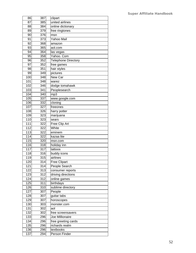| 86  | 387              | clipart                    |
|-----|------------------|----------------------------|
| 87  | 385              | united airlines            |
| 88  | 384              | online dictionary          |
| 89  | 379              | free ringtones             |
| 90  | 376              | msn                        |
| 91  | 373              | Yahoo Mail                 |
| 92  | 368              | amazon                     |
| 93  | 365              | aol.com                    |
| 94  | 364              | las vegas                  |
| 95  | 358              | Yahoo. Com                 |
| 96  | 352              | <b>Telephone Directory</b> |
| 97  | 352              | free games                 |
| 98  | 351              | hair styles                |
| 99  | 349              | pictures                   |
| 100 | 348              | New Car                    |
| 101 | 348              | warez                      |
| 102 | 346              | dodge tomahawk             |
| 103 | 341              | Peoplesearch               |
| 104 | 340              | mp3                        |
| 105 | 337              | www.google.com             |
| 106 | 332              | cloning                    |
| 107 | 327              | freeones                   |
| 108 | 326              | harry potter               |
| 109 | 323              | marijuana                  |
| 110 | 323              | sears                      |
| 111 | 322              | Free Clip Art              |
| 112 | 322              | White                      |
| 113 | 322              | eminem                     |
| 114 | 322              | kazaa lite                 |
| 115 | 320              | msn.com                    |
| 116 | 318              | holiday inn                |
| 117 | 317              | tattoos                    |
| 118 | 316              | buddy icons                |
| 119 | 315              | airlines                   |
| 120 | 314              | <b>Free Clipart</b>        |
| 121 | 314              | People Search              |
| 122 | 313              | consumer reports           |
| 123 | 312              | driving directions         |
| 124 | 312              | online games               |
| 125 | 311              | birthdays                  |
| 126 | 310              | sublime directory          |
| 127 | $\overline{307}$ | People                     |
| 128 | 307              | guitar tabs                |
| 129 | 307              | horoscopes                 |
| 130 | 303              | monster.com                |
| 131 | 302              | aol                        |
| 132 | 302              | free screensavers          |
| 133 | 296              | Joe Millionaire            |
| 134 | 296              | free greeting cards        |
| 135 | 296              | richards realm             |
| 136 | 296              | textbooks                  |
| 137 | 294              | Person Finder              |
|     |                  |                            |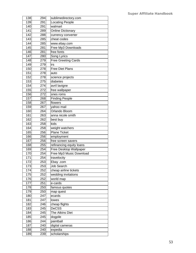| 138        | 294        | sublimedirectory.com       |
|------------|------------|----------------------------|
| 139        | 291        | <b>Locating People</b>     |
| 140        | 291        | walmart                    |
| 141        | 289        | <b>Online Dictionary</b>   |
| 142        | 288        | currency converter         |
| 143        | 285        | cheat codes                |
| 144        | 285        | www.ebay.com               |
| 145        | 281        | Free Mp3 Downloads         |
| 146        | 281        | free fonts                 |
| 147        | 280        | Song Lyrics                |
| 148        | 279        | <b>Free Greeting Cards</b> |
| 149        | 279        | irs                        |
| 150        | 278        | <b>Free Diet Plans</b>     |
| 151        | 278        | auto                       |
| 152        | 278        | science projects           |
| 153        | 275        | diabetes                   |
| 154        | 274        | avril lavigne              |
| 155        | 272        | free wallpaper             |
| 156        | 272        | snes roms                  |
| 157        | 268        | <b>Finding People</b>      |
| 158        | 267        | flowers                    |
| 159        | 267        | yahoo mail                 |
| 160        | 264        | Orlando Bloom              |
| 161        | 263        | anna nicole smith          |
| 162        | 262        | best buy                   |
| 163        | 258        | kids                       |
| 164        | 258        | weight watchers            |
| 165        | 256        | <b>Plane Ticket</b>        |
| 166        | 256        | employment                 |
| 167        | 256        | free screen savers         |
| 168        | 255        | refinancing equity loans   |
| 169        | 254        | Free Desktop Wallpaper     |
| 170        | 254        | Free Mp3 Music Download    |
| 171        | 254        | travelocity                |
| 172        | 253        | Ebay .com                  |
| 173        | 253        | Job Search                 |
| 174        | 252        | cheap airline tickets      |
| 175        | 252        | wedding invitations        |
| 176        | 252        | world map                  |
|            |            | e-cards                    |
| 177        | 251<br>250 |                            |
| 178<br>179 |            | famous quotes              |
|            | 250<br>247 | map quest<br>ecards        |
| 180        |            |                            |
| 181        | 247        | lowes                      |
| 182        | 246        | cheap flights              |
| 183        | 245        | <b>DeCSS</b>               |
| 184        | 245        | The Atkins Diet            |
| 185        | 245        | dogpile                    |
| 186        | 244        | paintball                  |
| 187        | 240        | digital cameras            |
| 188        | 240        | expedia                    |
| 189        | 239        | scholarships               |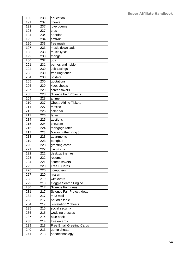| 190 | 238 | education                        |
|-----|-----|----------------------------------|
| 191 | 237 | cheats                           |
| 192 | 237 | love poems                       |
| 193 | 237 | tires                            |
| 194 | 234 | abortion                         |
| 195 | 234 | amtrak                           |
| 196 | 233 | free music                       |
| 197 | 233 | music downloads                  |
| 198 | 233 | music lyrics                     |
| 199 | 233 | thongs                           |
| 200 | 232 | ups                              |
| 201 | 231 | barnes and noble                 |
| 202 | 230 | <b>Job Listings</b>              |
| 203 | 230 | free ring tones                  |
| 204 | 230 | posters                          |
| 205 | 230 | quotations                       |
| 206 | 230 | xbox cheats                      |
| 207 | 229 | screensavers                     |
| 208 | 228 | Science Fair Projects            |
| 209 | 228 | anime                            |
| 210 | 227 | <b>Cheap Airline Tickets</b>     |
| 211 | 227 | mexico                           |
| 212 | 226 | calendar                         |
| 213 | 226 | fafsa                            |
| 214 | 225 | auctions                         |
| 215 | 224 | cnn.com                          |
| 216 | 224 | mortgage rates                   |
| 217 | 223 | Martin Luther King Jr.           |
| 218 | 223 | apartments                       |
| 219 | 223 | bangbus                          |
| 220 | 223 | greeting cards                   |
| 221 | 222 | circuit city                     |
| 222 | 222 | desktop themes                   |
| 223 | 222 | resume                           |
| 224 | 221 | screen savers                    |
| 225 | 220 | Free E Cards                     |
| 226 | 220 | computers                        |
| 227 | 220 | nissan                           |
| 228 | 219 | wifelovers                       |
| 229 | 218 | Goggle Search Engine             |
| 230 | 217 | Science Fair Ideas               |
| 231 | 217 | Science Fair Project Ideas       |
| 232 | 217 | mp3 midi                         |
| 233 | 217 | periodic table                   |
| 234 | 217 | playstation 2 cheats             |
| 235 | 215 | social security                  |
| 236 | 215 | wedding dresses                  |
| 237 | 214 | blue book                        |
| 238 | 214 | free e-cards                     |
| 239 | 213 | <b>Free Email Greeting Cards</b> |
| 240 | 213 | game cheats                      |
| 241 | 213 | nanotechnology                   |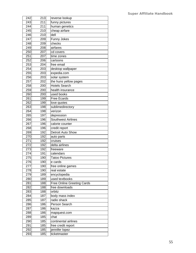| 242 | 213 | reverse lookup                    |
|-----|-----|-----------------------------------|
| 243 | 211 | funny pictures                    |
| 244 | 211 | human genetics                    |
| 245 | 210 | cheap airfare                     |
| 246 | 210 | dell                              |
| 247 | 209 | Funny Jokes                       |
| 248 | 209 | checks                            |
| 249 | 208 | airfares                          |
| 250 | 207 | cd covers                         |
| 251 | 207 | time zones                        |
| 252 | 206 | cartoons                          |
| 253 | 204 | free email                        |
| 254 | 203 | desktop wallpaper                 |
| 255 | 203 | expedia.com                       |
| 256 | 203 | solar system                      |
| 257 | 202 | the huns yellow pages             |
| 258 | 200 | <b>Hotels Search</b>              |
| 259 | 200 | health insurance                  |
| 260 | 200 | used books                        |
| 261 | 199 | <b>Free Ecards</b>                |
| 262 | 199 | love quotes                       |
| 263 | 198 | sublimedirectory                  |
| 264 | 198 | verizon                           |
| 265 | 197 | depression                        |
| 266 | 196 | <b>Southwest Airlines</b>         |
| 267 | 196 | calorie counter                   |
| 268 | 196 | credit report                     |
| 269 | 192 | Detroit Auto Show                 |
| 270 | 192 | auto parts                        |
| 271 | 192 | cruises                           |
| 272 | 192 | delta airlines                    |
| 273 | 192 | freeware                          |
| 274 | 191 | calendars                         |
| 275 | 190 | Tatoo Pictures                    |
| 276 | 190 | e cards                           |
| 277 | 190 | free online games                 |
| 278 | 190 | real estate                       |
| 279 | 189 | encyclopedia                      |
| 280 | 189 | used textbooks                    |
| 281 | 188 | <b>Free Online Greeting Cards</b> |
| 282 | 188 | free downloads                    |
| 283 | 188 | orbitz                            |
| 284 | 187 | body mass index                   |
| 285 | 187 | radio shack                       |
| 286 | 186 | Person Search                     |
| 287 | 186 | kazza                             |
| 288 | 186 | mapquest.com                      |
| 289 | 185 | chat                              |
| 290 | 185 | continental airlines              |
| 291 | 185 | free credit report                |
| 292 | 185 | jennifer lopez                    |
| 293 | 185 | ticketmaster                      |
|     |     |                                   |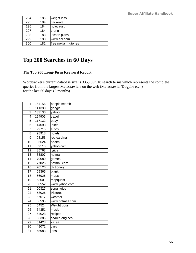| 294 | 185 | weight loss          |
|-----|-----|----------------------|
| 295 | 184 | car rental           |
| 296 | 184 | holocaust            |
| 297 | 184 | thong                |
| 298 | 183 | lesson plans         |
| 299 | 183 | www.aol.com          |
| 300 | 182 | free nokia ringtones |

### **Top 200 Searches in 60 Days**

#### **The Top 200 Long-Term Keyword Report**

Wordtracker's current database size is 335,789,918 search terms which represents the complete queries from the largest Metacrawlers on the web (Metacrawler/Dogpile etc..) for the last 60 days (2 months).

| 1               | 154156 | people search      |
|-----------------|--------|--------------------|
| $\overline{2}$  | 141388 | google             |
| 3               | 133130 | yahoo              |
| 4               | 124905 | travel             |
| 5               | 117132 | ebay               |
| 6               | 114093 | jokes              |
| $\overline{7}$  | 99715  | autos              |
| 8               | 98918  | hotels             |
| 9               | 98153  | red cardinal       |
| 10              | 95624  | health             |
| 11              | 89116  | yahoo.com          |
| 12              | 85763  | lyrics             |
| 13              | 83807  | hotmail            |
| $\overline{14}$ | 79080  | games              |
| 15              | 77025  | hotmail.com        |
| 16              | 70126  | dictionary         |
| $\overline{17}$ | 69365  | blank              |
| 18              | 66926  | maps               |
| 19              | 63001  | mapquest           |
| 20              | 60552  | www.yahoo.com      |
| 21              | 60327  | song lyrics        |
| $\overline{22}$ | 58026  | <b>Pictures</b>    |
| $\overline{23}$ | 57017  | weather            |
| 24              | 56595  | www.hotmail.com    |
| 25              | 54524  | <b>Weight Loss</b> |
| 26              | 54351  | music              |
| $\overline{27}$ | 54023  | recipes            |
| 28              | 53386  | search engines     |
| 29              | 51428  | kazaa              |
| 30              | 49072  | cars               |
| $\overline{31}$ | 45983  | jobs               |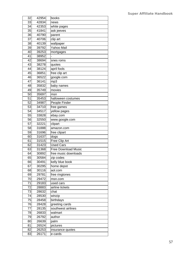| 32              | 42954 | books                      |
|-----------------|-------|----------------------------|
| 33              | 42834 | news                       |
| 34              | 42353 | white pages                |
| 35              | 41841 | ask jeeves                 |
| 36              | 40790 | parent                     |
| 37              | 40706 | clip art                   |
| 38              | 40139 | wallpaper                  |
| 39              | 39792 | Yahoo Mail                 |
| 40              | 39253 | mortgages                  |
| 41              | 38952 |                            |
| 42              | 38694 | snes roms                  |
| 43              | 38278 | quotes                     |
| 44              | 38124 | april fools                |
| 45              | 36851 | free clip art              |
| 46              | 36522 | google.com                 |
| 47              | 36141 | mp3                        |
| 48              | 35832 | baby names                 |
| 49              | 35749 | movies                     |
| 50              | 35697 | msn                        |
| 51              | 35453 | halloween costumes         |
| $\overline{52}$ | 34987 | People Finder              |
| 53              | 34710 | free games                 |
| 54              | 34517 | yellow pages               |
| $\overline{55}$ | 33828 | ebay.com                   |
| 56              | 32550 | www.google.com             |
| 57              | 32221 | clipart                    |
| 58              | 31888 | amazon.com                 |
| 59              | 31696 | free clipart               |
| 60              | 31637 | dogs                       |
| 61              | 31515 | Free Clip Art              |
| 62              | 31423 | <b>Used Cars</b>           |
| 63              | 31368 | <b>Free Download Music</b> |
| 64              | 30892 | free music downloads       |
| 65              | 30584 | zip codes                  |
| 66              | 30491 | kelly blue book            |
| $\overline{6}$  | 30295 | home depot                 |
| 68              | 30116 | aol.com                    |
| 69              | 29781 | free ringtones             |
| 70              | 29472 | msn.com                    |
| 71              | 29183 | used cars                  |
| $\overline{7}2$ | 28883 | airline tickets            |
| 73              | 28632 | chat                       |
| 74              | 28530 | winzip                     |
| 75              | 28458 | birthdays                  |
| 76              | 28428 | greeting cards             |
| 77              | 28135 | southwest airlines         |
| 78              | 26833 | walmart                    |
| 79              | 26792 | author                     |
| 80              | 26639 | palm                       |
| 81              | 26524 | pictures                   |
| 82              | 26253 | insurance quotes           |
| 83              | 26171 | e-cards                    |
|                 |       |                            |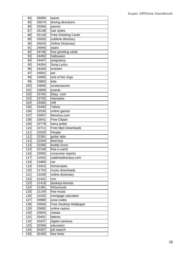| 84               | 26094 | warez                      |
|------------------|-------|----------------------------|
| 85               | 26074 | driving directions         |
| 86               | 25566 | poems                      |
| 87               | 25138 | hair styles                |
| 88               | 25118 | <b>Free Greeting Cards</b> |
| 89               | 25055 | sublime directory          |
| 90               | 25034 | <b>Online Dictionary</b>   |
| 91               | 24945 | sears                      |
| 92               | 24745 | free greeting cards        |
| 93               | 24450 | halloween                  |
| 94               | 24447 | pregnancy                  |
| 95               | 24354 | Song Lyrics                |
| 96               | 24345 | eminem                     |
| 97               | 24051 | aol                        |
| 98               | 23995 | lord of the rings          |
| 99               | 23863 | kids                       |
| 100              | 23846 | screensavers               |
| 101              | 23835 | ecards                     |
| 102              | 23704 | Ebay .com                  |
| 103              | 23703 | hairstyles                 |
| 104              | 23492 | milf                       |
| 105              | 23445 | Yahoo                      |
| 106              | 23230 | online games               |
| 107              | 23057 | literotica.com             |
| 108              | 23041 | <b>Free Clipart</b>        |
| 109              | 22779 | harry potter               |
| 110              | 22711 | Free Mp3 Downloads         |
| 111              | 22520 | People                     |
| 112              | 22391 | guitar tabs                |
| 113              | 22344 | best buy                   |
| 114              | 22265 | buddy icons                |
| 115              | 22146 | free e-cards               |
| 116              | 22092 | consumer reports           |
| $\overline{1}17$ | 21942 | sublimedirectory.com       |
| 118              | 21860 | car                        |
| 119              | 21815 | horoscopes                 |
| 120              | 21753 | music downloads            |
| 121              | 21528 | online dictionary          |
| 122              | 21441 | cnn                        |
| 123              | 21416 | desktop themes             |
| 124              | 21381 | W3schools                  |
| 125              | 21140 | free music                 |
| 126              | 21032 | mortgage calculator        |
| 127              | 20980 | area codes                 |
| 128              | 20926 | Free Desktop Wallpaper     |
| 129              | 20692 | online casino              |
| 130              | 20504 | cheats                     |
| 131              | 20401 | tattoos                    |
| 132              | 20337 | digital cameras            |
| 133              | 20306 | education                  |
|                  |       |                            |
| 134              | 20267 | job search                 |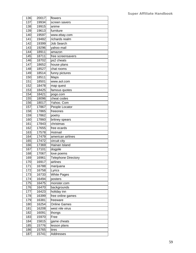| 136 | 20017 | flowers                    |
|-----|-------|----------------------------|
| 137 | 19934 | screen savers              |
| 138 | 19915 | anime                      |
| 139 | 19613 | furniture                  |
| 140 | 19597 | www.ebay.com               |
| 141 | 19482 | richards realm             |
| 142 | 19399 | Job Search                 |
| 143 | 19296 | yahoo mail                 |
| 144 | 18911 | amazon                     |
| 145 | 18711 | free screensavers          |
| 146 | 18702 | ps2 cheats                 |
| 147 | 18652 | house plans                |
| 148 | 18527 | chat rooms                 |
| 149 | 18514 | funny pictures             |
| 150 | 18511 | Maps                       |
| 151 | 18501 | www.aol.com                |
| 152 | 18478 | map quest                  |
| 153 | 18425 | famous quotes              |
| 154 | 18421 | pogo.com                   |
| 155 | 18096 | cheat codes                |
| 156 | 18017 | Yahoo. Com                 |
| 157 | 17867 | People Locator             |
| 158 | 17865 | freeones                   |
| 159 | 17862 | poetry                     |
| 160 | 17860 | <b>britney</b> spears      |
| 161 | 17843 | christmas                  |
| 162 | 17655 | free ecards                |
| 163 | 17578 | Hotmail                    |
| 164 | 17479 | american airlines          |
| 165 | 17472 | circuit city               |
| 166 | 17369 | Hainan Island              |
| 167 | 17101 | dogpile                    |
| 168 | 17067 | love poems                 |
| 169 | 16961 | <b>Telephone Directory</b> |
| 170 | 16917 | airlines                   |
| 171 | 16788 | marijuana                  |
| 172 | 16758 | Lyrics                     |
| 173 | 16733 | <b>White Pages</b>         |
| 174 | 16494 | posters                    |
| 175 | 16475 | monster.com                |
| 176 | 16470 | backgrounds                |
| 177 | 16423 | holiday inn                |
| 178 | 16399 | free online games          |
| 179 | 16381 | freeware                   |
| 180 | 16254 | <b>Online Games</b>        |
| 181 | 16208 | west nile virus            |
| 182 | 16091 | thongs                     |
| 183 | 15970 | Free                       |
| 184 | 15815 | game cheats                |
| 185 | 15776 | lesson plans               |
| 186 | 15765 | tires                      |
| 187 | 15741 | Addresses                  |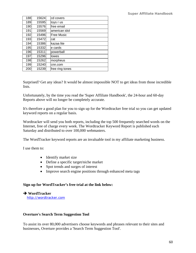| 188 | 15624 | cd covers         |
|-----|-------|-------------------|
| 189 | 15595 | toys r us         |
| 190 | 15576 | lfree email       |
| 191 | 15569 | american idol     |
| 192 | 15496 | <b>Free Music</b> |
| 193 | 15472 | cat               |
| 194 | 15386 | lkazaa lite       |
| 195 | 15332 | e cards           |
| 196 | 15311 | powerball         |
| 197 | 15296 | lowes             |
| 198 | 15262 | morpheus          |
| 199 | 15240 | cnn.com           |
| 200 | 15239 | free ring tones   |

Surprised? Get any ideas? It would be almost impossible NOT to get ideas from those incredible lists.

Unfortunately, by the time you read the 'Super Affiliate Handbook', the 24-hour and 60-day Reports above will no longer be completely accurate.

It's therefore a good plan for you to sign up for the Wordtracker free trial so you can get updated keyword reports on a regular basis.

Wordtracker will send you both reports, including the top 500 frequently searched words on the Internet, free of charge every week. The Wordtracker Keyword Report is published each Saturday and distributed to over 100,000 webmasters.

The WordTracker keyword reports are an invaluable tool in my affiliate marketing business.

I use them to:

- Identify market size
- Define a specific target/niche market
- Spot trends and surges of interest
- Improve search engine positions through enhanced meta tags

#### **Sign up for WordTracker's free trial at the link below:**

#### **→ WordTracker**

[http://wordtracker.com](http://our.affiliatetracking.net/wordtracker/a/2930)

#### **Overture's Search Term Suggestion Tool**

To assist its over 80,000 advertisers choose keywords and phrases relevant to their sites and businesses, Overture provides a 'Search Term Suggestion Tool'.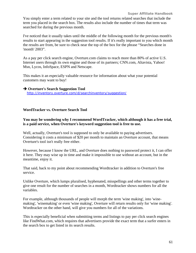You simply enter a term related to your site and the tool returns related searches that include the term you placed in the search box. The results also include the number of times that term was searched for during the previous month.

I've noticed that it usually takes until the middle of the following month for the previous month's results to start appearing in the suggestion tool results. If it's really important to you which month the results are from, be sure to check near the top of the box for the phrase "Searches done in 'month' 2003".

As a pay per click search engine, Overture.com claims to reach more than 80% of active U.S. Internet users through its own engine and those of its partners; CNN.com, Altavista, Yahoo! Msn, Lycos, InfoSpace, ESPN and Netscape.

This makes it an especially valuable resource for information about what your potential customers may want to buy!

#### $→$  **Overture's Search Suggestion Tool** <http://inventory.overture.com/d/searchinventory/suggestion/>

#### **WordTracker vs. Overture Search Tool**

**You may be wondering why I recommend WordTracker, which although it has a free trial, is a paid service, when Overture's keyword suggestion tool is free to use.** 

Well, actually, Overture's tool is supposed to only be available to paying advertisers. Considering it costs a minimum of \$20 per month to maintain an Overture account, that means Overture's tool isn't really free either.

However, because I know the URL, and Overture does nothing to password protect it, I can offer it here. They may wise up in time and make it impossible to use without an account, but in the meantime, enjoy it.

That said, back to my point about recommending Wordtracker in addition to Overture's free service.

Unlike Overture, which lumps pluralised, hyphenated, misspellings and other terms together to give one result for the number of searches in a month, Wordtracker shows numbers for all the variables.

For example, although thousands of people will morph the term 'wine making', into 'winemaking', 'winemaking' or even 'wine making', Overture will return results only for 'wine making'. Wordtracker on the other hand, will give you numbers for all of the variations.

This is especially beneficial when submitting terms and listings to pay per click search engines like FindWhat.com, which requires that advertisers provide the exact term that a surfer enters in the search box to get listed in its search results.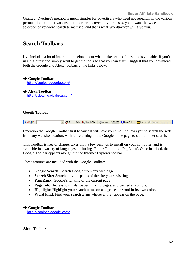Granted, Overture's method is much simpler for advertisers who need not research all the various permutations and derivations, but in order to cover all your bases, you'll want the widest selection of keyword search terms used, and that's what Wordtracker will give you.

### **Search Toolbars**

I've included a lot of information below about what makes each of these tools valuable. If you're in a big hurry and simply want to get the tools so that you can start, I suggest that you download both the Google and Alexa toolbars at the links below.

#### **→ Google Toolbar** <http://toolbar.google.com/>

**→ Alexa Toolbar** <http://download.alexa.com/>

#### **Google Toolbar**

Google PageRank @ Page Info + 2 Highlight ▼ 除 Search Web ● Search Site | <mark>19</mark> News |

I mention the Google Toolbar first because it will save you time. It allows you to search the web from any website location, without returning to the Google home page to start another search.

This Toolbar is free of charge, takes only a few seconds to install on your computer, and is available in a variety of languages, including 'Elmer Fudd' and 'Pig Latin'. Once installed, the Google Toolbar appears along with the Internet Explorer toolbar.

These features are included with the Google Toolbar:

- **Google Search:** Search Google from any web page.
- **Search Site:** Search only the pages of the site you're visiting.
- **PageRank:** Google's ranking of the current page.
- **Page Info:** Access to similar pages, linking pages, and cached snapshots.
- **Highlight:** Highlight your search terms on a page each word in its own color.
- **Word Find:** Find your search terms wherever they appear on the page.

**→ Google Toolbar** <http://toolbar.google.com/>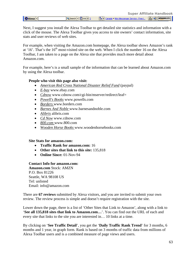|                                          |                        |                                                                                                          | <b>JUPCI AIIIIQUE HAIIUPUUN</b> |
|------------------------------------------|------------------------|----------------------------------------------------------------------------------------------------------|---------------------------------|
| $\vert$ <b>@</b> Alexa $\vert$ - $\vert$ | .Search I <del>▼</del> | $\frac{a_{\text{obs}}}{2}$ Canada • Msn Messenger Service - Free I $\frac{a_{\text{obs}}}{2}$ amazon.com |                                 |

**Super Affiliate Handbook**

Next, I suggest you install the Alexa Toolbar to get detailed site statistics and information with a click of the mouse. The Alexa Toolbar gives you access to site owners' contact information, site stats and user reviews of web sites.

For example, when visiting the Amazon.com homepage, the Alexa toolbar shows Amazon's rank at '16'. That's the  $16<sup>th</sup>$  most-visited site on the web. When I click the number 16 on the Alexa Toolbar, I am taken to a page on the Alexa site that provides much more detail about Amazon.com.

For example, here's is a small sample of the information that can be learned about Amazon.com by using the Alexa toolbar.

### **People who visit this page also visit:**

- *American Red Cross National Disaster Relief Fund* (paypal)
- *E-bay* www.ebay.com
- *Cdnow* www.cdnow.com/cgi-bin/mserver/redirect/leaf=
- *Powell's Books* www.powells.com
- *Borders* www.borders.com
- *Barnes And Noble* www.barnesandnoble.com
- *Alibris* alibris.com
- *Cd Now* www.cdnow.com
- *800.com* www.800.com
- *Wooden Horse Books* www.woodenhorsebooks.com

#### **Site Stats for amazon.com:**

- **Traffic Rank for amazon.com:** 16
- **Other sites that link to this site:** 135,818
- **Online Since:** 01-Nov-94

#### **Contact Info for amazon.com:**

**Amazon.com** Stock: AMZN P.O. Box 81226 Seattle, WA 98108 US Tel: unlisted Email: info@amazon.com

There are **67 reviews** submitted by Alexa visitors, and you are invited to submit your own review. The review process is simple and doesn't require registration with the site.

Lower down the page, there is a list of 'Other Sites that Link to Amazon', along with a link to '**See all 135,818 sites that link to Amazon.com…**'. You can find out the URL of each and every site that links to the site you are interested in… 10 links at a time.

By clicking on '**See Traffic Detail**', you get the '**Daily Traffic Rank Trend**' for 3 months, 6 months and 1 year, in graph form. Rank is based on 3 months of traffic data from millions of Alexa Toolbar users and is a combined measure of page views and users.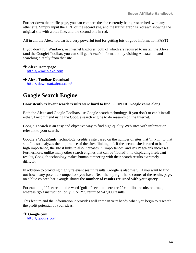Further down the traffic page, you can compare the site currently being researched, with any other site. Simply input the URL of the second site, and the traffic graph is redrawn showing the original site with a blue line, and the second one in red.

All in all, the Alexa toolbar is a very powerful tool for getting lots of good information FAST!

If you don't run Windows, or Internet Explorer, both of which are required to install the Alexa (and the Google) Toolbar, you can still get Alexa's information by visiting Alexa.com, and searching directly from that site.

### **→ Alexa Homepage**

[http://www.alexa.com](http://www.alexa.com/)

**→ Alexa Toolbar Download** <http://download.alexa.com/>

# **Google Search Engine**

### **Consistently relevant search results were hard to find … UNTIL Google came along.**

Both the Alexa and Google Toolbars use Google search technology. If you don't or can't install either, I recommend using the Google search engine to do research on the Internet.

Google's search is an easy and objective way to find high-quality Web sites with information relevant to your search.

Google's '**PageRank**' technology, credits a site based on the number of sites that 'link in' to that site. It also analyzes the importance of the sites 'linking in'. If the second site is rated to be of high importance, the site it links to also increases in 'importance', and it's PageRank increases. Furthermore, unlike many other search engines that can be 'fooled' into displaying irrelevant results, Google's technology makes human tampering with their search results extremely difficult.

In addition to providing highly relevant search results, Google is also useful if you want to find out how many potential competitors you have. Near the top right-hand corner of the results page, on a blue colored bar, Google shows the **number of results returned with your query**.

For example, if I search on the word 'golf', I see that there are 29+ million results returned, whereas 'golf instruction' only (ONLY?) returned 547,000 results.

This feature and the information it provides will come in very handy when you begin to research the profit potential of your ideas.

**→ Google.com** [http://google.com](http://google.com/)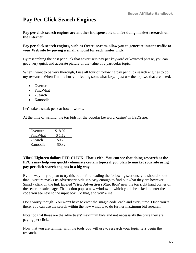# **Pay Per Click Search Engines**

**Pay per click search engines are another indispensable tool for doing market research on the Internet.** 

### **Pay per click search engines, such as Overture.com, allow you to generate instant traffic to your Web site by paying a small amount for each visitor click.**

By researching the cost per click that advertisers pay per keyword or keyword phrase, you can get a very quick and accurate picture of the value of a particular topic.

When I want to be very thorough, I use all four of following pay per click search engines to do my research. When I'm in a hurry or feeling somewhat lazy, I just use the top two that are listed.

- Overture
- FindWhat
- 7Search
- Kanoodle

Let's take a sneak peek at how it works.

At the time of writing, the top bids for the popular keyword 'casino' in USD\$ are:

| Overture | \$18.02 |
|----------|---------|
| FindWhat | \$1.12  |
| 7Search  | \$0.70  |
| Kanoodle | \$0.32  |

### **Yikes! Eighteen dollars PER CLICK! That's rich. You can see that doing research at the PPC's may help you quickly eliminate certain topics if you plan to market your site using pay per click search engines in a big way.**

By the way, if you plan to try this out before reading the following sections, you should know that Overture masks its advertisers' bids. It's easy enough to find out what they are however. Simply click on the link labeled **'View Advertisers Max Bids'** near the top right hand corner of the search results page. That action pops a new window in which you'll be asked to enter the code you see next to the input box. Do that, and you're in!

Don't worry though. You won't have to enter the 'magic code' each and every time. Once you're there, you can use the search within the new window to do further maximum bid research.

Note too that those are the advertisers' maximum bids and not necessarily the price they are paying per click.

Now that you are familiar with the tools you will use to research your topic, let's begin the research.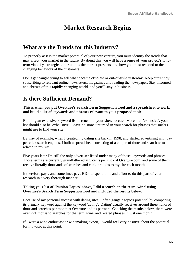# **Market Research Begins**

### **What are the Trends for this Industry?**

To properly assess the market potential of your new venture, you must identify the trends that may affect your market in the future. By doing this you will have a sense of your project's longterm viability, strategic opportunities the market presents, and how you must respond to the changing behaviors of the customers.

Don't get caught trying to sell what became obsolete or out-of-style yesterday. Keep current by subscribing to relevant online newsletters, magazines and reading the newspaper. Stay informed and abreast of this rapidly changing world, and you'll stay in business.

## **Is there Sufficient Demand?**

**This is when you put Overture's Search Term Suggestion Tool and a spreadsheet to work, and build a list of keywords and phrases relevant to your proposed topic.** 

Building an extensive keyword list is crucial to your site's success. More than 'extensive', your list should also be 'exhaustive'. Leave no stone unturned in your search for phrases that surfers might use to find your site.

By way of example, when I created my dating site back in 1998, and started advertising with pay per click search engines, I built a spreadsheet consisting of a couple of thousand search terms related to my site.

Five years later I'm still the only advertiser listed under many of those keywords and phrases. Those terms are currently grandfathered at 5 cents per click at Overture.com, and some of them receive literally thousands of searches and clickthroughs to my site each month.

It therefore pays, and sometimes pays BIG, to spend time and effort to do this part of your research in a very thorough manner.

### **Taking your list of 'Passion Topics' above, I did a search on the term 'wine' using Overture's Search Term Suggestion Tool and included the results below.**

Because of my personal success with dating sites, I often gauge a topic's potential by comparing its primary keyword against the keyword 'dating'. 'Dating' usually receives around three hundred thousand searches per month at Overture and its partners. Checking the results below, there were over 221 thousand searches for the term 'wine' and related phrases in just one month.

If I were a wine enthusiast or winemaking expert, I would feel very positive about the potential for my topic at this point.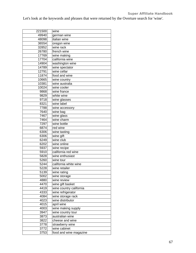Let's look at the keywords and phrases that were returned by the Overture search for 'wine'.

| 221500 |                             |
|--------|-----------------------------|
| 49940  | wine                        |
|        | german wine<br>italian wine |
| 48098  |                             |
| 36554  | oregon wine                 |
| 32852  | wine rack                   |
| 26780  | french wine                 |
| 17769  | wine making                 |
| 17704  | california wine             |
| 14904  | washington wine             |
| 14789  | wine spectator              |
| 12791  | wine cellar                 |
| 11874  | food and wine               |
| 10665  | wine country                |
| 10381  | wine australia              |
| 10024  | wine cooler                 |
| 9868   | wine france                 |
| 9829   | white wine                  |
| 9718   | wine glasses                |
| 8321   | wine label                  |
| 7788   | wine accessory              |
| 7640   | wine bag                    |
| 7467   | wine glass                  |
| 7464   | wine charm                  |
| 7297   | wine bottle                 |
| 6874   | red wine                    |
| 6306   | wine tasting                |
| 6306   | wine gift                   |
| 6249   | wine club                   |
| 6202   | wine online                 |
| 5937   | wine recipe                 |
| 5910   | california red wine         |
| 5828   | wine enthusiast             |
| 5260   | wine tour                   |
| 5244   | california white wine       |
| 5228   | wine retailer               |
| 5139   | wine rating                 |
| 5002   | wine storage                |
| 4880   | wine review                 |
| 4470   | wine gift basket            |
| 4419   | wine country california     |
| 4333   | wine refrigerator           |
| 4084   | wine storage rack           |
| 4023   | wine distributor            |
| 4015   | april wine                  |
| 4003   | wine making supply          |
| 3947   | wine country tour           |
| 3873   | australian wine             |
| 3822   | cheese and wine             |
| 3778   | strawberry wine             |
| 3772   | wine cabinet                |
|        |                             |
| 3753   | food and wine magazine      |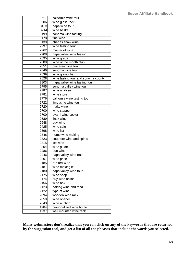| 3711 | california wine tour                |  |  |  |
|------|-------------------------------------|--|--|--|
| 3506 | wine glass rack                     |  |  |  |
| 3463 | napa wine tour                      |  |  |  |
| 3214 | wine basket                         |  |  |  |
| 3199 | sonoma wine tasting                 |  |  |  |
| 3178 | fine wine                           |  |  |  |
| 3139 | charles shaw wine                   |  |  |  |
| 2997 | wine tasting tour                   |  |  |  |
| 2962 | master of wine                      |  |  |  |
| 2908 | napa valley wine tasting            |  |  |  |
| 2895 | wine grape                          |  |  |  |
| 2889 | wine of the month club              |  |  |  |
| 2851 | bay area wine tour                  |  |  |  |
| 2846 | sonoma wine tour                    |  |  |  |
| 2839 | wine glass charm                    |  |  |  |
| 2828 | wine tasting tour and sonoma county |  |  |  |
| 2803 | napa valley wine tasting tour       |  |  |  |
| 2795 | sonoma valley wine tour             |  |  |  |
| 2787 | wine analysis                       |  |  |  |
| 2781 | wine store                          |  |  |  |
| 2776 | california wine tasting tour        |  |  |  |
| 2722 | limousine wine tour                 |  |  |  |
| 2720 | make wine                           |  |  |  |
| 2700 | wine stopper                        |  |  |  |
| 2700 | avanti wine cooler                  |  |  |  |
| 2689 | linux wine                          |  |  |  |
| 2648 | buy wine                            |  |  |  |
| 2425 | wine sale                           |  |  |  |
| 2398 | wine list                           |  |  |  |
| 2345 | home wine making                    |  |  |  |
| 2323 | southern wine and spirits           |  |  |  |
| 2315 | ice wine                            |  |  |  |
| 2304 | wine guide                          |  |  |  |
| 2286 | port wine                           |  |  |  |
| 2246 | napa valley wine train              |  |  |  |
| 2207 | wine price                          |  |  |  |
| 2185 | red red wine                        |  |  |  |
| 2181 | wine making kit                     |  |  |  |
| 2180 | napa valley wine tour               |  |  |  |
| 2175 | wine shop                           |  |  |  |
| 2174 | buy wine online                     |  |  |  |
| 2156 | wine box                            |  |  |  |
| 2123 | pairing wine and food               |  |  |  |
| 2122 | type of wine                        |  |  |  |
| 2094 | wooden wine rack                    |  |  |  |
| 2059 | wine opener                         |  |  |  |
| 2043 | wine auction                        |  |  |  |
| 1984 | personalized wine bottle            |  |  |  |
| 1937 | wall mounted wine rack              |  |  |  |

**Many webmasters don't realize that you can click on any of the keywords that are returned by the suggestion tool, and get a list of all the phrases that include the words you selected.**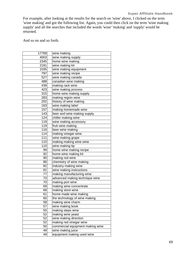For example, after looking at the results for the search on 'wine' above, I clicked on the term 'wine making' and got the following list. Again, you could then click on the term 'wine making supply' and all the searches that included the words 'wine' 'making' and 'supply' would be returned.

And so on and so forth.

| 17769 | wine making                      |
|-------|----------------------------------|
| 4003  | wine making supply               |
| 2345  | home wine making                 |
| 2181  | wine making kit                  |
| 1035  | wine making equipment            |
| 797   | wine making recipe               |
| 527   | wine making canada               |
| 488   | canadian wine making             |
| 439   | making rack wine                 |
| 423   | wine making process              |
| 315   | home wine making supply          |
| 283   | making region wine               |
| 202   | history of wine making           |
| 163   | wine making label                |
| 157   | making homemade wine             |
| 143   | beer and wine making supply      |
| 124   | chiller making wine              |
| 119   | wine making accessory            |
| 119   | fruit wine making                |
| 116   | beer wine making                 |
| 114   | making vinegar wine              |
| 111   | wine making grape                |
| 110   | making making wine wine          |
| 110   | wine making tip                  |
| 99    | home wine making recipe          |
| 92    | home wine making kit             |
| 90    | making red wine                  |
| 86    | chemistry of wine making         |
| 82    | industry making wine             |
| 81    | wine making instructions         |
| 77    | making manufacturing wine        |
| 70    | advanced making technique wine   |
| 70    | making port wine                 |
| 69    | making wine concentrate          |
| 66    | making store wine                |
| 61    | home made wine making            |
| 60    | the technology of wine making    |
| 58    | making wine charm                |
| 57    | wine making book                 |
| 55    | making steps wine                |
| 52    | making wine yeast                |
| 52    | wine making direction            |
| 52    | making red vinegar wine          |
| 50    | commercial equipment making wine |
| 49    | wine making juice                |
| 49    | equipment making used wine       |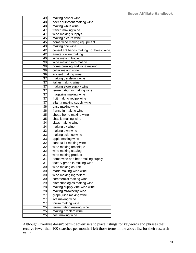| 49 | making school wine                     |  |  |  |
|----|----------------------------------------|--|--|--|
| 48 | beer equipment making wine             |  |  |  |
| 48 | making white wine                      |  |  |  |
| 47 | french making wine                     |  |  |  |
| 47 | wine making supplys                    |  |  |  |
| 45 | making picture wine                    |  |  |  |
| 45 | home wine making equipment             |  |  |  |
| 43 | making rice wine                       |  |  |  |
| 42 | consultant hands making northwest wine |  |  |  |
| 42 | amateur wine making                    |  |  |  |
| 40 | wine making bottle                     |  |  |  |
| 39 | wine making information                |  |  |  |
| 39 | home brewing and wine making           |  |  |  |
| 39 | cellar making wine                     |  |  |  |
| 39 | ancient making wine                    |  |  |  |
| 37 | making dandelion wine                  |  |  |  |
| 37 | italian making wine                    |  |  |  |
| 37 | making store supply wine               |  |  |  |
| 37 | fermentation in making wine            |  |  |  |
| 37 | magazine making wine                   |  |  |  |
| 37 | fruit making recipe wine               |  |  |  |
| 37 | atlanta making supply wine             |  |  |  |
| 36 | easy making wine                       |  |  |  |
| 36 |                                        |  |  |  |
| 35 | france in making wine                  |  |  |  |
|    | cheap home making wine                 |  |  |  |
| 35 | chablis making wine                    |  |  |  |
| 34 | class making wine                      |  |  |  |
| 34 | making uk wine                         |  |  |  |
| 33 | making own wine                        |  |  |  |
| 33 | making science wine                    |  |  |  |
| 33 | apple making wine                      |  |  |  |
| 32 | canada kit making wine                 |  |  |  |
| 32 | wine making technique                  |  |  |  |
| 32 | wine making catalog                    |  |  |  |
| 31 | wine making product                    |  |  |  |
| 31 | home wine and beer making supply       |  |  |  |
| 31 | factory grape in making wine           |  |  |  |
| 30 | wine making course                     |  |  |  |
| 30 | made making wine wine                  |  |  |  |
| 30 | wine making ingredient                 |  |  |  |
| 30 | commercial making wine                 |  |  |  |
| 29 | biotechnologies making wine            |  |  |  |
| 28 | making supply vine wine wine           |  |  |  |
| 28 | making strawberry wine                 |  |  |  |
| 27 | grape juice making wine                |  |  |  |
| 27 | live making wine                       |  |  |  |
| 27 | forum making wine                      |  |  |  |
| 25 | fermentation making wine               |  |  |  |
| 25 | making problem wine                    |  |  |  |
| 25 | cost making wine                       |  |  |  |

Although Overture doesn't permit advertisers to place listings for keywords and phrases that receive fewer than 100 searches per month, I left those terms in the above list for their research value.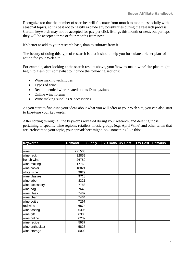Recognize too that the number of searches will fluctuate from month to month, especially with seasonal topics, so it's best not to hastily exclude any possibilities during the research process. Certain keywords may not be accepted for pay per click listings this month or next, but perhaps they will be accepted three or four months from now.

It's better to add to your research base, than to subtract from it.

The beauty of doing this type of research is that it should help you formulate a richer plan of action for your Web site.

For example, after looking at the search results above, your 'how-to-make-wine' site plan might begin to 'flesh out' somewhat to include the following sections:

- Wine making techniques
- Types of wine
- Recommended wine-related books & magazines
- Online wine forums
- Wine making supplies & accessories

As you start to fine-tune your ideas about what you will offer at your Web site, you can also start to fine-tune your keywords.

After sorting through all the keywords revealed during your research, and deleting those pertaining to specific wine regions, retailers, music groups (e.g. April Wine) and other terms that are irrelevant to your topic, your spreadsheet might look something like this:

| <b>Keywords</b> | <b>Demand</b> | <b>Supply</b> | S/D Ratio OV Cost |  | <b>FW Cost Remarks</b> |
|-----------------|---------------|---------------|-------------------|--|------------------------|
|                 |               |               |                   |  |                        |
| wine            | 221500        |               |                   |  |                        |
| wine rack       | 32852         |               |                   |  |                        |
| french wine     | 26780         |               |                   |  |                        |
| wine making     | 17769         |               |                   |  |                        |
| wine cooler     | 10024         |               |                   |  |                        |
| white wine      | 9829          |               |                   |  |                        |
| wine glasses    | 9718          |               |                   |  |                        |
| wine label      | 8321          |               |                   |  |                        |
| wine accessory  | 7788          |               |                   |  |                        |
| wine bag        | 7640          |               |                   |  |                        |
| wine glass      | 7467          |               |                   |  |                        |
| wine charm      | 7464          |               |                   |  |                        |
| wine bottle     | 7297          |               |                   |  |                        |
| red wine        | 6874          |               |                   |  |                        |
| wine tasting    | 6306          |               |                   |  |                        |
| wine gift       | 6306          |               |                   |  |                        |
| wine online     | 6202          |               |                   |  |                        |
| wine recipe     | 5937          |               |                   |  |                        |
| wine enthusiast | 5828          |               |                   |  |                        |
| wine storage    | 5002          |               |                   |  |                        |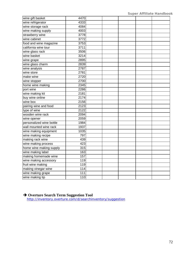| wine gift basket         | 4470 |  |  |  |
|--------------------------|------|--|--|--|
| wine refrigerator        | 4333 |  |  |  |
| wine storage rack        | 4084 |  |  |  |
| wine making supply       | 4003 |  |  |  |
| strawberry wine          | 3778 |  |  |  |
| wine cabinet             | 3772 |  |  |  |
| food and wine magazine   | 3753 |  |  |  |
| california wine tour     | 3711 |  |  |  |
| wine glass rack          | 3506 |  |  |  |
| wine basket              | 3214 |  |  |  |
| wine grape               | 2895 |  |  |  |
| wine glass charm         | 2839 |  |  |  |
| wine analysis            | 2787 |  |  |  |
| wine store               | 2781 |  |  |  |
| make wine                | 2720 |  |  |  |
| wine stopper             | 2700 |  |  |  |
| home wine making         | 2345 |  |  |  |
| port wine                | 2286 |  |  |  |
| wine making kit          | 2181 |  |  |  |
| buy wine online          | 2174 |  |  |  |
| wine box                 | 2156 |  |  |  |
| pairing wine and food    | 2123 |  |  |  |
| type of wine             | 2122 |  |  |  |
| wooden wine rack         | 2094 |  |  |  |
| wine opener              | 2059 |  |  |  |
| personalized wine bottle | 1984 |  |  |  |
| wall mounted wine rack   | 1937 |  |  |  |
| wine making equipment    | 1035 |  |  |  |
| wine making recipe       | 797  |  |  |  |
| making rack wine         | 439  |  |  |  |
| wine making process      | 423  |  |  |  |
| home wine making supply  | 315  |  |  |  |
| wine making label        | 163  |  |  |  |
| making homemade wine     | 157  |  |  |  |
| wine making accessory    | 119  |  |  |  |
| fruit wine making        | 119  |  |  |  |
| making vinegar wine      | 114  |  |  |  |
| wine making grape        | 111  |  |  |  |
| wine making tip          | 110  |  |  |  |

#### Î **Overture Search Term Suggestion Tool**

<http://inventory.overture.com/d/searchinventory/suggestion>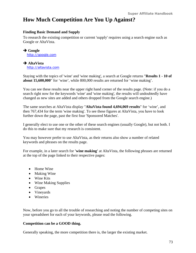# **How Much Competition Are You Up Against?**

### **Finding Basic Demand and Supply**

To research the existing competition or current 'supply' requires using a search engine such as Google or AltaVista.

 $\rightarrow$  Google [http://google.com](http://google.com/)

**→ AltaVista** [http://altavista.com](http://altavista.com/)

Staying with the topics of 'wine' and 'wine making', a search at Google returns "**Results 1 - 10 of about 15,600,000**" for 'wine', while 800,000 results are returned for 'wine making'.

You can see these results near the upper right hand corner of the results page. (Note: if you do a search right now for the keywords 'wine' and 'wine making', the results will undoubtedly have changed as new sites are added and others dropped from the Google search engine.)

The same searches at AltaVista display "**AltaVista found 4,694,069 results**" for 'wine', and then 767,434 for the term 'wine making'. To see these figures at AltaVista, you have to look further down the page, past the first four 'Sponsored Matches'.

I generally elect to use one or the other of these search engines (usually Google), but not both. I do this to make sure that my research is consistent.

You may however prefer to use AltaVista, as their returns also show a number of related keywords and phrases on the results page.

For example, in a later search for **'wine making'** at AltaVista, the following phrases are returned at the top of the page linked to their respective pages:

- Home Wine
- Making Wine
- Wine Kits
- Wine Making Supplies
- Grapes
- Vineyards
- Wineries

Now, before you go to all the trouble of researching and noting the number of competing sites on your spreadsheet for each of your keywords, please read the following.

### **Competition can be a GOOD thing.**

Generally speaking, the more competition there is, the larger the existing market.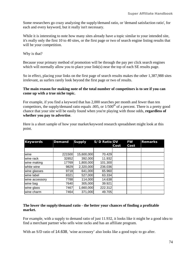Some researchers go crazy analyzing the supply/demand ratio, or 'demand satisfaction ratio', for each and every keyword, but it really isn't necessary.

While it is interesting to note how many sites already have a topic similar to your intended site, it's really only the first 10 to 40 sites, or the first page or two of search engine listing results that will be your competition.

Why is that?

Because your primary method of promotion will be through the pay per click search engines which will normally allow you to place your link(s) near the top of each SE results page.

So in effect, placing your links on the first page of search results makes the other 1,387,988 sites irrelevant, as surfers rarely look beyond the first page or two of results.

### **The main reason for making note of the total number of competitors is to see if you can come up with a true niche topic.**

For example, if you find a keyword that has 2,000 searches per month and fewer than ten competitors, the supply/demand ratio equals .005, or  $1/500<sup>th</sup>$  of a percent. There is a pretty good chance that your site will be easily found when you're playing with those odds, **regardless of whether you pay to advertise**.

| <b>Keywords</b> | Demand Supply S/D Ratio OV FW |            |        |      |      | <b>Remarks</b> |
|-----------------|-------------------------------|------------|--------|------|------|----------------|
|                 |                               |            |        | Cost | Cost |                |
| wine            | 221500                        | 15,600,000 | 70.429 |      |      |                |

wine rack  $\vert$  32852 392,000 11.932 wine making  $\begin{array}{|c|c|c|c|c|c|} \hline \text{ 17769} & \text{ 1,800,000} & \text{ 101.300} \hline \end{array}$ white wine 9829 2,320,000 236.036 wine glasses | 9718 641,000 65.960 wine label  $\begin{array}{|c|c|c|c|c|c|c|c|} \hline \quad & 8321 & 527,000 & 63.334 \hline \end{array}$ wine accessory | 7788 114,000 14.638 wine bag  $\begin{array}{|c|c|c|c|c|c|} \hline \end{array}$  7640 305,000 39.921 wine glass 7467 1,660,000 222.312 wine charm  $\begin{array}{|c|c|c|c|c|c|c|c|c|} \hline \end{array}$  7464 371,000 49.705

Here is a short sample of how your market/keyword research spreadsheet might look at this point.

### **The lower the supply/demand ratio - the better your chances of finding a profitable market.**

For example, with a supply to demand ratio of just 11.932, it looks like it might be a good idea to find a merchant partner who sells wine racks and has an affiliate program.

With an S/D ratio of 14.638, 'wine accessory' also looks like a good topic to go after.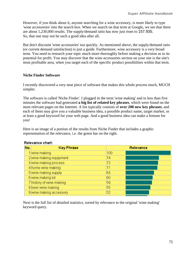However, if you think about it, anyone searching for a wine accessory, is more likely to type 'wine accessories' into the search box. When we search on that term at Google, we see that there are about 1,230,000 results. The supply/demand ratio has now just risen to 157.935. So, that one may not be such a good idea after all.

But don't discount 'wine accessories' too quickly. As mentioned above, the supply/demand ratio (or current demand satisfaction) is just a guide. Furthermore, wine accessory is a very broad term. You need to research your topic much more thoroughly before making a decision as to its potential for profit. You may discover that the wine accessories section on your site is the site's most profitable area, when you target each of the specific product possibilities within that term.

### **Niche Finder Software**

I recently discovered a very neat piece of software that makes this whole process much, MUCH simpler.

The software is called 'Niche Finder'. I plugged in the term 'wine making' and in less than five minutes the software had generated **a big list of related key phrases**, which were found on the most relevant pages on the Internet. A list typically consists of **over 200 new key phrases**, and each of them may give you a valuable business idea, a possible product name, target market, or at least a good keyword for your web page. And a good business idea can make a fortune for you!

Here is an image of a portion of the results from Niche Finder that includes a graphic representation of the relevance, i.e. the green bar on the right.

| No. | <b>Key Phrase</b>        |     | Relevance |
|-----|--------------------------|-----|-----------|
|     | 1 wine making            | 100 |           |
|     | 2 wine making equipment  | 74  |           |
|     | 3 wine making process    | 72  |           |
|     | 4 home wine making       | 71  |           |
|     | 5 wine making supply     | 63  |           |
|     | 6 wine making kit        | 60  |           |
|     | 7 history of wine making | 59  |           |
|     | 8 beer wine making       | 55  |           |
|     | 9 wine making accessory  | 52  |           |

### Relevance chart:

Next is the full list of detailed statistics, sorted by relevance to the original 'wine making' keyword query.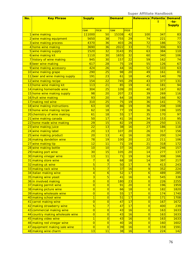**Super Affiliate Handbook**

| nice<br>nice<br>raw<br>raw<br>15338<br>111000<br>50<br>42<br>1 wine making<br>100<br>347<br>83<br>29<br>77<br>5650<br>38<br>221<br>755<br>74<br>2 wine making equipment<br>26<br>72<br>3 wine making process<br>4370<br>36<br>403<br>186<br>4 home wine making<br>3690<br>2022<br>33<br>71<br>36<br>306<br>35<br>5 wine making supply<br>1520<br>32<br>384<br>3143<br>63<br>32<br>6 wine making kit<br><b>1110</b><br>30<br>1655<br>60<br>340<br>$\overline{22}$<br>7 history of wine making<br>945<br>30<br>157<br>59<br>162<br>19<br>8 beer wine making<br>617<br>28<br>75<br>55<br>126<br>16<br>9 wine making accessory<br>424<br>26<br>44<br>52<br>103<br>10 wine making grape<br>161<br>290<br>25<br>98<br>20<br>49<br>81<br>11 beer and wine making supply<br>23<br>191<br>18<br>140<br>61<br>45<br>154<br>22<br>29<br>377<br>12 wine making recipe<br>43<br>745<br>13 home wine making kit<br>19<br>113<br>21<br>85<br>41<br>181<br>20<br>14 making homemade wine<br>25<br>109<br>167<br>304<br>40<br>23<br>98<br>207<br>39<br>269<br>15 home wine making supply<br>20<br>16 fruit wine making<br>93<br>18<br>20<br>39<br>166<br>64<br>17 making red wine<br>25<br>19<br>36<br>141<br>310<br>75<br>18<br>19<br>36<br>208<br>18 wine making instructions<br>63<br>86<br>62<br>77<br>19<br>199<br>19 home wine making recipe<br>18<br>36<br>17<br>20 chemistry of wine making<br>18<br>55<br>35<br>170<br>61<br>17<br>16<br>34<br>153<br>21 wine making canada<br>50<br>41<br>19<br>22 home made wine making<br>29<br>15<br>29<br>250<br>82<br>22<br>13<br>16<br>27<br>38<br>186<br>23 wine making juice<br>20<br>317<br>24 wine making label<br>13<br>107<br>26<br>20<br>25 wine making product<br>20<br>13<br>16<br>26<br>200<br>41<br>22<br>26 making dandelion wine<br>78<br>19<br>20<br>211<br>100<br>12<br>19<br>21<br>318<br>11<br>27 wine making tip<br>71<br>28 wine making bottle<br>37<br>16<br>20<br>246<br>10<br>10<br>20<br>29 making port wine<br>30<br>277<br>15<br>105<br>14<br>13<br>11<br>71<br>19<br>30 making vinegar wine<br>14<br>308<br>397<br>18<br>31 making store wine<br>$\overline{7}$<br>$\overline{8}$<br>68<br>14<br>$\overline{5}$<br>$\overline{7}$<br>32 making uk wine<br>50<br>17<br>9<br>413<br>$\overline{7}$<br>$\overline{5}$<br>16<br>33 making rack wine<br>37<br>9<br>352<br>34 italian making wine<br>$\overline{6}$<br>52<br>17<br>$\overline{6}$<br>489<br>$\overline{4}$<br>35 making wine yeast<br>3<br>16<br>$\overline{5}$<br>41<br>545<br>$\overline{6}$<br>36 in involved making<br>226<br>$\overline{0}$<br>23<br>$\overline{0}$<br>180<br>$\overline{0}$<br>$\overline{0}$<br>$\overline{0}$<br>20<br>$\overline{0}$<br>37 making permit wine<br>91<br>196<br>38 making picture wine<br>$\overline{0}$<br>$\overline{0}$<br>18<br>$\overline{0}$<br><b>182</b><br>66<br>17<br>39 making wholesale wine<br>$\overline{O}$<br>$\overline{0}$<br>55<br>$\overline{O}$<br>174<br>40 making school wine<br>17<br>$\overline{1}$<br>$\overline{0}$<br>51<br>$\overline{0}$<br>171<br>41 carrot making wine<br>17<br>$\overline{0}$<br>$\overline{0}$<br>$\overline{0}$<br>167<br>47<br>$\overline{7}$<br>$\overline{5}$<br>42 making strawberry wine<br>47<br>17<br>$\overline{0}$<br>400<br>43 commercial making wine<br>16<br>163<br>$\overline{0}$<br>$\overline{0}$<br>43<br>$\overline{0}$<br>44 country making wholesale wine<br>$\overline{0}$<br>$\overline{0}$<br>43<br>16<br>$\overline{0}$<br>163<br>45 making video wine<br>$\overline{1}$<br>$\overline{0}$<br>16<br>$\overline{0}$<br>163<br>43<br>46 making red vinegar wine<br>$\overline{0}$<br>16<br>160<br>$\overline{0}$<br>40<br>$\overline{0}$<br>47 equipment making sale wine<br>39<br>16<br>159<br>$\overline{O}$<br>$\overline{0}$<br>$\overline{0}$<br>13<br>48 making wine charm<br>11<br>38<br>16<br>$\overline{0}$<br>224 | No. | <b>Key Phrase</b> | <b>Supply</b> | <b>Demand</b> |  | <b>Relevance Potentia</b> | <b>Demand</b><br>$-to-$<br><b>Supply</b> |
|---------------------------------------------------------------------------------------------------------------------------------------------------------------------------------------------------------------------------------------------------------------------------------------------------------------------------------------------------------------------------------------------------------------------------------------------------------------------------------------------------------------------------------------------------------------------------------------------------------------------------------------------------------------------------------------------------------------------------------------------------------------------------------------------------------------------------------------------------------------------------------------------------------------------------------------------------------------------------------------------------------------------------------------------------------------------------------------------------------------------------------------------------------------------------------------------------------------------------------------------------------------------------------------------------------------------------------------------------------------------------------------------------------------------------------------------------------------------------------------------------------------------------------------------------------------------------------------------------------------------------------------------------------------------------------------------------------------------------------------------------------------------------------------------------------------------------------------------------------------------------------------------------------------------------------------------------------------------------------------------------------------------------------------------------------------------------------------------------------------------------------------------------------------------------------------------------------------------------------------------------------------------------------------------------------------------------------------------------------------------------------------------------------------------------------------------------------------------------------------------------------------------------------------------------------------------------------------------------------------------------------------------------------------------------------------------------------------------------------------------------------------------------------------------------------------------------------------------------------------------------------------------------------------------------------------------------------------------------------------------------------------------------------------------------------------------------------------------------------------------------------------------------------------------------------------------------------------------------------------------------------------------------------------------------------------------------------------------------------------------------------------------------------------------------------------------------------------------------------------------------------------------------------------------------------------------------------------------------------------------------------------------------------------------------------------------------------------------------------------------------------------------------------------------------------------------------------------------------------------|-----|-------------------|---------------|---------------|--|---------------------------|------------------------------------------|
|                                                                                                                                                                                                                                                                                                                                                                                                                                                                                                                                                                                                                                                                                                                                                                                                                                                                                                                                                                                                                                                                                                                                                                                                                                                                                                                                                                                                                                                                                                                                                                                                                                                                                                                                                                                                                                                                                                                                                                                                                                                                                                                                                                                                                                                                                                                                                                                                                                                                                                                                                                                                                                                                                                                                                                                                                                                                                                                                                                                                                                                                                                                                                                                                                                                                                                                                                                                                                                                                                                                                                                                                                                                                                                                                                                                                                                                               |     |                   |               |               |  |                           |                                          |
| 72                                                                                                                                                                                                                                                                                                                                                                                                                                                                                                                                                                                                                                                                                                                                                                                                                                                                                                                                                                                                                                                                                                                                                                                                                                                                                                                                                                                                                                                                                                                                                                                                                                                                                                                                                                                                                                                                                                                                                                                                                                                                                                                                                                                                                                                                                                                                                                                                                                                                                                                                                                                                                                                                                                                                                                                                                                                                                                                                                                                                                                                                                                                                                                                                                                                                                                                                                                                                                                                                                                                                                                                                                                                                                                                                                                                                                                                            |     |                   |               |               |  |                           |                                          |
|                                                                                                                                                                                                                                                                                                                                                                                                                                                                                                                                                                                                                                                                                                                                                                                                                                                                                                                                                                                                                                                                                                                                                                                                                                                                                                                                                                                                                                                                                                                                                                                                                                                                                                                                                                                                                                                                                                                                                                                                                                                                                                                                                                                                                                                                                                                                                                                                                                                                                                                                                                                                                                                                                                                                                                                                                                                                                                                                                                                                                                                                                                                                                                                                                                                                                                                                                                                                                                                                                                                                                                                                                                                                                                                                                                                                                                                               |     |                   |               |               |  |                           |                                          |
| 93<br>110<br>106<br>131<br>116<br>92<br>75<br>131                                                                                                                                                                                                                                                                                                                                                                                                                                                                                                                                                                                                                                                                                                                                                                                                                                                                                                                                                                                                                                                                                                                                                                                                                                                                                                                                                                                                                                                                                                                                                                                                                                                                                                                                                                                                                                                                                                                                                                                                                                                                                                                                                                                                                                                                                                                                                                                                                                                                                                                                                                                                                                                                                                                                                                                                                                                                                                                                                                                                                                                                                                                                                                                                                                                                                                                                                                                                                                                                                                                                                                                                                                                                                                                                                                                                             |     |                   |               |               |  |                           |                                          |
|                                                                                                                                                                                                                                                                                                                                                                                                                                                                                                                                                                                                                                                                                                                                                                                                                                                                                                                                                                                                                                                                                                                                                                                                                                                                                                                                                                                                                                                                                                                                                                                                                                                                                                                                                                                                                                                                                                                                                                                                                                                                                                                                                                                                                                                                                                                                                                                                                                                                                                                                                                                                                                                                                                                                                                                                                                                                                                                                                                                                                                                                                                                                                                                                                                                                                                                                                                                                                                                                                                                                                                                                                                                                                                                                                                                                                                                               |     |                   |               |               |  |                           |                                          |
|                                                                                                                                                                                                                                                                                                                                                                                                                                                                                                                                                                                                                                                                                                                                                                                                                                                                                                                                                                                                                                                                                                                                                                                                                                                                                                                                                                                                                                                                                                                                                                                                                                                                                                                                                                                                                                                                                                                                                                                                                                                                                                                                                                                                                                                                                                                                                                                                                                                                                                                                                                                                                                                                                                                                                                                                                                                                                                                                                                                                                                                                                                                                                                                                                                                                                                                                                                                                                                                                                                                                                                                                                                                                                                                                                                                                                                                               |     |                   |               |               |  |                           |                                          |
| 74<br>67<br>63<br>78<br>94<br>82<br>108<br>105<br>97<br>95<br>118<br>156<br>124<br>106                                                                                                                                                                                                                                                                                                                                                                                                                                                                                                                                                                                                                                                                                                                                                                                                                                                                                                                                                                                                                                                                                                                                                                                                                                                                                                                                                                                                                                                                                                                                                                                                                                                                                                                                                                                                                                                                                                                                                                                                                                                                                                                                                                                                                                                                                                                                                                                                                                                                                                                                                                                                                                                                                                                                                                                                                                                                                                                                                                                                                                                                                                                                                                                                                                                                                                                                                                                                                                                                                                                                                                                                                                                                                                                                                                        |     |                   |               |               |  |                           |                                          |
|                                                                                                                                                                                                                                                                                                                                                                                                                                                                                                                                                                                                                                                                                                                                                                                                                                                                                                                                                                                                                                                                                                                                                                                                                                                                                                                                                                                                                                                                                                                                                                                                                                                                                                                                                                                                                                                                                                                                                                                                                                                                                                                                                                                                                                                                                                                                                                                                                                                                                                                                                                                                                                                                                                                                                                                                                                                                                                                                                                                                                                                                                                                                                                                                                                                                                                                                                                                                                                                                                                                                                                                                                                                                                                                                                                                                                                                               |     |                   |               |               |  |                           |                                          |
|                                                                                                                                                                                                                                                                                                                                                                                                                                                                                                                                                                                                                                                                                                                                                                                                                                                                                                                                                                                                                                                                                                                                                                                                                                                                                                                                                                                                                                                                                                                                                                                                                                                                                                                                                                                                                                                                                                                                                                                                                                                                                                                                                                                                                                                                                                                                                                                                                                                                                                                                                                                                                                                                                                                                                                                                                                                                                                                                                                                                                                                                                                                                                                                                                                                                                                                                                                                                                                                                                                                                                                                                                                                                                                                                                                                                                                                               |     |                   |               |               |  |                           |                                          |
|                                                                                                                                                                                                                                                                                                                                                                                                                                                                                                                                                                                                                                                                                                                                                                                                                                                                                                                                                                                                                                                                                                                                                                                                                                                                                                                                                                                                                                                                                                                                                                                                                                                                                                                                                                                                                                                                                                                                                                                                                                                                                                                                                                                                                                                                                                                                                                                                                                                                                                                                                                                                                                                                                                                                                                                                                                                                                                                                                                                                                                                                                                                                                                                                                                                                                                                                                                                                                                                                                                                                                                                                                                                                                                                                                                                                                                                               |     |                   |               |               |  |                           |                                          |
|                                                                                                                                                                                                                                                                                                                                                                                                                                                                                                                                                                                                                                                                                                                                                                                                                                                                                                                                                                                                                                                                                                                                                                                                                                                                                                                                                                                                                                                                                                                                                                                                                                                                                                                                                                                                                                                                                                                                                                                                                                                                                                                                                                                                                                                                                                                                                                                                                                                                                                                                                                                                                                                                                                                                                                                                                                                                                                                                                                                                                                                                                                                                                                                                                                                                                                                                                                                                                                                                                                                                                                                                                                                                                                                                                                                                                                                               |     |                   |               |               |  |                           |                                          |
|                                                                                                                                                                                                                                                                                                                                                                                                                                                                                                                                                                                                                                                                                                                                                                                                                                                                                                                                                                                                                                                                                                                                                                                                                                                                                                                                                                                                                                                                                                                                                                                                                                                                                                                                                                                                                                                                                                                                                                                                                                                                                                                                                                                                                                                                                                                                                                                                                                                                                                                                                                                                                                                                                                                                                                                                                                                                                                                                                                                                                                                                                                                                                                                                                                                                                                                                                                                                                                                                                                                                                                                                                                                                                                                                                                                                                                                               |     |                   |               |               |  |                           |                                          |
|                                                                                                                                                                                                                                                                                                                                                                                                                                                                                                                                                                                                                                                                                                                                                                                                                                                                                                                                                                                                                                                                                                                                                                                                                                                                                                                                                                                                                                                                                                                                                                                                                                                                                                                                                                                                                                                                                                                                                                                                                                                                                                                                                                                                                                                                                                                                                                                                                                                                                                                                                                                                                                                                                                                                                                                                                                                                                                                                                                                                                                                                                                                                                                                                                                                                                                                                                                                                                                                                                                                                                                                                                                                                                                                                                                                                                                                               |     |                   |               |               |  |                           |                                          |
|                                                                                                                                                                                                                                                                                                                                                                                                                                                                                                                                                                                                                                                                                                                                                                                                                                                                                                                                                                                                                                                                                                                                                                                                                                                                                                                                                                                                                                                                                                                                                                                                                                                                                                                                                                                                                                                                                                                                                                                                                                                                                                                                                                                                                                                                                                                                                                                                                                                                                                                                                                                                                                                                                                                                                                                                                                                                                                                                                                                                                                                                                                                                                                                                                                                                                                                                                                                                                                                                                                                                                                                                                                                                                                                                                                                                                                                               |     |                   |               |               |  |                           |                                          |
|                                                                                                                                                                                                                                                                                                                                                                                                                                                                                                                                                                                                                                                                                                                                                                                                                                                                                                                                                                                                                                                                                                                                                                                                                                                                                                                                                                                                                                                                                                                                                                                                                                                                                                                                                                                                                                                                                                                                                                                                                                                                                                                                                                                                                                                                                                                                                                                                                                                                                                                                                                                                                                                                                                                                                                                                                                                                                                                                                                                                                                                                                                                                                                                                                                                                                                                                                                                                                                                                                                                                                                                                                                                                                                                                                                                                                                                               |     |                   |               |               |  |                           |                                          |
|                                                                                                                                                                                                                                                                                                                                                                                                                                                                                                                                                                                                                                                                                                                                                                                                                                                                                                                                                                                                                                                                                                                                                                                                                                                                                                                                                                                                                                                                                                                                                                                                                                                                                                                                                                                                                                                                                                                                                                                                                                                                                                                                                                                                                                                                                                                                                                                                                                                                                                                                                                                                                                                                                                                                                                                                                                                                                                                                                                                                                                                                                                                                                                                                                                                                                                                                                                                                                                                                                                                                                                                                                                                                                                                                                                                                                                                               |     |                   |               |               |  |                           |                                          |
|                                                                                                                                                                                                                                                                                                                                                                                                                                                                                                                                                                                                                                                                                                                                                                                                                                                                                                                                                                                                                                                                                                                                                                                                                                                                                                                                                                                                                                                                                                                                                                                                                                                                                                                                                                                                                                                                                                                                                                                                                                                                                                                                                                                                                                                                                                                                                                                                                                                                                                                                                                                                                                                                                                                                                                                                                                                                                                                                                                                                                                                                                                                                                                                                                                                                                                                                                                                                                                                                                                                                                                                                                                                                                                                                                                                                                                                               |     |                   |               |               |  |                           |                                          |
|                                                                                                                                                                                                                                                                                                                                                                                                                                                                                                                                                                                                                                                                                                                                                                                                                                                                                                                                                                                                                                                                                                                                                                                                                                                                                                                                                                                                                                                                                                                                                                                                                                                                                                                                                                                                                                                                                                                                                                                                                                                                                                                                                                                                                                                                                                                                                                                                                                                                                                                                                                                                                                                                                                                                                                                                                                                                                                                                                                                                                                                                                                                                                                                                                                                                                                                                                                                                                                                                                                                                                                                                                                                                                                                                                                                                                                                               |     |                   |               |               |  |                           |                                          |
|                                                                                                                                                                                                                                                                                                                                                                                                                                                                                                                                                                                                                                                                                                                                                                                                                                                                                                                                                                                                                                                                                                                                                                                                                                                                                                                                                                                                                                                                                                                                                                                                                                                                                                                                                                                                                                                                                                                                                                                                                                                                                                                                                                                                                                                                                                                                                                                                                                                                                                                                                                                                                                                                                                                                                                                                                                                                                                                                                                                                                                                                                                                                                                                                                                                                                                                                                                                                                                                                                                                                                                                                                                                                                                                                                                                                                                                               |     |                   |               |               |  |                           |                                          |
|                                                                                                                                                                                                                                                                                                                                                                                                                                                                                                                                                                                                                                                                                                                                                                                                                                                                                                                                                                                                                                                                                                                                                                                                                                                                                                                                                                                                                                                                                                                                                                                                                                                                                                                                                                                                                                                                                                                                                                                                                                                                                                                                                                                                                                                                                                                                                                                                                                                                                                                                                                                                                                                                                                                                                                                                                                                                                                                                                                                                                                                                                                                                                                                                                                                                                                                                                                                                                                                                                                                                                                                                                                                                                                                                                                                                                                                               |     |                   |               |               |  |                           |                                          |
|                                                                                                                                                                                                                                                                                                                                                                                                                                                                                                                                                                                                                                                                                                                                                                                                                                                                                                                                                                                                                                                                                                                                                                                                                                                                                                                                                                                                                                                                                                                                                                                                                                                                                                                                                                                                                                                                                                                                                                                                                                                                                                                                                                                                                                                                                                                                                                                                                                                                                                                                                                                                                                                                                                                                                                                                                                                                                                                                                                                                                                                                                                                                                                                                                                                                                                                                                                                                                                                                                                                                                                                                                                                                                                                                                                                                                                                               |     |                   |               |               |  |                           |                                          |
|                                                                                                                                                                                                                                                                                                                                                                                                                                                                                                                                                                                                                                                                                                                                                                                                                                                                                                                                                                                                                                                                                                                                                                                                                                                                                                                                                                                                                                                                                                                                                                                                                                                                                                                                                                                                                                                                                                                                                                                                                                                                                                                                                                                                                                                                                                                                                                                                                                                                                                                                                                                                                                                                                                                                                                                                                                                                                                                                                                                                                                                                                                                                                                                                                                                                                                                                                                                                                                                                                                                                                                                                                                                                                                                                                                                                                                                               |     |                   |               |               |  |                           |                                          |
|                                                                                                                                                                                                                                                                                                                                                                                                                                                                                                                                                                                                                                                                                                                                                                                                                                                                                                                                                                                                                                                                                                                                                                                                                                                                                                                                                                                                                                                                                                                                                                                                                                                                                                                                                                                                                                                                                                                                                                                                                                                                                                                                                                                                                                                                                                                                                                                                                                                                                                                                                                                                                                                                                                                                                                                                                                                                                                                                                                                                                                                                                                                                                                                                                                                                                                                                                                                                                                                                                                                                                                                                                                                                                                                                                                                                                                                               |     |                   |               |               |  |                           |                                          |
|                                                                                                                                                                                                                                                                                                                                                                                                                                                                                                                                                                                                                                                                                                                                                                                                                                                                                                                                                                                                                                                                                                                                                                                                                                                                                                                                                                                                                                                                                                                                                                                                                                                                                                                                                                                                                                                                                                                                                                                                                                                                                                                                                                                                                                                                                                                                                                                                                                                                                                                                                                                                                                                                                                                                                                                                                                                                                                                                                                                                                                                                                                                                                                                                                                                                                                                                                                                                                                                                                                                                                                                                                                                                                                                                                                                                                                                               |     |                   |               |               |  |                           |                                          |
|                                                                                                                                                                                                                                                                                                                                                                                                                                                                                                                                                                                                                                                                                                                                                                                                                                                                                                                                                                                                                                                                                                                                                                                                                                                                                                                                                                                                                                                                                                                                                                                                                                                                                                                                                                                                                                                                                                                                                                                                                                                                                                                                                                                                                                                                                                                                                                                                                                                                                                                                                                                                                                                                                                                                                                                                                                                                                                                                                                                                                                                                                                                                                                                                                                                                                                                                                                                                                                                                                                                                                                                                                                                                                                                                                                                                                                                               |     |                   |               |               |  |                           |                                          |
|                                                                                                                                                                                                                                                                                                                                                                                                                                                                                                                                                                                                                                                                                                                                                                                                                                                                                                                                                                                                                                                                                                                                                                                                                                                                                                                                                                                                                                                                                                                                                                                                                                                                                                                                                                                                                                                                                                                                                                                                                                                                                                                                                                                                                                                                                                                                                                                                                                                                                                                                                                                                                                                                                                                                                                                                                                                                                                                                                                                                                                                                                                                                                                                                                                                                                                                                                                                                                                                                                                                                                                                                                                                                                                                                                                                                                                                               |     |                   |               |               |  |                           |                                          |
| 172<br>157<br>137<br>166<br>217<br>243<br>224<br>285<br>338<br>2255<br><b>1959</b><br><b>1820</b><br>1740<br>1708<br>1672<br>239<br>1633<br>1633<br>1633<br>1602<br>1591<br>142                                                                                                                                                                                                                                                                                                                                                                                                                                                                                                                                                                                                                                                                                                                                                                                                                                                                                                                                                                                                                                                                                                                                                                                                                                                                                                                                                                                                                                                                                                                                                                                                                                                                                                                                                                                                                                                                                                                                                                                                                                                                                                                                                                                                                                                                                                                                                                                                                                                                                                                                                                                                                                                                                                                                                                                                                                                                                                                                                                                                                                                                                                                                                                                                                                                                                                                                                                                                                                                                                                                                                                                                                                                                               |     |                   |               |               |  |                           |                                          |
|                                                                                                                                                                                                                                                                                                                                                                                                                                                                                                                                                                                                                                                                                                                                                                                                                                                                                                                                                                                                                                                                                                                                                                                                                                                                                                                                                                                                                                                                                                                                                                                                                                                                                                                                                                                                                                                                                                                                                                                                                                                                                                                                                                                                                                                                                                                                                                                                                                                                                                                                                                                                                                                                                                                                                                                                                                                                                                                                                                                                                                                                                                                                                                                                                                                                                                                                                                                                                                                                                                                                                                                                                                                                                                                                                                                                                                                               |     |                   |               |               |  |                           |                                          |
|                                                                                                                                                                                                                                                                                                                                                                                                                                                                                                                                                                                                                                                                                                                                                                                                                                                                                                                                                                                                                                                                                                                                                                                                                                                                                                                                                                                                                                                                                                                                                                                                                                                                                                                                                                                                                                                                                                                                                                                                                                                                                                                                                                                                                                                                                                                                                                                                                                                                                                                                                                                                                                                                                                                                                                                                                                                                                                                                                                                                                                                                                                                                                                                                                                                                                                                                                                                                                                                                                                                                                                                                                                                                                                                                                                                                                                                               |     |                   |               |               |  |                           |                                          |
|                                                                                                                                                                                                                                                                                                                                                                                                                                                                                                                                                                                                                                                                                                                                                                                                                                                                                                                                                                                                                                                                                                                                                                                                                                                                                                                                                                                                                                                                                                                                                                                                                                                                                                                                                                                                                                                                                                                                                                                                                                                                                                                                                                                                                                                                                                                                                                                                                                                                                                                                                                                                                                                                                                                                                                                                                                                                                                                                                                                                                                                                                                                                                                                                                                                                                                                                                                                                                                                                                                                                                                                                                                                                                                                                                                                                                                                               |     |                   |               |               |  |                           |                                          |
|                                                                                                                                                                                                                                                                                                                                                                                                                                                                                                                                                                                                                                                                                                                                                                                                                                                                                                                                                                                                                                                                                                                                                                                                                                                                                                                                                                                                                                                                                                                                                                                                                                                                                                                                                                                                                                                                                                                                                                                                                                                                                                                                                                                                                                                                                                                                                                                                                                                                                                                                                                                                                                                                                                                                                                                                                                                                                                                                                                                                                                                                                                                                                                                                                                                                                                                                                                                                                                                                                                                                                                                                                                                                                                                                                                                                                                                               |     |                   |               |               |  |                           |                                          |
|                                                                                                                                                                                                                                                                                                                                                                                                                                                                                                                                                                                                                                                                                                                                                                                                                                                                                                                                                                                                                                                                                                                                                                                                                                                                                                                                                                                                                                                                                                                                                                                                                                                                                                                                                                                                                                                                                                                                                                                                                                                                                                                                                                                                                                                                                                                                                                                                                                                                                                                                                                                                                                                                                                                                                                                                                                                                                                                                                                                                                                                                                                                                                                                                                                                                                                                                                                                                                                                                                                                                                                                                                                                                                                                                                                                                                                                               |     |                   |               |               |  |                           |                                          |
|                                                                                                                                                                                                                                                                                                                                                                                                                                                                                                                                                                                                                                                                                                                                                                                                                                                                                                                                                                                                                                                                                                                                                                                                                                                                                                                                                                                                                                                                                                                                                                                                                                                                                                                                                                                                                                                                                                                                                                                                                                                                                                                                                                                                                                                                                                                                                                                                                                                                                                                                                                                                                                                                                                                                                                                                                                                                                                                                                                                                                                                                                                                                                                                                                                                                                                                                                                                                                                                                                                                                                                                                                                                                                                                                                                                                                                                               |     |                   |               |               |  |                           |                                          |
|                                                                                                                                                                                                                                                                                                                                                                                                                                                                                                                                                                                                                                                                                                                                                                                                                                                                                                                                                                                                                                                                                                                                                                                                                                                                                                                                                                                                                                                                                                                                                                                                                                                                                                                                                                                                                                                                                                                                                                                                                                                                                                                                                                                                                                                                                                                                                                                                                                                                                                                                                                                                                                                                                                                                                                                                                                                                                                                                                                                                                                                                                                                                                                                                                                                                                                                                                                                                                                                                                                                                                                                                                                                                                                                                                                                                                                                               |     |                   |               |               |  |                           |                                          |
|                                                                                                                                                                                                                                                                                                                                                                                                                                                                                                                                                                                                                                                                                                                                                                                                                                                                                                                                                                                                                                                                                                                                                                                                                                                                                                                                                                                                                                                                                                                                                                                                                                                                                                                                                                                                                                                                                                                                                                                                                                                                                                                                                                                                                                                                                                                                                                                                                                                                                                                                                                                                                                                                                                                                                                                                                                                                                                                                                                                                                                                                                                                                                                                                                                                                                                                                                                                                                                                                                                                                                                                                                                                                                                                                                                                                                                                               |     |                   |               |               |  |                           |                                          |
|                                                                                                                                                                                                                                                                                                                                                                                                                                                                                                                                                                                                                                                                                                                                                                                                                                                                                                                                                                                                                                                                                                                                                                                                                                                                                                                                                                                                                                                                                                                                                                                                                                                                                                                                                                                                                                                                                                                                                                                                                                                                                                                                                                                                                                                                                                                                                                                                                                                                                                                                                                                                                                                                                                                                                                                                                                                                                                                                                                                                                                                                                                                                                                                                                                                                                                                                                                                                                                                                                                                                                                                                                                                                                                                                                                                                                                                               |     |                   |               |               |  |                           |                                          |
|                                                                                                                                                                                                                                                                                                                                                                                                                                                                                                                                                                                                                                                                                                                                                                                                                                                                                                                                                                                                                                                                                                                                                                                                                                                                                                                                                                                                                                                                                                                                                                                                                                                                                                                                                                                                                                                                                                                                                                                                                                                                                                                                                                                                                                                                                                                                                                                                                                                                                                                                                                                                                                                                                                                                                                                                                                                                                                                                                                                                                                                                                                                                                                                                                                                                                                                                                                                                                                                                                                                                                                                                                                                                                                                                                                                                                                                               |     |                   |               |               |  |                           |                                          |
|                                                                                                                                                                                                                                                                                                                                                                                                                                                                                                                                                                                                                                                                                                                                                                                                                                                                                                                                                                                                                                                                                                                                                                                                                                                                                                                                                                                                                                                                                                                                                                                                                                                                                                                                                                                                                                                                                                                                                                                                                                                                                                                                                                                                                                                                                                                                                                                                                                                                                                                                                                                                                                                                                                                                                                                                                                                                                                                                                                                                                                                                                                                                                                                                                                                                                                                                                                                                                                                                                                                                                                                                                                                                                                                                                                                                                                                               |     |                   |               |               |  |                           |                                          |
|                                                                                                                                                                                                                                                                                                                                                                                                                                                                                                                                                                                                                                                                                                                                                                                                                                                                                                                                                                                                                                                                                                                                                                                                                                                                                                                                                                                                                                                                                                                                                                                                                                                                                                                                                                                                                                                                                                                                                                                                                                                                                                                                                                                                                                                                                                                                                                                                                                                                                                                                                                                                                                                                                                                                                                                                                                                                                                                                                                                                                                                                                                                                                                                                                                                                                                                                                                                                                                                                                                                                                                                                                                                                                                                                                                                                                                                               |     |                   |               |               |  |                           |                                          |
|                                                                                                                                                                                                                                                                                                                                                                                                                                                                                                                                                                                                                                                                                                                                                                                                                                                                                                                                                                                                                                                                                                                                                                                                                                                                                                                                                                                                                                                                                                                                                                                                                                                                                                                                                                                                                                                                                                                                                                                                                                                                                                                                                                                                                                                                                                                                                                                                                                                                                                                                                                                                                                                                                                                                                                                                                                                                                                                                                                                                                                                                                                                                                                                                                                                                                                                                                                                                                                                                                                                                                                                                                                                                                                                                                                                                                                                               |     |                   |               |               |  |                           |                                          |
|                                                                                                                                                                                                                                                                                                                                                                                                                                                                                                                                                                                                                                                                                                                                                                                                                                                                                                                                                                                                                                                                                                                                                                                                                                                                                                                                                                                                                                                                                                                                                                                                                                                                                                                                                                                                                                                                                                                                                                                                                                                                                                                                                                                                                                                                                                                                                                                                                                                                                                                                                                                                                                                                                                                                                                                                                                                                                                                                                                                                                                                                                                                                                                                                                                                                                                                                                                                                                                                                                                                                                                                                                                                                                                                                                                                                                                                               |     |                   |               |               |  |                           |                                          |
|                                                                                                                                                                                                                                                                                                                                                                                                                                                                                                                                                                                                                                                                                                                                                                                                                                                                                                                                                                                                                                                                                                                                                                                                                                                                                                                                                                                                                                                                                                                                                                                                                                                                                                                                                                                                                                                                                                                                                                                                                                                                                                                                                                                                                                                                                                                                                                                                                                                                                                                                                                                                                                                                                                                                                                                                                                                                                                                                                                                                                                                                                                                                                                                                                                                                                                                                                                                                                                                                                                                                                                                                                                                                                                                                                                                                                                                               |     |                   |               |               |  |                           |                                          |
|                                                                                                                                                                                                                                                                                                                                                                                                                                                                                                                                                                                                                                                                                                                                                                                                                                                                                                                                                                                                                                                                                                                                                                                                                                                                                                                                                                                                                                                                                                                                                                                                                                                                                                                                                                                                                                                                                                                                                                                                                                                                                                                                                                                                                                                                                                                                                                                                                                                                                                                                                                                                                                                                                                                                                                                                                                                                                                                                                                                                                                                                                                                                                                                                                                                                                                                                                                                                                                                                                                                                                                                                                                                                                                                                                                                                                                                               |     |                   |               |               |  |                           |                                          |
|                                                                                                                                                                                                                                                                                                                                                                                                                                                                                                                                                                                                                                                                                                                                                                                                                                                                                                                                                                                                                                                                                                                                                                                                                                                                                                                                                                                                                                                                                                                                                                                                                                                                                                                                                                                                                                                                                                                                                                                                                                                                                                                                                                                                                                                                                                                                                                                                                                                                                                                                                                                                                                                                                                                                                                                                                                                                                                                                                                                                                                                                                                                                                                                                                                                                                                                                                                                                                                                                                                                                                                                                                                                                                                                                                                                                                                                               |     |                   |               |               |  |                           |                                          |
|                                                                                                                                                                                                                                                                                                                                                                                                                                                                                                                                                                                                                                                                                                                                                                                                                                                                                                                                                                                                                                                                                                                                                                                                                                                                                                                                                                                                                                                                                                                                                                                                                                                                                                                                                                                                                                                                                                                                                                                                                                                                                                                                                                                                                                                                                                                                                                                                                                                                                                                                                                                                                                                                                                                                                                                                                                                                                                                                                                                                                                                                                                                                                                                                                                                                                                                                                                                                                                                                                                                                                                                                                                                                                                                                                                                                                                                               |     |                   |               |               |  |                           |                                          |
|                                                                                                                                                                                                                                                                                                                                                                                                                                                                                                                                                                                                                                                                                                                                                                                                                                                                                                                                                                                                                                                                                                                                                                                                                                                                                                                                                                                                                                                                                                                                                                                                                                                                                                                                                                                                                                                                                                                                                                                                                                                                                                                                                                                                                                                                                                                                                                                                                                                                                                                                                                                                                                                                                                                                                                                                                                                                                                                                                                                                                                                                                                                                                                                                                                                                                                                                                                                                                                                                                                                                                                                                                                                                                                                                                                                                                                                               |     |                   |               |               |  |                           |                                          |
|                                                                                                                                                                                                                                                                                                                                                                                                                                                                                                                                                                                                                                                                                                                                                                                                                                                                                                                                                                                                                                                                                                                                                                                                                                                                                                                                                                                                                                                                                                                                                                                                                                                                                                                                                                                                                                                                                                                                                                                                                                                                                                                                                                                                                                                                                                                                                                                                                                                                                                                                                                                                                                                                                                                                                                                                                                                                                                                                                                                                                                                                                                                                                                                                                                                                                                                                                                                                                                                                                                                                                                                                                                                                                                                                                                                                                                                               |     |                   |               |               |  |                           |                                          |
|                                                                                                                                                                                                                                                                                                                                                                                                                                                                                                                                                                                                                                                                                                                                                                                                                                                                                                                                                                                                                                                                                                                                                                                                                                                                                                                                                                                                                                                                                                                                                                                                                                                                                                                                                                                                                                                                                                                                                                                                                                                                                                                                                                                                                                                                                                                                                                                                                                                                                                                                                                                                                                                                                                                                                                                                                                                                                                                                                                                                                                                                                                                                                                                                                                                                                                                                                                                                                                                                                                                                                                                                                                                                                                                                                                                                                                                               |     |                   |               |               |  |                           |                                          |
|                                                                                                                                                                                                                                                                                                                                                                                                                                                                                                                                                                                                                                                                                                                                                                                                                                                                                                                                                                                                                                                                                                                                                                                                                                                                                                                                                                                                                                                                                                                                                                                                                                                                                                                                                                                                                                                                                                                                                                                                                                                                                                                                                                                                                                                                                                                                                                                                                                                                                                                                                                                                                                                                                                                                                                                                                                                                                                                                                                                                                                                                                                                                                                                                                                                                                                                                                                                                                                                                                                                                                                                                                                                                                                                                                                                                                                                               |     |                   |               |               |  |                           |                                          |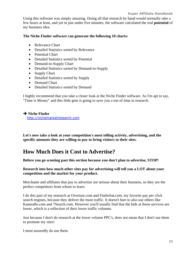Using this software was simply amazing. Doing all that research by hand would normally take a few hours at least, and yet in just under five minutes, the software calculated the real **potential** of my business idea.

#### **The Niche Finder software can generate the following 10 charts:**

- Relevance Chart
- Detailed Statistics sorted by Relevance
- Potential Chart
- Detailed Statistics sorted by Potential
- Demand-to-Supply Chart
- Detailed Statistics sorted by Demand-to-Supply
- Supply Chart
- Detailed Statistics sorted by Supply
- Demand Chart
- Detailed Statistics sorted by Demand

I highly recommend that you take a closer look at the Niche Finder software. As I'm apt to say, "Time is Money" and this little gem is going to save you a ton of time in research.

**→ Niche Finder** [http://nichemarketresearch.com](http://www.nichemarketresearch.com/nf.php?r=nf711875)

**Let's now take a look at your competition's most telling activity, advertising, and the specific amounts they are willing to pay to bring visitors to their sites.**

### **How Much Does it Cost to Advertise?**

**Before you go scooting past this section because you don't plan to advertise, STOP!** 

### **Research into how much other sites pay for advertising will tell you a LOT about your competition and the market for your product.**

Merchants and affiliates that pay to advertise are serious about their business, so they are the perfect competitors from whom to learn.

I do this part of my research at Overture.com and Findwhat.com, my favorite pay per click search engines, because they deliver the most traffic. It doesn't hurt to also use others like Kanoodle.com and 7Search.com. However you'll usually find that the bids at those services are lower, which is a reflection of their lower traffic volumes.

Just because I don't do research at the lower volume PPC's, does not mean that I don't use them to promote my sites!

I most assuredly do use them.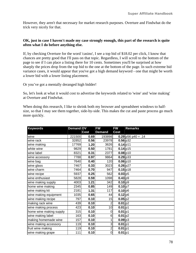However, they aren't that necessary for market research purposes. Overture and Findwhat do the trick very nicely for that.

### **OK, just in case I haven't made my case strongly enough, this part of the research is quite often what I do before anything else.**

If, by checking Overture for the word 'casino', I see a top bid of \$18.02 per click, I know that chances are pretty good that I'll pass on that topic. Regardless, I will scroll to the bottom of the page to see if I can place a listing there for 10 cents. Sometimes you'll be surprised at how sharply the prices drop from the top bid to the one at the bottom of the page. In such extreme bid variance cases, it would appear that you've got a high demand keyword - one that might be worth a lower bid with a lower listing placement.

Or you've got a mentally deranged high bidder!

So, let's look at what it would cost to advertise the keywords related to 'wine' and 'wine making' at Overture and Findwhat.

When doing this research, I like to shrink both my browser and spreadsheet windows to halfsize, so that I may see them together, side-by-side. This makes the cut and paste process go much more quickly.

| <b>Keywords</b>         | Demand OV | Cost | <b>FW</b><br><b>Demand</b> | <b>FW</b><br><b>Cost</b> | <b>Remarks</b>     |
|-------------------------|-----------|------|----------------------------|--------------------------|--------------------|
| wine                    | 221500    | 0.69 | 193898                     |                          | 0.29 p56 p40 = .14 |
| wine rack               | 32852     | 0.56 | 23978                      | 0.56 p32                 |                    |
| wine making             | 17769     | 1.20 | 3626                       | 0.14 p11                 |                    |
| white wine              | 9829      | 0.50 | 1781                       | 0.14 p15                 |                    |
| wine label              | 8321      | 0.31 | 2377                       | 0.08 p10                 |                    |
| wine accessory          | 7788      | 0.97 | 9864                       | $0.29$ p33               |                    |
| wine bag                | 7640      | 0.40 | 120                        | 0.06 p10                 |                    |
| wine glass              | 7467      | 0.33 | 3023                       | $0.26$ p27               |                    |
| wine charm              | 7464      | 0.70 | 947                        | 0.15 p18                 |                    |
| wine recipe             | 5937      | 0.25 | 562                        | 0.03 p5                  |                    |
| wine enthusiast         | 5828      | 0.59 | 1098                       | 0.43 p9                  |                    |
| wine making supply      | 4003      | 1.21 | 342                        | 0.10 p9                  |                    |
| home wine making        | 2345      | 0.85 | 149                        | 0.10 p7                  |                    |
| wine making kit         | 2181      | 1.31 | 117                        | 0.10 p6                  |                    |
|                         | 1035      | 0.65 | 44                         | 0.12 p6                  |                    |
| wine making equipment   | 797       | 0.10 |                            |                          |                    |
| wine making recipe      |           |      | 15                         | 0.05 p2                  |                    |
| making rack wine        | 439       | 0.10 | $\overline{2}$             | 0.01 p2                  |                    |
| wine making process     | 423       | 0.10 | 10                         | 0.01 p1                  |                    |
| home wine making supply | 315       | 0.10 | $\mathbf 0$                | 0.01 p1                  |                    |
| wine making label       | 163       | 0.10 | 6                          | 0.01 p2                  |                    |
| making homemade wine    | 157       | 0.10 | 1                          | 0.09 p3                  |                    |
| wine making accessory   | 119       | 0.10 | $\overline{3}$             | $\overline{0.01}$ p1     |                    |
| fruit wine making       | 119       | 0.10 | $\overline{2}$             | 0.01 p1                  |                    |
| wine making grape       | 111       | 0.10 | $\mathbf 0$                | 0.01 p1                  |                    |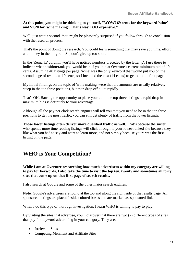### **At this point, you might be thinking to yourself, "WOW! 69 cents for the keyword 'wine' and \$1.20 for 'wine making'. That's way TOO expensive."**

Well, just wait a second. You might be pleasantly surprised if you follow through to conclusion with the research process.

That's the point of doing the research. You could learn something that may save you time, effort and money in the long run. So, don't give up too soon.

In the 'Remarks' column, you'll have noticed numbers preceded by the letter 'p'. I use these to indicate what position/rank you would be in if you bid at Overture's current minimum bid of 10 cents. Assuming 40 listings per page, 'wine' was the only keyword that would put you on the second page of results at 10 cents, so I included the cost (14 cents) to get onto the first page.

My initial findings on the topic of 'wine making' were that bid amounts are usually relatively steep in the top three positions, but then drop off quite rapidly.

That's OK. Barring the opportunity to place your ad in the top three listings, a rapid drop in maximum bids is definitely to your advantage.

Although all the pay per click search engines will tell you that you need to be in the top three positions to get the most traffic, you can still get plenty of traffic from the lower listings.

**Those lower listings often deliver more qualified traffic as well.** That's because the surfer who spends more time reading listings will click through to your lower-ranked site because they like what you had to say and want to learn more, and not simply because yours was the first listing on the page.

# **WHO is Your Competition?**

**While I am at Overture researching how much advertisers within my category are willing to pay for keywords, I also take the time to visit the top ten, twenty and sometimes all forty sites that come up on that first page of search results.** 

I also search at Google and some of the other major search engines.

**Note**: Google's advertisers are found at the top and along the right side of the results page. All sponsored listings are placed inside colored boxes and are marked as 'sponsored link'.

When I do this type of thorough investigation, I learn WHO is willing to pay to play.

By visiting the sites that advertise, you'll discover that there are two (2) different types of sites that pay for keyword advertising in your category. They are:

- Irrelevant Sites
- Competing Merchant and Affiliate Sites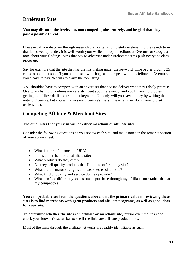### **Irrelevant Sites**

### **You may discount the irrelevant, non-competing sites entirely, and be glad that they don't pose a possible threat.**

However, if you discover through research that a site is completely irrelevant to the search term that it showed up under, it is well worth your while to drop the editors at Overture or Google a note about your findings. Sites that pay to advertise under irrelevant terms push everyone else's prices up.

Say for example that the site that has the first listing under the keyword 'wine bag' is bidding 25 cents to hold that spot. If you plan to sell wine bags and compete with this fellow on Overture, you'd have to pay 26 cents to claim the top listing.

You shouldn't have to compete with an advertiser that doesn't deliver what they falsely promise. Overture's listing guidelines are very stringent about relevancy, and you'll have no problem getting this fellow de-listed from that keyword. Not only will you save money by writing that note to Overture, but you will also save Overture's users time when they don't have to visit useless sites.

### **Competing Affiliate & Merchant Sites**

### **The other sites that you visit will be either merchant or affiliate sites.**

Consider the following questions as you review each site, and make notes in the remarks section of your spreadsheet.

- What is the site's name and URL?
- Is this a merchant or an affiliate site?
- What products do they offer?
- Do they sell quality products that I'd like to offer on my site?
- What are the major strengths and weaknesses of the site?
- What kind of quality and service do they provide?
- What can I do differently so customers purchase through my affiliate store rather than at my competitors?

**You can probably see from the questions above, that the primary value in reviewing these sites is to find merchants with great products and affiliate programs, as well as good ideas for your site.** 

**To determine whether the site is an affiliate or merchant site**, 'cursor over' the links and check your browser's status bar to see if the links are affiliate product links.

Most of the links through the affiliate networks are readily identifiable as such.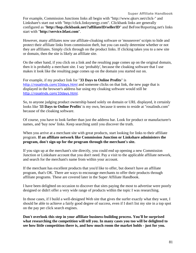For example, Commission Junctions links all begin with "http://www.qksrv.net/click-" and Linkshare's start out with "http://click.linksynergy.com". Clickbank links are generally configured as "**http://hop.clickbank.net/?affiliateID/sellerID**" and BeFree/Reporting.net's links start with "**http://service.bfast.com**".

However, many affiliates now use affiliate-cloaking software or 'mouseover' scripts to hide and protect their affiliate links from commission theft, but you can easily determine whether or not they are affiliates. Simply click through on the product links. If clicking takes you to a new site or domain, then the site is likely an affiliate site.

On the other hand, if you click on a link and the resulting page comes up on the original domain, then it is probably a merchant site. I say 'probably', because the cloaking software that I use makes it look like the resulting page comes up on the domain you started out on.

For example, if my product link for "**33 Days to Online Profits**" is <http://rosalinds.com/33days.html> and someone clicks on that link, the new page that is displayed in the browser's address bar using my cloaking software would still be <http://rosalinds.com/33days.html>.

So, to anyone judging product ownership based solely on domain or URL displayed, it certainly looks like '**33 Days to Online Profits**' is my own, because it seems to reside at "rosalinds.com" because of the cloaking software.

Of course, you have to look farther than just the address bar. Look for product or manufacturer's names, and 'buy now' links. Keep searching until you discover the truth.

When you arrive at a merchant site with great products, start looking for links to their affiliate program. **If an affiliate network like Commission Junction or Linkshare administers the program, don't sign up for the program through the merchant's site.**

If you sign up at the merchant's site directly, you could end up opening a new Commission Junction or Linkshare account that you don't need. Pay a visit to the applicable affiliate network, and search for the merchant's name from within your account.

If the merchant has excellent products that you'd like to offer, but doesn't have an affiliate program, that's OK. There are ways to encourage merchants to offer their products through affiliate programs. These are covered later in the Super Affiliate Handbook.

I have been delighted on occasion to discover that sites paying the most to advertise were poorly designed or didn't offer a very wide range of products within the topic I was researching.

In those cases, if I build a well-designed Web site that gives the surfer exactly what they want, I should be able to achieve a fairly good degree of success, even if I don't list my site in a top spot on the pay per click search engines.

**Don't overlook this step in your affiliate business-building process. You'll be surprised what researching the competition will tell you. In many cases you too will be delighted to see how little competition there is, and how much room the market holds - just for you.**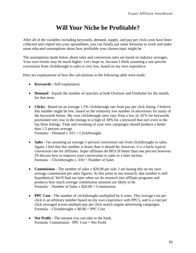# **Will Your Niche be Profitable?**

After all of the variables including keywords, demand, supply, and pay per click costs have been collected and copied into your spreadsheet, you can finally put some formulae to work and make some educated assumptions about how profitable your chosen topic might be.

The assumptions made below about sales and conversion rates are based on industry averages. Your own results may be much higher. Let's hope so, because I think assuming a one percent conversion from clickthrough to sales is very low, based on my own experience.

Here are explanations of how the calculations in the following table were made.

- **Keywords** Self-explanatory
- **Demand** Equals the number of searches at both Overture and Findwhat for the month, for that term.
- **Clicks** Based on an average 1.5% clickthrough rate from pay per click listing. I believe this number might be low, based on the relatively low number of advertisers for many of the keywords below. My own clickthrough rates vary from a low of .01% for keywords positioned very low in the listings to a high of 30% for a keyword that isn't even in the top three listings. Time and tweaking of your own campaigns should produce a better than 1.5 percent average.

Formula: - Demand x  $.015 =$ Clickthroughs

- Sales I'm assuming an average 1-percent conversion rate from clickthroughs to sales. Again, I feel that this number is lower than it should be, however, it is a fairly typical conversion rate for affiliates. Super affiliates do MUCH better than one percent however. I'll discuss how to improve your conversions to sales in a later section. Formula: - Clickthroughs x .010 = Number of Sales
- **Commission** The number of sales x \$20.00 per sale. I am basing this on my own average commission per sales figures. At this point in our research, that number is still hypothetical. We'll find out later when we do research into affiliate programs and products how much average commission amounts are likely to be. Formula: - Number of Sales x \$20.00 = Commission
- **PPC Cost** The number of clickthroughs multiplied by 6 cents. This average cost per click is an arbitrary number based on my own experience with PPC's, and is a cost per click averaged across multiple pay per click search engine advertising campaigns. Formula: - Clickthroughs x \$0.06 = PPC Cost
- **Net Profit** The amount you can take to the bank. Formula: Commission - PPC Cost = Net Profit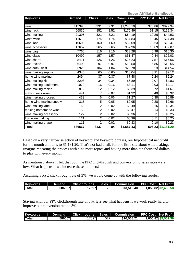**Super Affiliate Handbook**

| <b>Keywords</b>         | <b>Demand</b> | <b>Clicks</b>  | <b>Sales</b> | <b>Commissio</b>    | <b>PPC Cost</b> | <b>Net Profit</b>  |
|-------------------------|---------------|----------------|--------------|---------------------|-----------------|--------------------|
|                         |               |                |              | n                   |                 |                    |
| wine                    | 415398        | 6231           | 62.31        | \$1,246.19          | 373.86          | \$872.34           |
| wine rack               | 56830         | 852            | 8.52         | \$170.49            | 51.15           | \$119.34           |
| wine making             | 21395         | 321            | 3.21         | \$64.19             | 19.26           | \$44.93            |
| white wine              | 11610         | 174            | 1.74         | \$34.83             | 10.45           | \$24.38            |
| wine label              | 10698         | 160            | 1.60         | \$32.09             | 9.63            | \$22.47            |
| wine accessory          | 17652         | 265            | 2.65         | \$52.96             | 15.89           | \$37.07            |
| wine bag                | 7760          | 116            | 1.16         | \$23.28             | 6.98            | \$16.30            |
| wine glass              | 10490         | 157            | 1.57         | \$31.47             | 9.44            | \$22.03            |
| wine charm              | 8411          | 126            | 1.26         | $\overline{$}25.23$ | 7.57            | \$17.66            |
| wine recipe             | 6499          | 97             | 0.97         | \$19.50             | 5.85            | \$13.65            |
| wine enthusiast         | 6926          | 104            | 1.04         | \$20.78             | 6.23            | \$14.54            |
| wine making supply      | 4345          | 65             | 0.65         | \$13.04             | 3.91            | \$9.12             |
| home wine making        | 2494          | 37             | 0.37         | \$7.48              | 2.24            | $\overline{$}5.24$ |
| wine making kit         | 2298          | 34             | 0.34         | \$6.89              | 2.07            | \$4.83             |
| wine making equipment   | 1079          | 16             | 0.16         | \$3.11              | 0.93            | \$2.17             |
| wine making recipe      | 812           | 12             | 0.12         | \$2.39              | 0.72            | \$1.67             |
| making rack wine        | 441           | $\overline{7}$ | 0.07         | \$1.32              | 0.40            | \$0.92             |
| wine making process     | 433           | 6              | 0.06         | \$1.27              | 0.38            | \$0.89             |
| home wine making supply | 315           | 5              | 0.05         | \$0.95              | 0.28            | \$0.66             |
| wine making label       | 169           | $\overline{c}$ | 0.02         | \$0.49              | 0.15            | \$0.34             |
| making homemade wine    | 158           | $\overline{2}$ | 0.02         | \$0.47              | 0.14            | \$0.33             |
| wine making accessory   | 122           | $\overline{c}$ | 0.02         | \$0.36              | 0.11            | \$0.25             |
| fruit wine making       | 121           | $\overline{c}$ | 0.02         | \$0.36              | 0.11            | \$0.25             |
| wine making grape       | 111           | $\overline{2}$ | 0.02         | \$0.33              | 0.10            | \$0.23             |
| <b>Total</b>            | 586567        | 8437           | 84           | \$1,687.43          |                 | 506.23 \$1,181.20  |

Based on a very narrow selection of keyword and keyword phrases, our hypothetical net profit for the month amounts to \$1,181.20. That's not bad at all, for one little site about wine making. Imagine repeating the process with nine more topics and having more than ten thousand dollars to play with every month.

As mentioned above, I felt that both the PPC clickthrough and conversion to sales rates were low. What happens if we increase these numbers?

Assuming a PPC clickthrough rate of 3%, we would come up with the following results:

| <b>Keywords</b> |        |       |     | Demand Clickthroughs Sales Commission PPC Cost Net Profit |                     |
|-----------------|--------|-------|-----|-----------------------------------------------------------|---------------------|
| <b>Total</b>    | 586567 | 17597 | 175 | \$3.519.40                                                | 1,055.82 \$2,463.58 |

Staying with our PPC clickthrough rate of 3%, let's see what happens if we work really hard to improve our conversion rate to 3%.

| <b>Keywords</b> |        |        |     | Demand Clickthroughs Sales Commission PPC Cost Net Profit |                     |
|-----------------|--------|--------|-----|-----------------------------------------------------------|---------------------|
| <b>Total</b>    | 586567 | 175971 | 527 | \$10,558.21                                               | 1,055.82 \$9,502.39 |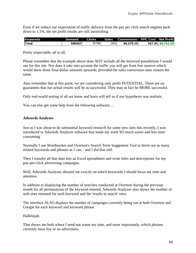Even if we reduce our expectation of traffic delivery from the pay per click search engines back down to 1.5%, the net profit results are still astonishing.

| <b>Keywords</b>      |        |       |     | Demand Clicks Sales Commission PPC Cost Net Profit |                   |
|----------------------|--------|-------|-----|----------------------------------------------------|-------------------|
| $\blacksquare$ Total | 586567 | 87991 | 263 | \$5,279.10                                         | 527.91 \$4,751.19 |

Pretty respectable, all in all.

Please remember that the example above does NOT include all the keyword possibilities I would use for this site. Nor does it take into account the traffic you will get from free sources which would skew those final dollar amounts upwards, provided the sales conversion rates remain the same.

Also remember that at this point, we are considering only profit POTENTIAL. There are no guarantees that our actual results will be as successful. They may in fact be MORE successful.

Only real-world testing of all we know and learn will tell us if our hypothesis was realistic.

You can also get some help from the following software...

#### **Adwords Analyzer**

Just as I was about to do substantial keyword research for some new sites this recently, I was introduced to Adwords Analyzer software that made my work SO much easier and less timeconsuming.

Normally I use Wordtracker and Overture's Search Term Suggestion Tool to ferret out as many related keywords and phrases as I can... and I did that still.

Then I transfer all that data into an Excel spreadsheet and write titles and descriptions for my pay-per-click advertising campaigns.

Well, Adwords Analyzer showed me exactly on which keywords I should focus my time and attention.

In addition to displaying the number of searches conducted at Overture during the previous month for all permutations of the keyword entered, Adwords Analyzer also shows the number of web sites returned for each keyword and the 'results to search' ratio.

The interface ALSO displays the number of campaigns currently being run at both Overture and Google for each keyword and keyword phrase.

Hallelujah.

That shows me both where I need not waste my time, and more importantly, which phrases currently have few or no advertisers.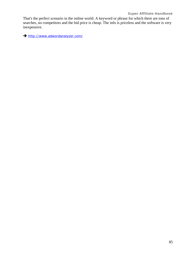That's the perfect scenario in the online world. A keyword or phrase for which there are tons of searches, no competitors and the bid price is cheap. The info is priceless and the software is very inexpensive.

Î [http://www.adwordanalyzer.com/](http://www.xybercode.com/ezGaffurl.php?offer=webvista2&pid=1)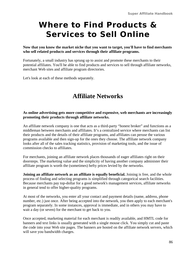# **Where to Find Products & Services to Sell Online**

### **Now that you know the market niche that you want to target, you'll have to find merchants who sell related products and services through their affiliate programs.**

Fortunately, a small industry has sprung up to assist and promote these merchants to their potential affiliates. You'll be able to find products and services to sell through affiliate networks, merchant Web sites and affiliate program directories.

Let's look at each of these methods separately.

# **Affiliate Networks**

### **As online advertising gets more competitive and expensive, web merchants are increasingly promoting their products through affiliate networks.**

An affiliate network company is one that acts as a third-party "honest broker" and functions as a middleman between merchants and affiliates. It's a centralized service where merchants can list their products and the details of their affiliate programs, and affiliates can peruse the various programs available and then sign-up for the ones they choose. The affiliate network company looks after all of the sales tracking statistics, provision of marketing tools, and the issue of commission checks to affiliates.

For merchants, joining an affiliate network places thousands of eager affiliates right on their doorsteps. The marketing value and the simplicity of having another company administer their affiliate program is worth the (sometimes) hefty prices levied by the networks.

**Joining an affiliate network as an affiliate is equally beneficial.** Joining is free, and the whole process of finding and selecting programs is simplified through categorical search facilities. Because merchants pay top-dollar for a good network's management services, affiliate networks in general tend to offer higher-quality programs.

At most of the networks, you enter all your contact and payment details (name, address, phone number, etc.) just once. After being accepted into the network, you then apply to each merchant's program separately. In some instances, approval is immediate, and in others you may have to wait a day (or seven) for the merchant to get back to you.

Once accepted, marketing material for each merchant is readily available, and HMTL code for banners and text links is usually generated with a single mouse click. You simply cut and paste the code into your Web site pages. The banners are hosted on the affiliate network servers, which will save you bandwidth charges.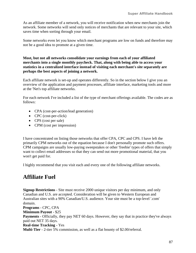As an affiliate member of a network, you will receive notification when new merchants join the network. Some networks will send only notices of merchants that are relevant to your site, which saves time when sorting through your email.

Some networks even let you know which merchant programs are low on funds and therefore may not be a good idea to promote at a given time.

### **Most, but not all networks consolidate your earnings from each of your affiliated merchants into a single monthly paycheck. That, along with being able to access your statistics in a centralized interface instead of visiting each merchant's site separately are perhaps the best aspects of joining a network.**

Each affiliate network is set-up and operates differently. So in the section below I give you an overview of the application and payment processes, affiliate interface, marketing tools and more at the 'Net's top affiliate networks.

For each network I've included a list of the type of merchant offerings available. The codes are as follows:

- CPA (cost-per-action/lead generation)
- CPC (cost-per-click)
- CPS (cost per sale)
- CPM (cost per impression)

I have concentrated on listing those networks that offer CPA, CPC and CPS. I have left the primarily CPM networks out of the equation because I don't personally promote such offers. CPM campaigns are usually low-paying sweepstakes or other 'freebie' types of offers that simply want to collect email addresses so that they can send out more promotional material, that you won't get paid for.

I highly recommend that you visit each and every one of the following affiliate networks.

# **Affiliate Fuel**

**Signup Restrictions** - Site must receive 2000 unique visitors per day minimum, and only Canadian and U.S. are accepted. Consideration will be given to Western European and Australian sites with a 90% Canadian/U.S. audience. Your site must be a top-level '.com' domain.

**Programs** - CPC, CPA **Minimum Payout** - \$25 **Payments** - Officially, they pay NET 60 days. However, they say that in practice they've always paid out NET 35 days. **Real-time Tracking** - Yes **Multi-Tier** - 2-tier 5% commission, as well as a flat bounty of \$2.00/referral.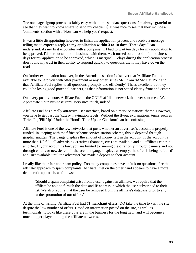The one page signup process is fairly easy with all the standard questions. I'm always grateful to see that they want to know where to send my checks!  $\odot$  It was nice to see that they include a 'comments' section with a 'How can we help you?' request.

It was a little disappointing however to finish the application process and receive a message telling me to **expect a reply to my application within 3 to 10 days**. Three days I can understand. As my first encounter with a company, if I had to wait ten days for my application to be approved, I'd be reluctant to do business with them. As it turned out, it took 4 full business days for my application to be approved, which is marginal. Delays during the application process don't build my trust in their ability to respond quickly to questions that I may have down the road.

On further examination however, in the 'Attendant' section I discover that 'Affiliate Fuel is available to help you with offer placement or any other issues M-F from 8AM-5PM PST' and that 'Affiliate Fuel replies to all questions promptly and efficiently'. That's excellent, but they could be losing good potential partners, as that information is not stated clearly front and center.

On a very positive note, Affiliate Fuel is the ONLY affiliate network that ever sent me a 'We Appreciate Your Business' card. Very nice touch, indeed!

Affiliate Fuel has a really attractive user interface, based on a "service station" theme. However, you have to get past the 'cutesy' navigation labels. Without the flyout explanations, terms such as 'Drive In', 'Fill Up', 'Under the Hood', 'Tune Up' or 'Checkout' can be confusing.

Affiliate Fuel is one of the few networks that posts whether an advertiser's account is properly funded. In keeping with the fifties scheme service station scheme, this is depicted through graphic 'gauges'. The gauge displays the amount of money left in the account. If the account is more than  $1/2$  full, all advertising creatives (banners, etc.) are available and all affiliates can run an offer. If your account is low, you are limited to running the offer only through banners and not through emails or newsletters. If the account gauge displays as empty, the offer is being 'refueled' and isn't available until the advertiser has made a deposit to their account.

I really like their fair anti-spam policy. Too many companies have an 'ask no questions, fire the affiliate' approach to spam complaints. Affiliate Fuel on the other hand appears to have a more democratic approach, as follows:

"Should a spam complaint arise from a user against an affiliate, we require that the affiliate be able to furnish the date and IP address in which the user subscribed to their list. We also require that the user be removed from the affiliate's database prior to any further promotion of our offers."

At the time of writing, Affiliate Fuel had **71 merchant offers**. DO take the time to visit the site despite the low number of offers. Based on information posted on the site, as well as testimonials, it looks like these guys are in the business for the long haul, and will become a much bigger player among the affiliate networks.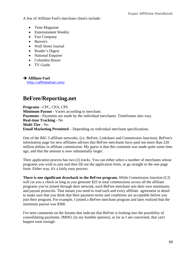A few of Affiliate Fuel's merchant client's include:

- Time Magazine
- Entertainment Weekly
- Fast Company
- Barron's
- Wall Street Journal
- Reader's Digest
- National Enquirer
- Columbia House
- TV Guide

**→ Affiliate Fuel** [http://affiliatefuel.com/](http://www.affiliatefuel.com/cgi-bin/welcome?webvista)

## **BeFree/Reporting.net**

**Programs** - CPC, CPA, CPS **Minimum Payout** - Varies according to merchant. **Payments** - Payments are made by the individual merchants. Timeframes also vary. **Real-time Tracking** - No **Multi-Tier** - No **Email Marketing Permitted** – Depending on individual merchant specifications.

One of the BIG 3 affiliate networks, (i.e. BeFree, Linkshare and Commission Junction), BeFree's information page for new affiliates advises that BeFree merchants have paid out more than 220 million dollars in affiliate commission. My guess is that this comment was made quite some time ago, and that the amount is now substantially larger.

Their application process has two (2) tracks. You can either select a number of merchants whose programs you wish to join and then fill out the application form, or go straight to the one-page form. Either way, it's a fairly easy process.

**There is one significant drawback to the BeFree program.** While Commission Junction (CJ) will cut you a check as long as you generate \$25 in total commissions across all the affiliate programs you've joined through their network, each BeFree merchant sets their own minimums and payout protocols. That means you need to read each and every affiliate agreement in detail to make sure that you think that their payment terms and conditions are acceptable before you join their program. For example, I joined a BeFree merchant program and later realized that the minimum payout was \$300.

I've seen comments on the forums that indicate that BeFree is looking into the possibility of consolidating payments. IMHO, (in my humble opinion), as far as I am concerned, that can't happen soon enough.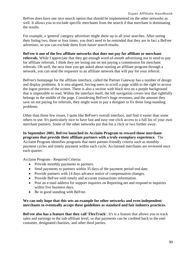BeFree does have one nice search option that should be implemented on the other networks as well. It allows you to exclude specific merchants from the search if that merchant is dominating the results.

For example, a 'general' category advertiser might show up in all your searches. After seeing their listing two, three or four times, you don't need to be reminded that they are in fact a BeFree advertiser, so you can exclude them from future search results.

#### **BeFree is one of the few affiliate networks that does not pay for affiliate or merchant**

**referrals.** While I appreciate that they get enough word-of-mouth advertising not to need to pay for affiliate referrals, I think they are losing out on not paying a commission for merchant referrals. Oh well, the next time you get asked about starting an affiliate program through a network, you can send the requestor to an affiliate network that will pay for your referral.

BeFree's homepage for the affiliate interface, called the Partner Gateway has a number of design and display problems. It is mis-aligned, forcing users to scroll a page width to the right to access the logon portion of the screen. There is also a section with black text on a purple background that is impossible to read. Within the interface itself, the left navigation covers text that rightfully belongs in the middle of the page. Considering BeFree's huge revenues, and the amount they save on not paying for referrals, they might want to pay a designer to fix those long-standing problems.

Other than those few issues, I quite like BeFree's overall interface, and find it easier than some others to use. It's particularly nice to have fast and easy one-click access to a full list of your own merchant partners. Some of the other networks put that list a click or two further away.

**In September 2001, BeFree launched its Acclaim Program to reward those merchant programs that provide their affiliate partners with a truly exemplary experience.** The Acclaim Program identifies programs that meet partner-friendly criteria such as monthly payment cycles and timely payment within each cycle. Acclaimed merchants are reviewed once each quarter.

Acclaim Program - Required Criteria:

- Provide monthly payments to partners.
- Send payments to partners within 35 days of the payment period end date.
- Provide partners with 14 days advance notice of compensation changes.
- Provide BeFree with timely and accurate transactions information.
- Post an e-mail address for support inquiries on Reporting.net and respond to inquiries within five business days.
- Be in good standing with BeFree.

### **We can only hope that this sets an example for other networks and even independent merchants to eventually accept these guidelines as standard and fair industry practices.**

**BeFree also has a feature that they call 'FlexTrack'.** It's is a feature that allows you to track sales and earnings to the sub-affiliate level, so that payments can be credited back to the endcustomer, designated charities, and other third parties.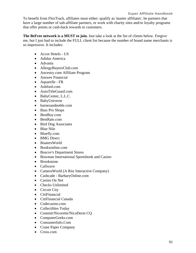To benefit from FlexTrack, affiliates must either: qualify as 'master affiliates', be partners that have a large number of sub-affiliate partners, or work with charity sites and/or loyalty programs that offer points or cash-back rewards to customers.

**The BeFree network is a MUST to join.** Just take a look at the list of clients below. Forgive me, but I just had to include the FULL client list because the number of brand name merchants is so impressive. It includes:

- Accor Hotels US
- Adidas America
- Advanta
- AllergyBuyersClub.com
- Ancestry.com Affiliate Program
- Answer Financial
- Aquarelle FR
- Ashford.com
- AutoTitleGuard.com
- BabyCenter, L.L.C.
- BabyUniverse
- barnesandnoble.com
- Bass Pro Shops
- BestBuy.com
- BestRate.com
- Bird Dog Associates
- Blue Nile
- Bluefly.com
- BMG Direct
- BoatersWorld
- Booksonline.com
- Boscov's Department Stores
- Bowman International Sportsbook and Casino
- Brookstone
- Callwave
- CameraWorld (A Ritz Interactive Company)
- Cashcade BarbaryOnline.com
- Casino On Net
- Checks Unlimited
- Circuit City
- CitiFinancial
- CitiFinancial Canada
- Codecasino.com
- Collectibles Today
- Commit/Nicorette/NicoDerm CQ
- ComputerGeeks.com
- ConsumerInfo.Com
- Crane Paper Company
- Cross.com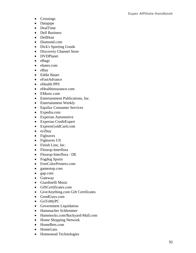- Crossings
- Datapipe
- DealTime
- Dell Business
- DellHost
- Diamond.com
- Dick's Sporting Goods
- Discovery Channel Store
- DVDPlanet
- eBags
- ebates.com
- eBay
- Eddie Bauer
- eFastAdvance
- eHealth PPS
- eHealthinsurance.com
- EMusic.com
- Entertainment Publications, Inc.
- Entertainment Weekly
- Equifax Consumer Services
- Expedia.com
- Experian Automotive
- Experian CreditExpert
- ExpressGoldCard.com
- ez2buy
- Figleaves
- Figleaves US
- Finish Line, Inc.
- Fleurop-Interflora
- Fleurop-Interflora DE
- Fogdog Sports
- FreeColorPrinters.com
- gamestop.com
- gap.com
- Gateway
- Giardinelli Music
- GiftCertificates.com
- GiveAnything.com Gift Certificates
- GoodGuys.com
- GoToMyPC
- Government Liquidation
- Hammacher Schlemmer
- Hammocks.com/Backyard-Mall.com
- Home Shopping Network
- HomeBets.com
- HomeGain
- Homestead Technologies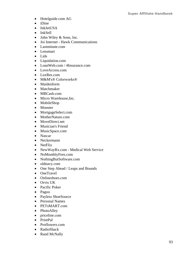- Hotelguide.com AG
- iDine
- InkJetUSA
- InkSell
- John Wiley & Sons, Inc.
- Joi Internet Hawk Communications
- Lastminute.com
- Lensmart
- Lids
- Liquidation.com
- LoanWeb.com / 4Insurance.com
- LoveAccess.com
- LuxRes.com
- M&M's® Colorworks®
- Maidenform
- Matchmaker
- MBCash.com
- Micro Warehouse, Inc.
- MobileShop
- Monster
- MortgageSelect.com
- MotherNature.com
- MoveDirect.net
- Musician's Friend
- MusicSpace.com
- Nascar
- Neckermann
- NetFlix
- NewWayRx.com Medical Web Service
- NoMonthlyFees.com
- NothingButSoftware.com
- oldnavy.com
- One Step Ahead / Leaps and Bounds
- OneTravel
- Onlineshoes.com
- Orvis UK
- Pacific Poker
- Pagoo
- Payless ShoeSource
- Personal Names
- PETsMART.com
- PhotoAlley
- priceline.com
- PrintPal
- Proflowers.com
- RadioShack
- Rand McNally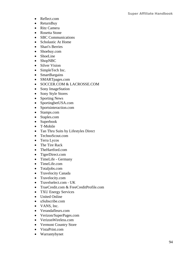- Reflect.com
- ReturnBuy
- Ritz Camera
- Rosetta Stone
- SBC Communications
- Scholastic At Home
- Shari's Berries
- Shoebuy.com
- ShoeLine
- ShopNBC
- Silver Vision
- SimpleTech Inc.
- SmartBargains
- SMARTpages.com
- SOCCER.COM & LACROSSE.COM
- Sony ImageStation
- Sony Style Stores
- Sporting News
- SportingbetUSA.com
- Sportsinteraction.com
- Stamps.com
- Staples.com
- Superbook
- T-Mobile
- Tan Thru Suits by Lifestyles Direct
- TechnoScout.com
- Terra Lycos
- The Tire Rack
- TheHartford.com
- TigerDirect.com
- TimeLife Germany
- TimeLife.com
- Totaljobs.com
- Travelocity Canada
- Travelocity.com
- Travelselect.com UK
- TrueCredit.com & FreeCreditProfile.com
- TXU Energy Services
- United Online
- uSubscribe.com
- VANS, Inc.
- Verandafleurs.com
- Verizon/SuperPages.com
- VerizonWireless.com
- Vermont Country Store
- VistaPrint.com
- Warrantybynet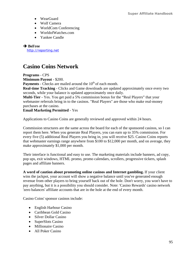- WearGuard
- Wolf Camera
- WorldCom Conferencing
- WorldofWatches.com
- Yankee Candle

**→ BeFree** 

[http://reporting.net](http://reporting.net/)

### **Casino Coins Network**

**Programs** - CPS

**Minimum Payout** - \$200.

**Payments** - Checks are mailed around the 10<sup>th</sup> of each month.

**Real-time Tracking** - Clicks and Game downloads are updated approximately once every two seconds, while your balance is updated approximately once daily.

**Multi-Tier** - Yes. You get paid a 5% commission bonus for the "Real Players" that your webmaster referrals bring in to the casinos. "Real Players" are those who make real-money purchases at the casino.

**Email Marketing Permitted** - Yes

Applications to Casino Coins are generally reviewed and approved within 24 hours.

Commission structures are the same across the board for each of the sponsored casinos, so I can report them here. When you generate Real Players, you can earn up to 35% commission. For every five (5) additional Real Players you bring in, you will receive \$25. Casino Coins reports that webmaster earnings range anywhere from \$100 to \$12,000 per month, and on average, they make approximately \$1,000 per month.

Their interface is functional and easy to use. The marketing materials include banners, ad copy, pop ups, exit windows, HTML promo, promo calendars, scrollers, progressive tickers, splash pages and affiliate banners.

**A word of caution about promoting online casinos and Internet gambling.** If your client wins the jackpot, your account will show a negative balance until you've generated enough revenue from other players to bring yourself back out of the hole. Don't worry, you won't have to pay anything, but it is a possibility you should consider. Note: 'Casino Rewards' casino network 'zero balances' affiliate accounts that are in the hole at the end of every month.

Casino Coins' sponsor casinos include:

- English Harbour Casino
- Caribbean Gold Casino
- Silver Dollar Casino
- SuperSlots Casino
- Millionaire Casino
- All Poker Casino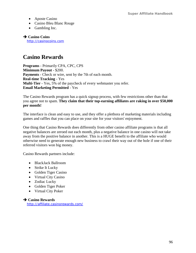- Aposte Casino
- Casino Bleu Blanc Rouge
- Gambling Inc.

**→ Casino Coins** [http://casinocoins.com](http://www.casinocoins.com/webform.html?ID=winners)

## **Casino Rewards**

**Programs** - Primarily CPA, CPC, CPS **Minimum Payout** - \$200. **Payments** - Check or wire, sent by the 7th of each month. **Real-time Tracking** - Yes **Multi-Tier** - Yes, 5% of the paycheck of every webmaster you refer. **Email Marketing Permitted** - Yes

The Casino Rewards program has a quick signup process, with few restrictions other than that you agree not to spam. **They claim that their top-earning affiliates are raking in over \$50,000 per month!** 

The interface is clean and easy to use, and they offer a plethora of marketing materials including games and raffles that you can place on your site for your visitors' enjoyment.

One thing that Casino Rewards does differently from other casino affiliate programs is that all negative balances are zeroed out each month, plus a negative balance in one casino will not take away from the positive balance in another. This is a HUGE benefit to the affiliate who would otherwise need to generate enough new business to crawl their way out of the hole if one of their referred visitors won big money.

Casino Rewards partners include:

- BlackJack Ballroom
- Strike It Lucky
- Golden Tiger Casino
- Virtual City Casino
- Zodiac Lucky
- Golden Tiger Poker
- Virtual City Poker

**→ Casino Rewards** [http://affiliate.casinorewards.com/](http://affiliate.casinorewards.com/referral.asp?aff_id=aff10070)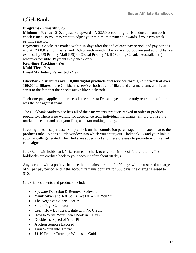# **ClickBank**

**Programs** - Primarily CPS **Minimum Payout** - \$10, adjustable upwards. A \$2.50 accounting fee is deducted from each check issued, so you may want to adjust your minimum payment upwards if your two-week earnings are low. **Payments** - Checks are mailed within 15 days after the end of each pay period, and pay periods end at 12:00:01am on the 1st and 16th of each month. Checks over \$5,000 are sent at Clickbank's expense by US Priority Mail (US) or Global Priority Mail (Europe, Canada, Australia, etc) wherever possible. Payment is by check only. **Real-time Tracking** - Yes **Multi-Tier** - Yes **Email Marketing Permitted** - Yes

**ClickBank distributes over 10,000 digital products and services through a network of over 100,000 affiliates.** I use Clickbank's services both as an affiliate and as a merchant, and I can attest to the fact that the checks arrive like clockwork.

Their one-page application process is the shortest I've seen yet and the only restriction of note was the one against spam.

The Clickbank Marketplace lists all of their merchants' products ranked in order of product popularity. There is no waiting for acceptance from individual merchants. Simply browse the marketplace, get and post your link, and start making money.

Creating links is super-easy. Simply click on the commission percentage link located next to the product's title, up pops a little window into which you enter your Clickbank ID and your link is automatically generated. Their links are super short and therefore easy to promote within email campaigns.

ClickBank withholds back 10% from each check to cover their risk of future returns. The holdbacks are credited back to your account after about 90 days.

Any account with a positive balance that remains dormant for 90 days will be assessed a charge of \$1 per pay period, and if the account remains dormant for 365 days, the charge is raised to \$10.

ClickBank's clients and products include:

- Spyware Detection & Removal Software
- Yanik Silver and Jeff Ball's 'Get Fit While You Sit'
- The Negative Calorie Diet<sup>TM</sup>
- Smart Page Generator
- Learn How Buy Real Estate with No Credit
- How to Write Your Own eBook in 7 Days
- Double the Speed of Your PC
- Auction Sources Exposed
- Turn Words into Traffic
- \$1.10 Printer Cartridge Wholesale Guide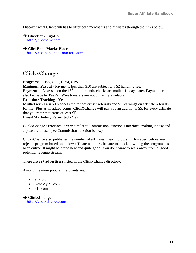Discover what Clickbank has to offer both merchants and affiliates through the links below.

**→ ClickBank SignUp** [http://clickbank.com](http://zzz.clickbank.net/r/?webvista2)

 $\rightarrow$  **ClickBank MarketPlace** [http://clickbank.com/marketplace/](http://clickbank.com/marketplace/?r=webvista2)

# **ClickxChange**

**Programs** - CPA, CPC, CPM, CPS

**Minimum Payout** - Payments less than \$50 are subject to a \$2 handling fee. **Payments** - Assessed on the 15<sup>th</sup> of the month, checks are mailed 14 days later. Payments can also be made by PayPal. Wire transfers are not currently available.

#### **Real-time Tracking** - Yes

**Multi-Tier** - Earn 50% access fee for advertiser referrals and 5% earnings on affiliate referrals for life! Plus as an added bonus, ClickXChange will pay you an additional \$5. for every affiliate that you refer that earns at least \$5.

### **Email Marketing Permitted** - Yes

ClickxChange's interface is very similar to Commission Junction's interface, making it easy and a pleasure to use. (see Commission Junction below).

ClickxChange also publishes the number of affiliates in each program. However, before you reject a program based on its low affiliate numbers, be sure to check how long the program has been online. It might be brand new and quite good. You don't want to walk away from a good potential revenue stream.

There are **227 advertisers** listed in the ClickxChange directory.

Among the more popular merchants are:

- eFax.com
- GotoMyPC.com
- $\bullet$  x10.com

**→ ClickxChange** [http://clickxchange.com](http://www.clickxchange.com/fr.phtml?act=664546.3)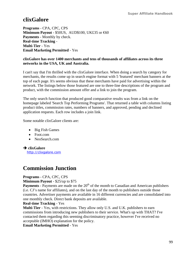## **clixGalore**

**Programs** - CPA, CPC, CPS **Minimum Payout** - \$50US, AUD\$100, UK£35 or €60 **Payments** - Monthly by check. **Real-time Tracking** - **Multi-Tier** - Yes **Email Marketing Permitted** - Yes

### **clixGalore has over 1400 merchants and tens of thousands of affiliates across its three networks in the USA, UK and Australia.**

I can't say that I'm thrilled with the clixGalore interface. When doing a search by category for merchants, the results come up in search engine format with 5 'featured' merchant banners at the top of each page. It's seems obvious that these merchants have paid for advertising within the network. The listings below those featured are one to three-line descriptions of the program and product, with the commission amount offer and a link to join the program.

The only search function that produced good comparative results was from a link on the homepage labeled 'Search Top Performing Programs'. That returned a table with columns listing product titles, commission rates, numbers of banners, and approved, pending and declined application requests. Each row includes a join link.

Some notable clixGalore clients are:

- Big Fish Games
- Foot.com
- NeoSearch.com

**→ clixGalore** [http://clixgalore.com](http://www.clixgalore.com/AffSelectProgram.asp?AdvProgID=26)

## **Commission Junction**

### **Programs** - CPA, CPC, CPS

#### **Minimum Payout** - \$25/up to \$75

**Payments** - Payments are made on the 20<sup>th</sup> of the month to Canadian and American publishers (i.e. CJ's name for affiliates), and on the last day of the month to publishers outside those countries. Advertiser payments are available in 16 different currencies and are consolidated into one monthly check. Direct bank deposits are available.

#### **Real-time Tracking** - Yes

**Multi-Tier** - Yes, with restrictions. They allow only U.S. and U.K. publishers to earn commissions from introducing new publishers to their service. What's up with THAT? I've contacted them regarding this seeming discriminatory practice, however I've received no acceptable (IMHO) explanation for the policy.

**Email Marketing Permitted** - Yes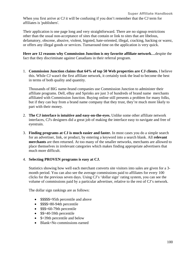When you first arrive at CJ it will be confusing if you don't remember that the CJ term for affiliates is 'publishers'.

Their application is one page long and very straightforward. There are no signup restrictions other than the usual non-acceptance of sites that contain or link to sites that are libelous, defamatory, obscene, abusive, violent, bigoted, hate-oriented, illegal, cracking, hacking or warez, or offers any illegal goods or services. Turnaround time on the application is very quick.

**Here are 12 reasons why Commission Junction is my favorite affiliate network…**despite the fact that they discriminate against Canadians in their referral program.

1. **Commission Junction claims that 64% of top 50 Web properties are CJ clients.** I believe this. While CJ wasn't the first affiliate network, it certainly took the lead to become the best in terms of both quality and quantity.

Thousands of BIG name-brand companies use Commission Junction to administer their affiliate programs. Dell, eBay and Sprinks are just 3 of hundreds of brand name merchants affiliated with Commission Junction. Buying online still presents a problem for many folks, but if they can buy from a brand name company that they trust, they're much more likely to part with their money.

- 2. **The CJ interface is intuitive and easy-on-the-eyes.** Unlike some other affiliate network interfaces, CJ's designers did a great job of making the interface easy to navigate and free of eyestrain.
- 3. **Finding programs at CJ is much easier and faster.** In most cases you do a simple search for an advertiser, link, or product, by entering a keyword into a search blank. All **relevant merchants** are then returned. At too many of the smaller networks, merchants are allowed to place themselves in irrelevant categories which makes finding appropriate advertisers that much more difficult.

#### 4. **Selecting PROVEN programs is easy at CJ.**

Statistics showing how well each merchant converts site visitors into sales are given for a 3 month period. You can also see the average commissions paid to affiliates for every 100 clicks for the previous seven days. Using CJ's 'dollar sign' rating system, you can see the volume of commissions paid by a particular advertiser, relative to the rest of CJ's network.

The dollar sign rankings are as follows:

- \$\$\$\$\$=95th percentile and above
- \$\$\$\$=80-94th percentile
- \$\$\$=60-79th percentile
- \$\$=40-59th percentile
- \$=39th percentile and below
- Blank=No commissions earned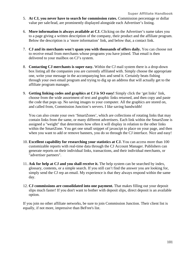- 5. **At CJ, you never have to search for commission rates.** Commission percentage or dollar value per sale/lead, are prominently displayed alongside each Advertiser's listing.
- 6. **More information is always available at CJ.** Clicking on the Advertiser's name takes you to a page giving a written description of the company, their product and the affiliate program. Below the description is a 'more information' link, and below that, a contact link.
- 7. **CJ and its merchants won't spam you with thousands of offers daily.** You can choose not to receive email from merchants whose programs you have joined. That email is then delivered to your mailbox on CJ's system.
- 8. **Contacting CJ merchants is super easy.** Within the CJ mail system there is a drop-down box listing all the companies you are currently affiliated with. Simply choose the appropriate one, write your message in the accompanying box and send it. Certainly beats fishing through your own email program and trying to dig up an address that will actually get to the affiliate program manager.
- 9. **Getting linking codes and graphics at CJ is SO easy!** Simply click the 'get links' link, choose from the wide assortment of text and graphic links returned, and then copy and paste the code that pops up. No saving images to your computer. All the graphics are stored on, and called from, Commission Junction's servers. I like saving bandwidth!

You can also create your own 'SmartZones', which are collections of rotating links that may contain links from the same, or many different advertisers. Each link within the SmartZone is assigned a "weight" that determines how often it will display in relation to the other links within the SmartZone. You get one small snippet of javascipt to place on your page, and then when you want to add or remove banners, you do so through the CJ interface. Nice and easy!

- 10. **Excellent capability for researching your statistics at CJ.** You can access more than 100 customizable reports with real-time data through the CJ Account Manager. Publishers can generate reports on their individual links, transactions, and their individual merchants, or "advertiser partners".
- 11. **Ask for help at CJ and you shall receive it.** The help system can be searched by index, glossary, contents, or a simple search. If you still can't find the answer you are looking for, simply send the CJ rep an email. My experience is that they always respond within the same day.
- 12. **CJ commissions are consolidated into one payment.** That makes filling out your deposit slips much faster! If you don't want to bother with deposit slips, direct deposit is an available option.

If you join no other affiliate networks, be sure to join Commission Junction. Their client list is equally, if not more, impressive than BeFree's list.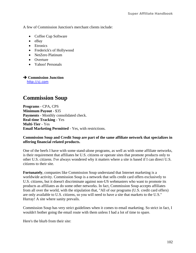A few of Commission Junction's merchant clients include:

- Coffee Cup Software
- eBay
- Etronics
- Frederick's of Hollywood
- NetZero Platinum
- Overture
- Yahoo! Personals

 $→$  **Commission Junction** [http://cj.com](http://www.qksrv.net/click-211898-7282777)

## **Commission Soup**

**Programs** - CPA, CPS **Minimum Payout** - \$35 **Payments** - Monthly consolidated check. **Real-time Tracking** - Yes **Multi-Tier** - Yes **Email Marketing Permitted** - Yes, with restrictions.

### **Commission Soup and Credit Soup are part of the same affiliate network that specializes in offering financial related products.**

One of the beefs I have with some stand-alone programs, as well as with some affiliate networks, is their requirement that affiliates be U.S. citizens or operate sites that promote products only to other U.S. citizens. I've always wondered why it matters where a site is based if I can direct U.S. citizens to their site.

**Fortunately**, companies like Commission Soup understand that Internet marketing is a worldwide activity. Commission Soup is a network that sells credit card offers exclusively to U.S. citizens, but it doesn't discriminate against non-US webmasters who want to promote its products as affiliates as do some other networks. In fact, Commission Soup accepts affiliates from all over the world, with the stipulation that, "All of our programs (U.S. credit card offers) are only available to U.S. citizens, so you will need to have a site that markets to the U.S." Hurray! A site where sanity prevails.

Commission Soup has very strict guidelines when it comes to email marketing. So strict in fact, I wouldn't bother going the email route with them unless I had a lot of time to spare.

Here's the blurb from their site: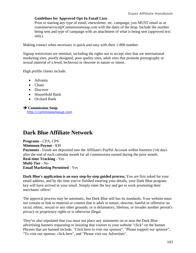### **Guidelines for Approved Opt-In Email Lists**

Prior to starting any type of email, enewsletter, etc. campaign, you MUST email us at customerservice@Commissionsoup.com with the dates of the drop. Include the number being sent and type of campaign with an attachment of what is being sent (approved text only).

Making contact when necessary is quick and easy with their 1-800 number.

Signup restrictions are minimal, including the rights not to accept sites that are international marketing sites, poorly designed, poor quality sites, adult sites that promote pornography or sexual material of a lewd, lecherous or obscene in nature or intent.

High profile clients include:

- Advanta
- Chase
- Discover
- HouseHold Bank
- Orchard Bank

**→ Commission Soup** [http://commissionsoup.com](http://www.creditsoup.com/CSAN/ProductApp.asp?AffiliateID=W21K0&SubID=0&BID=0)

### **Dark Blue Affiliate Network**

**Programs** - CPA, CPS **Minimum Payout** - \$30 **Payments** - Funds are deposited into the Affiliate's PayPal Account within fourteen (14) days after the end of each calendar month for all commissions earned during the prior month. **Real-time Tracking** - Yes **Multi-Tier** - No **Email Marketing Permitted** - Yes

**Dark Blue's application is an easy step-by-step guided process.** You are first asked for your email address, and by the time you've finished entering your details, your Dark Blue program key will have arrived in your email. Simply enter the key and get to work promoting their merchants' offers!

The approval process may be automatic, but Dark Blue still has its standards. Your website must not contain or link to material or content that is adult in nature, obscene, hateful or offensive on racial, ethnic, sexual or any other grounds; or is defamatory, libelous, or invades another person's privacy or proprietary rights or is otherwise illegal.

They've also stipulated that you must not place any statements on or near the Dark Blue advertising banners requesting or insisting that visitors to your website "click" on the banner. Phrases that are banned include, "Click here to visit our sponsor", "Please support our sponsor", "To visit our sponsor, click here", and "Please visit our Advertiser".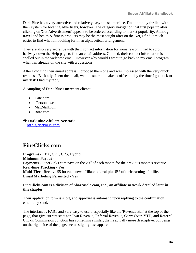Dark Blue has a very attractive and relatively easy to use interface. I'm not totally thrilled with their system for locating advertisers, however. The category navigation that first pops up after clicking on 'Get Advertisement' appears to be ordered according to market popularity. Although travel and health & fitness products may be the most sought after on the Net, I find it much easier to find what I'm looking for in an alphabetical arrangement.

They are also very secretive with their contact information for some reason. I had to scroll halfway down the Help page to find an email address. Granted, their contact information is all spelled out in the welcome email. However why would I want to go back to my email program when I'm already on the site with a question?

After I did find their email address, I dropped them one and was impressed with the very quick response. Basically, I sent the email, went upstairs to make a coffee and by the time I got back to my desk I had my reply.

A sampling of Dark Blue's merchant clients:

- Date.com
- ePersonals.com
- MagMall.com
- Roar.com

**→ Dark Blue Affiliate Network** [http://darkblue.com](http://darkblue.com/)

## **FineClicks.com**

**Programs** - CPA, CPC, CPS, Hybrid **Minimum Payout** - **Payments** - FineClicks.com pays on the 20<sup>th</sup> of each month for the previous month's revenue. **Real-time Tracking** - Yes **Multi-Tier** - Receive \$5 for each new affiliate referral plus 5% of their earnings for life. **Email Marketing Permitted** - Yes

### **FineClicks.com is a division of Shareasale.com, Inc., an affiliate network detailed later in this chapter.**

Their application form is short, and approval is automatic upon replying to the confirmation email they send.

The interface is FAST and very easy to use. I especially like the 'Revenue Bar' at the top of the page, that give current stats for Own Revenue, Referral Revenue, Carry Over, YTD, and Referral Clicks. Commission Junction has something similar, that is actually more descriptive, but being on the right side of the page, seems slightly less apparent.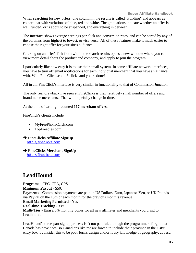When searching for new offers, one column in the results is called "Funding" and appears as colored bar with variations of blue, red and white. The graduations indicate whether an offer is well funded, or is about to be suspended, and everything in between.

The interface shows average earnings per click and conversion rates, and can be sorted by any of the columns from highest to lowest, or vise versa. All of these features make it much easier to choose the right offer for your site's audience.

Clicking on an offer's link from within the search results opens a new window where you can view more detail about the product and company, and apply to join the program.

I particularly like how easy it is to use their email system. In some affiliate network interfaces, you have to turn off email notifications for each individual merchant that you have an alliance with. With FineClicks.com, 3 clicks and you're done!

All in all, FineClick's interface is very similar in functionality to that of Commission Junction.

The only real drawback I've seen at FineClicks is their relatively small number of offers and brand name merchants. That will hopefully change in time.

At the time of writing, I counted **117 merchant offers**.

FineClick's clients include:

- MyFreePhoneCards.com
- TopFreebies.com

**→ FineClicks Affiliate SignUp** 

[http://fineclicks.com](http://www.fineclicks.com/fc2/referral.cfm?refhost=webvista)

**→ FineClicks Merchant SignUp** [http://fineclicks.com](http://www.fineclicks.com/fc2/referral.cfm?refhost=webvista)

## **LeadHound**

**Programs** - CPC, CPA, CPS **Minimum Payout** - \$50. **Payments** - Commission payments are paid in US Dollars, Euro, Japanese Yen, or UK Pounds via PayPal on the 15th of each month for the previous month's revenue. **Email Marketing Permitted** - Yes **Real-time Tracking** - Yes **Multi-Tier** - Earn a 5% monthly bonus for all new affiliates and merchants you bring to Leadhound.

LeadHound's three-part signup process isn't too painful, although the programmers forgot that Canada has provinces, so Canadians like me are forced to include their province in the 'City' entry box. I consider this to be poor forms design and/or lousy knowledge of geography, at best.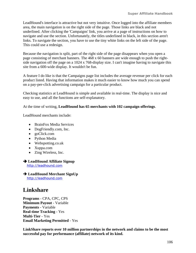LeadHound's interface is attractive but not very intuitive. Once logged into the affiliate members area, the main navigation is on the right side of the page. Those links are black and not underlined. After clicking the 'Campaigns' link, you arrive at a page of instructions on how to navigate and use the section. Unfortunately, the titles underlined in black, in this section aren't links. To navigate the section, you have to use the tiny white links on the left side of the page. This could use a redesign.

Because the navigation is split, part of the right side of the page disappears when you open a page consisting of merchant banners. The 468 x 60 banners are wide enough to push the rightside navigation off the page on a 1024 x 768-display size. I can't imagine having to navigate this site from a 600-wide display. It wouldn't be fun.

A feature I do like is that the Campaigns page list includes the average revenue per click for each product listed. Having that information makes it much easier to know how much you can spend on a pay-per-click advertising campaign for a particular product.

Checking statistics at LeadHound is simple and available in real-time. The display is nice and easy to use, and all the functions are self-explanatory.

At the time of writing, **LeadHound has 65 merchants with 102 campaign offerings**.

LeadHound merchants include:

- BrainFox Media Services
- DogFriendly.com, Inc.
- goClick.com
- Python Media
- Webspotting.co.uk
- Xuppa.com
- Zing Wireless, Inc.

**→ LeadHound Affiliate Signup** 

[http://leadhound.com](http://www.leadhound.com/cgi-bin/join.pl?id=10456)

**→ LeadHound Merchant SignUp** [http://leadhound.com](https://www.leadhound.com/cgi-bin/client_signup.pl?ref_agent_id=10456)

## **Linkshare**

**Programs** - CPA, CPC, CPS **Minimum Payout** - Variable **Payments** - Variable **Real-time Tracking** - Yes **Multi-Tier** - Yes **Email Marketing Permitted** - Yes

**LinkShare reports over 10 million partnerships in the network and claims to be the most successful pay for performance (affiliate) network of its kind.**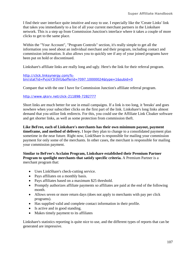I find their user interface quite intuitive and easy to use. I especially like the 'Create Links' link that takes you immediately to a list of all your current merchant partners in the Linkshare network. This is a step up from Commission Junction's interface where it takes a couple of more clicks to get to the same place.

Within the "Your Account", "Program Controls" section, it's really simple to get all the information you need about an individual merchant and their program, including contact and commission information. It also allows you to quickly see if any of your joined programs have been put on hold or discontinued.

Linkshare's affiliate links are really long and ugly. Here's the link for their referral program.

#### [http://click.linksynergy.com/fs](http://click.linksynergy.com/fs-bin/stat?id=PvjioY3I0VU&offerid=7097.10000024&type=1&subid=0)[bin/stat?id=PvjioY3I0VU&offerid=7097.10000024&type=1&subid=0](http://click.linksynergy.com/fs-bin/stat?id=PvjioY3I0VU&offerid=7097.10000024&type=1&subid=0)

Compare that with the one I have for Commission Junction's affiliate referral program.

### <http://www.qksrv.net/click-211898-7282777>

Short links are much better for use in email campaigns. If a link is too long, it 'breaks' and goes nowhere when your subscriber clicks on the first part of the link. Linkshare's long links almost demand that you utilize link redirects. For this, you could use the Affiliate Link Cloaker software and get shorter links, as well as some protection from commission theft.

**Like BeFree, each of Linkshare's merchants has their own minimum payout, payment timeframe, and method of delivery.** I hope they plan to change to a consolidated payment plan sometime in the near future. Right now, LinkShare is responsible for mailing your commission payment for only some of the merchants. In other cases, the merchant is responsible for mailing your commission payment.

### **Similar to BeFree's Acclaim Program, Linkshare established their Premium Partner Program to spotlight merchants that satisfy specific criteria.** A Premium Partner is a merchant program that:

- Uses LinkShare's check-cutting service.
- Pays affiliates on a monthly basis.
- Pays affiliates based on a maximum \$25 threshold.
- Promptly authorizes affiliate payments so affiliates are paid at the end of the following month.
- Allows seven or more return days (does not apply to merchants with pay per click programs).
- Has supplied valid and complete contact information in their profile.
- Is active and in good standing.
- Makes timely payment to its affiliates

Linkshare's statistics reporting is quite nice to use, and the different types of reports that can be generated are impressive.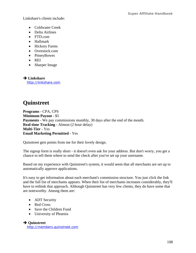Linkshare's clients include:

- Coldwater Creek
- Delta Airlines
- FTD.com
- Hallmark
- Hickory Farms
- Overstock.com
- PitneyBowes
- REI
- Sharper Image

**→ Linkshare** [http://linkshare.com](http://click.linksynergy.com/fs-bin/stat?id=PvjioY3I0VU&offerid=7097.10000024&type=1&subid=0)

## **Quinstreet**

**Programs** - CPA, CPS **Minimum Payout** - \$5 **Payments** - We pay commissions monthly, 30 days after the end of the month. **Real-time Tracking** - Almost (2 hour delay) **Multi-Tier** - Yes **Email Marketing Permitted** - Yes

Quinstreet gets points from me for their lovely design.

The signup form is really short - it doesn't even ask for your address. But don't worry, you get a chance to tell them where to send the check after you've set up your username.

Based on my experience with Quinstreet's system, it would seem that all merchants are set up to automatically approve applications.

It's easy to get information about each merchant's commission structure. You just click the link and the full list of merchants appears. When their list of merchants increases considerably, they'll have to rethink that approach. Although Quinstreet has very few clients, they do have some that are noteworthy. Among them are:

- ADT Security
- Red Cross
- Save the Children Fund
- University of Phoenix

**→ Quinstreet** [http://members.quinstreet.com](http://zodals.com/clk/meigterkoneldimmog)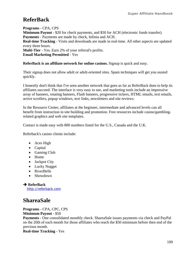## **ReferBack**

**Programs** - CPA, CPS **Minimum Payout** - \$20 for check payments, and \$50 for ACH (electronic funds transfer). **Payments** - Payments are made by check, Infinia and ACH. **Real-time Tracking** - Visits and downloads are made in real-time. All other aspects are updated every three hours. **Multi-Tier** - Yes. Earn 2% of your referral's profits. **Email Marketing Permitted** - Yes

**ReferBack is an affiliate network for online casinos.** Signup is quick and easy.

Their signup does not allow adult or adult-oriented sites. Spam techniques will get you ousted quickly.

I honestly don't think that I've seen another network that goes as far as ReferBack does to help its affiliates succeed. The interface is very easy to use, and marketing tools include an impressive array of banners, rotating banners, Flash banners, progressive tickers, HTML emails, text emails, active scrollers, popup windows, text links, newsletters and site reviews.

In the Resource Center, affiliates at the beginner, intermediate and advanced levels can all benefit from instruction in site building and promotion. Free resources include casino/gamblingrelated graphics and web site templates.

Contact is made easy with 800 numbers listed for the U.S., Canada and the U.K.

Referback's casino clients include:

- Aces High
- Capital
- Gaming Club
- Home
- Jackpot City
- Lucky Nugget
- RiverBelle
- Showdown

**→ ReferBack** [http://referback.com](http://www.referback.com/index.asp?s=aff67469)

## **ShareaSale**

**Programs** - CPA, CPC, CPS

**Minimum Payout** - \$50

**Payments** - One consolidated monthly check. ShareaSale issues payments via check and PayPal on the 20th of each month for those affiliates who reach the \$50 minimum before then end of the previous month.

**Real-time Tracking** - Yes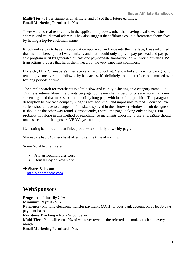### **Multi-Tier** - \$1 per signup as an affiliate, and 5% of their future earnings. **Email Marketing Permitted** - Yes

There were no real restrictions in the application process, other than having a valid web site address, and valid email address. They also suggest that affiliates could differentiate themselves by having a top-level-domain name.

It took only a day to have my application approved, and once into the interface, I was informed that my membership level was 'limited', and that I could only apply to pay-per-lead and pay-persale program until I'd generated at least one pay-per-sale transaction or \$20 worth of valid CPA transactions. I guess that helps them weed out the very impatient spammers.

Honestly, I find ShareaSale's interface very hard to look at. Yellow links on a white background tend to give me eyestrain followed by headaches. It's definitely not an interface to be mulled over for long periods of time.

The simple search for merchants is a little slow and clunky. Clicking on a category name like 'Business' returns fifteen merchants per page. Some merchants' descriptions are more than onescreen high and that makes for an incredibly long page with lots of big graphics. The paragraph description below each company's logo is way too small and impossible to read. I don't believe surfers should have to change the font size displayed in their browser window to suit designers. It should be the other way round. Consequently, I scroll the page looking only at logos. I'm probably not alone in this method of searching, so merchants choosing to use ShareaSale should make sure that their logos are VERY eye-catching.

Generating banners and text links produces a similarly unwieldy page.

ShareaSale had **545 merchant** offerings at the time of writing.

Some Notable clients are:

- Avitan Technologies Corp.
- Bonsai Boy of New York

**→ ShareaSale.com** [http://shareasale.com](http://www.shareasale.com/m-redirect.cfm?bannerID=40&userID=84626&merchantID=47&urllink=&afftrack)

## **WebSponsors**

**Programs** - Primarily CPA **Minimum Payout** - \$15 **Payments** - Monthly electronic transfer payments (ACH) to your bank account on a Net 30 days payment basis. **Real-time Tracking** – No. 24-hour delay **Multi-Tier** - You will earn 10% of whatever revenue the referred site makes each and every month. **Email Marketing Permitted** - Yes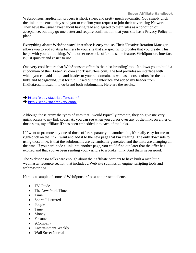Websponsors' application process is short, sweet and pretty much automatic. You simply click the link in the email they send you to confirm your request to join their advertising Network. They have the usual caveat about having read and agreed to their rules as a condition of acceptance, but they go one better and require confirmation that your site has a Privacy Policy in place.

**Everything about WebSponsors' interface is easy to use.** Their 'Creative Rotation Manager' allows you to add rotating banners to your site that are specific to profiles that you create. This helps with your ad tracking. While other networks offer the same feature, WebSponsors interface is just quicker and easier to use.

One very cool feature that WebSponsors offers is their 'co-branding' tool. It allows you to build a subdomain of their Free2Try.com and TrialOffers.com. The tool provides an interface with which you can add a logo and header to your subdomain, as well as choose colors for the text, links and background. Just for fun, I tried out the interface and added my header from finditat.rosalinds.com to co-brand both subdomains. Here are the results:

- $\rightarrow$  <http://webvista.trialoffers.com/>
- → <http://webvista.free2try.com/>

Although those aren't the types of sites that I would typically promote, they do give me very quick access to my link codes. As you can see when you cursor over any of the links on either of those sites, my affiliate ID has been embedded into each of the links.

If I want to promote any one of those offers separately on another site, it's really easy for me to right-click on the link I want and add it to the new page that I'm creating. The only downside to using those links is that the subdomains are dynamically generated and the links are changing all the time. If you hard-code a link into another page, you could find out later that the offer has expired and that you've been sending your visitors to a broken link. And that's never good.

The Websponsor folks care enough about their affiliate partners to have built a nice little webmaster resource section that includes a Web site submission engine, scripting tools and webmaster tips.

Here is a sample of some of WebSponsors' past and present clients.

- TV Guide
- The New York Times
- Time
- Sports Illustrated
- People
- Time
- Money
- Fortune
- eCompany
- Entertainment Weekly
- Wall Street Journal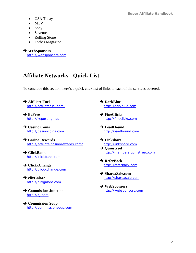- USA Today
- MTV
- Sony
- Seventeen
- Rolling Stone
- Forbes Magazine

**→ WebSponsors** [http://websponsors.com](http://a.websponsors.com/c/s=51006/c=22837/)

### **Affiliate Networks - Quick List**

To conclude this section, here's a quick click list of links to each of the services covered.

**→ Affiliate Fuel** [http://affiliatefuel.com/](http://www.affiliatefuel.com/cgi-bin/welcome?webvista)

**→ BeFree** [http://reporting.net](http://reporting.net/)

**→ Casino Coins** [http://casinocoins.com](http://superaffiliatehandbook.com/casino_coins.html)

 $→$  **Casino Rewards** [http://affiliate.casinorewards.com/](http://affiliate.casinorewards.com/referral.asp?aff_id=aff10070)

**→ ClickBank** [http://clickbank.com](http://zzz.clickbank.net/r/?webvista2)

- **→ ClickxChange** [http://clickxchange.com](http://www.clickxchange.com/fr.phtml?act=664546.3)
- **→ clixGalore** [http://clixgalore.com](http://www.clixgalore.com/AffSelectProgram.asp?AdvProgID=26)
- $→$  **Commission Junction** [http://cj.com](http://www.qksrv.net/click-211898-7282777)

**→ Commission Soup** [http://commissionsoup.com](http://www.creditsoup.com/CSAN/ProductApp.asp?AffiliateID=W21K0&SubID=0&BID=0) **→ DarkBlue** [http://darkblue.com](http://darkblue.com/)

- **→ FineClicks** [http://fineclicks.com](http://www.fineclicks.com/fc2/referral.cfm?refhost=webvista)
- **→ LeadHound** [http://leadhound.com](http://superaffiliatehandbook.com/leadhound.html)

**→ Linkshare** [http://linkshare.com](http://click.linksynergy.com/fs-bin/stat?id=PvjioY3I0VU&offerid=7097.10000024&type=1&subid=0)

**→ Quinstreet** [http://members.quinstreet.com](http://zodals.com/clk/meigterkoneldimmog)

**→ ReferBack** [http://referback.com](http://www.referback.com/index.asp?s=aff67469)

**→ ShareaSale.com** [http://shareasale.com](http://www.shareasale.com/m-redirect.cfm?bannerID=40&userID=84626&merchantID=47&urllink=&afftrack)

**→ WebSponsors** [http://websponsors.com](http://a.websponsors.com/c/s=51006/c=22837/)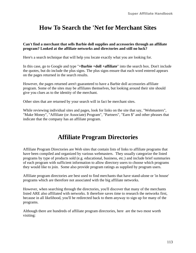## **How To Search the 'Net for Merchant Sites**

### **Can't find a merchant that sells Barbie doll supplies and accessories through an affiliate program? Looked at the affiliate networks and directories and still no luck?**

Here's a search technique that will help you locate exactly what you are looking for.

In this case, go to Google and type "**+Barbie +doll +affiliate**" into the search box. Don't include the quotes, but do include the plus signs. The plus signs ensure that each word entered appears on the pages returned in the search results.

However, the pages returned aren't guaranteed to have a Barbie doll accessories affiliate program. Some of the sites may be affiliates themselves, but looking around their site should give you clues as to the identity of the merchant.

Other sites that are returned by your search will in fact be merchant sites.

While reviewing individual sites and pages, look for links on the site that say, "Webmasters", "Make Money", "Affiliate (or Associate) Program", "Partners", "Earn \$" and other phrases that indicate that the company has an affiliate program.

## **Affiliate Program Directories**

Affiliate Program Directories are Web sites that contain lists of links to affiliate programs that have been compiled and organized by various webmasters. They usually categorize the listed programs by type of products sold (e.g. educational, business, etc.) and include brief summaries of each program with sufficient information to allow directory users to choose which programs they would like to join. Some also provide program ratings as supplied by program users.

Affiliate program directories are best used to find merchants that have stand-alone or 'in house' programs which are therefore not associated with the big affiliate networks.

However, when searching through the directories, you'll discover that many of the merchants listed ARE also affiliated with networks. It therefore saves time to research the networks first, because in all likelihood, you'll be redirected back to them anyway to sign up for many of the programs.

Although there are hundreds of affiliate program directories, here are the two most worth visiting: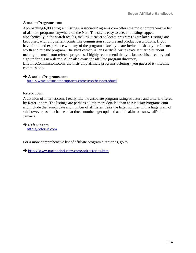### **AssociatePrograms.com**

Approaching 6,000 program listings, AssociatePrograms.com offers the most comprehensive list of affiliate programs anywhere on the Net. The site is easy to use, and listings appear alphabetically in the search results, making it easier to locate programs again later. Listings are kept brief, with only salient points like commission structure and product descriptions. If you have first-hand experience with any of the programs listed, you are invited to share your 2-cents worth and rate the program. The site's owner, Allan Gardyne, writes excellent articles about making the most from referral programs. I highly recommend that you browse his directory and sign up for his newsletter. Allan also owns the affiliate program directory, LifetimeCommissions.com, that lists only affiliate programs offering - you guessed it - lifetime commissions.

### Î **AssociatePrograms.com**

<http://www.associateprograms.com/search/index.shtml>

### **Refer-it.com**

A division of Internet.com, I really like the associate program rating structure and criteria offered by Refer-it.com. The listings are perhaps a little more detailed than at AssociatePrograms.com and include the launch date and number of affiliates. Take the latter number with a huge grain of salt however, as the chances that those numbers get updated at all is akin to a snowball's in Jamaica.

### **→ Refer-it.com**

[http://refer-it.com](http://refer-it.com/)

For a more comprehensive list of affiliate program directories, go to:

Î <http://www.partnerindustry.com/adirectories.htm>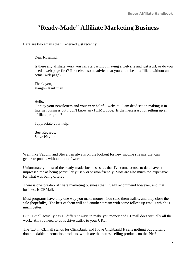## **"Ready-Made" Affiliate Marketing Business**

Here are two emails that I received just recently...

Dear Rosalind:

Is there any affiliate work you can start without having a web site and just a url, or do you need a web page first? (I received some advice that you could be an affiliate without an actual web page)

Thank you, Vaughn Kauffman

Hello,

 I enjoy your newsletters and your very helpful website. I am dead set on making it in Internet business but I don't know any HTML code. Is that necessary for setting up an affiliate program?

I appreciate your help!

Best Regards, Steve Neville

Well, like Vaughn and Steve, I'm always on the lookout for new income streams that can generate profits without a lot of work.

Unfortunately, most of the 'ready-made' business sites that I've come across to date haven't impressed me as being particularly user- or visitor-friendly. Most are also much too expensive for what was being offered.

There is one 'pre-fab' affiliate marketing business that I CAN recommend however, and that business is CBMall.

Most programs have only one way you make money. You send them traffic, and they close the sale (hopefully). The best of them will add another stream with some follow-up emails which is much better.

But CBmall actually has 15 different ways to make you money and CBmall does virtually all the work. All you need to do is drive traffic to your URL.

The 'CB' in CBmall stands for ClickBank, and I love Clickbank! It sells nothing but digitally downloadable information products, which are the hottest selling products on the 'Net!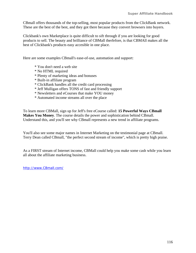CBmall offers thousands of the top-selling, most popular products from the ClickBank network. These are the best of the best, and they got there because they convert browsers into buyers.

Clickbank's own Marketplace is quite difficult to sift through if you are looking for good products to sell. The beauty and brilliance of CBMall therfefore, is that CBMAll makes all the best of Clickbank's products easy accesible in one place.

Here are some examples CBmall's ease-of-use, automation and support:

- \* You don't need a web site
- \* No HTML required
- \* Plenty of marketing ideas and bonuses
- \* Built-in affiliate program
- \* ClickBank handles all the credit card processing
- \* Jeff Mulligan offers TONS of fast and friendly support
- \* Newsletters and eCourses that make YOU money
- \* Automated income streams all over the place

To learn more CBMall, sign up for Jeff's free eCourse called: **15 Powerful Ways CBmall Makes You Money**. The course details the power and sophistication behind CBmall. Understand this, and you'll see why CBmall represents a new trend in affiliate programs.

You'll also see some major names in Internet Marketing on the testimonial page at CBmall. Terry Dean called CBmall, "the perfect second stream of income", which is pretty high praise.

As a FIRST stream of Internet income, CBMall could help you make some cash while you learn all about the affiliate marketing business.

[http://www.CBmall.com/](http://www.cbmall.com/15ways.asp?storefront=webvista2)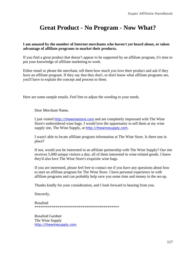## **Great Product - No Program - Now What?**

### **I am amazed by the number of Internet merchants who haven't yet heard about, or taken advantage of affiliate programs to market their products.**

If you find a great product that doesn't appear to be supported by an affiliate program, it's time to put your knowledge of affiliate marketing to work.

Either email or phone the merchant, tell them how much you love their product and ask if they have an affiliate program. If they say that they don't, or don't know what affiliate programs are, you'll have to explain the concept and process to them.

Here are some sample emails. Feel free to adjust the wording to your needs.

Dear Merchant Name,

I just visited [http://thewinestore.com](http://yoursite.com/) and am completely impressed with The Wine Store's embroidered wine bags. I would love the opportunity to sell them at my wine supply site, The Wine Supply, at [http://thewinesupply.com](http://thewinesupply.com/).

I wasn't able to locate affiliate program information at The Wine Store. Is there one in place?

If not, would you be interested in an affiliate partnership with The Wine Supply? Our site receives 5,000 unique visitors a day; all of them interested in wine-related goods. I know they'd also love The Wine Store's exquisite wine bags.

If you are interested, please feel free to contact me if you have any questions about how to start an affiliate program for The Wine Store. I have personal experience in with affiliate programs and can probably help save you some time and money in the set-up.

Thanks kindly for your consideration, and I look forward to hearing from you.

Sincerely,

Rosalind \*\*\*\*\*\*\*\*\*\*\*\*\*\*\*\*\*\*\*\*\*\*\*\*\*\*\*\*\*\*\*\*\*\*\*\*\*\*\*\*\*\*\*\*

Rosalind Gardner The Wine Supply [http://thewinesupply.com](http://thewinesupply.com/)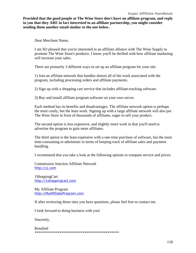**Provided that the good people at The Wine Store don't have an affiliate program, and reply to you that they ARE in fact interested in an affiliate partnership, you might consider sending them another email similar to the one below.** 

Dear Merchant Name,

I am SO pleased that you're interested in an affiliate alliance with The Wine Supply to promote The Wine Store's products. I know you'll be thrilled with how affiliate marketing will increase your sales.

There are primarily 3 different ways to set up an affiliate program for your site.

1) Join an affiliate network that handles almost all of the work associated with the program, including processing orders and affiliate payments.

2) Sign up with a shopping cart service that includes affiliate-tracking software.

3) Buy and install affiliate program software on your own server.

Each method has its benefits and disadvantages. The affiliate network option is perhaps the most costly, but the least work. Signing up with a large affiliate network will also put The Wine Store in front of thousands of affiliates, eager to sell your product.

The second option is less expensive, and slightly more work in that you'll need to advertise the program to gain more affiliates.

The third option is the least expensive with a one-time purchase of software, but the most time-consuming to administer in terms of keeping track of affiliate sales and payment handling.

I recommend that you take a look at the following options to compare service and prices.

Commission Junction Affiliate Network [http://cj.com](http://www.qksrv.net/click-211898-7282777)

1ShoppingCart [http://1shoppingcart.com](http://www.1shoppingcart.com/app/default.asp?pr=1&id=40912)

 My Affiliate Program [http://MyAffiliateProgram.com](http://myaffiliateprogram.com/)

If after reviewing those sites you have questions, please feel free to contact me.

I look forward to doing business with you!

Sincerely,

Rosalind \*\*\*\*\*\*\*\*\*\*\*\*\*\*\*\*\*\*\*\*\*\*\*\*\*\*\*\*\*\*\*\*\*\*\*\*\*\*\*\*\*\*\*\*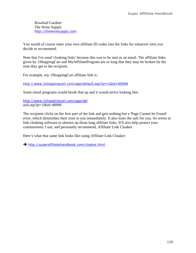Rosalind Gardner The Wine Supply [http://thewinesupply.com](http://thewinesupply.com/)

You would of course enter your own affiliate ID codes into the links for whatever sites you decide to recommend.

Note that I've used 'cloaking links' because this was to be sent as an email. The affiliate links given by 1ShoppingCart and MyAffiliateProgram are so long that they may be broken by the time they get to the recipient.

For example, my 1ShoppingCart affiliate link is:

<http://www.1shoppingcart.com/app/default.asp?pr=1&id=40906>

Some email programs would break that up and it would arrive looking like:

<http://www.1shoppingcart.com/app/def> ault.asp?pr=1&id=40906

The recipient clicks on the first part of the link and gets nothing but a 'Page Cannot be Found' error, which diminishes their trust in you immediately. It also loses the sale for you. So invest in link cloaking software to shorten up those long affiliate links. It'll also help protect your commissions. I use, and personally recommend, Affiliate Link Cloaker.

Here's what that same link looks like using Affiliate Link Cloaker:

 $\rightarrow$  <http://superaffiliatehandbook.com/cloaker.html>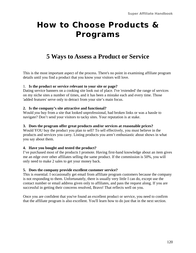# **How to Choose Products & Programs**

## **5 Ways to Assess a Product or Service**

This is the most important aspect of the process. There's no point in examining affiliate program details until you find a product that you know your visitors will love.

### 1. **Is the product or service relevant to your site or page?**

Dating service banners on a cooking site look out of place. I've 'extended' the range of services on my niche sites a number of times, and it has been a mistake each and every time. Those 'added features' serve only to detract from your site's main focus.

### **2. Is the company's site attractive and functional?**

Would *you* buy from a site that looked unprofessional, had broken links or was a hassle to navigate? Don't send your visitors to tacky sites. Your reputation is at stake.

#### **3. Does the program offer great products and/or services at reasonable prices?**

Would YOU buy the product you plan to sell? To sell effectively, you must believe in the products and services you carry. Listing products you aren't enthusiastic about shows in what you say about them.

#### **4. Have you bought and tested the product?**

I've purchased most of the products I promote. Having first-hand knowledge about an item gives me an edge over other affiliates selling the same product. If the commission is 50%, you will only need to make 2 sales to get your money back.

#### **5. Does the company provide excellent customer service?**

This is essential. I occasionally get email from affiliate program customers because the company is not responding to them. Unfortunately, there is usually very little I can do, except use the contact number or email address given only to affiliates, and pass the request along. If you are successful in getting their concerns resolved, Bravo! That reflects well on you.

Once you are confident that you've found an excellent product or service, you need to confirm that the affiliate program is also excellent. You'll learn how to do just that in the next section.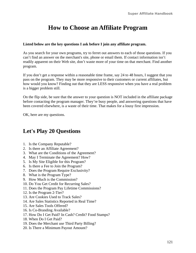## **How to Choose an Affiliate Program**

### **Listed below are the key questions I ask before I join any affiliate program.**

As you search for your own programs, try to ferret out answers to each of those questions. If you can't find an answer on the merchant's site, phone or email them. If contact information isn't readily apparent on their Web site, don't waste more of your time on that merchant. Find another program.

If you don't get a response within a reasonable time frame, say 24 to 48 hours, I suggest that you pass on the program. They may be more responsive to their customers or current affiliates, but how would you know? Finding out that they are LESS responsive when you have a real problem is a bigger problem still.

On the flip side, be sure that the answer to your question is NOT included in the affiliate package before contacting the program manager. They're busy people, and answering questions that have been covered elsewhere, is a waste of their time. That makes for a lousy first impression.

OK, here are my questions.

## **Let's Play 20 Questions**

- 1. Is the Company Reputable?
- 2. Is there an Affiliate Agreement?
- 3. What are the Conditions of the Agreement?
- 4. May I Terminate the Agreement? How?
- 5. Is My Site Eligible for this Program?
- 6. Is there a Fee to Join the Program?
- 7. Does the Program Require Exclusivity?
- 8. What is the Program Type?
- 9. How Much is the Commission?
- 10. Do You Get Credit for Recurring Sales?
- 11. Does the Program Pay Lifetime Commissions?
- 12. Is the Program 2-Tier?
- 13. Are Cookies Used to Track Sales?
- 14. Are Sales Statistics Reported in Real Time?
- 15. Are Sales Tools Offered?
- 16. Is Co-Branding Available?
- 17. How Do I Get Paid? In Cash? Credit? Food Stamps?
- 18. When Do I Get Paid?
- 19. Does the Merchant use Third Party Billing?
- 20. Is There a Minimum Payout Amount?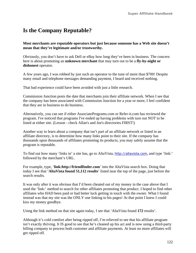## **Is the Company Reputable?**

**Most merchants are reputable operators but just because someone has a Web site doesn't mean that they're legitimate and/or trustworthy.** 

Obviously, you don't have to ask Dell or eBay how long they've been in business. The concern here is about promoting an **unknown merchant** that may turn out to be a **fly-by-night or dishonest** operator.

A few years ago, I was robbed by just such an operator to the tune of more than \$700! Despite many email and telephone messages demanding payment, I heard and received nothing.

That bad experience could have been avoided with just a little research.

Commission Junction posts the date that merchants join their affiliate network. When I see that the company has been associated with Commission Junction for a year or more, I feel confident that they are in business to do business.

Alternatively, you can see if either AssociatePrograms.com or Refer-it.com has reviewed the program. I've noticed that programs I've ended up having problems with turn out NOT to be listed at either site. (Lesson - check Allan's and Joe's directories FIRST!)

Another way to learn about a company that isn't part of an affiliate network or listed in an affiliate directory, is to determine how many links point to their site. If the company has thousands upon thousands of affiliates promoting its products, you may safely assume that the program is reputable.

To find out how many 'links in' a site has, go to AltaVista, [http://altavista.com](http://altavista.com/), and type 'link:' followed by the merchant's URL.

For example, type, '**link:http://friendfinder.com**' into the AltaVista search box. Doing that today I see that '**AltaVista found 51,112 results**' listed near the top of the page, just before the search results.

It was only after it was obvious that I'd been cheated out of my money in the case above that I used the 'link:' method to search for other affiliates promoting that product. I hoped to find other affiliates who HAD been paid or had better luck getting in touch with the owner. What I found instead was that my site was the ONLY one linking to his pages! At that point I knew I could kiss my money goodbye.

Using the link method on that site again today, I see that 'AltaVista found **172** results'.

Although it's cold comfort after being ripped off, I'm relieved to see that his affiliate program isn't exactly thriving. It IS good to see that he's cleaned up his act and is now using a third-party billing company to process both customer and affiliate payments. At least no more affiliates will get ripped off.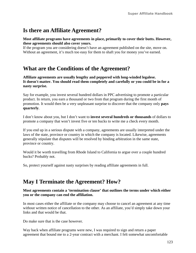## **Is there an Affiliate Agreement?**

### **Most affiliate programs have agreements in place, primarily to cover their butts. However, these agreements should also cover yours.**

If the program you are considering doesn't have an agreement published on the site, move on. Without an agreement, it's much too easy for them to shaft you for money you've earned.

## **What are the Conditions of the Agreement?**

**Affiliate agreements are usually lengthy and peppered with long-winded legalese. It doesn't matter. You should read them completely and carefully or you could be in for a nasty surprise.** 

Say for example, you invest several hundred dollars in PPC advertising to promote a particular product. In return, you earn a thousand or two from that program during the first month of promotion. It would then be a very unpleasant surprise to discover that the company only **pays quarterly**.

I don't know about you, but I don't want to **invest several hundreds or thousands** of dollars to promote a company that won't invest five or ten bucks to write me a check every month.

If you end up in a serious dispute with a company, agreements are usually interpreted under the laws of the state, province or country in which the company is located. Likewise, agreements generally stipulate that disputes will be resolved by binding arbitration in the same state, province or country.

Would it be worth travelling from Rhode Island to California to argue over a couple hundred bucks? Probably not.

So, protect yourself against nasty surprises by reading affiliate agreements in full.

### **May I Terminate the Agreement? How?**

**Most agreements contain a 'termination clause' that outlines the terms under which either you or the company can end the affiliation.** 

In most cases either the affiliate or the company may choose to cancel an agreement at any time without written notice of cancellation to the other. As an affiliate, you'd simply take down your links and that would be that.

Do make sure that is the case however.

Way back when affiliate programs were new, I was required to sign and return a paper agreement that bound me to a 2-year contract with a merchant. I felt somewhat uncomfortable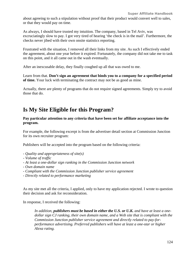about agreeing to such a stipulation without proof that their product would convert well to sales, or that they would pay on time.

As always, I should have trusted my intuition. The company, based in Tel Aviv, was excruciatingly slow to pay. I got very tired of hearing 'the check is in the mail'. Furthermore, the checks never jibed with their own onsite statistics reporting.

Frustrated with the situation, I removed all their links from my site. As such I effectively ended the agreement, about one year before it expired. Fortunately, the company did not take me to task on this point, and it all came out in the wash eventually.

After an inexcusable delay, they finally coughed up all that was owed to me.

Learn from that. **Don't sign an agreement that binds you to a company for a specified period of time.** Your luck with terminating the contract may not be as good as mine.

Actually, there are plenty of programs that do not require signed agreements. Simply try to avoid those that do.

## **Is My Site Eligible for this Program?**

**Pay particular attention to any criteria that have been set for affiliate acceptance into the program.** 

For example, the following excerpt is from the advertiser detail section at Commission Junction for its own recruiter program:

Publishers will be accepted into the program based on the following criteria:

- *Quality and appropriateness of site(s)*
- *Volume of traffic*
- *At least a one-dollar sign ranking in the Commission Junction network*
- *Own domain name*
- *Compliant with the Commission Junction publisher service agreement*
- *Directly related to performance marketing*

As my site met all the criteria, I applied, only to have my application rejected. I wrote to question their decision and ask for reconsideration.

In response, I received the following:

*In addition, publishers must be based in either the U.S. or U.K. and have at least a onedollar sign CJ ranking, their own domain name, and a Web site that is compliant with the Commission Junction publisher service agreement and directly related to pay-forperformance advertising. Preferred publishers will have at least a one-star or higher Alexa rating.*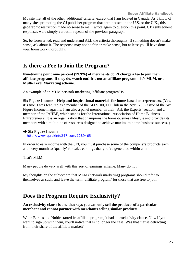My site met all of the other 'additional' criteria, except that I am located in Canada. As I know of many sites promoting the CJ publisher program that aren't based in the U.S. or the U.K., this geographic restriction made no sense to me. I wrote again to question this point. CJ's subsequent responses were simply verbatim repeats of the previous paragraph.

So, be forewarned, read and understand ALL the criteria thoroughly. If something doesn't make sense, ask about it. The response may not be fair or make sense, but at least you'll have done your homework thoroughly.

### **Is there a Fee to Join the Program?**

**Ninety-nine point nine percent (99.9%) of merchants don't charge a fee to join their affiliate programs. If they do, watch out! It's not an affiliate program – it's MLM, or a Multi-Level Marketing scheme.** 

An example of an MLM network marketing 'affiliate program' is:

**Six Figure Income** – **Help and inspirational materials for home-based entrepreneurs**. (Yes, it's true. I was featured as a member of the SFI \$100,000 Club in the April 2002 issue of the Six Figure Income magazine. I am also a panel member in their 'Ask the Experts' section, and a member of the IAHBE, which stands for the International Association of Home Business Entrepreneurs. It is an organization that champions the home-business lifestyle and provides its members with a multitude of resources designed to achieve maximum home-business success. )

### **→ Six Figure Income**

<http://www.quickinfo247.com/1289465>

In order to earn income with the SFI, you must purchase some of the company's products each and every month to 'qualify' for sales earnings that you've generated within a month.

That's MLM.

Many people do very well with this sort of earnings scheme. Many do not.

My thoughts on the subject are that MLM (network marketing) programs should refer to themselves as such, and leave the term 'affiliate program' for those that are free to join.

## **Does the Program Require Exclusivity?**

**An exclusivity clause is one that says you can only sell the products of a particular merchant and cannot partner with merchants selling similar products.** 

When Barnes and Noble started its affiliate program, it had an exclusivity clause. Now if you want to sign up with them, you'll notice that is no longer the case. Was that clause detracting from their share of the affiliate market?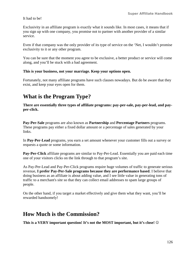### It had to be!

Exclusivity in an affiliate program is exactly what it sounds like. In most cases, it means that if you sign up with one company, you promise not to partner with another provider of a similar service.

Even if that company was the only provider of its type of service on the 'Net, I wouldn't promise exclusivity to it or any other program.

You can be sure that the moment you agree to be exclusive, a better product or service will come along, and you'll be stuck with a bad agreement.

### **This is your business, not your marriage. Keep your options open.**

Fortunately, not many affiliate programs have such clauses nowadays. But do be aware that they exist, and keep your eyes open for them.

## **What is the Program Type?**

**There are essentially three types of affiliate programs: pay-per-sale, pay-per-lead, and payper-click.** 

**Pay-Per-Sale** programs are also known as **Partnership** and **Percentage Partners** programs. These programs pay either a fixed dollar amount or a percentage of sales generated by your links.

In **Pay-Per-Lead** programs, you earn a set amount whenever your customer fills out a survey or requests a quote or some information.

**Pay-Per-Click** affiliate programs are similar to Pay-Per-Lead. Essentially you are paid each time one of your visitors clicks on the link through to that program's site.

As Pay-Per-Lead and Pay-Per-Click programs require huge volumes of traffic to generate serious revenue, **I prefer Pay-Per-Sale programs because they are performance based**. I believe that doing business as an affiliate is about adding value, and I see little value in generating tons of traffic to a merchant's site so that they can collect email addresses to spam large groups of people.

On the other hand, if you target a market effectively and give them what they want, you'll be rewarded handsomely!

### **How Much is the Commission?**

This is a VERY important question! It's not the MOST important, but it's close!  $\odot$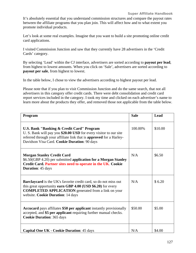It's absolutely essential that you understand commission structures and compare the payout rates between the affiliate programs that you plan join. This will affect how and to what extent you promote individual products.

Let's look at some real examples. Imagine that you want to build a site promoting online credit card applications.

I visited Commission Junction and saw that they currently have 28 advertisers in the 'Credit Cards' category.

By selecting 'Lead' within the CJ interface, advertisers are sorted according to **payout per lead**, from highest to lowest amounts. When you click on 'Sale', advertisers are sorted according to **payout per sale**, from highest to lowest.

In the table below, I chose to view the advertisers according to highest payout per lead.

Please note that if you plan to visit Commission Junction and do the same search, that not all advertisers in this category offer credit cards. There were debt consolidation and credit card report services included in the category. I took my time and clicked on each advertiser's name to learn more about the products they offer, and removed those not applicable from the table below.

| Program                                                                                                                                                                                                                                   | <b>Sale</b> | Lead    |
|-------------------------------------------------------------------------------------------------------------------------------------------------------------------------------------------------------------------------------------------|-------------|---------|
| U.S. Bank "Banking & Credit Card" Program<br>U. S. Bank will pay you \$20.00 USD for every visitor to our site<br>referred through your affiliate link that is approved for a Harley-<br>Davidson Visa Card. Cookie Duration: 90 days     | 100.00%     | \$10.00 |
| <b>Morgan Stanley Credit Card</b><br>\$6.50(GBP 4.20) per submitted application for a Morgan Stanley<br>Credit Card. Partner sites need to operate in the UK. Cookie<br><b>Duration: 45 days</b>                                          | N/A         | \$6.50  |
| <b>Barclaycard</b> is the UK's favorite credit card, so do not miss out<br>this great opportunity earn GBP 4.00 (USD \$6.20) for every<br><b>COMPLETED APPLICATION</b> generated from a link on your<br>website. Cookie Duration: 14 days | N/A         | \$6.20  |
| <b>Accucard</b> pays affiliates \$50 per applicant instantly provisionally<br>accepted, and \$5 per applicant requiring further manual checks.<br><b>Cookie Duration: 365 days</b>                                                        | \$50.00     | \$5.00  |
| <b>Capital One UK - Cookie Duration: 45 days</b>                                                                                                                                                                                          | N/A         | \$4.00  |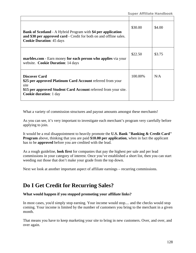| <b>Bank of Scotland - A Hybrid Program with \$4 per application</b><br>and \$30 per approved card - Credit for both on and offline sales.<br><b>Cookie Duration: 45 days</b>                   | \$30.00 | \$4.00 |
|------------------------------------------------------------------------------------------------------------------------------------------------------------------------------------------------|---------|--------|
| marbles.com - Earn money for each person who applies via your<br>website. Cookie Duration: 14 days                                                                                             | \$22.50 | \$3.75 |
| <b>Discover Card</b><br>\$25 per approved Platinum Card Account referred from your<br>site<br>\$15 per approved Student Card Account referred from your site.<br><b>Cookie duration:</b> 1 day | 100.00% | N/A    |

What a variety of commission structures and payout amounts amongst these merchants!

As you can see, it's very important to investigate each merchant's program very carefully before applying to join.

It would be a real disappointment to heavily promote the **U.S. Bank "Banking & Credit Card" Program** above, thinking that you are paid **\$10.00 per application**, when in fact the applicant has to be **approved** before you are credited with the lead.

As a rough guideline, **look first** for companies that pay the highest per sale and per lead commissions in your category of interest. Once you've established a short list, then you can start weeding out those that don't make your grade from the top down.

Next we look at another important aspect of affiliate earnings – recurring commissions.

## **Do I Get Credit for Recurring Sales?**

### **What would happen if you stopped promoting your affiliate links?**

In most cases, you'd simply stop earning. Your income would stop.... and the checks would stop coming. Your income is limited by the number of customers you bring to the merchant in a given month.

That means you have to keep marketing your site to bring in new customers. Over, and over, and over again.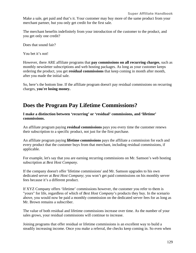Make a sale, get paid and that's it. Your customer may buy more of the same product from your merchant partner, but you only get credit for the first sale.

The merchant benefits indefinitely from your introduction of the customer to the product, and you get only one credit?

Does that sound fair?

You bet it's not!

However, there ARE affiliate programs that **pay commissions on all recurring charges**, such as monthly newsletter subscriptions and web hosting packages. As long as your customer keeps ordering the product, you get **residual commissions** that keep coming in month after month, after you made the initial sale.

So, here's the bottom line. If the affiliate program doesn't pay residual commissions on recurring charges, **you're losing money.** 

## **Does the Program Pay Lifetime Commissions?**

**I make a distinction between 'recurring' or 'residual' commissions, and 'lifetime' commissions.** 

An affiliate program paying **residual commissions** pays you every time the customer renews their subscription to a specific product, not just for the first purchase.

An affiliate program paying **lifetime commissions** pays the affiliate a commission for each and every product that the customer buys from that merchant, including residual commissions, if applicable.

For example, let's say that you are earning recurring commissions on Mr. Samson's web hosting subscription at *Best Host Company*.

If the company doesn't offer 'lifetime commissions' and Mr. Samson upgrades to his own dedicated server at *Best Host Company*; you won't get paid commissions on his monthly server fees because it's a different product.

If XYZ Company offers 'lifetime' commissions however, the customer you refer to them is "yours" for life, regardless of which of *Best Host Company*'s products they buy. In the scenario above, you would now be paid a monthly commission on the dedicated server fees for as long as Mr. Brown remains a subscriber.

The value of both residual and lifetime commissions increase over time. As the number of your sales grows, your residual commissions will continue to increase.

Joining programs that offer residual or lifetime commissions is an excellent way to build a steadily increasing income. Once you make a referral, the checks keep coming in. So even when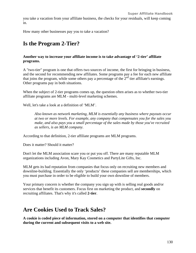you take a vacation from your affiliate business, the checks for your residuals, will keep coming in.

How many other businesses pay you to take a vacation?

## **Is the Program 2-Tier?**

### **Another way to increase your affiliate income is to take advantage of '2-tier' affiliate programs.**

A "two-tier" program is one that offers two sources of income, the first for bringing in business, and the second for recommending new affiliates. Some programs pay a fee for each new affiliate that joins the program, while some others pay a percentage of the  $2<sup>nd</sup>$  tier affiliate's earnings. Other programs pay in both situations.

When the subject of 2-tier programs comes up, the question often arises as to whether two-tier affiliate programs are MLM - multi-level marketing schemes.

Well, let's take a look at a definition of 'MLM'.

*Also known as network marketing, MLM is essentially any business where payouts occur at two or more levels. For example, any company that compensates you for the sales you make, and also pays you a small percentage of the sales made by those you've recruited as sellers, is an MLM company.* 

According to that definition, 2-tier affiliate programs are MLM programs.

Does it matter? Should it matter?

Don't let the MLM association scare you or put you off. There are many reputable MLM organizations including Avon, Mary Kay Cosmetics and PartyLite Gifts, Inc.

MLM gets its bad reputation from companies that focus only on recruiting new members and downline-building. Essentially the only 'products' these companies sell are memberships, which you must purchase in order to be eligible to build your own downline of members.

Your primary concern is whether the company you sign up with is selling real goods and/or services that benefit its customers. Focus first on marketing the product, and **secondly** on recruiting affiliates. That's why it's called **2-tier**.

### **Are Cookies Used to Track Sales?**

**A cookie is coded piece of information, stored on a computer that identifies that computer during the current and subsequent visits to a web site.**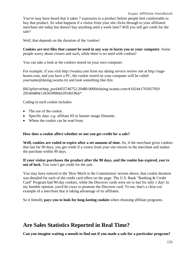You've may have heard that it takes 7 exposures to a product before people feel comfortable to buy that product. So what happens if a visitor from your site clicks through to your affiliated merchant site today but doesn't buy anything until a week later? Will you still get credit for the sale?

Well, that depends on the duration of the 'cookies'.

**Cookies are text files that cannot be used in any way to harm you or your computer.** Some people worry about viruses and such, while there is no need with cookies!

You can take a look at the cookies stored on your own computer.

For example, if you visit http://iwantu.com from my dating service review site at http://sagehearts.com, and you have a PC, the cookie stored on your computer will be called *yourname*@dating.iwantu.txt and look something like this:

BIGipServerhttp\_pool#855746752.20480.0000#dating.iwantu.com/#1024#1701857920 29540480#1283039984#29540196#\*

Coding in each cookie includes:

- The use of the cookie.
- Specific data *e.g.* affiliate ID or banner image filename.
- Where the cookie can be read from.

#### **How does a cookie affect whether or not you get credit for a sale?**

**Well, cookies are coded to expire after a set amount of time.** So, if the merchant gives cookies that last for 90 days, you get credit if a visitor from your site returns to the merchant and makes the purchase within 90 days.

**If your visitor purchases the product after the 90 days, and the cookie has expired, you're out of luck.** You won't get credit for the sale.

You may have noticed in the 'How Much is the Commission' section above, that cookie duration was detailed for each of the credit card offers on the page. The U.S. Bank "Banking & Credit Card" Program had 90-day cookies, while the Discover cards were set to last for only 1 day! In my humble opinion, you'd be crazy to promote the Discover card. To me, that's a clear-cut example of a merchant that is taking advantage of its affiliates.

So it literally **pays you to look for long-lasting cookies** when choosing affiliate programs.

### **Are Sales Statistics Reported in Real Time?**

**Can you imagine waiting a month to find out if you made a sale for a particular program?**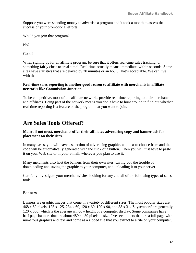Suppose you were spending money to advertise a program and it took a month to assess the success of your promotional efforts.

Would you join that program?

N<sub>o</sub>?

Good!

When signing up for an affiliate program, be sure that it offers real-time sales tracking, or something fairly close to 'real-time'. Real-time actually means immediate, within seconds. Some sites have statistics that are delayed by 20 minutes or an hour. That's acceptable. We can live with that.

### **Real-time sales reporting is another good reason to affiliate with merchants in affiliate networks like Commission Junction.**

To be competitive, most of the affiliate networks provide real-time reporting to their merchants and affiliates. Being part of the network means you don't have to hunt around to find out whether real-time reporting is a feature of the program that you want to join.

## **Are Sales Tools Offered?**

### **Many, if not most, merchants offer their affiliates advertising copy and banner ads for placement on their sites.**

In many cases, you will have a selection of advertising graphics and text to choose from and the code will be automatically generated with the click of a button. Then you will just have to paste it on your Web site or in your e-mail, wherever you plan to use it.

Many merchants also host the banners from their own sites, saving you the trouble of downloading and saving the graphic to your computer, and uploading it to your server.

Carefully investigate your merchants' sites looking for any and all of the following types of sales tools.

### **Banners**

Banners are graphic images that come in a variety of different sizes. The most popular sizes are 468 x 60 pixels, 125 x 125, 234 x 60, 120 x 60, 120 x 90, and 88 x 31. 'Skyscrapers' are generally 120 x 600, which is the average window height of a computer display. Some companies have half page banners that are about 480 x 480 pixels in size. I've seen others that are a full page with numerous graphics and text and come as a zipped file that you extract to a file on your computer.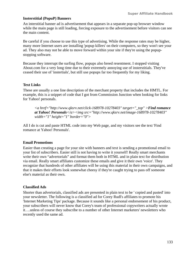### **Insterstitial (PopuP) Banners**

An interstitial banner ad is advertisement that appears in a separate pop-up browser window while the main page is still loading, forcing exposure to the advertisement before visitors can see the main content.

Be careful if you choose to use this type of advertising. While the response rates may be higher, many more Internet users are installing 'popup killers' on their computers, so they won't see your ad. They also may not be able to move forward within your site if they're using the popupstopping software.

Because they interrupt the surfing flow, popups also breed resentment. I stopped visiting About.com for a very long time due to their extremely annoying use of insterstitials. They've ceased their use of 'instertials', but still use popups far too frequently for my liking.

### **Text Links**

These are usually a one line description of the merchant property that includes the HMTL. For example, this is a snippet of code that I got from Commission Junction when looking for links for Yahoo! personals.

*<a href="http://www.qksrv.net/click-168978-10278403" target="\_top" >Find romance at Yahoo! Personals</a><img src="http://www.qksrv.net/image-168978-10278403" width="1" height="1" border="0">* 

All I do is cut and paste HTML code into my Web page, and my visitors see the text 'Find romance at Yahoo! Personals'.

### **Email Promotions**

Easier than creating a page for your site with banners and text is sending a promotional email to your list of subscribers. Easier still is not having to write it yourself! Really smart merchants write their own "advertorials" and format them both in HTML and in plain text for distribution via email. Really smart affiliates customize these emails and give it their own 'voice'. They recognize that hundreds of other affiliates will be using this material in their own campaigns, and that it makes their efforts look somewhat cheesy if they're caught trying to pass off someone else's material as their own.

### **Classified Ads**

Shorter than advertorials, classified ads are presented in plain text to be ' copied and pasted' into your newsletter. The following is a classified ad for Corey Rudl's affiliates to promote his 'Internet Marketing Tips' package. Because it sounds like a personal endorsement of his product, your subscribers will never know that Corey's team of professional copywriters actually wrote it….unless of course they subscribe to a number of other Internet marketers' newsletters who recently used the same ad.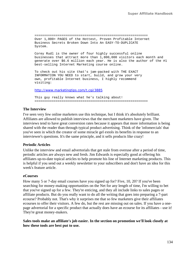=========================================================== Over 1,000+ PAGES of the Hottest, Proven Profitable Internet Business Secrets Broken Down Into An EASY-TO-DUPLICATE System. Corey Rudl is the owner of four highly successful online businesses that attract more than 1,800,000 visitors each month and generate over \$6.6 million each year. He is also the author of the #1 best-selling Internet Marketing course online. To check out his site that's jam-packed with THE EXACT INFORMATION YOU NEED to start, build, and grow your very own, profitable Internet business, I highly recommend visiting:

<http://www.marketingtips.com/t.cgi/3885>

This guy really knows what he's talking about! ===========================================================

#### **The Interview**

I've seen very few online marketers use this technique, but I think it's absolutely brilliant. Affiliates are allowed to publish interviews that the merchant marketers have given. The interviews tend to have great conversion rates because it appears that more information is being shared with the reader than through typical product advertising. Think of the 'infomercials' that you've seen in which the creator of some miracle gel extols its benefits in response to an interviewer's questions. It's the same principle, and it sells products like crazy!

#### **Periodic Articles**

Unlike the interview and email advertorials that get stale from overuse after a period of time, periodic articles are always new and fresh. Jim Edwards is especially good at offering his affiliates up-to-date topical articles to help promote his line of Internet marketing products. This is helpful if you send out a weekly newsletter to your subscribers and don't have an idea for this week's feature article.

#### **eCourses**

How many 5 or 7-day email courses have you signed up for? Five, 10, 20? If you've been searching for money-making opportunities on the Net for any length of time, I'm willing to bet that you've signed up for a few. They're enticing, and they all include links to sales pages or affiliate products. But do you really want to do all the writing that goes into preparing a 7-part ecourse? Probably not. That's why it surprises me that so few marketers give their affiliates ecourses to offer their visitors. A few do, but the rest are missing out on sales. If you have a onepage advertorial for a specific product that actually does have an ecourse for its affiliates - use it! They're great money-makers.

**Sales tools make an affiliate's job easier. In the section on promotion we'll look closely at how these tools are best put to use.**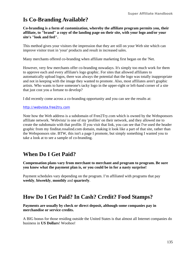## **Is Co-Branding Available?**

**Co-branding is a form of customization, whereby the affiliate program permits you, their affiliate, to "brand" a copy of the landing page on their site, with your logo and/or your site's "look and feel".** 

This method gives your visitors the impression that they are still on your Web site which can improve visitor trust in 'your' products and result in increased sales.

Many merchants offered co-branding when affiliate marketing first began on the 'Net.

However, very few merchants offer co-branding nowadays. It's simply too much work for them to approve each and every affiliate's logo graphic. For sites that allowed affiliates to automatically upload logos, there was always the potential that the logo was totally inappropriate and not in keeping with the image they wanted to promote. Also, most affiliates aren't graphic artists. Who wants to have someone's tacky logo in the upper-right or left-hand corner of a site that just cost you a fortune to develop?

I did recently come across a co-branding opportunity and you can see the results at:

### [http://webvista.free2try.com](http://webvista.free2try.com/)

Note how the Web address is a subdomain of Free2Try.com which is owned by the Websponsors affiliate network. 'Webvista' is one of my 'profiles' on their network, and they allowed me to create the subdomain with that profile. If you visit that link, you can see that I've used the header graphic from my finditat.rosalind.com domain, making it look like a part of that site, rather than the Websponsors site. BTW, this isn't a page I promote, but simply something I wanted you to take a look at to see a sample of co-branding.

### **When Do I Get Paid?**

**Compensation plans vary from merchant to merchant and program to program. Be sure you know what the payment plan is, or you could be in for a nasty surprise!** 

Payment schedules vary depending on the program. I'm affiliated with programs that pay **weekly**, **biweekly**, **monthly** and **quarterly**.

### **How Do I Get Paid? In Cash? Credit? Food Stamps?**

**Payments are usually by check or direct deposit, although some companies pay in merchandise or service credits.**

A BIG bonus for those residing outside the United States is that almost all Internet companies do business in **US Dollars**! Woohoo!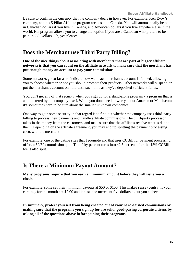Be sure to confirm the currency that the company deals in however. For example, Ken Evoy's company, and his 5 Pillar Affiliate program are based in Canada. You will automatically be paid in Canadian dollars if you live in Canada, and American dollars if you live anywhere else in the world. His program allows you to change that option if you are a Canadian who prefers to be paid in US Dollars. Oh, yes please!

### **Does the Merchant use Third Party Billing?**

**One of the nice things about associating with merchants that are part of bigger affiliate networks is that you can count on the affiliate network to make sure that the merchant has put enough money on account to pay your commissions.** 

Some networks go so far as to indicate how well each merchant's account is funded, allowing you to choose whether or not you should promote their products. Other networks will suspend or put the merchant's account on hold until such time as they've deposited sufficient funds.

You don't get any of that security when you sign up for a stand-alone program - a program that is administered by the company itself. While you don't need to worry about Amazon or Match.com, it's sometimes hard to be sure about the smaller unknown companies

One way to gain some security in that regard is to find out whether the company uses third-party billing to process their payments and handle affiliate commissions. The third-party processor takes in the money from the customers, and makes sure that the affiliates receive what is due to them. Depending on the affiliate agreement, you may end up splitting the payment processing costs with the merchant.

For example, one of the dating sites that I promote and that uses CCBill for payment processing, offers a 50/50 commission split. That fifty percent turns into 42.5 percent after the 15% CCBill fee is also split.

### **Is There a Minimum Payout Amount?**

### **Many programs require that you earn a minimum amount before they will issue you a check.**

For example, some set their minimum payouts at \$50 or \$100. This makes sense (cents?) if your earnings for the month are \$2.00 and it costs the merchant five dollars to cut you a check.

**In summary, protect yourself from being cheated out of your hard-earned commissions by making sure that the programs you sign up for are solid, good-paying corporate citizens by asking all of the questions above before joining their programs.**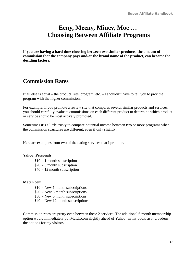## **Eeny, Meeny, Miney, Moe … Choosing Between Affiliate Programs**

**If you are having a hard time choosing between two similar products, the amount of commission that the company pays and/or the brand name of the product, can become the deciding factors.** 

### **Commission Rates**

If all else is equal – the product, site, program, etc. – I shouldn't have to tell you to pick the program with the higher commission.

For example, if you promote a review site that compares several similar products and services, you should carefully evaluate commissions on each different product to determine which product or service should be most actively promoted.

Sometimes it's a little tricky to compare potential income between two or more programs when the commission structures are different, even if only slightly.

Here are examples from two of the dating services that I promote.

#### **Yahoo! Personals**

- \$10 1 month subscription
- \$20 3 month subscription
- \$40 12 month subscription

#### **Match.com**

- \$10 New 1 month subscriptions
- \$20 New 3 month subscriptions
- \$30 New 6 month subscriptions
- \$40 New 12 month subscriptions

Commission rates are pretty even between these 2 services. The additional 6 month membership option would immediately put Match.com slightly ahead of Yahoo! in my book, as it broadens the options for my visitors.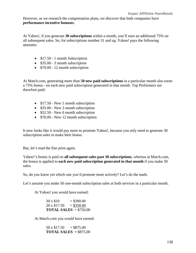However, as we research the compensation plans, we discover that both companies have **performance incentive bonuses**.

At Yahoo!, if you generate **30 subscriptions** within a month, you'll earn an additional 75% on all subsequent sales. So, for subscriptions number 31 and up, Yahoo! pays the following amounts:

- \$17.50 1 month Subscription
- \$35.00 3 month subscription
- \$70.00 12 month subscription

At Match.com, generating more than **50 new paid subscriptions** in a particular month also earns a 75% bonus - on each new paid subscription generated in that month. Top Performers are therefore paid:

- \$17.50 New 1 month subscription
- \$35.00 New 3 month subscription
- \$52.50 New 6 month subscription
- \$70.00 New 12 month subscription

It now looks like it would pay more to promote Yahoo!, because you only need to generate 30 subscription sales to make their bonus.

But, let's read the fine print again.

Yahoo!'s bonus is paid on **all subsequent sales past 30 subscriptions**, whereas at Match.com, the bonus is applied to **each new paid subscription generated in that month** if you make 50 sales.

So, do you know yet which one you'd promote more actively? Let's do the math.

Let's assume you make 50 one-month subscription sales at both services in a particular month.

At Yahoo! you would have earned:

 $30 \times $10 = $300.00$  $20 \times \$17.50 = \$350.00$ **TOTAL SALES** = \$750.00

At Match.com you would have earned:

 $50 \times \$17.50 = \$875.00$ **TOTAL SALES =** \$875.00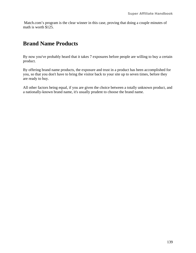Match.com's program is the clear winner in this case, proving that doing a couple minutes of math is worth \$125.

### **Brand Name Products**

By now you've probably heard that it takes 7 exposures before people are willing to buy a certain product.

By offering brand name products, the exposure and trust in a product has been accomplished for you, so that you don't have to bring the visitor back to your site up to seven times, before they are ready to buy.

All other factors being equal, if you are given the choice between a totally unknown product, and a nationally-known brand name, it's usually prudent to choose the brand name.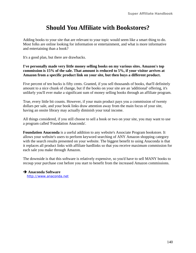## **Should You Affiliate with Bookstores?**

Adding books to your site that are relevant to your topic would seem like a smart thing to do. Most folks are online looking for information or entertainment, and what is more informative and entertaining than a book?

It's a good plan, but there are drawbacks.

### **I've personally made very little money selling books on my various sites. Amazon's top commission is 15% of the sale. That amount is reduced to 5%, if your visitor arrives at Amazon from a specific product link on your site, but then buys a different product.**

Five percent of ten bucks is fifty cents. Granted, if you sell thousands of books, that'll definitely amount to a nice chunk of change, but if the books on your site are an 'additional' offering, it's unlikely you'll ever make a significant sum of money selling books through an affiliate program.

True, every little bit counts. However, if your main product pays you a commission of twenty dollars per sale, and your book links draw attention away from the main focus of your site, having an onsite library may actually diminish your total income.

All things considered, if you still choose to sell a book or two on your site, you may want to use a program called 'Foundation Anaconda'.

**Foundation Anaconda** is a useful addition to any website's Associate Program bookstore. It allows your website's users to perform keyword searching of ANY Amazon shopping category with the search results presented on your website. The biggest benefit to using Anaconda is that it replaces all product links with affiliate hardlinks so that you receive maximum commission for each sale you make through Amazon.

The downside is that this software is relatively expensive, so you'd have to sell MANY books to recoup your purchase cost before you start to benefit from the increased Amazon commissions.

**→ Anaconda Software** [http://www.anaconda.net](http://www.anaconda.net/)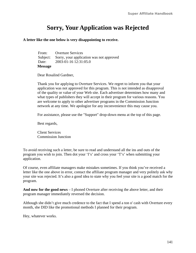## **Sorry, Your Application was Rejected**

#### **A letter like the one below is very disappointing to receive.**

From: Overture Services Subject: Sorry, your application was not approved Date: 2003-01-16 12:31:05.0  **Message**

Dear Rosalind Gardner,

Thank you for applying to Overture Services. We regret to inform you that your application was not approved for this program. This is not intended as disapproval of the quality or value of your Web site. Each advertiser determines how many and what types of publishers they will accept in their program for various reasons. You are welcome to apply to other advertiser programs in the Commission Junction network at any time. We apologize for any inconvenience this may cause you.

For assistance, please use the "Support" drop-down menu at the top of this page.

Best regards,

Client Services Commission Junction

To avoid receiving such a letter, be sure to read and understand all the ins and outs of the program you wish to join. Then dot your 'I's' and cross your 'T's' when submitting your application.

Of course, even affiliate managers make mistakes sometimes. If you think you've received a letter like the one above in error, contact the affiliate program manager and very politely ask why your site was rejected. It's also a good idea to state why you feel your site is a good match for the program.

**And now for the good news** – I phoned Overture after receiving the above letter, and their program manager immediately reversed the decision.

Although she didn't give much credence to the fact that I spend a ton o' cash with Overture every month, she DID like the promotional methods I planned for their program.

Hey, whatever works.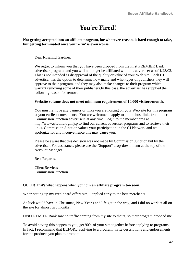## **You're Fired!**

**Not getting accepted into an affiliate program, for whatever reason, is hard enough to take, but getting terminated once you're 'in' is even worse.** 

Dear Rosalind Gardner,

We regret to inform you that you have been dropped from the First PREMIER Bank advertiser program, and you will no longer be affiliated with this advertiser as of 1/23/03. This is not intended as disapproval of the quality or value of your Web site. Each CJ advertiser has the option to determine how many and what types of publishers they will approve to their program, and they may also make changes to their program which warrant removing some of their publishers.In this case, the advertiser has supplied the following reason for removal:

### **Website volume does not meet minimum requirement of 10,000 visitors/month.**

You must remove any banners or links you are hosting on your Web site for this program at your earliest convenience. You are welcome to apply to and to host links from other Commission Junction advertisers at any time. Login to the member area at http://www.cj.com/login.jsp to find our current advertiser programs and to retrieve their links. Commission Junction values your participation in the CJ Network and we apologize for any inconvenience this may cause you.

Please be aware that this decision was not made by Commission Junction but by the advertiser. For assistance, please use the "Support" drop-down menu at the top of the Account Manager.

Best Regards,

Client Services Commission Junction

### OUCH! That's what happens when you **join an affiliate program too soon**.

When setting up my credit card offers site, I applied early to the best merchants.

As luck would have it, Christmas, New Year's and life got in the way, and I did no work at all on the site for almost two months.

First PREMIER Bank saw no traffic coming from my site to theirs, so their program dropped me.

To avoid having this happen to you, get 90% of your site together before applying to programs. In fact, I recommend that BEFORE applying to a program, write descriptions and endorsements for the products you plan to promote.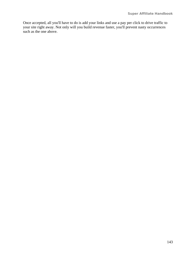Once accepted, all you'll have to do is add your links and use a pay per click to drive traffic to your site right away. Not only will you build revenue faster, you'll prevent nasty occurrences such as the one above.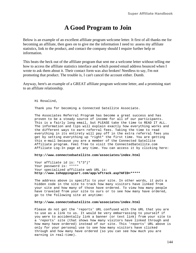## **A Good Program to Join**

Below is an example of an excellent affiliate program welcome letter. It first of all thanks me for becoming an affiliate, then goes on to give me the information I need to: assess my affiliate statistics, link to the product, and contact the company should I require further help or information.

This beats the heck out of the affiliate program that sent me a welcome letter without telling me how to access the affiliate statistics interface and which posted email address bounced when I wrote to ask them about it. Their contact form was also broken! Needless to say, I'm not promoting that product. The trouble is, I can't cancel the account either. Dumb.

Anyway, here's an example of a GREAT affiliate program welcome letter, and a promising start to an affiliate relationship.

Hi Rosalind,

Thank you for becoming a Connected Satellite Associate.

The Associates Referral Program has become a great success and has proven to be a steady source of income for all of our participants. This is a fairly long email, but PLEASE take the time to READ IT ALL. The information and tips will explain exactly how everything works and the different ways to earn referral fees. Taking the time to read everything in its entirety will pay off in the extra referral fees you get by setting everything up \*right\* the first time. You are getting this e-mail because you are a member of the Connected Satellite Affiliate program. Feel free to visit the ConnectedSatellite.com Affiliate Log-In page at any time. You can access it by clicking here:

**http://www.connectedsatellite.com/associates/index.html** 

Your affiliate id is: \*t\*3\*j\* Your password is: \*\*\*\*\* Your specialized affiliate web URL is: **http://www.1shoppingcart.com/app/aftrack.asp?AFID=\*\*\*\*\***

The address above is specific to your site. In other words, it puts a hidden code in the site to track how many visitors have linked from your site and how many of those have ordered. To view how many people have traveled from your site to ours or to see how many have ordered, go to the following site at anytime:

#### **http://www.connectedsatellite.com/associates/index.html**

Please do not get the 'reports' URL confused with the URL that you are to use as a link to us. It would be very embarrassing to yourself if you were to accidentally link a banner (or text link) from your site to a 'reports' site (that shows how many visitors have linked through and how many have ordered) instead of our site. This 'reports' URL above is only for your personal use to see how many visitors have clicked through and how many have ordered (so you can see how much you are earning in real-time).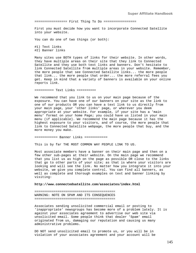================= First Thing To Do =================

First you must decide how you want to incorporate Connected Satellite into your website.

You can do one of two things (or both):

#1) Text links #2) Banner links

Many sites use BOTH types of links for their website. In other words, they have multiple areas on their site that they link to Connected Satellite and they use both text links and banners. Don't hesitate to link Connected Satellite from multiple areas in your website. Remember, the more people that see Connected Satellite links... the more people that link... the more people that order... the more referral fees you get. Keep in mind that a variety of banners is available on your online reports link.

========== Text Links ==========

We recommend that you link to us on your main page because of the exposure. You can have one of our banners on your site as the link to one of our products OR you can have a text link to us directly from your main page, your 'other links' page, or wherever you deem appropriate at your website. For example, if your site has a 'main menu' format on your home Page; you could have us listed in your main menu (if applicable). We recommend the main page because it has the highest exposure to your visitors, and of course, the more people that link to Connected Satellite webpage, the more people that buy, and the more money you make.

============ Banner Links ============

This is by far THE MOST COMMON WAY PEOPLE LINK TO US.

Most associate members have a banner on their main page and then on a few other sub-pages at their website. On the main page we recommend that you list us as high on the page as possible OR close to the links that go to other parts of your site; as that is where your visitors are looking and will see the link. No matter how you integrate it into your website, we give you complete control. You can find all banners, as well as complete and thorough examples on text and banner linking by visiting:

**http://www.connectedsatellite.com/associates/index.html** 

========================================== WARNING: NOTE ON SPAM AND ITS CONSEQUENCES ==========================================

Associates sending unsolicited commercial email or posting to 'inappropriate' newsgroups has become more of a problem lately. It is against your associates agreement to advertise our web site via unsolicited email. Some people think that dealer 'Spam' email originated from us, damaging our reputation and causing us many administrative problems.

DO NOT send unsolicited email to promote us, or you will be in violation of your associates agreement and your account will be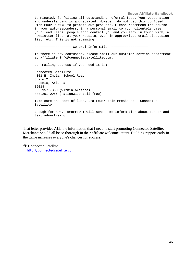#### **Super Affiliate Handbook**

terminated, forfeiting all outstanding referral fees. Your cooperation and understanding is appreciated. However, do not get this confused with PROPER WAYS to promote our products. Please recommend the course in your autoresponders, in a personal email to your clientele base, your lead lists, people that contact you and you stay in touch with, a newsletter list, at your website, even in appropriate email discussion list, etc. This is not spamming.

=================== General Information ===================

If there is any confusion, please email our customer service department at **affiliate\_info@connectedsatellite.com**.

Our mailing address if you need it is:

Connected Satellite 4801 E. Indian School Road Suite 2 Phoenix, Arizona 85018 602.957.7850 (within Arizona) 888.251.0055 (nationwide toll free)

Take care and best of luck, Ira Feuerstein President - Connected Satellite

Enough for now. Tomorrow I will send some information about banner and text advertising.

That letter provides ALL the information that I need to start promoting Connected Satellite. Merchants should all be so thorough in their affiliate welcome letters. Building rapport early in the game increases everyone's chances for success.

 $\rightarrow$  Connected Satellite [http://connectedsatellite.com](http://www.1shoppingcart.com/app/aftrack.asp?AFID=64553)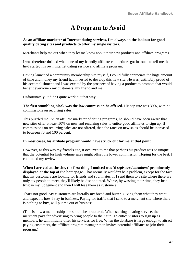## **A Program to Avoid**

### **As an affiliate marketer of Internet dating services, I'm always on the lookout for good quality dating sites and products to offer my single visitors.**

Merchants help me out when they let me know about their new products and affiliate programs.

I was therefore thrilled when one of my friendly affiliate competitors got in touch to tell me that he'd started his own Internet dating service and affiliate program.

Having launched a community membership site myself, I could fully appreciate the huge amount of time and money my friend had invested to develop this new site. He was justifiably proud of his accomplishment and I was excited by the prospect of having a product to promote that would benefit everyone - my customers, my friend and me.

Unfortunately, it didn't quite work out that way.

**The first stumbling block was the low commission he offered.** His top rate was 30%, with no commissions on recurring sales.

This puzzled me. As an affiliate marketer of dating programs, he should have been aware that new sites offer at least 50% on new and recurring sales to entice good affiliates to sign up. If commissions on recurring sales are not offered, then the rates on new sales should be increased to between 70 and 100 percent.

#### **In most cases, his affiliate program would have struck out for me at that point.**

However, as this was my friend's site, it occurred to me that perhaps his product was so unique that the potential for high volume sales might offset the lower commission. Hoping for the best, I continued my review.

**When I arrived at the site, the first thing I noticed was** *'6 registered members'* **prominently displayed at the top of the homepage.** That normally wouldn't be a problem, except for the fact that my customers are looking for friends and soul mates. If I send them to a site where there are only six people to meet, they'll likely be disappointed. Worse, by wasting their time, they lose trust in my judgement and then I will lose them as customers.

That's not good. My customers are literally my bread and butter. Giving them what they want and expect is how I stay in business. Paying for traffic that I send to a merchant site where there is nothing to buy, will put me out of business.

(This is how a membership site should be structured. When starting a dating service, the merchant pays for advertising to bring people to their site. To entice visitors to sign up as members, he will initially offer his services for free. When the database is large enough to attract paying customers, the affiliate program manager then invites potential affiliates to join their program.)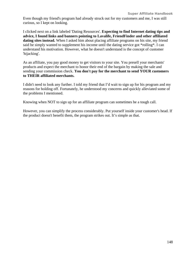Even though my friend's program had already struck out for my customers and me, I was still curious, so I kept on looking.

I clicked next on a link labeled 'Dating Resources'. **Expecting to find Internet dating tips and advice, I found links and banners pointing to Lavalife, FriendFinder and other affiliated dating sites instead.** When I asked him about placing affiliate programs on his site, my friend said he simply wanted to supplement his income until the dating service got \*rolling\*. I can understand his motivation. However, what he doesn't understand is the concept of customer 'hijacking'.

As an affiliate, you pay good money to get visitors to your site. You presell your merchants' products and expect the merchant to honor their end of the bargain by making the sale and sending your commission check. **You don't pay for the merchant to send YOUR customers to THEIR affiliated merchants.** 

I didn't need to look any further. I told my friend that I'd wait to sign up for his program and my reasons for holding off. Fortunately, he understood my concerns and quickly alleviated some of the problems I mentioned.

Knowing when NOT to sign up for an affiliate program can sometimes be a tough call.

However, you can simplify the process considerably. Put yourself inside your customer's head. If the product doesn't benefit them, the program strikes out. It's simple as that.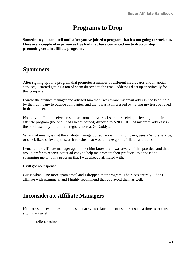## **Programs to Drop**

**Sometimes you can't tell until after you've joined a program that it's not going to work out. Here are a couple of experiences I've had that have convinced me to drop or stop promoting certain affiliate programs.** 

### **Spammers**

After signing up for a program that promotes a number of different credit cards and financial services, I started getting a ton of spam directed to the email address I'd set up specifically for this company.

I wrote the affiliate manager and advised him that I was aware my email address had been 'sold' by their company to outside companies, and that I wasn't impressed by having my trust betrayed in that manner.

Not only did I not receive a response, soon afterwards I started receiving offers to join their affiliate program (the one I had already joined) directed to ANOTHER of my email addresses the one I use only for domain registrations at GoDaddy.com.

What that means, is that the affiliate manager, or someone in his company, uses a WhoIs service, or specialized software, to search for sites that would make good affiliate candidates.

I emailed the affiliate manager again to let him know that I was aware of this practice, and that I would prefer to receive better ad copy to help me promote their products, as opposed to spamming me to join a program that I was already affiliated with.

I still got no response.

Guess what? One more spam email and I dropped their program. Their loss entirely. I don't affiliate with spammers, and I highly recommend that you avoid them as well.

### **Inconsiderate Affiliate Managers**

Here are some examples of notices that arrive too late to be of use, or at such a time as to cause significant grief.

Hello Rosalind,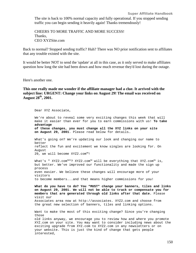The site is back to 100% normal capacity and fully operational. If you stopped sending traffic you can begin sending it heavily again! Thanks tremendously!

CHEERS TO MORE TRAFFIC AND MORE SUCCESS! Thanks, CEO XYZSite.com

Back to normal? Stopped sending traffic? Huh? There was NO prior notification sent to affiliates that any trouble existed with the site.

It would be better NOT to send the 'update' at all in this case, as it only served to make affiliates question how long the site had been down and how much revenue they'd lost during the outage.

Here's another one.

**This one really made me wonder if the affiliate manager had a clue. It arrived with the subject line: URGENT: Change your links on August 29! The email was received on August 28th, 2001.** 

Dear XYZ Associate,

We're about to reveal some very exciting changes this week that will make it easier than ever for you to earn commissions with us! **To take advantage of these changes, you must change all the XYZ links on your site on August 29, 2001**. Please read below for details…

What's going on? We're updating our look and changing our name to

better reflect the fun and excitement we know singles are looking for. On August

29, we will become XYZ2.com™!

What's " XYZ2.com™"? XYZ2.com™ will be everything that XYZ.com™ is, but better. We've improved our functionality and made the sign up process even easier. We believe these changes will encourage more of your visitors to become members...and that means higher commissions for you!

**What do you have to do? You \*MUST\* change your banners, tiles and links on August 29, 2001. We will not be able to track or compensate you for members that are generated through old links after that date.** Please visit our Associates area now at http://associates. XYZ2.com and choose from the great new selection of banners, tiles and linking options.

Want to make the most of this exciting change? Since you're changing those old links anyway, we encourage you to review how and where you promote XYZ.com on your site. You may want to consider including news about the exciting upgrade from XYZ.com to XYZ2.com in any newsletters or on your website. This is just the kind of change that gets people interested,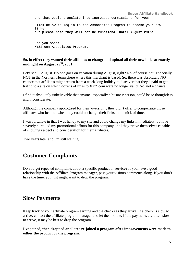See you soon! XYZ2.com Associates Program.

#### **So, in effect they wanted their affiliates to change and upload all their new links at exactly midnight on August 29th, 2001.**

Let's see… August. No one goes on vacation during August, right? No, of course not! Especially NOT in the Northern Hemisphere where this merchant is based. So, there was absolutely NO chance that affiliates might return from a week-long holiday to discover that they'd paid to get traffic to a site on which dozens of links to XYZ.com were no longer valid. No, not a chance.

I find it absolutely unbelievable that anyone, especially a businessperson, could be so thoughtless and inconsiderate.

Although the company apologized for their 'oversight', they didn't offer to compensate those affiliates who lost out when they couldn't change their links in the nick of time.

I was fortunate in that I was handy to my site and could change my links immediately, but I've severely curtailed my promotional efforts for this company until they prove themselves capable of showing respect and consideration for their affiliates.

Two years later and I'm still waiting.

### **Customer Complaints**

Do you get repeated complaints about a specific product or service? If you have a good relationship with the Affiliate Program manager, pass your visitors comments along. If you don't have the time, you just might want to drop the program.

### **Slow Payments**

Keep track of your affiliate program earning and the checks as they arrive. If a check is slow to arrive, contact the affiliate program manager and let them know. If the payments are often slow to arrive, it may be best to drop the program.

**I've joined, then dropped and later re-joined a program after improvements were made to either the product or the program.**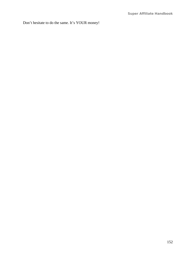Don't hesitate to do the same. It's YOUR money!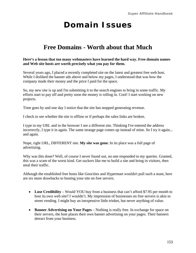# **Domain Issues**

## **Free Domains - Worth about that Much**

**Here's a lesson that too many webmasters have learned the hard way. Free domain names and Web site hosts are worth precisely what you pay for them.**

Several years ago, I placed a recently completed site on the latest and greatest free web host. While I disliked the banner ads above and below my pages, I understood that was how the company made their money and the price I paid for the space.

So, my new site is up and I'm submitting it to the search engines to bring in some traffic. My efforts start to pay off and pretty soon the money is rolling in. Cool! I start working on new projects.

Time goes by and one day I notice that the site has stopped generating revenue.

I check to see whether the site is offline or if perhaps the sales links are broken.

I type in my URL and in the browser I see a different site. Thinking I've entered the address incorrectly, I type it in again. The same strange page comes up instead of mine. So I try it again... and again.

Nope, right URL, DIFFERENT site. **My site was gone.** In its place was a full page of advertising.

Why was this done? Well, of course I never found out, no one responded to my queries. Granted, this was a scam of the worst kind. Get suckers like me to build a site and bring in visitors, then steal their traffic.

Although the established free hosts like Geocities and Hypermart wouldn't pull such a stunt, here are six more drawbacks to hosting your site on free servers.

- Lose Credibility Would YOU buy from a business that can't afford \$7.95 per month to host its own web site? I wouldn't. My impression of businesses on free servers is akin to street vending. I might buy an inexpensive little trinket, but never anything of value.
- **Banner Advertising on Your Pages** Nothing is really free. In exchange for space on their servers, the host places their own banner advertising on your pages. Their banners detract from your business.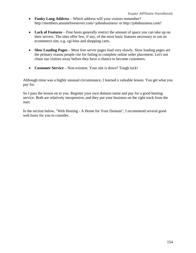- **Funky Long Address** Which address will your visitors remember? http://members.atsomefreeserver.com/~johnsbusiness/ or http://johnbusiness.com?
- **Lack of Features** Free hosts generally restrict the amount of space you can take up on their servers. The sites offer few, if any, of the most basic features necessary to run an ecommerce site, e.g. cgi-bins and shopping carts.
- **Slow Loading Pages** Most free server pages load very slowly. Slow loading pages are the primary reason people cite for failing to complete online order placement. Let's not chase our visitors away before they have a chance to become customers.
- **Customer Service** Non-existent. Your site is down? Tough luck!

Although mine was a highly unusual circumstance, I learned a valuable lesson. You get what you pay for.

So I pass the lesson on to you. Register your own domain name and pay for a good hosting service. Both are relatively inexpensive, and they put your business on the right track from the start.

In the section below, "Web Hosting - A Home for Your Domain", I recommend several good web hosts for you to consider.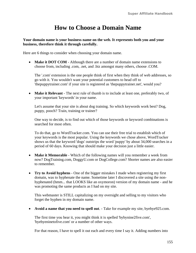## **How to Choose a Domain Name**

### **Your domain name is your business name on the web. It represents both you and your business, therefore think it through carefully.**

Here are 6 things to consider when choosing your domain name.

• **Make it DOT COM** - Although there are a number of domain name extensions to choose from, including .com, .net, and .biz amongst many others, choose .COM.

The '.com' extension is the one people think of first when they think of web addresses, so go with it. You wouldn't want your potential customers to head off to 'thepuppytrainer.com' if your site is registered as 'thepuppytrainer.net', would you?

• **Make it Relevant** - The next rule of thumb is to include at least one, preferably two, of your important 'keywords' in your name.

Let's assume that your site is about dog training. So which keywords work best? Dog, puppy, pooch? Train, training or trainer?

One way to decide, is to find out which of those keywords or keyword combinations is searched for most often.

To do that, go to WordTracker.com. You can use their free trial to establish which of your keywords is the most popular. Using the keywords we chose above, WordTracker shows us that the keyword 'dogs' outstrips the word 'puppy' by about 34,000 searches in a period of 60 days. Knowing that should make your decision just a little easier.

- **Make it Memorable** Which of the following names will you remember a week from now? DogTraining.com, DoggyU.com or DogCollege.com? Shorter names are also easier to remember.
- **Try to Avoid hyphens** One of the bigger mistakes I made when registering my first domain, was to hyphenate the name. Sometime later I discovered a site using the nonhyphenated (hmm... that LOOKS like an oxymoron) version of my domain name - and he was promoting the same products as I had on my site.

This webmaster is STILL capitalizing on my oversight and selling to my visitors who forget the hyphen in my domain name.

• **Avoid a name that you need to spell out**. - Take for example my site, byebye925.com.

The first time you hear it, you might think it is spelled 'bybynine2five.com', 'byebyeninetofive.com' or a number of other ways.

For that reason, I have to spell it out each and every time I say it. Adding numbers into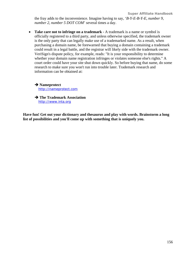the fray adds to the inconvenience. Imagine having to say, '*B-Y-E-B-Y-E, number 9, number 2, number 5 DOT COM*' several times a day.

• **Take care not to infringe on a trademark** - A trademark is a name or symbol is officially registered to a third party, and unless otherwise specified, the trademark owner is the only party that can legally make use of a trademarked name. As a result, when purchasing a domain name, be forewarned that buying a domain containing a trademark could result in a legal battle, and the registrar will likely side with the trademark owner. VeriSign's dispute policy, for example, reads: "It is your responsibility to determine whether your domain name registration infringes or violates someone else's rights." A court order could have your site shut down quickly. So before buying that name, do some research to make sure you won't run into trouble later. Trademark research and information can be obtained at:

**→ Nameprotect** [http://nameprotect.com](http://nameprotect.com/)

**→ The Trademark Association** [http://www.inta.org](http://www.inta.org/)

**Have fun! Get out your dictionary and thesaurus and play with words. Brainstorm a long list of possibilities and you'll come up with something that is uniquely you.**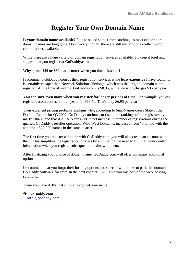## **Register Your Own Domain Name**

**Is your domain name available?** Plan to spend some time searching, as most of the short domain names are long gone. Don't worry though, there are still millions of excellent word combinations available.

While there are a huge variety of domain registration services available, I'll keep it brief and suggest that you register at **GoDaddy.com**.

### **Why spend \$20 or \$30 bucks more when you don't have to?**

I recommend GoDaddy.com as their registration services is the **least expensive** I have found. It is certainly cheaper than Network Solutions/Verisign, which was the original domain name registrar. At the time of writing, GoDaddy.com is \$8.95, while Verisign charges \$35 per year.

**You can save even more when you register for longer periods of time.** For example, you can register a .com address for ten years for \$69.50. That's only \$6.95 per year!

Their excellent pricing probably explains why, according to SnapNames.com's State of the Domain Report for Q3 2002, Go Daddy continues to rise in the rankings of top registrars by market share, and that it AGAIN ranks #1 in net increase in number of registrations during the quarter. GoDaddy's reseller operation, Wild West Domains, increased from #0 to #60 with the addition of 22,000 names in the same quarter.

The first time you register a domain with GoDaddy.com, you will also create an account with them. This simplifies the registration process by eliminating the need to fill in all your contact information when you register subsequent domains with them.

After finalizing your choice of domain name, GoDaddy.com will offer you many additional options.

I recommend that you forgo their hosting options and select 'I would like to park this domain at Go Daddy Software for free'. In the next chapter, I will give you my 'best of the web' hosting solutions.

There you have it. It's that simple, so go get your name!

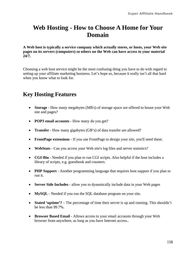## **Web Hosting - How to Choose A Home for Your Domain**

**A Web host is typically a service company which actually stores, or hosts, your Web site pages on its servers (computers) so others on the Web can have access to your material 24/7.** 

Choosing a web host service might be the most confusing thing you have to do with regard to setting up your affiliate marketing business. Let's hope so, because it really isn't all that hard when you know what to look for.

## **Key Hosting Features**

- **Storage** How many megabytes (MB's) of storage space are offered to house your Web site and pages?
- **POP3 email accounts** How many do you get?
- **Transfer** How many gigabytes (GB's) of data transfer are allowed?
- **FrontPage extensions** If you use FrontPage to design your site, you'll need these.
- **WebStats** Can you access your Web site's log files and server statistics?
- **CGI-Bin** Needed if you plan to run CGI scripts. Also helpful if the host includes a library of scripts, e.g. guestbook and counters.
- **PHP Support** Another programming language that requires host support if you plan to run it.
- **Server Side Includes** allow you to dynamically include data in your Web pages
- **MySQL** Needed if you run the SQL database program on your site.
- **Stated 'uptime'?** The percentage of time their server is up and running. This shouldn't be less than 99.7%.
- **Browser Based Email** Allows access to your email accounts through your Web browser from anywhere, as long as you have Internet access..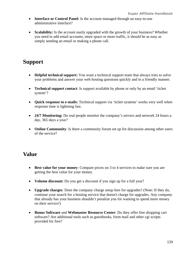- **Interface or Control Panel:** Is the account managed through an easy-to-use administrative interface?
- **Scalability:** Is the account easily upgraded with the growth of your business? Whether you need to add email accounts, more space or more traffic, it should be as easy as simply sending an email or making a phone call.

### **Support**

- **Helpful technical support:** You want a technical support team that always tries to solve your problems and answer your web hosting questions quickly and in a friendly manner.
- **Technical support contact**: Is support available by phone or only by an email 'ticket system'?
- **Quick response to e-mails:** Technical support via 'ticket systems' works very well when response time is lightning fast.
- **24/7 Monitoring:** Do real people monitor the company's servers and network 24 hours a day, 365 days a year?
- **Online Community**: Is there a community forum set up for discussion among other users of the service?

### **Value**

- **Best value for your money**: Compare prices on 3 to 4 services to make sure you are getting the best value for your money.
- **Volume discount:** Do you get a discount if you sign up for a full year?
- **Upgrade charges**: Does the company charge setup fees for upgrades? (Note: If they do, continue your search for a hosting service that doesn't charge for upgrades. Any company that already has your business shouldn't penalize you for wanting to spend more money on their service!)
- **Bonus Software** and **Webmaster Resource Center**: Do they offer free shopping cart software? Are additional tools such as guestbooks, form mail and other cgi scripts provided for free?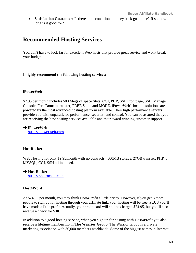• **Satisfaction Guarantee:** Is there an unconditional money back guarantee? If so, how long is it good for?

### **Recommended Hosting Services**

You don't have to look far for excellent Web hosts that provide great service and won't break your budget.

### **I highly recommend the following hosting services:**

### **iPowerWeb**

\$7.95 per month includes 500 Megs of space Stats, CGI, PHP, SSI, Frontpage, SSL, Manager Console, Free Domain transfer, FREE Setup and MORE. iPowerWeb's hosting solutions are powered by the most advanced hosting platform available. Their high performance servers provide you with unparalleled performance, security, and control. You can be assured that you are receiving the best hosting services available and their award winning customer support.

**→ iPowerWeb** [http://ipowerweb.com](http://www.qksrv.net/click-1316974-1200207)

### **HostRocket**

Web Hosting for only \$9.95/month with no contracts. 500MB storage, 27GB transfer, PHP4, MYSQL, CGI, SSH all included.

**→ HostRocket** [http://hostrocket.com](http://www.qksrv.net/click-1316974-1487903)

### **Host4Profit**

At \$24.95 per month, you may think Host4Profit a little pricey. However, if you get 3 more people to sign up for hosting through your affiliate link, your hosting will be free, PLUS you'll have made a little profit. Actually, your credit card will still be charged \$24.95, but you'll also receive a check for \$**30**.

In addition to a good hosting service, when you sign up for hosting with Host4Profit you also receive a lifetime membership in **The Warrior Group**. The Warrior Group is a private marketing association with 30,000 members worldwide. Some of the biggest names in Internet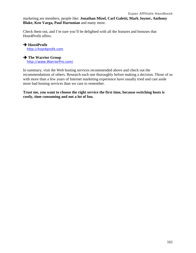marketing are members, people like: **Jonathan Mizel, Carl Galetti, Mark Joyner, Anthony Blake, Ken Varga, Paul Hartunian** and many more.

Check them out, and I'm sure you'll be delighted with all the features and bonuses that Host4Profit offers.

→ Host4Profit [http://host4profit.com](http://www.host4profit.com/cgi-bin/home.cgi?33502)

#### **→ The Warrior Group** [http://www.WarriorPro.com/](http://www.warriorpro.com/cgi-bin/w.cgi?33502)

In summary, visit the Web hosting services recommended above and check out the recommendations of others. Research each one thoroughly before making a decision. Those of us with more than a few years of Internet marketing experience have usually tried and cast aside more bad hosting services than we care to remember.

**Trust me, you want to choose the right service the first time, because switching hosts is costly, time consuming and not a lot of fun.**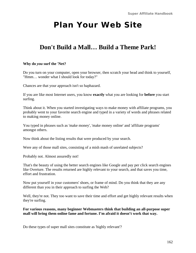# **Plan Your Web Site**

## **Don't Build a Mall… Build a Theme Park!**

### **Why do** *you* **surf the 'Net?**

Do you turn on your computer, open your browser, then scratch your head and think to yourself, "Hmm… wonder what I should look for today?"

Chances are that your approach isn't so haphazard.

If you are like most Internet users, you know **exactly** what you are looking for **before** you start surfing.

Think about it. When you started investigating ways to make money with affiliate programs, you probably went to your favorite search engine and typed in a variety of words and phrases related to making money online.

You typed in phrases such as 'make money', 'make money online' and 'affiliate programs' amongst others.

Now think about the listing results that were produced by your search.

Were any of those mall sites, consisting of a mish mash of unrelated subjects?

Probably not. Almost assuredly not!

That's the beauty of using the better search engines like Google and pay per click search engines like Overture. The results returned are highly relevant to your search, and that saves you time, effort and frustration.

Now put yourself in your customers' shoes, or frame of mind. Do you think that they are any different than you in their approach to surfing the Web?

Well, they're not. They too want to save their time and effort and get highly relevant results when they're surfing.

**For various reasons, many beginner Webmasters think that building an all-purpose super mall will bring them online fame and fortune. I'm afraid it doesn't work that way.** 

Do these types of super mall sites constitute as 'highly relevant'?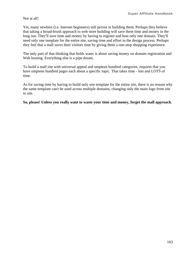### Not at all!

Yet, many newbies (i.e. Internet beginners) still persist in building them. Perhaps they believe that taking a broad-brush approach to web store building will save them time and money in the long run. They'll save time and money by having to register and host only one domain. They'll need only one template for the entire site, saving time and effort in the design process. Perhaps they feel that a mall saves their visitors time by giving them a one-stop shopping experience.

The only part of that thinking that holds water is about saving money on domain registration and Web hosting. Everything else is a pipe dream.

To build a mall site with universal appeal and umpteen hundred categories, requires that you have umpteen hundred pages each about a specific topic. That takes time - lots and LOTS of time.

As for saving time by having to build only one template for the entire site, there is no reason why the same template can't be used across multiple domains, changing only the main logo from site to site.

**So, please! Unless you really want to waste your time and money, forget the mall approach.**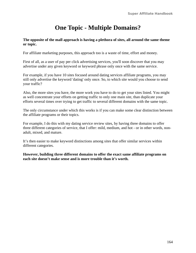## **One Topic - Multiple Domains?**

### **The opposite of the mall approach is having a plethora of sites, all around the same theme or topic.**

For affiliate marketing purposes, this approach too is a waste of time, effort and money.

First of all, as a user of pay per click advertising services, you'll soon discover that you may advertise under any given keyword or keyword phrase only once with the same service.

For example, if you have 10 sites focused around dating services affiliate programs, you may still only advertise the keyword 'dating' only once. So, to which site would you choose to send your traffic?

Also, the more sites you have, the more work you have to do to get your sites listed. You might as well concentrate your efforts on getting traffic to only one main site, than duplicate your efforts several times over trying to get traffic to several different domains with the same topic.

The only circumstance under which this works is if you can make some clear distinction between the affiliate programs or their topics.

For example, I do this with my dating service review sites, by having three domains to offer three different categories of service, that I offer: mild, medium, and hot - or in other words, nonadult, mixed, and mature.

It's then easier to make keyword distinctions among sites that offer similar services within different categories.

**However, building three different domains to offer the exact same affiliate programs on each site doesn't make sense and is more trouble than it's worth.**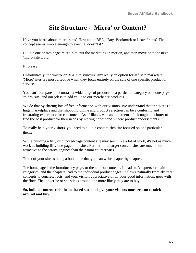## **Site Structure - 'Micro' or Content?**

Have you heard about 'micro' sites? How about BBL, "Buy, Bookmark or Leave" sites? The concept seems simple enough to execute, doesn't it?

Build a one or two page 'micro' site, put the marketing in motion, and then move onto the next 'micro' site topic.

It IS easy.

Unfortunately, the 'micro' or BBL site structure isn't really an option for affiliate marketers. 'Micro' sites are most effective when they focus entirely on the sale of one specific product or service.

You can't compare and contrast a wide range of products in a particular category on a one page 'micro' site, and our job is to add value to our merchants' products.

We do that by sharing lots of free information with our visitors. We understand that the 'Net is a huge marketplace and that shopping online and product selection can be a confusing and frustrating experience for consumers. As affiliates, we can help them sift through the clutter to find the best product for their needs by writing honest and sincere product endorsements.

To really help your visitors, you need to build a content-rich site focused on one particular theme.

While building a fifty or hundred-page content site may seem like a lot of work, it's not as much work as building fifty one-page mini sites. Furthermore, larger content sites are much more attractive to the search engines than their mini counterparts.

Think of your site as being a book, one that you can write chapter by chapter.

The homepage is the introductory page, or the table of contents. It leads to 'chapters' or main categories, and the chapters lead to the individual product pages. It 'flows' naturally from abstract concepts to concrete facts, and your visitor, appreciative of all your good information, goes with the flow. The longer he or she sticks around, the more likely they are to buy.

**So, build a content-rich theme-based site, and give your visitors more reason to stick around and buy.**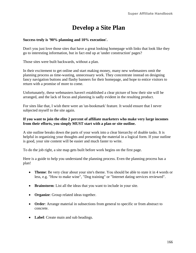## **Develop a Site Plan**

#### **Success truly is '90% planning and 10% execution'.**

Don't you just love those sites that have a great looking homepage with links that look like they go to interesting information, but in fact end up at 'under construction' pages?

Those sites were built backwards, without a plan.

In their excitement to get online and start making money, many new webmasters omit the planning process as time-wasting, unnecessary work. They concentrate instead on designing fancy navigation buttons and flashy banners for their homepage, and hope to entice visitors to return with a promise of more to come.

Unfortunately, these webmasters haven't established a clear picture of how their site will be arranged, and the lack of focus and planning is sadly evident in the resulting product.

For sites like that, I wish there were an 'un-bookmark' feature. It would ensure that I never subjected myself to the site again.

### **If you want to join the elite 2 percent of affiliate marketers who make very large incomes from their efforts, you simply MUST start with a plan or site outline.**

A site outline breaks down the parts of your work into a clear hierarchy of doable tasks. It is helpful in organizing your thoughts and presenting the material in a logical form. If your outline is good, your site content will be easier and much faster to write.

To do the job right, a site map gets built before work begins on the first page.

Here is a guide to help you understand the planning process. Even the planning process has a plan!

- **Theme**: Be very clear about your site's theme. You should be able to state it in 4 words or less, e.g. "How to make wine", "Dog training" or "Internet dating services reviewed".
- **Brainstorm**: List all the ideas that you want to include in your site.
- **Organize**: Group related ideas together.
- **Order**: Arrange material in subsections from general to specific or from abstract to concrete.
- **Label**: Create main and sub headings.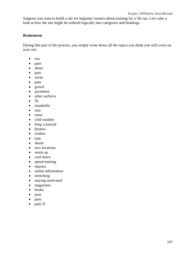Suppose you want to build a site for beginner runners about training for a 5K run. Let's take a look at how the site might be ordered logically into categories and headings.

### **Brainstorm**

During this part of the process, you simply write down all the topics you think you will cover on your site.

- run
- pain
- shoes
- pain
- socks
- pain
- gravel
- pavement
- other surfaces
- $\bullet$  5k
- treadmills
- rain
- snow
- cold weather
- keep a journal
- blisters
- clothes
- tops
- shorts
- race locations
- warm up
- cool down
- speed training
- injuries
- online information
- stretching
- staying motivated
- magazines
- books
- pain
- pain
- $\bullet$  pain  $\odot$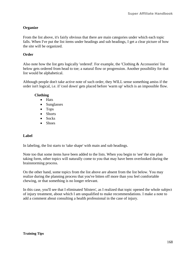### **Organize**

From the list above, it's fairly obvious that there are main categories under which each topic falls. When I've put the list items under headings and sub headings, I get a clear picture of how the site will be organized.

### **Order**

Also note how the list gets logically 'ordered'. For example, the 'Clothing & Accessories' list below gets ordered from head to toe; a natural flow or progression. Another possibility for that list would be alphabetical.

Although people don't take active note of such order, they WILL sense something amiss if the order isn't logical, i.e. if 'cool down' gets placed before 'warm up' which is an impossible flow.

### **Clothing**

- Hats
- Sunglasses
- Tops
- Shorts
- Socks
- Shoes

### **Label**

In labeling, the list starts to 'take shape' with main and sub headings.

Note too that some items have been added to the lists. When you begin to 'see' the site plan taking form, other topics will naturally come to you that may have been overlooked during the brainstorming process.

On the other hand, some topics from the list above are absent from the list below. You may realize during the planning process that you've bitten off more than you feel comfortable chewing, or that something is no longer relevant.

In this case, you'll see that I eliminated 'blisters', as I realized that topic opened the whole subject of injury treatment, about which I am unqualified to make recommendations. I make a note to add a comment about consulting a health professional in the case of injury.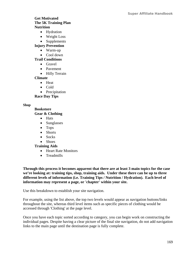#### **Get Motivated The 5K Training Plan Nutrition**

- Hydration
- Weight Loss
- Supplements

### **Injury Prevention**

- Warm-up
- Cool down

### **Trail Conditions**

- Gravel
- Pavement
- Hilly Terrain

### **Climate**

- Heat
- Cold
- Precipitation

**Race Day Tips** 

**Shop** 

### **Bookstore**

### **Gear & Clothing**

- Hats
- Sunglasses
- Tops
- Shorts
- Socks
- Shoes

### **Training Aids**

- Heart Rate Monitors
- Treadmills

**Through this process it becomes apparent that there are at least 3 main topics for the case we're looking at: training tips, shop, training aids. Under these there can be up to three different levels of information (i.e. Training Tips / Nutrition / Hydration). Each level of information may represent a page, or 'chapter' within your site.** 

Use this breakdown to establish your site navigation.

For example, using the list above, the top two levels would appear as navigation buttons/links throughout the site, whereas third level items such as specific pieces of clothing would be accessed through 'Clothing' at the page level.

Once you have each topic sorted according to category, you can begin work on constructing the individual pages. Despite having a clear picture of the final site navigation, do not add navigation links to the main page until the destination page is fully complete.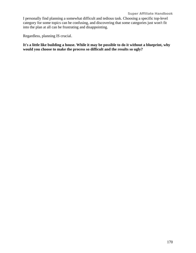I personally find planning a somewhat difficult and tedious task. Choosing a specific top-level category for some topics can be confusing, and discovering that some categories just won't fit into the plan at all can be frustrating and disappointing.

Regardless, planning IS crucial.

**It's a little like building a house. While it may be possible to do it without a blueprint, why would you choose to make the process so difficult and the results so ugly?**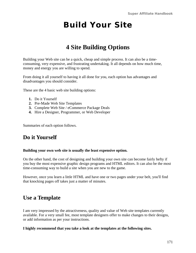# **Build Your Site**

# **4 Site Building Options**

Building your Web site can be a quick, cheap and simple process. It can also be a timeconsuming, very expensive, and frustrating undertaking. It all depends on how much time, money and energy you are willing to spend.

From doing it all yourself to having it all done for you, each option has advantages and disadvantages you should consider.

These are the 4 basic web site building options:

- **1.** Do it Yourself
- **2.** Pre-Made Web Site Templates
- **3.** Complete Web Site / eCommerce Package Deals
- **4.** Hire a Designer, Programmer, or Web Developer

Summaries of each option follows.

### **Do it Yourself**

#### **Building your own web site is usually the least expensive option.**

On the other hand, the cost of designing and building your own site can become fairly hefty if you buy the most expensive graphic design programs and HTML editors. It can also be the most time-consuming way to build a site when you are new to the game.

However, once you learn a little HTML and have one or two pages under your belt, you'll find that knocking pages off takes just a matter of minutes.

### **Use a Template**

I am very impressed by the attractiveness, quality and value of Web site templates currently available. For a very small fee, most template designers offer to make changes to their designs, or add information as per your instructions.

**I highly recommend that you take a look at the templates at the following sites.**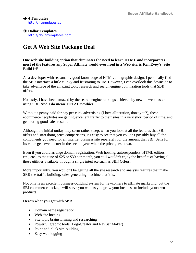**→ Dollar Templates** [http://dollartemplates.com](http://hop.clickbank.net/?webvista2/dollart)

# **Get A Web Site Package Deal**

**One web site building option that eliminates the need to learn HTML and incorporates most of the features any Super Affiliate would ever need in a Web site, is Ken Evoy's 'Site Build It!'** 

As a developer with reasonably good knowledge of HTML and graphic design, I personally find the SBI! interface a little clunky and frustrating to use. However, I can overlook this downside to take advantage of the amazing topic research and search engine optimization tools that SBI! offers.

Honestly, I have been amazed by the search engine rankings achieved by newbie webmasters using SBI! **And I do mean TOTAL newbies.**

Without a penny paid for pay per click advertising (I love alliteration, don't you?), these ecommerce neophytes are getting excellent traffic to their sites in a very short period of time, and generating good sales results.

Although the initial outlay may seem rather steep, when you look at all the features that SBI! offers and start doing price comparisons, it's easy to see that you couldn't possibly buy all the components you need for an Internet business site separately for the amount that SBI! Sells for. Its value gets even better in the second year when the price goes down.

Even if you could arrange domain registration, Web hosting, autoresponders, HTML editors, etc., etc., to the tune of \$25 or \$30 per month, you still wouldn't enjoy the benefits of having all those utilities available through a single interface such as SBI! Offers.

More importantly, you wouldn't be getting all the site research and analysis features that make SBI! the traffic building, sales generating machine that it is.

Not only is an excellent business-building system for newcomers to affiliate marketing, but the SBI ecommerce package will serve you well as you grow your business to include your own products.

### **Here's what you get with SBI!**

- Domain name registration
- Web site hosting
- Site topic brainstorming and researching
- Powerful graphic tools (LogoCreator and NavBar Maker)
- Point-and-click site-building
- Easy web logging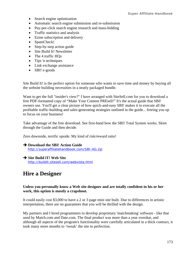- Search engine optimization
- Automatic search engine submission and re-submission
- Pay-per-click search engine research and mass-bidding
- Traffic statistics and analysis
- Ezine subscription and delivery
- SpamCheck!
- Step-by-step action guide
- Site Build It! Newsletter
- The 4 traffic HOs
- Tips 'n techniques
- Link exchange assistance
- SBI! e-goods

Site Build It! is the perfect option for someone who wants to save time and money by buying all the website building necessities in a neatly packaged bundle.

Want to get the full "insider's view?" I have arranged with SiteSell.com for you to download a free PDF-formatted copy of "Make Your Content PREsell!" It's the actual guide that SBI! owners use. You'll get a clear picture of how quick-and-easy SBI! makes it to execute all the profitable traffic-building and sales-generating strategies outlined in the guide... freeing you up to focus on your business!

Take advantage of the free download. See first-hand how the SBI! Total System works. Skim through the Guide and then decide.

Zero downside, terrific upside. My kind of risk/reward ratio!

**→ Download the SBI! Action Guide** <http://superaffiliatehandbook.com/SBI-AG.zip>

 $\rightarrow$  **Site Build iT! Web Site** <http://buildit.sitesell.com/webvista.html>

# **Hire a Designer**

#### **Unless you personally know a Web site designer and are totally confident in his or her work, this option is mostly a crapshoot.**

It could easily cost \$3,000 to have a 2 or 3 page mini site built. Due to differences in artistic interpretation, there are no guarantees that you will be thrilled with the design.

My partners and I hired programmers to develop proprietary 'matchmaking' software - like that used by Match.com and Date.com. The final product was more than a year overdue, and although all aspects of the program's functionality were carefully articulated in a thick contract, it took many more months to 'tweak' the site to perfection.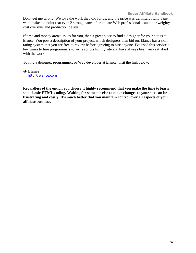Don't get me wrong. We love the work they did for us, and the price was definitely right. I just want make the point that even 2 strong teams of articulate Web professionals can incur weighty cost overruns and production delays.

If time and money aren't issues for you, then a great place to find a designer for your site is at Elance. You post a description of your project, which designers then bid on. Elance has a skill rating system that you are free to review before agreeing to hire anyone. I've used this service a few times to hire programmers to write scripts for my site and have always been very satisfied with the work.

To find a designer, programmer, or Web developer at Elance, visit the link below.

**→ Elance** [http://elance.com](http://elance.com/)

**Regardless of the option you choose, I highly recommend that you make the time to learn some basic HTML coding. Waiting for someone else to make changes to your site can be frustrating and costly. It's much better that you maintain control over all aspects of your affiliate business.**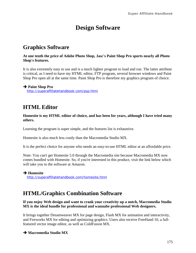# **Design Software**

# **Graphics Software**

#### **At one tenth the price of Adobe Photo Shop, Jasc's Paint Shop Pro sports nearly all Photo Shop's features.**

It is also extremely easy to use and is a much lighter program to load and run. The latter attribute is critical, as I need to have my HTML editor, FTP program, several browser windows and Paint Shop Pro open all at the same time. Paint Shop Pro is therefore my graphics program of choice.

**→ Paint Shop Pro** <http://superaffiliatehandbook.com/psp.html>

# **HTML Editor**

#### **Homesite is my HTML editor of choice, and has been for years, although I have tried many others.**

Learning the program is super simple, and the features list is exhaustive.

Homesite is also much less costly than the Macromedia Studio MX.

It is the perfect choice for anyone who needs an easy-to-use HTML editor at an affordable price.

Note: You can't get Homesite 5.0 through the Macromedia site because Macromedia MX now comes bundled with Homesite. So, if you're interested in this product, visit the link below which will take you to the software at Amazon.

**→ Homesite** <http://superaffiliatehandbook.com/homesite.html>

### **HTML/Graphics Combination Software**

**If you enjoy Web design and want to crank your creativity up a notch, Macromedia Studio MX is the ideal bundle for professional and wannabe professional Web designers.** 

It brings together Dreamweaver MX for page design, Flash MX for animation and interactivity, and Fireworks MX for editing and optimizing graphics. Users also receive FreeHand 10, a fullfeatured vector image editor, as well as ColdFusion MX.

### **→ Macromedia Studio MX**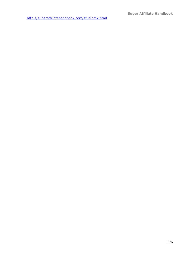<http://superaffiliatehandbook.com/studiomx.html>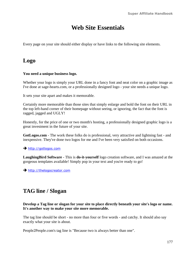# **Web Site Essentials**

Every page on your site should either display or have links to the following site elements.

### **Logo**

#### **You need a unique business logo.**

Whether your logo is simply your URL done in a fancy font and neat color on a graphic image as I've done at sage-hearts.com, or a professionally designed logo - your site needs a unique logo.

It sets your site apart and makes it memorable.

Certainly more memorable than those sites that simply enlarge and bold the font on their URL in the top left-hand corner of their homepage without seeing, or ignoring, the fact that the font is ragged, jagged and UGLY!

Honestly, for the price of one or two month's hosting, a professionally designed graphic logo is a great investment in the future of your site.

**GotLogos.com** - The work these folks do is professional, very attractive and lightning fast - and inexpensive. They've done two logos for me and I've been very satisfied on both occasions.

### → [http://gotlogos.com](http://gotlogos.com/)

**LaughingBird Software** - This is **do-it-yourself** logo creation software, and I was amazed at the gorgeous templates available! Simply pop in your text and you're ready to go!

 $\rightarrow$  [http://thelogocreator.com](http://www.qksrv.net/click-1226911-8352508)

### **TAG line / Slogan**

**Develop a Tag line or slogan for your site to place directly beneath your site's logo or name. It's another way to make your site more memorable.** 

The tag line should be short - no more than four or five words - and catchy. It should also say exactly what your site is about.

People2People.com's tag line is "Because two is always better than one".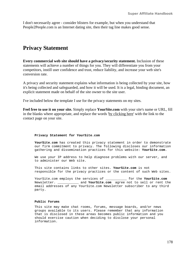I don't necessarily agree - consider blisters for example, but when you understand that People2People.com is an Internet dating site, then their tag line makes good sense.

### **Privacy Statement**

**Every commercial web site should have a privacy/security statement.** Inclusion of these statements will achieve a number of things for you. They will differentiate you from your competitors, instill user confidence and trust, reduce liability, and increase your web site's conversion rate.

A privacy and security statement explains what information is being collected by your site, how it's being collected and safeguarded, and how it will be used. It is a legal, binding document, an explicit statement made on behalf of the site owner to the site user.

I've included below the template I use for the privacy statements on my sites.

**Feel free to use it on your site.** Simply replace **YourSite.com** with your site's name or URL, fill in the blanks where appropriate, and replace the words 'by clicking here' with the link to the contact page on your site.

#### **Privacy Statement for YourSite.com**

**YourSite.com** has created this privacy statement in order to demonstrate our firm commitment to privacy. The following discloses our information gathering and dissemination practices for this website: **YourSite.com**.

We use your IP address to help diagnose problems with our server, and to administer our Web site.

This site contains links to other sites. **YourSite.com** is not responsible for the privacy practices or the content of such Web sites.

YourSite.com employs the services of \_\_\_\_\_\_\_\_\_\_\_ for the **YourSite.com** Newsletter. \_\_\_\_\_\_\_\_\_\_\_ and **YourSite.com** agree not to sell or rent the email addresses of any YourSite.com Newsletter subscriber to any third party.

#### **Public Forums**

This site may make chat rooms, forums, message boards, and/or news groups available to its users. Please remember that any information that is disclosed in these areas becomes public information and you should exercise caution when deciding to disclose your personal information.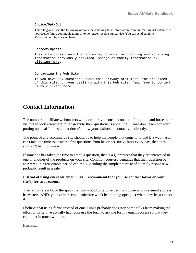#### **Choice/Opt-Out**

This site gives users the following options for removing their information from our mailing list database to not receive future communications or to no longer receive our service. You can send email to **YourSite.com** by clicking here.

#### **Correct/Update**

This site gives users the following options for changing and modifying information previously provided. Change or modify information by clicking here.

#### **Contacting the Web Site**

If you have any questions about this privacy statement, the practices of this site, or your dealings with this Web site, feel free to contact us by clicking here.

### **Contact Information**

The number of affiliate webmasters who don't provide onsite contact information and force their visitors to look elsewhere for answers to their questions is appalling. Please don't even consider putting up an affiliate site that doesn't allow your visitors to contact you directly.

The point of any ecommerce site should be to help the people that come to it, and if a webmaster can't take the time to answer a few questions from his or her site visitors every day, then they shouldn't be in business.

If someone has taken the time to email a question, that is a guarantees that they are interested in one or another of the products on your site. Common courtesy demands that their question be answered in a reasonable period of time. Extending the simple courtesy of a timely response will probably result in a sale.

#### **Instead of using clickable email links, I recommend that you use contact forms on your site(s) for two reasons.**

They eliminate a lot of the spam that you would otherwise get from those who use email address harvesters, AND, your visitors email software won't be popping open just when they least expect it.

I believe that using forms instead of email links probably does stop some folks from making the effort to write. I've actually had folks use the form to ask me for my email address so that they could get in touch with me.

Hmmm…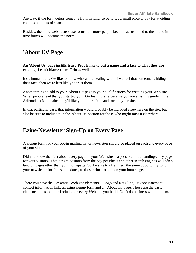Anyway, if the form deters someone from writing, so be it. It's a small price to pay for avoiding copious amounts of spam.

Besides, the more webmasters use forms, the more people become accustomed to them, and in time forms will become the norm.

### **'About Us' Page**

**An 'About Us' page instills trust. People like to put a name and a face to what they are reading. I can't blame them. I do as well.** 

It's a human trait. We like to know who we're dealing with. If we feel that someone is hiding their face, then we're less likely to trust them.

Another thing to add to your 'About Us' page is your qualifications for creating your Web site. When people read that you started your 'Go Fishing' site because you are a fishing guide in the Adirondack Mountains, they'll likely put more faith and trust in your site.

In that particular case, that information would probably be included elsewhere on the site, but also be sure to include it in the 'About Us' section for those who might miss it elsewhere.

### **Ezine/Newsletter Sign-Up on Every Page**

A signup form for your opt-in mailing list or newsletter should be placed on each and every page of your site.

Did you know that just about every page on your Web site is a possible initial landing/entry page for your visitors? That's right, visitors from the pay per clicks and other search engines will often land on pages other than your homepage. So, be sure to offer them the same opportunity to join your newsletter for free site updates, as those who start out on your homepage.

There you have the 6 essential Web site elements… Logo and a tag line, Privacy statement, contact information link, an ezine signup form and an 'About Us' page. Those are the basic elements that should be included on every Web site you build. Don't do business without them.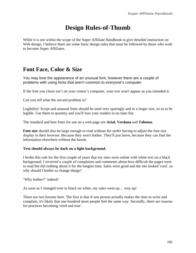# **Design Rules-of-Thumb**

While it is not within the scope of the Super Affiliate Handbook to give detailed instruction on Web design, I believe there are some basic design rules that must be followed by those who wish to become Super Affiliates.

### **Font Face, Color & Size**

You may love the appearance of an unusual font, however there are a couple of problems with using fonts that aren't common to everyone's computer.

If the font you chose isn't on your visitor's computer, your text won't appear as you intended it.

Can you tell what the second problem is?

Legibility! Script and unusual fonts should be used very sparingly and in a larger size, so as to be legible. Use them in quantity and you'll lose your readers in no time flat.

The standard and best fonts for use on a web page are **Arial, Verdana** and **Tahoma**.

**Font size** should also be large enough to read without the surfer having to adjust the font size display in their browser. Because they won't bother. They'll just leave, because they can find the information elsewhere without the hassle.

### **Text should always be dark on a light background.**

I broke this rule for the first couple of years that my sites were online with white text on a black background. I received a couple of complaints and comments about how difficult the pages were to read but did nothing about it for the longest time. Sales were good and the site looked 'cool', so why should I bother to change things?

"Why bother?" indeed!

As soon as I changed over to black on white, my sales went up… way up!

There are two lessons here. The first is that if one person actually makes the time to write and complain, it's likely that one hundred more people feel the same way. Secondly, there are reasons for practices becoming 'tried and true'.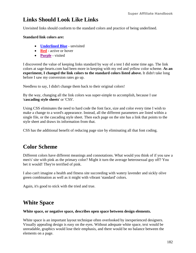# **Links Should Look Like Links**

Unvisited links should conform to the standard colors and practice of being underlined.

#### **Standard link colors are:**

- **Underlined Blue** unvisited
- **Red** active or hover
- **Purple** visited

I discovered the value of keeping links standard by way of a test I did some time ago. The link colors at sage-hearts.com had been more in keeping with my red and yellow color scheme. **As an experiment, I changed the link colors to the standard colors listed above.** It didn't take long before I saw my conversion rates go up.

Needless to say, I didn't change them back to their original colors!

By the way, changing all the link colors was super-simple to accomplish, because I use '**cascading style sheets**' or 'CSS'.

Using CSS eliminates the need to hard code the font face, size and color every time I wish to make a change to a word's appearance. Instead, all the different parameters are listed within a single file, or the cascading style sheet. Then each page on the site has a link that points to the style sheet and draws its information from that.

CSS has the additional benefit of reducing page size by eliminating all that font coding.

# **Color Scheme**

Different colors have different meanings and connotations. What would you think of if you saw a men's' site with pink as the primary color? Might it turn the average heterosexual guy off? You bet it would! They're terrified of pink.

I also can't imagine a health and fitness site succeeding with watery lavender and sickly olive green combination as well as it might with vibrant 'standard' colors.

Again, it's good to stick with the tried and true.

### **White Space**

#### **White space, or negative space, describes open space between design elements.**

White space is an important layout technique often overlooked by inexperienced designers. Visually appealing design is easy on the eyes. Without adequate white space, text would be unreadable, graphics would lose their emphasis, and there would be no balance between the elements on a page.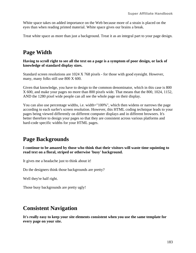White space takes on added importance on the Web because more of a strain is placed on the eyes than when reading printed material. White space gives our brains a break.

Treat white space as more than just a background. Treat it as an integral part to your page design.

# **Page Width**

#### **Having to scroll right to see all the text on a page is a symptom of poor design, or lack of knowledge of standard display sizes.**

Standard screen resolutions are 1024 X 768 pixels - for those with good eyesight. However, many, many folks still use 800 X 600.

Given that knowledge, you have to design to the common denominator, which in this case is 800 X 600, and make your pages no more than 800 pixels wide. That means that the 800, 1024, 1152, AND the 1280 pixel wide people can all see the whole page on their display.

You can also use percentage widths, i.e. width="100%", which then widens or narrows the page according to each surfer's screen resolution. However, this HTML coding technique leads to your pages being viewed differently on different computer displays and in different browsers. It's better therefore to design your pages so that they are consistent across various platforms and hard-code specific widths for your HTML pages.

### **Page Backgrounds**

**I continue to be amazed by those who think that their visitors will waste time squinting to read text on a floral, striped or otherwise 'busy' background.** 

It gives me a headache just to think about it!

Do the designers think those backgrounds are pretty?

Well they're half right.

Those busy backgrounds are pretty ugly!

### **Consistent Navigation**

**It's really easy to keep your site elements consistent when you use the same template for every page on your site.**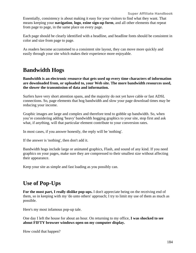Essentially, consistency is about making it easy for your visitors to find what they want. That means keeping your **navigation**, **logo**, **ezine sign-up form**, and all other elements that repeat from page to page, in the same place on every page.

Each page should be clearly identified with a headline, and headline fonts should be consistent in color and size from page to page.

As readers become accustomed to a consistent site layout, they can move more quickly and easily through your site which makes their experience more enjoyable.

### **Bandwidth Hogs**

**Bandwidth is an electronic resource that gets used up every time characters of information are downloaded from, or uploaded to, your Web site. The more bandwidth resources used, the slower the transmission of data and information.** 

Surfers have very short attention spans, and the majority do not yet have cable or fast ADSL connections. So, page elements that hog bandwidth and slow your page download times may be reducing your income.

Graphic images are large and complex and therefore tend to gobble up bandwidth. So, when you're considering adding 'heavy' bandwidth hogging graphics to your site, stop first and ask what, if anything, will that particular element contribute to your conversion rates.

In most cases, if you answer honestly, the reply will be 'nothing'.

If the answer is 'nothing', then don't add it.

Bandwidth hogs include large or animated graphics, Flash, and sound of any kind. If you need graphics on your pages, make sure they are compressed to their smallest size without affecting their appearance.

Keep your site as simple and fast loading as you possibly can.

### **Use of Pop-Ups**

**For the most part, I really dislike pop-ups.** I don't appreciate being on the receiving end of them, so in keeping with my 'do unto others' approach; I try to limit my use of them as much as possible.

Here's my most infamous pop-up tale.

One day I left the house for about an hour. On returning to my office, **I was shocked to see about FIFTY browser windows open on my computer display.** 

How could that happen?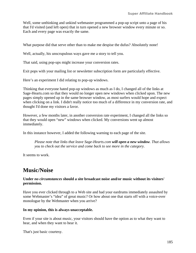Well, some unthinking and unkind webmaster programmed a pop-up script unto a page of his that I'd visited (and left open) that in turn opened a new browser window every minute or so. Each and every page was exactly the same.

What purpose did that serve other than to make me despise the dufus? Absolutely none!

Well, actually, his unscrupulous ways gave me a story to tell you.

That said, using pop-ups might increase your conversion rates.

Exit pops with your mailing list or newsletter subscription form are particularly effective.

Here's an experiment I did relating to pop-up windows.

Thinking that everyone hated pop-up windows as much as I do, I changed all of the links at Sage-Hearts.com so that they would no longer open new windows when clicked upon. The new pages simply opened up in the same browser window, as most surfers would hope and expect when clicking on a link. I didn't really notice too much of a difference in my conversion rate, and thought I'd done my visitors a favor.

However, a few months later, in another conversion rate experiment, I changed all the links so that they would open "new" windows when clicked. My conversions went up almost immediately.

In this instance however, I added the following warning to each page of the site.

*Please note that links that leave Sage-Hearts.com will open a new window. That allows you to check out the service and come back to see more in the category.*

It seems to work.

### **Music/Noise**

**Under** *no circumstances* **should a site broadcast noise and/or music without its visitors' permission.** 

Have you ever clicked through to a Web site and had your eardrums immediately assaulted by some Webmaster's "idea" of great music? Or how about one that starts off with a voice-over monologue by the Webmaster when you arrive?

#### **In my opinion, this is always unacceptable.**

Even if your site is about music, your visitors should have the option as to what they want to hear, and when they want to hear it.

That's just basic courtesy.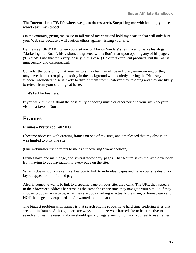### **The Internet isn't TV. It's where we go to do research. Surprising me with loud ugly noises won't earn my respect.**

On the contrary, giving me cause to fall out of my chair and hold my heart in fear will only hurt your Web site because I will caution others against visiting your site.

By the way, BEWARE when you visit any of Marlon Sanders' sites. To emphasize his slogan 'Marketing that Roars', his visitors are greeted with a lion's roar upon opening any of his pages. ('Greeted'. I use that term very loosely in this case.) He offers excellent products, but the roar is unnecessary and disrespectful.

Consider the possibility that your visitors may be in an office or library environment, or they may have their stereo playing softly in the background while quietly surfing the 'Net. Any sudden unsolicited noise is likely to disrupt them from whatever they're doing and they are likely to retreat from your site in great haste.

That's bad for business.

If you were thinking about the possibility of adding music or other noise to your site - do your visitors a favor - Don't!

### **Frames**

### **Frames - Pretty cool, eh? NOT!**

I became obsessed with creating frames on one of my sites, and am pleased that my obsession was limited to only one site.

(One webmaster friend refers to me as a recovering "frameaholic!").

Frames have one main page, and several 'secondary' pages. That feature saves the Web developer from having to add navigation to every page on the site.

What is doesn't do however, is allow you to link to individual pages and have your site design or layout appear on the framed page.

Also, if someone wants to link to a specific page on your site, they can't. The URL that appears in their browser's address bar remains the same the entire time they navigate your site. So if they choose to bookmark a page, what they are book marking is actually the main, or homepage - and NOT the page they expected and/or wanted to bookmark.

The biggest problem with frames is that search engine robots have hard time spidering sites that are built in frames. Although there are ways to optimize your framed site to be attractive to search engines, the reasons above should quickly negate any compulsion you feel to use frames.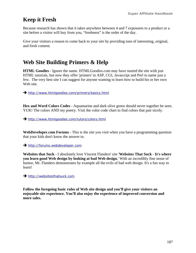# **Keep it Fresh**

Because research has shown that it takes anywhere between 4 and 7 exposures to a product or a site before a visitor will buy from you, "freshness" is the order of the day.

Give your visitors a reason to come back to your site by providing tons of interesting, original, and fresh content.

# **Web Site Building Primers & Help**

**HTML Goodies** - Ignore the name. HTMLGoodies.com may have started the site with just HTML tutorials, but now they offer 'primers' in ASP, CGI, Javascript and Perl to name just a few. The very best site I can suggest for anyone wanting to learn how to build his or her own Web site.

 $\rightarrow$  <http://www.htmlgoodies.com/primers/basics.html>

**Hex and Word Colors Codes** - Aquamarine and dark olive green should never together be seen. YUK! The colors AND my poetry. Visit the color code chart to find colors that pair nicely.

 $\rightarrow$  <http://www.htmlgoodies.com/tutors/colors.html>

**WebDeveloper.com Forums** - This is the site you visit when you have a programming question that your kids don't know the answer to.

 $\rightarrow$  [http://forums.webdeveloper.com](http://forums.webdeveloper.com/)

**Websites that Suck** - I absolutely love Vincent Flanders' site '**Websites That Suck - It's where you learn good Web design by looking at bad Web design.**' With an incredibly fine sense of humor, Mr. Flanders demonstrates by example all the evils of bad web design. It's a fun way to learn!

 $\rightarrow$  [http://websitesthatsuck.com](http://websitesthatsuck.com/)

**Follow the foregoing basic rules of Web site design and you'll give your visitors an enjoyable site experience. You'll also enjoy the experience of improved conversion and more sales.**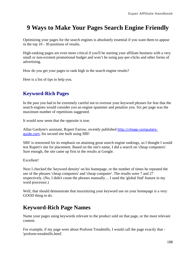# **9 Ways to Make Your Pages Search Engine Friendly**

Optimizing your pages for the search engines is absolutely essential if you want them to appear in the top 10 - 30 positions of results.

High-ranking pages are even more critical if you'll be starting your affiliate business with a very small or non-existent promotional budget and won't be using pay-per-clicks and other forms of advertising.

How do you get your pages to rank high in the search engine results?

Here is a list of tips to help you.

### **Keyword-Rich Pages**

In the past you had to be extremely careful not to overuse your keyword phrases for fear that the search engines would consider you an engine spammer and penalize you. Six per page was the maximum number of repetitions suggested.

It would now seem that the opposite is true.

Allan Gardyne's assistant, Rupert Farrow, recently published [http://cheap-computers](http://cheap-computers-guide.com/)[guide.com](http://cheap-computers-guide.com/), his second site built using SBI!

SBI! is renowned for its emphasis on attaining great search engine rankings, so I thought I would test Rupert's site for placement. Based on the site's name, I did a search on 'cheap computers'. Sure enough, the site came up first in the results at Google.

Excellent!

Next I checked the 'keyword density' on his homepage, or the number of times he repeated the use of the phrases 'cheap computers' and 'cheap computer'. The results were 7 and 27 respectively. (No, I didn't count the phrases manually… I used the 'global find' feature in my word processor.)

Well, that should demonstrate that maximizing your keyword use on your homepage is a very GOOD thing to do.

### **Keyword-Rich Page Names**

Name your pages using keywords relevant to the product sold on that page, or the most relevant content.

For example, if my page were about Proform Treadmills, I would call the page exactly that - 'proform-treadmills.html'.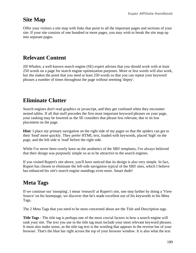# **Site Map**

Offer your visitors a site map with links that point to all the important pages and sections of your site. If your site consists of one hundred or more pages, you may wish to break the site map up into separate pages.

# **Relevant Content**

Jill Whalen, a well-known search engine (SE) expert advises that you should work with at least 250 words on a page for search engine optimization purposes. More or less words will also work, but she makes the point that you need at least 250 words so that you can repeat your keyword phrases a number of times throughout the page without seeming 'dopey'.

# **Eliminate Clutter**

Search engines don't read graphics or javascript, and they get confused when they encounter nested tables. If all that stuff precedes the first most important keyword phrases on your page, your ranking may be lowered as the SE considers that phrase less relevant, due to its low placement on the page.

**Hint**: I place my primary navigation on the right side of my pages so that the spiders can get to their 'food' more quickly. They prefer HTML text, loaded with keywords, placed 'high' on the page, and the left side is 'read' before the right side.

While I've never been overly keen on the aesthetics of the SBI! templates, I've always believed that their design was purposely simple so as to be attractive to the search engines.

If you visited Rupert's site above, you'll have noticed that its design is also very simple. In fact, Rupert has chosen to eliminate the left-side navigation typical of the SBI! sites, which I believe has enhanced his site's search engine standings even more. Smart dude!

# **Meta Tags**

If we continue our 'snooping', I mean 'research' at Rupert's site, one step farther by doing a 'View Source' on his homepage, we discover that he's made excellent use of his keywords in his Meta Tags.

The 2 Meta Tags that you need to be most concerned about are the Title and Description tags.

**Title Tags** - The title tag is perhaps one of the most crucial factors in how a search engine will rank your site. The text you use in the title tag must include your most relevant keyword phrases. It must also make sense, as the title tag text is the wording that appears in the reverse bar of your browser. That's the blue bar right across the top of your browser window. It is also what the text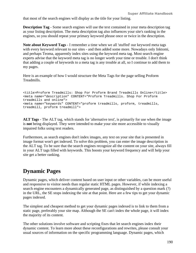that most of the search engines will display as the title for your listing.

**Description Tag** - Some search engines will use the text contained in your meta description tag as your listing description. The meta description tag also influences your site's ranking in the engines, so you should repeat your primary keyword phrase once or twice in the description.

**Note about Keyword Tags** - I remember a time when we all 'stuffed' our keyword meta tags with every keyword relevant to our sites - and then added some more. Nowadays only Inktomi, and perhaps Teoma, apparently index sites using the keyword meta tag. Most search engine experts advise that the keyword meta tag is no longer worth your time or trouble. I don't think that adding a couple of keywords to a meta tag is any trouble at all, so I continue to add them to my pages.

Here is an example of how I would structure the Meta Tags for the page selling Proform Treadmills.

<title>Proform Treadmills: Shop For Proform Brand Treadmills Online</title> <meta name="description" CONTENT="Proform Treadmills. Shop For Proform treadmills and online"> <meta name="keywords" CONTENT="proform treadmills, proform, treadmills, treadmill, proform treadmill">

**ALT Tags** - The ALT tag, which stands for 'alternative text', is primarily for use when the image is **not** being displayed. They were intended to make your site more accessible to visually impaired folks using text readers.

Furthermore, as search engines don't index images, any text on your site that is presented in image format won't get indexed. To solve this problem, you can enter the image description in the ALT tag. To be sure that the search engines recognize all the content on your site, always fill in your ALT tags filled with keywords. This boosts your keyword frequency and will help your site get a better ranking.

### **Dynamic Pages**

Dynamic pages, which deliver content based on user input or other variables, can be more useful and responsive to visitor needs than regular static HTML pages. However, if while indexing a search engine encounters a dynamically generated page, as distinguished by a question mark (?) in the URL, the SE stops indexing the site at that point. Here are a few tips to get your dynamic pages indexed.

The simplest and cheapest method to get your dynamic pages indexed is to link to them from a static page, preferably your site map. Although the SE can't index the whole page, it will index the majority of its content.

The other solutions involve software and scripting fixes that let search engines index their dynamic content. To learn more about these reconfigurations and rewrites, please consult your usual sources of information on the specific programming language. Dynamic pages, which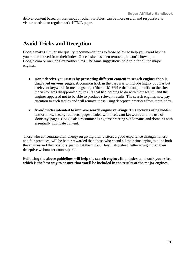deliver content based on user input or other variables, can be more useful and responsive to visitor needs than regular static HTML pages.

### **Avoid Tricks and Deception**

Google makes similar site quality recommendations to those below to help you avoid having your site removed from their index. Once a site has been removed, it won't show up in Google.com or on Google's partner sites. The same suggestions hold true for all the major engines.

- **Don't deceive your users by presenting different content to search engines than is displayed on your pages.** A common trick in the past was to include highly popular but irrelevant keywords in meta tags to get 'the click'. While that brought traffic to the site, the visitor was disappointed by results that had nothing to do with their search, and the engines appeared not to be able to produce relevant results. The search engines now pay attention to such tactics and will remove those using deceptive practices from their index.
- **Avoid tricks intended to improve search engine rankings.** This includes using hidden text or links, sneaky redirects; pages loaded with irrelevant keywords and the use of 'doorway' pages. Google also recommends against creating subdomains and domains with essentially duplicate content.

Those who concentrate their energy on giving their visitors a good experience through honest and fair practices, will be better rewarded than those who spend all their time trying to dupe both the engines and their visitors, just to get the clicks. They'll also sleep better at night than their deceptive webmaster counterparts.

**Following the above guidelines will help the search engines find, index, and rank your site, which is the best way to ensure that you'll be included in the results of the major engines.**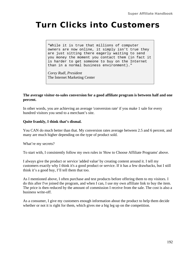# **Turn Clicks into Customers**

"While it is true that millions of computer owners are now online, it simply isn't true they are just sitting there eagerly waiting to send you money the moment you contact them (in fact it is harder to get someone to buy on the Internet than in a normal business environment)."

*Corey Rudl, President* The Internet Marketing Center

### **The average visitor-to-sales conversion for a good affiliate program is between half and one percent.**

In other words, you are achieving an average 'conversion rate' if you make 1 sale for every hundred visitors you send to a merchant's site.

### **Quite frankly, I think that's dismal.**

You CAN do much better than that. My conversion rates average between 2.5 and 6 percent, and many are much higher depending on the type of product sold.

What're my secrets?

To start with, I consistently follow my own rules in 'How to Choose Affiliate Programs' above.

I always give the product or service 'added value' by creating content around it. I tell my customers exactly why I think it's a good product or service. If it has a few drawbacks, but I still think it's a good buy, I'll tell them that too.

As I mentioned above, I often purchase and test products before offering them to my visitors. I do this after I've joined the program, and when I can, I use my own affiliate link to buy the item. The price is then reduced by the amount of commission I receive from the sale. The cost is also a business write-off.

As a consumer, I give my customers enough information about the product to help them decide whether or not it is right for them, which gives me a big leg up on the competition.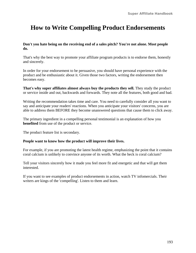# **How to Write Compelling Product Endorsements**

**Don't you hate being on the receiving end of a sales pitch? You're not alone. Most people do.** 

That's why the best way to promote your affiliate program products is to endorse them, honestly and sincerely.

In order for your endorsement to be persuasive, you should have personal experience with the product and be enthusiastic about it. Given those two factors, writing the endorsement then becomes easy.

**That's why super affiliates almost always buy the products they sell.** They study the product or service inside and out, backwards and forwards. They note all the features, both good and bad.

Writing the recommendation takes time and care. You need to carefully consider all you want to say and anticipate your readers' reactions. When you anticipate your visitors' concerns, you are able to address them BEFORE they become unanswered questions that cause them to click away.

The primary ingredient in a compelling personal testimonial is an explanation of how you **benefited** from use of the product or service.

The product feature list is secondary.

#### **People want to know how the product will improve their lives.**

For example, if you are promoting the latest health regime, emphasizing the point that it contains coral calcium is unlikely to convince anyone of its worth. What the heck is coral calcium?

Tell your visitors sincerely how it made you feel more fit and energetic and that will get them interested.

If you want to see examples of product endorsements in action, watch TV infomercials. Their writers are kings of the 'compelling'. Listen to them and learn.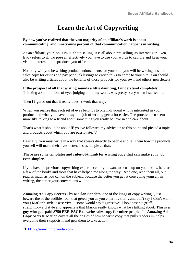# **Learn the Art of Copywriting**

### **By now you've realized that the vast majority of an affiliate's work is about communicating, and ninety-nine percent of that communication happens in writing.**

As an affiliate, your job is NOT about selling. It is all about 'pre-selling' as Internet guru Ken Evoy refers to it. To pre-sell effectively you have to use your words to capture and keep your visitors interest in the products you offer.

Not only will you be writing product endorsements for your site; you will be writing ads and sales copy for ezines and pay per click listings to entice folks to come to your site. You should also be writing articles about the benefits of those products for your own and others' newsletters.

#### **If the prospect of all that writing sounds a little daunting, I understand completely.** Thinking about millions of eyes judging all of my words was pretty scary when I started out.

Then I figured out that it really doesn't work that way.

When you realize that each set of eyes belongs to one individual who is interested in your product and what you have to say, the job of writing gets a lot easier. The process then seems more like talking to a friend about something you really believe in and care about.

That's what it should be about IF you've followed my advice up to this point and picked a topic and products about which you are passionate.  $\odot$ 

Basically, you must write in a way that speaks directly to people and tell them how the products you sell will make their lives better. It's as simple as that.

### **There are some templates and rules-of-thumb for writing copy that can make your job even simpler.**

If you have no previous copywriting experience, or you want to brush up on your skills, here are a few of the books and tools that have helped me along the way. Read one, read them all, but read as much as you can on the subject, because the better you get at conveying yourself in writing, the better your conversions will be.

**Amazing Ad Copy Secrets** - by **Marlon Sanders**, one of the kings of copy writing. (Just beware the of the audible 'roar' that greets you as you enter his site… and don't say I didn't warn you.) Marlon's style is assertive… some would say 'aggressive'. I look past his gruff, straightforward style and appreciate that Marlon really knows what he's talking about. **This is a guy who gets paid \$750 PER PAGE to write sales copy for other people.** In '**Amazing Ad Copy Secrets**' Marlon covers all the angles of how to write copy that pulls readers in, helps overcome their skepticism and gets them to take action.

### $\rightarrow$  [http://amazingformula.com](http://www.amazingformula.com/cgi-bin/t.cgi/178358)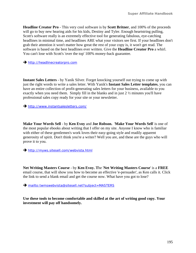**Headline Creator Pro** - This very cool software is by **Scott Britner**, and 100% of the proceeds will go to buy new hearing aids for his kids, Destiny and Tyler. Enough heartstring pulling, Scott's software really is an extremely effective tool for generating fabulous, eye-catching headlines in minimal time, and headlines ARE what your visitors see first. If your headlines don't grab their attention it won't matter how great the rest of your copy is, it won't get read. The software is based on the best headlines ever written. Give the **Headline Creator Pro** a whirl. You can't lose with Scott's 'over the top' 100% money-back guarantee.

 $\rightarrow$  [http://headlinecreatorpro.com](http://hop.clickbank.net/?webvista2/sbritner)

**Instant Sales Letters** - by Yanik Silver. Forget knocking yourself out trying to come up with just the right words to write a sales letter. With Yanik's **Instant Sales Letter templates**, you can have an entire collection of profit-generating sales letters for your business, available to you exactly when you need them. Simply fill in the blanks and in just 2 ½ minutes you'll have professional sales copy ready for your site or your newsletter.

 $\rightarrow$  [http://www.instantsalesletters.com/](http://www.instantsalesletters.com/?10790)

**Make Your Words Sell** - by **Ken Evoy** and **Joe Robson.** '**Make Your Words Sell**' is one of the most popular ebooks about writing that I offer on my site. Anyone I know who is familiar with either of these gentlemen's work loves their easy-going style and readily apparent generosity of spirit. Don't think you're a writer? Well you are, and these are the guys who will prove it to you.

 $\rightarrow$  <http://myws.sitesell.com/webvista.html>

**Net Writing Masters Course** - by **Ken Evoy. T**he '**Net Writing Masters Course**' is a **FREE** email course, that will show you how to become an effective 'e-persuader', as Ken calls it. Click the link to send a blank email and get the course now. What have you got to lose?

 $\rightarrow$  <mailto:twmswebvista@sitesell.net?subject=MASTERS>

**Use these tools to become comfortable and skilled at the art of writing good copy. Your investment will pay off handsomely.**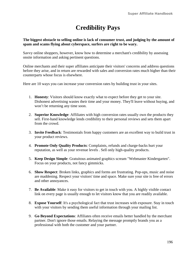# **Credibility Pays**

#### **The biggest obstacle to selling online is lack of consumer trust, and judging by the amount of spam and scams flying about cyberspace, surfers are right to be wary.**

Savvy online shoppers, however, know how to determine a merchant's credibility by assessing onsite information and asking pertinent questions.

Online merchants and their super affiliates anticipate their visitors' concerns and address questions before they arise, and in return are rewarded with sales and conversion rates much higher than their counterparts whose focus is elsewhere.

Here are 10 ways you can increase your conversion rates by building trust in your sites.

- 1. **Honesty**: Visitors should know exactly what to expect before they get to your site. Dishonest advertising wastes their time and your money. They'll leave without buying, and won't be returning any time soon.
- 2. **Superior Knowledge**: Affiliates with high conversion rates usually own the products they sell. First-hand knowledge lends credibility to their personal reviews and sets them apart from the crowd.
- 3. **Invite Feedback**: Testimonials from happy customers are an excellent way to build trust in your product reviews.
- 4. **Promote Only Quality Products**: Complaints, refunds and charge-backs hurt your reputation, as well as your revenue levels . Sell only high-quality products.
- 5. **Keep Design Simple**: Gratuitous animated graphics scream "Webmaster Kindergarten". Focus on your products, not fancy gimmicks.
- 6. **Show Respect**: Broken links, graphics and forms are frustrating. Pop-ups, music and noise are maddening. Respect your visitors' time and space. Make sure your site is free of errors and other annoyances.
- 7. **Be Available**: Make it easy for visitors to get in touch with you. A highly visible contact link on every page is usually enough to let visitors know that you are readily available.
- 8. **Expose Yourself**: It's a psychological fact that trust increases with exposure. Stay in touch with your visitors by sending them useful information through your mailing list.
- 9. **Go Beyond Expectations**: Affiliates often receive emails better handled by the merchant partner. Don't ignore those emails. Relaying the message promptly brands you as a professional with both the customer and your partner.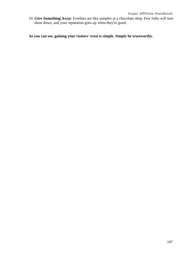10. **Give Something Away**: Freebies are like samples at a chocolate shop. Few folks will turn them down, and your reputation goes up when they're good.

**As you can see, gaining your visitors' trust is simple. Simply be trustworthy.**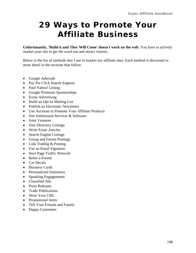# **29 Ways to Promote Your Affiliate Business**

**Unfortunately, 'Build it and They Will Come' doesn't work on the web.** You have to actively market your site to get the word out and attract visitors.

Below is the list of methods that I use to market my affiliate sites. Each method is discussed in more detail in the sections that follow.

- Google Adwords
- Pay Per Click Search Engines
- Paid Yahoo! Listing
- Google Premium Sponsorships
- Ezine Advertising
- Build an Opt-In Mailing List
- Publish an Electronic Newsletter
- Use Auctions to Promote Your Affiliate Products
- Site Submission Services & Software
- Joint Ventures
- Free Directory Listings
- Write Ezine Articles
- Search Engine Listings
- Group and Forum Postings
- Link Trading & Posting
- Use an Email Signature
- Start Page Traffic Network
- Refer-a-Friend
- Car Decals
- Business Cards
- Personalized Stationery
- Speaking Engagements
- Classified Ads
- Press Releases
- Trade Publications
- Wear Your URL
- Promotional Items
- Tell Your Friends and Family
- Happy Customers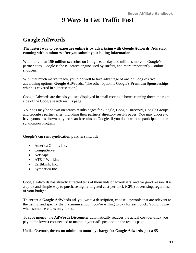# **9 Ways to Get Traffic Fast**

### **Google AdWords**

**The fastest way to get exposure online is by advertising with Google Adwords. Ads start running within minutes after you submit your billing information.** 

With more than **150 million searches** on Google each day and millions more on Google's partner sites, Google is the #1 search engine used by surfers, and more importantly – online shoppers.

With that much market reach, you'd do well to take advantage of one of Google's two advertising options, **Google AdWords.** (The other option is Google's **Premium Sponsorships**, which is covered in a later section.)

Google Adwords are the ads you see displayed in small rectangle boxes running down the right side of the Google search results page.

Your ads may be shown on search results pages for Google, Google Directory, Google Groups, and Google's partner sites, including their partners' directory results pages. You may choose to have yours ads shown only for search results on Google, if you don't want to participate in the syndication program.

### **Google's current syndication partners include:**

- America Online, Inc.
- CompuServe
- Netscape
- AT&T Worldnet
- EarthLink, Inc.
- Sympatico Inc.

Google Adwords has already attracted tens of thousands of advertisers, and for good reason. It is a quick and simple way to purchase highly targeted cost-per-click (CPC) advertising, regardless of your budget.

**To create a Google AdWords ad**, you write a description, choose keywords that are relevant to the listing, and specify the maximum amount you're willing to pay for each click. You only pay when someone clicks on your ad.

To save money, the **AdWords Discounter** automatically reduces the actual cost-per-click you pay to the lowest cost needed to maintain your ad's position on the results page.

Unlike Overture, there's **no minimum monthly charge for Google Adwords**, just **a \$5**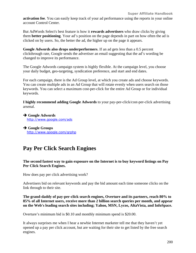**activation fee**. You can easily keep track of your ad performance using the reports in your online account Control Center.

But AdWords Select's best feature is how it **rewards advertisers** who draw clicks by giving them **better positioning**. Your ad's position on the page depends in part on how often the ad is clicked on by users. So, the better the ad, the higher up on the page it appears.

**Google Adwords also drops underperformers**. If an ad gets less than a 0.5 percent clickthrough rate, Google sends the advertiser an email suggesting that the ad's wording be changed to improve its performance.

The Google Adwords campaign system is highly flexible. At the campaign level, you choose your daily budget, geo-targeting, syndication preference, and start and end dates.

For each campaign, there is the Ad Group level, at which you create ads and choose keywords. You can create multiple ads in an Ad Group that will rotate evenly when users search on those keywords. You can select a maximum cost-per-click for the entire Ad Group or for individual keywords.

**I highly recommend adding Google Adwords** to your pay-per-click/cost-per-click advertising arsenal.

**→ Google Adwords** <http://www.google.com/ads>

 $\rightarrow$  **Google Groups** <http://www.google.com/grphp>

# **Pay Per Click Search Engines**

### **The second fastest way to gain exposure on the Internet is to buy keyword listings on Pay Per Click Search Engines.**

How does pay per click advertising work?

Advertisers bid on relevant keywords and pay the bid amount each time someone clicks on the link through to their site.

**The grand-daddy of pay-per-click search engines, Overture and its partners, reach 80% to 85% of all Internet users, receive more than 2 billion search queries per month, and appear on the Web's leading search sites including; Yahoo, MSN, Lycos, AltaVista, and InfoSpace.**

Overture's minimum bid is \$0.10 and monthly minimum spend is \$20.00.

It always surprises me when I hear a newbie Internet marketer tell me that they haven't yet opened up a pay per click account, but are waiting for their site to get listed by the free search engines.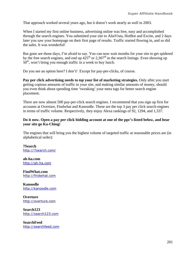That approach worked several years ago, but it doesn't work nearly as well in 2003.

When I started my first online business, advertising online was free, easy and accomplished through the search engines. You submitted your site to AltaVista, HotBot and Excite, and 2 days later you saw your homepage on their first page of results. Traffic started flowing in, and so did the sales. It was wonderful!

But gone are those days, I'm afraid to say. You can now wait months for your site to get spidered by the free search engines, and end up  $425<sup>th</sup>$  or 2,307<sup>th</sup> in the search listings. Even showing up  $50<sup>th</sup>$ , won't bring you enough traffic in a week to buy lunch.

Do you see an option here? I don't! Except for pay-per-clicks, of course.

**Pay per click advertising needs to** *top* **your list of marketing strategies.** Only after you start getting copious amounts of traffic to your site, and making similar amounts of money, should you even think about spending time 'tweaking' your meta tags for better search engine placement.

There are now almost 500 pay-per-click search engines. I recommend that you sign up first for accounts at Overture, Findwhat and Kanoodle. These are the top 3 pay per click search engines in terms of traffic volume. Respectively, they enjoy Alexa rankings of 92, 1294, and 1,337.

#### **Do it now. Open a pay per click bidding account at one of the ppc's listed below, and hear your site go Ka-Ching!**

The engines that will bring you the highest volume of targeted traffic at reasonable prices are (in alphabetical order):

**7Search**  [http://7search.com/](http://7search.com/scripts/referral/setadvreferrer.asp?affiliate=39806)

**ah-ha.com**  [http://ah-ha.com](https://secure1.ah-ha.com/logolink/default.asp?ref_custid=32502)

**FindWhat.com**  [http://findwhat.com](https://secure.findwhat.com/promo/cobrand/signup.asp?webhostID=58&auth_token=B2GW22K3Y9)

**Kanoodle**  [http://kanoodle.com](http://www.qksrv.net/click-1316974-9938407)

**Overture**  [http://overture.com](http://www.qksrv.net/click-1316974-9255179)

**Search123**  [http://search123.com](http://search123.com/)

**SearchFeed**  [http://searchfeed.com](http://www.searchfeed.com/rd/AffiliateInfo.jsp?p=8408&trackID=I3533504124)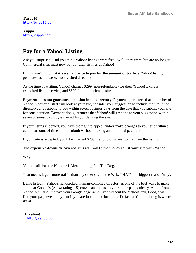**Turbo10**  [http://turbo10.com](http://turbo10.com/cgi-bin/joinup1.cgi?partnerid=finditat.rosalinds.com)

**Xuppa**  [http://xuppa.com](http://www.xuppa.com/?link=rosalind)

# **Pay for a Yahoo! Listing**

Are you surprised? Did you think Yahoo! listings were free? Well, they were, but are no longer. Commercial sites must now pay for their listings at Yahoo!

I think you'll find that **it's a small price to pay for the amount of traffic** a Yahoo! listing generates as the web's most-visited directory.

As the time of writing, Yahoo! charges \$299 (non-refundable) for their 'Yahoo! Express' expedited listing service, and \$600 for adult-oriented sites.

**Payment does not guarantee inclusion in the directory.** Payment guarantees that a member of Yahoo!'s editorial staff will look at your site, consider your suggestion to include the site in the directory, and respond to you within seven business days from the date that you submit your site for consideration. Payment also guarantees that Yahoo! will respond to your suggestion within seven business days, by either adding or denying the site.

If your listing is denied, you have the right to appeal and/or make changes to your site within a certain amount of time and re-submit without making an additional payment.

If your site is accepted, you'll be charged \$299 the following year to maintain the listing.

#### **The expensive downside covered, it is well worth the money to list your site with Yahoo!**

Why?

Yahoo! still has the Number 1 Alexa ranking. It's Top Dog.

That means it gets more traffic than any other site on the Web. THAT's the biggest reason 'why'.

Being listed in Yahoo's handpicked, human-compiled directory is one of the best ways to make sure that Google's (Alexa rating  $= 5$ ) crawls and picks up your home page quickly. A link from Yahoo! will also improve your Google page rank. Even without the Yahoo! link, Google will find your page eventually, but if you are looking for lots of traffic fast, a Yahoo! listing is where it's at.

→ Yahoo! [http://yahoo.com](http://yahoo.com/)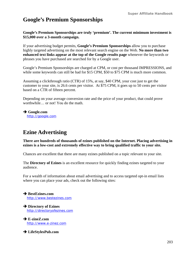### **Google's Premium Sponsorships**

**Google's Premium Sponsorships are truly 'premium'. The current minimum investment is \$15,000 over a 3-month campaign.** 

If your advertising budget permits, **Google's Premium Sponsorships** allow you to purchase highly targeted advertising on the most relevant search engine on the Web. **No more than two enhanced text links appear at the top of the Google results page** whenever the keywords or phrases you have purchased are searched for by a Google user.

Google's Premium Sponsorships are charged at CPM, or cost per thousand IMPRESSIONS, and while some keywords can still be had for \$15 CPM, \$50 to \$75 CPM is much more common.

Assuming a clickthrough ratio (CTR) of 15%, at say, \$40 CPM, your cost just to get the customer to your site, is 26.6 cents per visitor. At \$75 CPM, it goes up to 50 cents per visitor based on a CTR of fifteen percent.

Depending on your average conversion rate and the price of your product, that could prove worthwhile… or not! You do the math.

**→ Google.com** [http://google.com](http://google.com/)

# **Ezine Advertising**

**There are hundreds of thousands of ezines published on the Internet. Placing advertising in ezines is a low-cost and extremely effective way to bring qualified traffic to your site.** 

Chances are excellent that there are many ezines published on a topic relevant to your site.

The **Directory of Ezines** is an excellent resource for quickly finding ezines targeted to your audience.

For a wealth of information about email advertising and to access targeted opt-in email lists where you can place your ads, check out the following sites:

**→ BestEzines.com** [http://www.bestezines.com](http://www.bestezines.com/)

**→ Directory of Ezines** [http://directoryofezines.com](http://www.directoryofezines.com/ezGaffurl.php?offer=webvista2)

**→ E-zineZ.com** [http://www.e-zinez.com](http://www.e-zinez.com/)

**→ LifeStylesPub.com**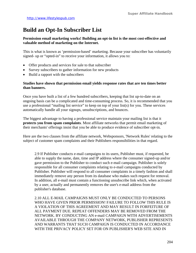# **Build an Opt-In Subscriber List**

#### **Permission email marketing works! Building an opt-in list is the most cost-effective and valuable method of marketing on the Internet.**

This is what is known as 'permission-based' marketing. Because your subscriber has voluntarily signed- up or "opted-in" to receive your information, it allows you to:

- Offer products and services for sale to that subscriber
- Survey subscribers to gather information for new products
- Build a rapport with the subscribers

#### **Studies have shown that permission email yields response rates that are ten times better than banners.**

Once you have built a list of a few hundred subscribers, keeping that list up-to-date on an ongoing basis can be a complicated and time-consuming process. So, it is recommended that you use a professional "mailing list service" to keep on top of your list(s) for you. These services automatically handle all your signups, unsubscriptions, and bounces.

The biggest advantage to having a professional service maintain your mailing list is that it **protects you from spam complaints**. Most affiliate networks that permit email marketing of their merchants' offerings insist that you be able to produce evidence of subscriber opt-in.

Here are the two clauses from the affiliate network, Websponsors, 'Network Rules' relating to the subject of customer spam complaints and their Publishers responsibilities in that regard.

2.9 If Publisher conducts e-mail campaigns to its users, Publisher must, if requested, be able to supply the name, date, time and IP address where the consumer signed-up and/or gave permission to the Publisher to conduct such e-mail campaign. Publisher is solely responsible for all consumer complaints relating to e-mail campaigns conducted by Publisher. Publisher will respond to all consumer complaints in a timely fashion and shall immediately remove any person from its database who makes such request for removal. In addition, all e-mail must contain a functioning unsubscribe link which, when activated by a user, actually and permanently removes the user's e-mail address from the publisher's database.

2.10 ALL E-MAIL CAMPAIGNS MUST ONLY BE CONDUCTED TO PERSONS WHO HAVE GIVEN PRIOR PERMISSION! FAILURE TO FOLLOW THIS RULE IS A VIOLATION OF THIS AGREEMENT AND MAY RESULT IN FORFEITURE OF ALL PAYMENT DUE. REPEAT OFFENDERS MAY BE REMOVED FROM THE NETWORK. BY CONDUCTING AN e-mail CAMPAIGN WITH ADVERTISEMENTS AVAILABLE THROUGH THE COMPANY NETWORK, PUBLISHER REPRESENTS AND WARRANTS THAT SUCH CAMPAIGN IS CONDUCTED IN ACCORDANCE WITH THE PRIVACY POLICY SET FOR ON PUBLISHER'S WEB SITE AND IN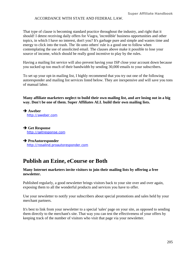### ACCORDANCE WITH STATE AND FEDERAL LAW.

That type of clause is becoming standard practice throughout the industry, and right that it should! I detest receiving daily offers for Viagra, 'incredible' business opportunities and other topics, in which I have no interest, don't you? It's garbage pure and simple and wastes time and energy to click into the trash. The 'do unto others' rule is a good one to follow when contemplating the use of unsolicited email. The clauses above make it possible to lose your source of income, which should be really good incentive to play by the rules.

Having a mailing list service will also prevent having your ISP close your account down because you sucked up too much of their bandwidth by sending 30,000 emails to your subscribers.

To set up your opt-in mailing list, I highly recommend that you try out one of the following autoresponder and mailing list services listed below. They are inexpensive and will save you tons of manual labor.

**Many affiliate marketers neglect to build their own mailing list, and are losing out in a big way. Don't be one of them. Super Affiliates ALL build their own mailing lists.** 

 $\rightarrow$  Aweber [http://aweber.com](http://www.aweber.com/?41566)

**→ Get Response** [http://getresponse.com](http://www.getresponse.com/index/46519)

**→ ProAutoresponder** [http://rosalind.proautoresponder.com](http://rosalind.proautoresponder.com/)

### **Publish an Ezine, eCourse or Both**

#### **Many Internet marketers invite visitors to join their mailing lists by offering a free newsletter.**

Published regularly, a good newsletter brings visitors back to your site over and over again, exposing them to all the wonderful products and services you have to offer.

Use your newsletter to notify your subscribers about special promotions and sales held by your merchant partners.

It's best to link from your newsletter to a special 'sales' page on your site, as opposed to sending them directly to the merchant's site. That way you can test the effectiveness of your offers by keeping track of the number of visitors who visit that page via your newsletter.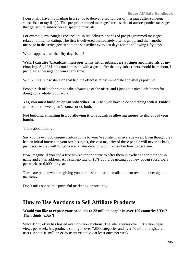I personally have my mailing lists set up to deliver a set number of messages after someone subscribes to my list(s). The 'pre-programmed messages' are a series of autoresponder messages that get sent to subscribers at specific intervals.

For example, my 'Singles eScene' opt-in list delivers a series of pre-programmed messages related to Internet dating. The first is delivered immediately after sign-up, and then another message in the series gets sent to the subscriber every ten days for the following fifty days.

What happens after the fifty days is up?

**Well, I can also 'broadcast' messages to my list of subscribers at times and intervals of my choosing.** So, if Match.com comes up with a great offer that my subscribers should hear about, I just blast a message to them at any time.

With 70,000 subscribers on that list, the effect is fairly immediate and always positive.

People rush off to the site to take advantage of the offer, and I just got a nice little bonus for doing not a whole lot of work.

**Yes, you must build an opt-in subscriber list!** Then you have to do something with it. Publish a newsletter, develop an 'ecourse' or do both.

#### **Not building a mailing list, or allowing it to languish is allowing money to slip out of your hands.**

Think about this…

Say you have 5,000 unique visitors come to your Web site in an average week. Even though they had an initial interest in your site's subject, the vast majority of these people will never be back, just because they will forget you at a later date, or won't remember how to get there.

Now imagine, if you had a free newsletter or course to offer them in exchange for their opt-in name and email address. At a sign-up rate of 10% you'd be getting 500 new opt-in subscribers per week, or 6,000 per year!

These are people who are giving you permission to send emails to them over and over again in the future.

Don't miss out on this powerful marketing opportunity!

### **How to Use Auctions to Sell Affiliate Products**

#### **Would you like to expose your products to 22 million people in over 100 countries? Yes? Then think 'eBay'!**

Since 1995, eBay has hosted over 2 billion auctions. The site receives over 1.8 billion page views per week, has products selling in over 7,800 categories and over 40 million registered users. About 10 million eBay users visit eBay at least once per week.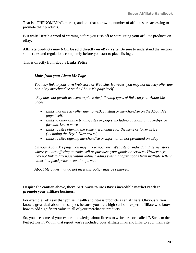That is a PHENOMENAL market, and one that a growing number of affiliates are accessing to promote their products.

**But wait!** Here's a word of warning before you rush off to start listing your affiliate products on eBay.

**Affiliate products may NOT be sold directly on eBay's site**. Be sure to understand the auction site's rules and regulations completely before you start to place listings.

This is directly from eBay's **Links Policy**.

### *Links from your About Me Page*

*You may link to your own Web store or Web site. However, you may not directly offer any non-eBay merchandise on the About Me page itself.* 

*eBay does not permit its users to place the following types of links on your About Me pages:* 

- *Links that directly offer any non-eBay listing or merchandise on the About Me page itself.*
- *Links to other online trading sites or pages, including auctions and fixed-price formats. Learn more*
- *Links to sites offering the same merchandise for the same or lower price (including the Buy It Now prices).*
- *Links to sites offering merchandise or information not permitted on eBay*

*On your About Me page, you may link to your own Web site or individual Internet store where you are offering to trade, sell or purchase your goods or services. However, you may not link to any page within online trading sites that offer goods from multiple sellers either in a fixed price or auction format.* 

*About Me pages that do not meet this policy may be removed.* 

### **Despite the caution above, there ARE ways to use eBay's incredible market reach to promote your affiliate business.**

For example, let's say that you sell health and fitness products as an affiliate. Obviously, you know a great deal about this subject, because you are a high-caliber, 'expert' affiliate who knows how to add significant value to all of your merchants' products.

So, you use some of your expert knowledge about fitness to write a report called '3 Steps to the Perfect Tush'. Within that report you've included your affiliate links and links to your main site.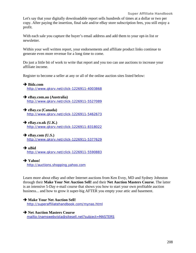Let's say that your digitally downloadable report sells hundreds of times at a dollar or two per copy. After paying the insertion, final sale and/or eBay store subscription fees, you still enjoy a profit.

With each sale you capture the buyer's email address and add them to your opt-in list or newsletter.

Within your well written report, your endorsements and affiliate product links continue to generate even more revenue for a long time to come.

Do just a little bit of work to write that report and you too can use auctions to increase your affiliate income.

Register to become a seller at any or all of the online auction sites listed below:

**→ Bidz.com** <http://www.qksrv.net/click-1226911-4003868>

**→ eBay.com.au (Australia)** <http://www.qksrv.net/click-1226911-5527089>

**→ eBay.ca (Canada)** <http://www.qksrv.net/click-1226911-5462673>

 $\rightarrow$  eBay.co.uk (U.K.) <http://www.qksrv.net/click-1226911-8318022>

 $\rightarrow$  eBay.com (U.S.) <http://www.qksrv.net/click-1226911-5377629>

 $\rightarrow$  uBid <http://www.qksrv.net/click-1226911-5590883>

→ Yahoo! [http://auctions.shopping.yahoo.com](http://auctions.shopping.yahoo.com/)

Learn more about eBay and other Internet auctions from Ken Evoy, MD and Sydney Johnston through their **Make Your Net Auction Sell!** and their **Net Auction Masters Course**. The latter is an intensive 5-Day e-mail course that shows you how to start your own profitable auction business... and how to grow it super-big AFTER you empty your attic and basement.

**→ Make Your Net Auction Sell!** [http://superaffiliatehandbook.com/mynas.html](http://rosalinds.com/mynas.html)

**→ Net Auction Masters Course** <mailto:tnamswebvista@sitesell.net?subject=MASTERS>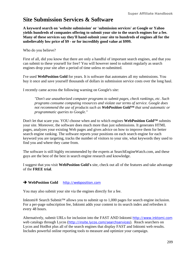### **Site Submission Services & Software**

**A keyword search on 'website submission' or 'submission services' at Google or Yahoo yields hundreds of companies offering to submit your site to the search engines for a fee. Many of these services say they'll hand-submit your site to hundreds of engines all for the unbelievably low price of \$9 - or for incredibly good value at \$999.** 

Who do you believe?

First of all, did you know that there are only a handful of important search engines, and that you can submit to these yourself for free? You will however need to submit regularly as search engines drop your site after a period of time unless re-submitted.

I've used **WebPosition Gold** for years. It is software that automates all my submissions. You buy it once and save yourself thousands of dollars in submission service costs over the long haul.

I recently came across the following warning on Google's site:

*"Don't use unauthorized computer programs to submit pages, check rankings, etc. Such programs consume computing resources and violate our terms of service. Google does not recommend the use of products such as WebPosition Gold™ that send automatic or programmatic queries to Google."* 

Don't let that scare you. YOU choose when and to which engines **WebPosition Gold™** submits your site. Moreover, the software does much more than just submissions. It generates HTML pages, analyzes your existing Web pages and gives advice on how to improve them for better search engine ranking. The software reports your positions on each search engine for each keyword you are targeting, tracks the number of visitors to your site, what keywords they used to find you and where they came from.

The software is still highly recommended by the experts at SearchEngineWatch.com, and these guys are the best of the best in search engine research and knowledge.

I suggest that you visit **WebPosition Gold's** site, check out all of the features and take advantage of the **FREE trial**.

### Î **WebPosition Gold** [http://webposition.com](http://www.webposition.com/d2.pl?r=LO5-55DE)

You may also submit your site via the engines directly for a fee.

Inktomi® Search Submit™ allows you to submit up to 1,000 pages for search engine inclusion. For a per-page subscription fee, Inktomi adds your content to its search index and refreshes it every 48 hours.

Alternatively, submit URLs for inclusion into the FAST AND Inktomi [http://www.inktomi.com](http://www.inktomi.com/) web catalogs through Lycos (<http://insite.lycos.com/searchservices>). Reach searchers on Lycos and HotBot plus all of the search engines that display FAST and Inktomi web results. Includes powerful online reporting tools to measure and optimize your campaign.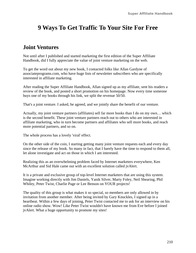# **9 Ways To Get Traffic To Your Site For Free**

### **Joint Ventures**

Not until after I published and started marketing the first edition of the Super Affiliate Handbook, did I fully appreciate the value of joint venture marketing on the web.

To get the word out about my new book, I contacted folks like Allan Gardyne of associateprograms.com, who have huge lists of newsletter subscribers who are specifically interested in affiliate marketing.

After reading the Super Affiliate Handbook, Allan signed up as my affiliate, sent his readers a review of the book, and posted a short promotion on his homepage. Now every time someone buys one of my books through his link, we split the revenue 50/50.

That's a joint venture. I asked, he agreed, and we jointly share the benefit of our venture.

Actually, my joint venture partners (affiliates) sell far more books than I do on my own… which is the second benefit. These joint venture partners reach out to others who are interested in affiliate marketing, who in turn become partners and affiliates who sell more books, and reach more potential partners, and so on.

The whole process has a lovely 'viral' effect.

On the other side of the coin, I starting getting many joint venture requests each and every day since the release of my book. So many in fact, that I barely have the time to respond to them all, let alone investigate and act on those in which I am interested.

Realizing this as an overwhelming problem faced by Internet marketers everywhere, Ken McArthur and Sid Hale came out with an excellent solution called jvAlert.

It is a private and exclusive group of top-level Internet marketers that are using this system. Imagine working directly with Jim Daniels, Yanik Silver, Marty Foley, Neil Shearing, Phil Whiley, Peter Twist, Charlie Page or Lee Benson on YOUR projects!

The quality of this group is what makes it so special, so members are only allowed in by invitation from another member. After being invited by Gary Knuckles, I signed up in a heartbeat. Within a few days of joining, Peter Twist contacted me to ask for an interview on his online radio show. Wow! Like Peter Twist wouldn't have known me from Eve before I joined jvAlert. What a huge opportunity to promote my sites!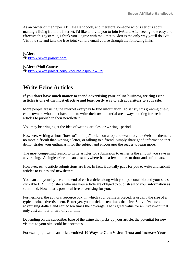As an owner of the Super Affiliate Handbook, and therefore someone who is serious about making a living from the Internet, I'd like to invite you to join jvAlert. After seeing how easy and effective this system is, I think you'll agree with me - that jvAlert is the only way you'll do JV's. Visit the site and take the free joint venture email course through the following links.

**jvAlert**   $\rightarrow$  [http://www.jvAlert.com](http://www.jvalert.com/invite.aspx?id=129)

**jvAlert eMail Course** 

 $\rightarrow$  <http://www.jvalert.com/jvcourse.aspx?id=129>

# **Write Ezine Articles**

### **If you don't have much money to spend advertising your online business, writing ezine articles is one of the most effective and least costly way to attract visitors to your site.**

More people are using the Internet everyday to find information. To satisfy this growing quest, ezine owners who don't have time to write their own material are always looking for fresh articles to publish in their newsletters.

You may be cringing at the idea of writing articles, or writing - period.

However, writing a short "how-to" or "tips" article on a topic relevant to your Web site theme is no more difficult than writing a letter, or talking to a friend. Simply share good information that demonstrates your enthusiasm for the subject and encourages the reader to learn more.

The most compelling reason to write articles for submission to ezines is the amount you save in advertising. A single ezine ad can cost anywhere from a few dollars to thousands of dollars.

However, ezine article submissions are free. In fact, it actually pays for you to write and submit articles to ezines and newsletters!

You can add your byline at the end of each article, along with your personal bio and your site's clickable URL. Publishers who use your article are obliged to publish all of your information as submitted. Now, that's powerful free advertising for you.

Furthermore, the author's resource box, in which your byline is placed, is usually the size of a typical ezine advertisement. Better yet, your article is ten times that size. So, you've saved advertising dollars and earned ten times the coverage. That's great value for an investment that only cost an hour or two of your time.

Depending on the subscriber base of the ezine that picks up your article, the potential for new visitors to your site could be enormous.

For example, I wrote an article entitled '**10 Ways to Gain Visitor Trust and Increase Your**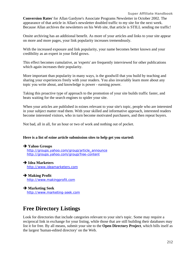**Conversion Rates**' for Allan Gardyne's Associate Programs Newsletter in October 2002. The appearance of that article in Allan's newsletter doubled traffic to my site for the next week. Because Allan archives the newsletters on his Web site, that article is STILL sending me traffic!

Onsite archiving has an additional benefit. As more of your articles and links to your site appear on more and more pages, your link popularity increases tremendously.

With the increased exposure and link popularity, your name becomes better known and your credibility as an expert in your field grows.

This effect becomes cumulative, as 'experts' are frequently interviewed for other publications which again increases their popularity.

More important than popularity in many ways, is the goodwill that you build by teaching and sharing your experiences freely with your readers. You also invariably learn more about any topic you write about, and knowledge is power - earning power.

Taking this proactive type of approach to the promotion of your site builds traffic faster, and beats waiting for the search engines to spider your site.

When your articles are published in ezines relevant to your site's topic, people who are interested in your subject matter read them. With your skilled and informative approach, interested readers become interested visitors, who in turn become motivated purchasers, and then repeat buyers.

Not bad, all in all, for an hour or two of work and nothing out of pocket.

#### **Here is a list of ezine article submission sites to help get you started:**

### $→$  **Yahoo Groups**  [http://groups.yahoo.com/group/article\\_announce](http://groups.yahoo.com/group/article_announce) <http://groups.yahoo.com/group/free-content>

**→ Idea Marketers** [http://www.ideamarketers.com](http://www.ideamarketers.com/)

**→ Making Profit** [http://www.makingprofit.com](http://www.makingprofit.com/)

**→ Marketing Seek** [http://www.marketing-seek.com](http://www.marketing-seek.com/) 

### **Free Directory Listings**

Look for directories that include categories relevant to your site's topic. Some may require a reciprocal link in exchange for your listing, while those that are still building their databases may list it for free. By all means, submit your site to the **Open Directory Project**, which bills itself as the largest 'human-edited directory' on the Web.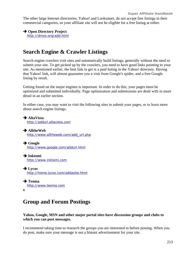The other large Internet directories, Yahoo! and Looksmart, do not accept free listings in their commercial categories, so your affiliate site will not be eligible for a free listing at either.

 $→$  **Open Directory Project** <http://dmoz.org/add.html>

# **Search Engine & Crawler Listings**

Search engine crawlers visit sites and automatically build listings, generally without the need to submit your site. To get picked up by the crawlers, you need to have good links pointing to your site. As mentioned earlier, the best link to get is a paid listing in the Yahoo! directory. Having that Yahoo! link, will almost guarantee you a visit from Google's spider, and a free Google listing by result.

Getting found on the major engines is important. In order to do this, your pages must be optimized and submitted individually. Page optimization and submissions are dealt with in more detail in an earlier section.

In either case, you may want to visit the following sites to submit your pages, or to learn more about search engine listings.

**→ AltaVista** [http://addurl.altavista.com](http://addurl.altavista.com/)

 $\rightarrow$  AlltheWeb [http://www.alltheweb.com/add\\_url.php](http://www.alltheweb.com/add_url.php)

**→ Google** <http://www.google.com/addurl.html>

**→ Inktomi** [http://www.inktomi.com](http://www.inktomi.com/)

 $\rightarrow$  Lycos <http://home.lycos.com/addasite.html>

**→ Teoma**  [http://www.teoma.com](http://www.teoma.com/) •

### **Group and Forum Postings**

### **Yahoo, Google, MSN and other major portal sites have discussion groups and clubs to which you can post messages.**

I recommend taking time to research the groups you are interested in before posting. When you do post, make sure your message is not a blatant advertisement for your site.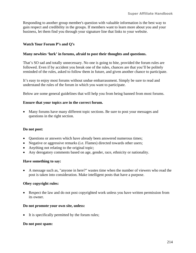Responding to another group member's question with valuable information is the best way to gain respect and credibility in the groups. If members want to learn more about you and your business, let them find you through your signature line that links to your website.

### **Watch Your Forum P's and Q's**

### **Many newbies 'lurk' in forums, afraid to post their thoughts and questions.**

That's SO sad and totally unnecessary. No one is going to bite, provided the forum rules are followed. Even if by accident you break one of the rules, chances are that you'll be politely reminded of the rules, asked to follow them in future, and given another chance to participate.

It's easy to enjoy most forums without undue embarrassment. Simply be sure to read and understand the rules of the forum in which you want to participate.

Below are some general guidelines that will help you from being banned from most forums.

#### **Ensure that your topics are in the correct forum.**

• Many forums have many different topic sections. Be sure to post your messages and questions in the right section.

#### **Do not post:**

- Questions or answers which have already been answered numerous times;
- Negative or aggressive remarks (i.e. Flames) directed towards other users;
- Anything not relating to the original topic;
- Any derogatory comments based on age, gender, race, ethnicity or nationality.

#### **Have something to say:**

• A message such as, "anyone in here?" wastes time when the number of viewers who read the post is taken into consideration. Make intelligent posts that have a purpose.

#### **Obey copyright rules:**

• Respect the law and do not post copyrighted work unless you have written permission from its owner.

#### **Do not promote your own site, unless:**

• It is specifically permitted by the forum rules;

#### **Do not post spam:**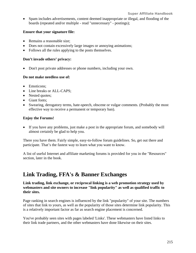• Spam includes advertisements, content deemed inappropriate or illegal, and flooding of the boards (repeated and/or multiple - read "unnecessary" - postings);

### **Ensure that your signature file:**

- Remains a reasonable size:
- Does not contain excessively large images or annoying animations;
- Follows all the rules applying to the posts themselves.

### **Don't invade others' privacy:**

• Don't post private addresses or phone numbers, including your own.

### **Do not make needless use of:**

- Emoticons:
- Line breaks or ALL-CAPS;
- Nested quotes;
- Giant fonts;
- Swearing, derogatory terms, hate-speech, obscene or vulgar comments. (Probably the most effective way to receive a permanent or temporary ban).

### **Enjoy the Forums!**

• If you have any problems, just make a post in the appropriate forum, and somebody will almost certainly be glad to help you.

There you have them. Fairly simple, easy-to-follow forum guidelines. So, get out there and participate. That's the fastest way to learn what you want to know.

A list of useful Internet and affiliate marketing forums is provided for you in the "Resources" section, later in the book.

### **Link Trading, FFA's & Banner Exchanges**

**Link trading, link exchange, or reciprocal linking is a web promotion strategy used by webmasters and site owners to increase "link popularity" as well as qualified traffic to their sites.** 

Page ranking in search engines is influenced by the link "popularity" of your site. The numbers of sites that link to yours, as well as the popularity of those sites determine link popularity. This is a relatively important factor as far as search engine placement is concerned.

You've probably seen sites with pages labeled 'Links'. These webmasters have listed links to their link trade partners, and the other webmasters have done likewise on their sites.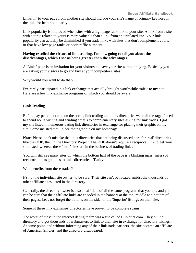Links 'in' to your page from another site should include your site's name or primary keyword in the link, for better popularity.

Link popularity is improved when sites with a high page rank link to your site. A link from a site with a topic related to yours is more valuable than a link from an unrelated site. Your link popularity can actually be diminished if you trade links with sites that don't complement yours, or that have low page ranks or poor traffic numbers.

### **Having extolled the virtues of link trading, I'm now going to tell you about the disadvantages, which I see as being greater than the advantages.**

A 'Links' page is an invitation for your visitors to leave your site without buying. Basically you are asking your visitors to go and buy at your competitors' sites.

Why would you want to do that?

I've rarely participated in a link exchange that actually brought worthwhile traffic to my site. Here are a few link exchange programs of which you should be aware.

### **Link Trading**

Before pay per click came on the scene, link trading and links directories were all the rage. I used to spend hours writing and sending emails to complementary sites asking for link trades. I got my site listed in numerous dating link directories in exchange for placing their graphic on my site. Some insisted that I place their graphic on my homepage.

**Note**: Please don't mistake the links directories that are being discussed here for 'real' directories like the ODP, the Online Directory Project. The ODP doesn't require a reciprocal link to get your site listed, whereas these 'links' sites are in the business of trading links.

You will still see many sites on which the bottom half of the page is a blinking mass (mess) of reciprocal links graphics to links directories. **Tacky!** 

Who benefits from these trades?

It's not the individual site owner, to be sure. Their site can't be located amidst the thousands of other affiliate sites listed in the directory.

Generally, the directory owner is also an affiliate of all the same programs that you are, and you can be sure that their affiliate links are encoded in the banners at the top, middle and bottom of their pages. Let's not forget the buttons on the side, or the 'Superior' listings on their site.

Some of these 'link exchange' directories have proven to be complete scams.

The worst of these in the Internet dating realm was a site called Cupidnet.com. They built a directory and got thousands of webmasters to link to their site in exchange for directory listings. At some point, and without informing any of their link trade partners, the site became an affiliate of American Singles, and the directory disappeared.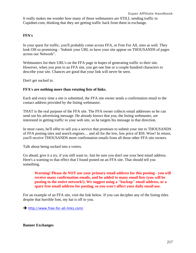It really makes me wonder how many of those webmasters are STILL sending traffic to Cupidnet.com, thinking that they are getting traffic back from them in exchange.

### **FFA's**

In your quest for traffic, you'll probably come across FFA, or Free For All, sites as well. They look OH so promising - 'Submit your URL to have your site appear on THOUSANDS of pages across our Network".

Webmasters list their URL's on the FFA page in hopes of generating traffic to their site. However, when you post to an FFA site, you get one line or a couple hundred characters to describe your site. Chances are good that your link will never be seen.

Don't get sucked in.

### **FFA's are nothing more than rotating lists of links.**

Each and every time a site is submitted, the FFA site owner sends a confirmation email to the contact address provided by the listing webmaster.

THAT is the real purpose of the FFA site. The FFA owner collects email addresses so he can send out his advertising message. He already knows that you, the listing webmaster, are interested in getting traffic to your web site, so he targets his message in that direction.

In most cases, he'll offer to sell you a service that promises to submit your site to THOUSANDS of FFA posting sites and search engines… and all for the low, low price of \$59. Wow! In return, you'll receive THOUSANDS more confirmation emails from all those other FFA site owners.

Talk about being sucked into a vortex.

Go ahead; give it a try, if you still want to. Just be sure you don't use your best email address. Here's a warning to that effect that I found posted on an FFA site. That should tell you something.

**Warning! Please do NOT use your primary email address for this posting - you will receive many confirmation emails, and be added to many email lists (you will be posting to the entire network!). We suggest using a "backup" email address, or a spare free email address for posting, so you won't affect your daily email use.** 

For an example of an FFA site, visit the link below. If you can decipher any of the listing titles despite that horrible font, my hat is off to you.

Î <http://www.free-for-all-links.com/>

#### **Banner Exchanges**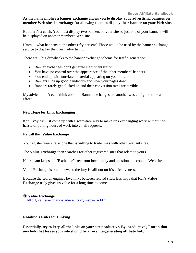### **As the name implies a banner exchange allows you to display your advertising banners on member Web sites in exchange for allowing them to display their banner on your Web site.**

But there's a catch. You must display two banners on your site so just one of your banners will be displayed on another member's Web site.

Hmm… what happens to the other fifty percent? Those would be used by the banner exchange service to display their own advertising.

There are 5 big drawbacks to the banner exchange scheme for traffic generation.

- Banner exchanges don't generate significant traffic.
- You have no control over the appearance of the other members' banners.
- You end up with unrelated material appearing on your site.
- Banners suck up good bandwidth and slow your pages down.
- Banners rarely get clicked on and their conversion rates are terrible.

My advice - don't even think about it. Banner exchanges are another waste of good time and effort.

### **New Hope for Link Exchanging**

Ken Evoy has just come up with a scam-free way to make link exchanging work without the hassle of putting hours of work into email requests.

It's call the "**Value Exchange**".

You register your site as one that is willing to trade links with other relevant sites.

The **Value Exchange** then searches for other registered sites that relate to yours.

Ken's team keeps the "Exchange" free from low quality and questionable content Web sites.

Value Exchange is brand new, so the jury is still out on it's effectiveness.

Because the search engines love links between related sites, let's hope that Ken's **Value Exchange** truly gives us value for a long time to come.

#### **→ Value Exchange** <http://value-exchange.sitesell.com/webvista.html>

### **Rosalind's Rules for Linking**

**Essentially, try to keep all the links on your site productive. By 'productive', I mean that any link that leaves your site should be a revenue-generating affiliate link.**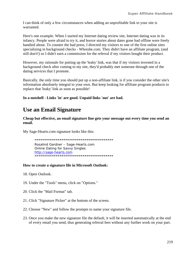I can think of only a few circumstances when adding an unprofitable link to your site is warranted.

Here's one example. When I started my Internet dating review site, Internet dating was in its infancy. People were afraid to try it, and horror stories about dates gone bad offline were freely bandied about. To counter the bad press, I directed my visitors to one of the first online sites specializing in background checks - Whoishe.com. They didn't have an affiliate program, (and still don't!) so I didn't earn a commission for the referral if my visitors bought their product.

However, my rationale for putting up the 'leaky' link, was that if my visitors invested in a background check after coming to my site, they'd probably met someone through one of the dating services that I promote.

Basically, the only time you should put up a non-affiliate link, is if you consider the other site's information absolutely integral to your own. But keep looking for affiliate program products to replace that 'leaky' link as soon as possible!

### **In a nutshell - Links 'in' are good. Unpaid links 'out' are bad.**

### **Use an Email Signature**

**Cheap but effective, an email signature line gets your message out every time you send an email.** 

My Sage-Hearts.com signature looks like this:

\*\*\*\*\*\*\*\*\*\*\*\*\*\*\*\*\*\*\*\*\*\*\*\*\*\*\*\*\*\*\*\*\*\*\*\*\*\*\*\*\* Rosalind Gardner – Sage-Hearts.com Online Dating for Savvy Singles [http://sage-hearts.com](http://sage-hearts.com/)  \*\*\*\*\*\*\*\*\*\*\*\*\*\*\*\*\*\*\*\*\*\*\*\*\*\*\*\*\*\*\*\*\*\*\*\*\*\*\*\*\*

### **How to create a signature file in Microsoft Outlook:**

- 18. Open Outlook.
- 19. Under the "Tools" menu, click on "Options."
- 20. Click the "Mail Format" tab.
- 21. Click "Signature Picker" at the bottom of the screen.
- 22. Choose "New" and follow the prompts to name your signature file.
- 23. Once you make the new signature file the default, it will be inserted automatically at the end of every email you send, thus generating referral fees without any further work on your part.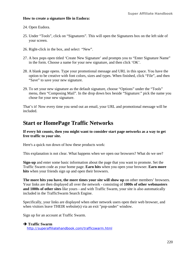### **How to create a signature file in Eudora:**

- 24. Open Eudora.
- 25. Under "Tools", click on "Signatures". This will open the Signatures box on the left side of your screen.
- 26. Right-click in the box, and select "New".
- 27. A box pops open titled 'Create New Signature' and prompts you to "Enter Signature Name" in the form. Choose a name for your new signature, and then click 'OK'.
- 28. A blank page opens. Type your promotional message and URL in this space. You have the option to be creative with font colors, sizes and types. When finished, click "File", and then "Save" to save your new signature.
- 29. To set your new signature as the default signature, choose "Options" under the "Tools" menu, then "Composing Mail". In the drop down box beside "Signature:" pick the name you chose for your new signature.

That's it! Now every time you send out an email, your URL and promotional message will be included.

### **Start or HomePage Traffic Networks**

### **If every hit counts, then you might want to consider start page networks as a way to get free traffic to your site.**

Here's a quick run down of how these products work:

This explanation is not clear. What happens when we open our browsers? What do we see?

**Sign-up** and enter some basic information about the page that you want to promote. Set the Traffic Swarm code as your home page. **Earn hits** when you open your browser. **Earn more hits** when your friends sign up and open their browsers.

**The more hits you have, the more times your site will show up** on other members' browsers. Your links are then displayed all over the network - consisting of **1000s of other webmasters and 1000s of other sites** like yours - and with Traffic Swarm, your site is also automatically included in the TrafficSwarm Search Engine.

Specifically, your links are displayed when other network users open their web browser, and when visitors leave THEIR website(s) via an exit "pop-under" window.

Sign up for an account at Traffic Swarm.

**→ Traffic Swarm** <http://superaffiliatehandbook.com/trafficswarm.html>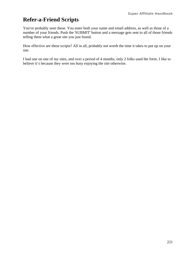# **Refer-a-Friend Scripts**

You've probably seen these. You enter both your name and email address, as well as those of a number of your friends. Push the 'SUBMIT' button and a message gets sent to all of those friends telling them what a great site you just found.

How effective are these scripts? All in all, probably not worth the time it takes to put up on your site.

I had one on one of my sites, and over a period of 4 months, only 2 folks used the form. I like to believe it's because they were too busy enjoying the site otherwise.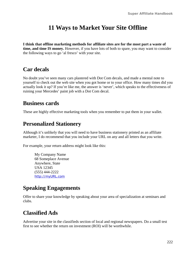# **11 Ways to Market Your Site Offline**

**I think that offline marketing methods for affiliate sites are for the most part a waste of time, and time IS money.** However, if you have lots of both to spare, you may want to consider the following ways to go 'al fresco' with your site.

### **Car decals**

No doubt you've seen many cars plastered with Dot Com decals, and made a mental note to yourself to check out the web site when you got home or to your office. How many times did you actually look it up? If you're like me, the answer is 'never', which speaks to the effectiveness of ruining your Mercedes' paint job with a Dot Com decal.

### **Business cards**

These are highly effective marketing tools when you remember to put them in your wallet.

### **Personalized Stationery**

Although it's unlikely that you will need to have business stationery printed as an affiliate marketer, I do recommend that you include your URL on any and all letters that you write.

For example, your return address might look like this:

My Company Name 68 Someplace Avenue Anywhere, State USA 12345 (555) 444-2222 [http://myURL.com](http://myurl.com/)

### **Speaking Engagements**

Offer to share your knowledge by speaking about your area of specialization at seminars and clubs.

### **Classified Ads**

Advertise your site in the classifieds section of local and regional newspapers. Do a small test first to see whether the return on investment (ROI) will be worthwhile.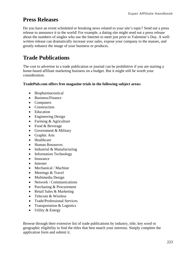# **Press Releases**

Do you have an event scheduled or breaking news related to your site's topic? Send out a press release to announce it to the world! For example, a dating site might send out a press release about the numbers of singles who use the Internet to meet just prior to Valentine's Day. A wellwritten release can dramatically increase your sales, expose your company to the masses, and greatly enhance the image of your business or products.

# **Trade Publications**

The cost to advertise in a trade publication or journal can be prohibitive if you are starting a home-based affiliate marketing business on a budget. But it might still be worth your consideration.

### **TradePub.com offers free magazine trials in the following subject areas:**

- Biopharmaceutical
- Business/Finance
- Computers
- Construction
- Education
- Engineering Design
- Farming & Agriculture
- Food & Beverage
- Government & Military
- Graphic Arts
- Healthcare
- Human Resources
- Industrial & Manufacturing
- Information Technology
- Insurance
- Internet
- Mechanical / Machine
- Meetings & Travel
- Multimedia Design
- Network / Communications
- Purchasing & Procurement
- Retail Sales & Marketing
- Telecom & Wireless
- Trade/Professional Services
- Transportation & Logistics
- Utility & Energy

Browse through their extensive list of trade publications by industry, title, key word or geographic eligibility to find the titles that best match your interests. Simply complete the application form and submit it.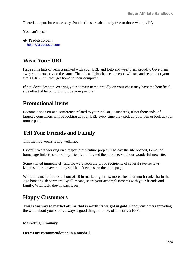There is no purchase necessary. Publications are absolutely free to those who qualify.

You can't lose!

#### $→$  **TradePub.com** [http://tradepub.com](http://tradepub.com/)

### **Wear Your URL**

Have some hats or t-shirts printed with your URL and logo and wear them proudly. Give them away so others may do the same. There is a slight chance someone will see and remember your site's URL until they get home to their computer.

If not, don't despair. Wearing your domain name proudly on your chest may have the beneficial side effect of helping to improve your posture.

### **Promotional items**

Become a sponsor at a conference related to your industry. Hundreds, if not thousands, of targeted consumers will be looking at your URL every time they pick up your pen or look at your mouse pad.

### **Tell Your Friends and Family**

This method works really well...not.

I spent 2 years working on a major joint venture project. The day the site opened, I emailed homepage links to some of my friends and invited them to check out our wonderful new site.

Some visited immediately and we were soon the proud recipients of several rave reviews. Months later however, many still hadn't even seen the homepage.

While this method rates a 1 out of 10 in marketing terms, more often than not it ranks 1st in the 'ego boosting' department. By all means, share your accomplishments with your friends and family. With luck, they'll 'pass it on'.

### **Happy Customers**

**This is one way to market offline that is worth its weight in gold**. Happy customers spreading the word about your site is always a good thing – online, offline or via ESP**.** 

### **Marketing Summary**

**Here's my recommendation in a nutshell.**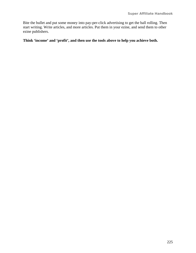Bite the bullet and put some money into pay-per-click advertising to get the ball rolling. Then start writing. Write articles, and more articles. Put them in your ezine, and send them to other ezine publishers.

### **Think 'income' and 'profit', and then use the tools above to help you achieve both.**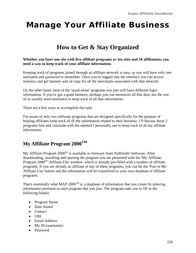# **Manage Your Affiliate Business**

# **How to Get & Stay Organized**

**Whether you have one site with five affiliate programs or ten sites and 50 affiliations, you need a way to keep track of your affiliate information.** 

Keeping track of programs joined through an affiliate network is easy, as you will have only one username and password to remember. Once you've logged into the interface you can access statistics and get banners and ad copy for all the merchants associated with that network.

On the other hand, most of the 'stand-alone' programs you join will have different login information. If you've got a good memory, perhaps you can memorize all that data, but the rest of us usually need assistance to keep track of all that information.

There are a few ways to accomplish this task.

I'm aware of only two software programs that are designed specifically for the purpose of helping affiliates keep track of all the information related to their business. I'll discuss those 2 programs first and conclude with the method I personally use to keep track of all my affiliate information.

### **My Affiliate Program 2000TM**

My Affiliate Program  $2000<sup>tm</sup>$  is available as freeware from Pathfinder Software. After downloading, installing and opening the program you are presented with the 'My Affiliate Program 2000<sup>tm</sup> Affiliate File' window, which is already pre-filled with a number of affiliate programs. If you are already an affiliate of any of these programs, you can hit the 'Post to My Affiliate List' button and the information will be transferred to your own database of affiliate programs.

That's essentially what MAP 2000 $<sup>tm</sup>$  is, a database of information that you create by entering</sup> information pertinent to each program that you join. The program asks you to fill in the following blanks:

- Program Name
- Date Joined
- Contact
- URL
- Email Address
- My ID (username)
- Password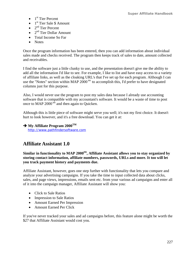- $\bullet$  1<sup>st</sup> Tier Percent
- 1<sup>st</sup> Tier Sale \$ Amount
- $2<sup>nd</sup>$  Tier Percent
- $2<sup>nd</sup>$  Tier Dollar Amount
- Total Income So Far
- Notes

Once the program information has been entered, then you can add information about individual sales made and checks received. The program then keeps track of sales to date, amount collected and receivables.

I find the software just a little clunky to use, and the presentation doesn't give me the ability to add all the information I'd like to see. For example, I like to list and have easy access to a variety of affiliate links, as well as the cloaking URL's that I've set up for each program. Although I can use the "Notes" section within MAP  $2000^{\text{tm}}$  to accomplish this, I'd prefer to have designated columns just for this purpose.

Also, I would never use the program to post my sales data because I already use accounting software that is compatible with my accountant's software. It would be a waste of time to post once to MAP  $2000<sup>tm</sup>$  and then again to Ouicken.

Although this is little piece of software might serve you well; it's not my first choice. It doesn't hurt to look however, and it's a free download. You can get it at:

→ My Affiliate Program 2000<sup>TM</sup> [http://www.pathfindersoftware.com](http://www.pathfindersoftware.com/)

### **Affiliate Assistant 1.0**

**Similar in functionality to MAP 2000tm, Affiliate Assistant allows you to stay organized by storing contact information, affiliate numbers, passwords, URLs and more. It too will let you track payment history and payments due.**

Affiliate Assistant, however, goes one step further with functionality that lets you compare and analyze your advertising campaigns. If you take the time to input collected data about clicks, sales, and page views, impressions, emails sent etc. from your various ad campaigns and enter all of it into the campaign manager, Affiliate Assistant will show you:

- Click to Sale Ratios
- Impression to Sale Ratios
- Amount Earned Per Impression
- Amount Earned Per Click

If you've never tracked your sales and ad campaigns before, this feature alone might be worth the \$27 that Affiliate Assistant would cost you.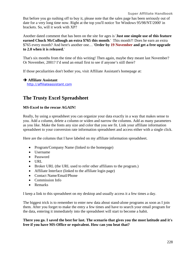But before you go rushing off to buy it, please note that the sales page has been seriously out of date for a very long time now. Right at the top you'll notice 'for Windows 95/98/NT/2000' in brackets. So, will it work with XP?

Another dated comment that has been on the site for ages is '**Just one simple use of this feature earned Chuck McCullough an extra \$765 this month**.' This month?! Does he earn an extra \$765 every month? And here's another one… '**Order by 19 November and get a free upgrade to 2.0 when it is released.**'

That's six months from the time of this writing! Then again, maybe they meant last November? Or November, 2001? I'd send an email first to see if anyone's still there?

If those peculiarities don't bother you, visit Affiliate Assistant's homepage at:

 $\rightarrow$  **Affiliate Assistant** [http://affiliateassistant.com](http://affiliateassistant.com/)

### **The Trusty Excel Spreadsheet**

### **MS-Excel to the rescue AGAIN!**

Really, by using a spreadsheet you can organize your data exactly in a way that makes sense to you. Add a column, delete a column or widen and narrow the columns. Add as many parameters as you like. Make the fonts any size and color that you see fit. Link your affiliate information spreadsheet to your conversion rate information spreadsheet and access either with a single click.

Here are the columns that I have labeled on my affiliate information spreadsheet.

- Program/Company Name (linked to the homepage)
- Username
- Password
- URL
- Broker URL (the URL used to refer other affiliates to the program.)
- Affiliate Interface (linked to the affiliate login page)
- Contact Name/Email/Phone
- Commission Info
- Remarks

I keep a link to this spreadsheet on my desktop and usually access it a few times a day.

The biggest trick is to remember to enter new data about stand-alone programs as soon as I join them. After you forget to make the entry a few times and have to search your email program for the data, entering it immediately into the spreadsheet will start to become a habit.

**There you go. I saved the best for last. The scenario that gives you the most latitude and it's free if you have MS-Office or equivalent. How can you beat that?**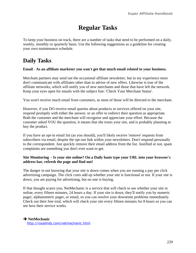# **Regular Tasks**

To keep your business on track, there are a number of tasks that need to be performed on a daily, weekly, monthly or quarterly basis. Use the following suggestions as a guideline for creating your own maintenance schedule.

### **Daily Tasks**

### **Email** - **As an affiliate marketer you won't get that much email related to your business.**

Merchant partners may send out the occasional affiliate newsletter, but in my experience most don't communicate with affiliates other than to advise of new offers. Likewise is true of the affiliate networks, which will notify you of new merchants and those that have left the network. Keep your eyes open for emails with the subject line: 'Check Your Merchant Status'.

You won't receive much email from customers, as most of those will be directed to the merchant.

However, if you DO receive email queries about products or services offered on your site, respond promptly with either the answer, or an offer to redirect their question as appropriate. Both the customer and the merchant will recognize and appreciate your effort. Because the customer asked YOU the question, it means that she trusts your site, and is probably planning to buy the product.

If you have an opt-in email list (as you should), you'll likely receive 'remove' requests from subscribers via email, despite the opt-out link within your newsletters. Don't respond personally to the correspondent. Just quickly remove their email address from the list. Justified or not, spam complaints are something you don't ever want to get.

### **Site Monitoring - Is your site online? On a Daily basis type your URL into your browser's address bar, refresh the page and find out!**

The danger in not knowing that your site is down comes when you are running a pay per click advertising campaign. The click costs add up whether your site is functional or not. If your site is down, you are paying for advertising, but no one is buying.

If that thought scares you, NetMechanic is a service that will check to see whether your site in online, every fifteen minutes, 24 hours a day. If your site is down, they'll notify you by numeric pager, alphanumeric pager, or email, so you can resolve your downtime problems immediately. Check out their free trial, which will check your site every fifteen minutes for 8 hours so you can see how their service works.

### **→ NetMechanic** <http://rosalinds.com/netmechanic.html>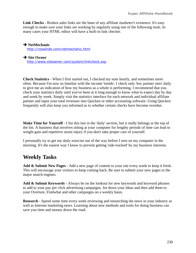**Link Checks** - Broken sales links are the bane of any affiliate marketer's existence. It's easy enough to make sure your links are working by regularly using one of the following tools. In many cases your HTML editor will have a built-in link checker.

### **→ NetMechanic**

<http://rosalinds.com/netmechanic.html>

### **→ Site Owner**

<http://www.siteowner.com/system/linkcheck.asp>

**Check Statistics** - When I first started out, I checked my stats hourly, and sometimes more often. Because I'm now so familiar with the income 'trends', I check only 'key partner sites' daily to give me an indication of how my business as a whole is performing. I recommend that you check your statistics daily until you've been at it long enough to know what to expect day by day and week by week. Simply visit the statistics interface for each network and individual affiliate partner and input your total revenues into Quicken or other accounting software. Using Quicken frequently will also keep you informed as to whether certain checks have become overdue.

**Make Time for Yourself** - I list this last in the 'daily' section, but it really belongs at the top of the list. A business that involves sitting at your computer for lengthy periods of time can lead to weight gain and repetitive strain injury if you don't take proper care of yourself.

I personally try to get my daily exercise out of the way before I turn on my computer in the morning. It's the easiest way I know to prevent getting 'side-tracked' by my business interests.

### **Weekly Tasks**

**Add & Submit New Pages** - Add a new page of content to your site every week to keep it fresh. This will encourage your visitors to keep coming back. Be sure to submit your new pages to the major search engines.

**Add & Submit Keywords** - Always be on the lookout for new keywords and keyword phrases to add to your pay per click advertising campaigns. Jot down your ideas and then add them to your Overture, Findwhat and other campaigns on a weekly basis.

**Research** - Spend some time every week reviewing and researching the news in your industry as well as Internet marketing news. Learning about new methods and tools for doing business can save you time and money down the road.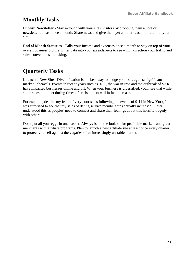# **Monthly Tasks**

**Publish Newsletter** - Stay in touch with your site's visitors by dropping them a note or newsletter at least once a month. Share news and give them yet another reason to return to your site.

**End of Month Statistics** - Tally your income and expenses once a month to stay on top of your overall business picture. Enter data into your spreadsheets to see which direction your traffic and sales conversions are taking.

# **Quarterly Tasks**

**Launch a New Site** - Diversification is the best way to hedge your bets against significant market upheavals. Events in recent years such as 9-11, the war in Iraq and the outbreak of SARS have impacted businesses online and off. When your business is diversified, you'll see that while some sales plummet during times of crisis, others will in fact increase.

For example, despite my fears of very poor sales following the events of 9-11 in New York, I was surprised to see that my sales of dating service memberships actually increased. I later understood this as peoples' need to connect and share their feelings about this horrific tragedy with others.

Don't put all your eggs in one basket. Always be on the lookout for profitable markets and great merchants with affiliate programs. Plan to launch a new affiliate site at least once every quarter to protect yourself against the vagaries of an increasingly unstable market.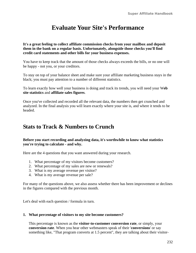# **Evaluate Your Site's Performance**

**It's a great feeling to collect affiliate commission checks from your mailbox and deposit them in the bank on a regular basis. Unfortunately, alongside those checks you'll find credit card statements and other bills for your business expenses.** 

You have to keep track that the amount of those checks always exceeds the bills, or no one will be happy - not you, or your creditors.

To stay on top of your balance sheet and make sure your affiliate marketing business stays in the black; you must pay attention to a number of different statistics.

To learn exactly how well your business is doing and track its trends, you will need your W**eb site statistics** and **affiliate sales figures**.

Once you've collected and recorded all the relevant data, the numbers then get crunched and analyzed. In the final analysis you will learn exactly where your site is, and where it tends to be headed.

### **Stats to Track & Numbers to Crunch**

### **Before you start recording and analyzing data, it's worthwhile to know what statistics you're trying to calculate - and why.**

Here are the 4 questions that you want answered during your research.

- 1. What percentage of my visitors become customers?
- 2. What percentage of my sales are new or renewals?
- 3. What is my average revenue per visitor?
- 4. What is my average revenue per sale?

For many of the questions above, we also assess whether there has been improvement or declines in the figures compared with the previous month.

Let's deal with each question / formula in turn.

#### **1. What percentage of visitors to my site become customers?**

This percentage is known as the **visitor-to-customer conversion rate**, or simply, your **conversion rate**. When you hear other webmasters speak of their '**conversions**' or say something like, "That program converts at 1.5 percent", they are talking about their visitor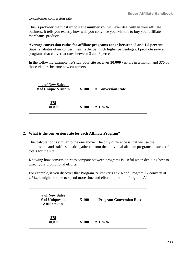to-customer conversion rate.

This is probably the **most important number** you will ever deal with in your affiliate business. It tells you exactly how well you convince your visitors to buy your affiliate merchants' products.

**Average conversion ratios for affiliate programs range between .5 and 1.5 percent**. Super affiliates often convert their traffic by much higher percentages. I promote several programs that convert at rates between 3 and 6 percent.

In the following example, let's say your site receives **30,000** visitors in a month, and **375** of those visitors became new customers.

| <u># of New Sales</u><br># of Unique Visitors | <b>X</b> 100 | $=$ Conversion Rate |
|-----------------------------------------------|--------------|---------------------|
| <u>375</u><br>30,000                          | <b>X</b> 100 | $= 1.25\%$          |

### **2. What is the conversion rate for each Affiliate Program?**

This calculation is similar to the one above. The only difference is that we use the commission and traffic statistics gathered from the individual affiliate programs, instead of totals for the site.

Knowing how conversion rates compare between programs is useful when deciding how to direct your promotional efforts.

For example, if you discover that Program 'A' converts at 2% and Program 'B' converts at 2.5%, it might be time to spend more time and effort to promote Program 'A'.

| # of New Sales<br># of Uniques to<br><b>Affiliate Site</b> | <b>X</b> 100 | $=$ Program Conversion Rate |
|------------------------------------------------------------|--------------|-----------------------------|
| 375<br>30,000                                              | <b>X</b> 100 | $= 1.25\%$                  |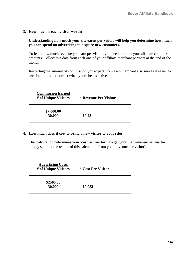### **3. How much is each visitor worth?**

### **Understanding how much your site earns per visitor will help you determine how much you can spend on advertising to acquire new customers.**

To learn how much revenue you earn per visitor, you need to know your affiliate commission amounts. Collect this data from each one of your affiliate merchant partners at the end of the month.

Recording the amount of commission you expect from each merchant also makes it easier to see if amounts are correct when your checks arrive.

| <b>Commission Earned</b><br># of Unique Visitors | $=$ Revenue Per Visitor |
|--------------------------------------------------|-------------------------|
| \$7,000.00<br>30,000                             | $= $0.23$               |

### **4. How much does it cost to bring a new visitor to your site?**

This calculation determines your **'cost per visitor'**. To get your **'net revenue per visitor'** simply subtract the results of this calculation from your 'revenue per visitor'.

| <b>Advertising Costs</b><br># of Unique Visitors | $=$ Cost Per Visitor |
|--------------------------------------------------|----------------------|
| \$2500.00<br>30,000                              | $= $0.083$           |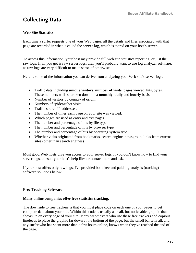# **Collecting Data**

### **Web Site Statistics**

Each time a surfer requests one of your Web pages, all the details and files associated with that page are recorded in what is called the **server log**, which is stored on your host's server.

To access this information, your host may provide full web site statistics reporting, or just the raw logs. If all you get is raw server logs, then you'll probably want to use log analyzer software, as raw logs are very difficult to make sense of otherwise.

Here is some of the information you can derive from analyzing your Web site's server logs:

- Traffic data including **unique visitors**, **number of visits**, pages viewed, hits, bytes. These numbers will be broken down on a **monthly**, **daily** and **hourly** basis.
- Number of visitors by country of origin.
- Numbers of spider/robot visits.
- Traffic source IP addresses.
- The number of times each page on your site was viewed.
- Which pages are used as entry and exit pages.
- The number and percentage of hits by file type.
- The number and percentage of hits by browser type.
- The number and percentage of hits by operating system type.
- Whether visits originated from bookmarks, search engine, newsgroup, links from external sites (other than search engines)

Most good Web hosts give you access to your server logs. If you don't know how to find your server logs, consult your host's help files or contact them and ask.

If your host offers only raw logs, I've provided both free and paid log analysis (tracking) software solutions below.

#### **Free Tracking Software**

#### **Many online companies offer free statistics tracking.**

The downside to free trackers is that you must place code on each one of your pages to get complete data about your site. Within this code is usually a small, but noticeable, graphic that shows up on every page of your site. Many webmasters who use these free trackers add copious linefeeds to place the graphic far down at the bottom of the page, but the scroll bar tells all, and any surfer who has spent more than a few hours online, knows when they've reached the end of the page.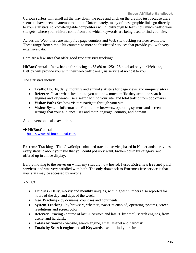Curious surfers will scroll all the way down the page and click on the graphic just because there seems to have been an attempt to hide it. Unfortunately, many of these graphic links go directly to your statistics, so knowledgeable competitors will clickthrough to learn how much traffic your site gets, where your visitors come from and which keywords are being used to find your site.

Across the Web, there are many free page counters and Web site tracking services available. These range from simple hit counters to more sophisticated services that provide you with very extensive data.

Here are a few sites that offer good free statistics tracking:

**HitBoxCentral** - In exchange for placing a 468x60 or 125x125 pixel ad on your Web site, HitBox will provide you with their web traffic analysis service at no cost to you.

The statistics include:

- **Traffic** Hourly, daily, monthly and annual statistics for page views and unique visitors
- **Referrers** Learn what sites link to you and how much traffic they send, the search engines and keywords users search to find your site, and total traffic from bookmarks
- **Visitor Paths** See how visitors navigate through your site
- **Visitor System Information** Find out the browsers, operating systems and screen settings that your audience uses and their language, country, and domain

A paid version is also available.

### **→ HitBoxCentral**

[http://www.hitboxcentral.com](http://www.hitboxcentral.com/)

**Extreme Tracking** - This JavaScript-enhanced tracking service, based in Netherlands, provides every statistic about your site that you could possibly want, broken down by category, and offered up in a nice display.

Before moving to the server on which my sites are now hosted, I used **Extreme's free and paid services**, and was very satisfied with both. The only drawback to Extreme's free service is that your stats may be accessed by anyone.

You get:

- **Uniques** Daily, weekly and monthly uniques, with highest numbers also reported for hours of the day, and days of the week.
- **Geo Tracking** by domains, countries and continents
- **System Tracking** by browsers, whether javascript enabled, operating systems, screen resolutions and screen color
- **Referrer Tracing** source of last 20 visitors and last 20 by email, search engines, from usenet and harddisk.
- **Totals by Source** website, search engine, email, usenet and harddisk
- **Totals by Search engine** and all **Keywords** used to find your site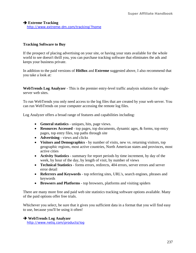### $→$  **Extreme Tracking**

<http://www.extreme-dm.com/tracking/?home>

### **Tracking Software to Buy**

If the prospect of placing advertising on your site, or having your stats available for the whole world to see doesn't thrill you, you can purchase tracking software that eliminates the ads and keeps your business private.

In addition to the paid versions of **HitBox** and **Extreme** suggested above, I also recommend that you take a look at:

**WebTrends Log Analyzer** - This is the premier entry-level traffic analysis solution for singleserver web sites.

To run WebTrends you only need access to the log files that are created by your web server. You can run WebTrends on your computer accessing the remote log files.

Log Analyzer offers a broad range of features and capabilities including:

- **General statistics** uniques, hits, page views.
- **Resources Accessed** top pages, top documents, dynamic ages, & forms, top entry pages, top entry files, top paths through site
- **Advertising** views and clicks
- **Visitors and Demographics** by number of visits, new vs. returning visitors, top geographic regions, most active countries, North American states and provinces, most active cities
- **Activity Statistics** summary for report periods by time increment, by day of the week, by hour of the day, by length of visit, by number of views
- **Technical Statistics** forms errors, redirects, 404 errors, server errors and server error detail
- **Referrers and Keywords** top referring sites, URL's, search engines, phrases and keywords
- **Browsers and Platforms**  top browsers, platforms and visiting spiders

There are many more free and paid web site statistics tracking software options available. Many of the paid options offer free trials.

Whichever you select, be sure that it gives you sufficient data in a format that you will find easy to use, because you'll be using it often!

 $→$  **WebTrends Log Analyzer** 

<http://www.netiq.com/products/log>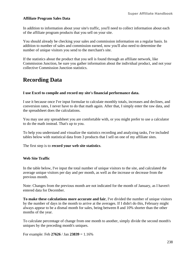### **Affiliate Program Sales Data**

In addition to information about your site's traffic, you'll need to collect information about each of the affiliate program products that you sell on your site.

You should already be checking your sales and commission information on a regular basis. In addition to number of sales and commission earned, now you'll also need to determine the number of unique visitors you send to the merchant's site.

If the statistics about the product that you sell is found through an affiliate network, like Commission Junction, be sure you gather information about the individual product, and not your collective Commission Junction statistics.

### **Recording Data**

### **I use Excel to compile and record my site's financial performance data.**

I use it because once I've input formulae to calculate monthly totals, increases and declines, and conversion rates, I never have to do that math again. After that, I simply enter the raw data, and the spreadsheet does the calculations.

You may use any spreadsheet you are comfortable with, or you might prefer to use a calculator to do the math instead. That's up to you.

To help you understand and visualize the statistics recording and analyzing tasks, I've included tables below with statistical data from 3 products that I sell on one of my affiliate sites.

The first step is to **record your web site statistics**.

#### **Web Site Traffic**

In the table below, I've input the total number of unique visitors to the site, and calculated the average unique visitors per day and per month, as well as the increase or decrease from the previous month.

Note: Changes from the previous month are not indicated for the month of January, as I haven't entered data for December.

**To make these calculations more accurate and fair**, I've divided the number of unique visitors by the number of days in the month to arrive at the averages. If I didn't do this, February might always appear to be a dismal month for sales, being between 8 and 10% shorter than the other months of the year.

To calculate percentage of change from one month to another, simply divide the second month's uniques by the preceding month's uniques.

For example: Feb **27626** / Jan **23839** = 1.16%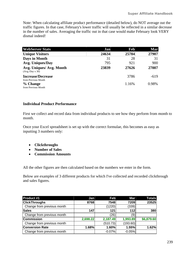Note: When calculating affiliate product performance (detailed below), do NOT average out the traffic figures. In that case, February's lower traffic will usually be reflected in a similar decrease in the number of sales. Averaging the traffic out in that case would make February look VERY dismal indeed!

| <b>WebServer Stats</b>                          | <b>Jan</b> | Feb   | Mar    |
|-------------------------------------------------|------------|-------|--------|
| <b>Unique Visitors</b>                          | 24634      | 25784 | 27907  |
| Days in Month                                   | 31         | 28    | 31     |
| Avg. Uniques/Day                                | 795        | 921   | 900    |
| Avg. Uniques/Avg. Month<br>(Avg./Day x 30)      | 23839      | 27626 | 27007  |
| <b>Increase/Decrease</b><br>from Previous Month |            | 3786  | $-619$ |
| % Change<br>from Previous Month                 |            | 1.16% | 0.98%  |

### **Individual Product Performance**

First we collect and record data from individual products to see how they perform from month to month.

Once your Excel spreadsheet is set up with the correct formulae, this becomes as easy as inputting 3 numbers only:

- **Clickthroughs**
- **Number of Sales**
- **Commission Amounts**

All the other figures are then calculated based on the numbers we enter in the form.

Below are examples of 3 different products for which I've collected and recorded clickthrough and sales figures.

| Product #1                 | Jan      | Feb      | <b>Mar</b> | <b>Totals</b> |
|----------------------------|----------|----------|------------|---------------|
| <b>ClickThroughs</b>       | 8768     | 7548     | 7209       | 23525         |
| Change from previous month |          | (1220)   | (339)      |               |
| <b>Sales</b>               | 147      | 121      | 112        | 380           |
| Change from previous month |          | (26)     | (9)        |               |
| <b>Commission</b>          | 2,698.22 | 2,187.49 | 1,993.89   | \$6,879.60    |
| Change from previous month |          | (510.73) | (193.60)   |               |
| <b>Conversion Rate</b>     | 1.68%    | 1.60%    | 1.55%      | 1.62%         |
| Change from previous month |          | $-0.07%$ | $-0.05%$   |               |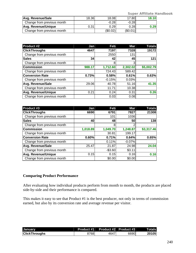**Super Affiliate Handbook**

| Avg. Revenue/Sale          | 18.36 | 18.08    | 17.80   | 18.10 |
|----------------------------|-------|----------|---------|-------|
| Change from previous month |       | $-0.28$  | $-0.28$ |       |
| Avg. Revenue/Unique        | 0.31  | 0.29     | 0.28    | 0.29  |
| Change from previous month |       | (\$0.02) | (S0.01) |       |

| Product #2                 | Jan    | Feb      | Mar      | <b>Totals</b> |
|----------------------------|--------|----------|----------|---------------|
| <b>ClickThroughs</b>       | 4647   | 7197     | 7328     | 19172         |
| Change from previous month |        | 2550     | 131      |               |
| <b>Sales</b>               | 34     | 42       | 45       | 121           |
| Change from previous month |        | 8        | 3        |               |
| <b>Commission</b>          | 988.17 | 1,712.60 | 2,302.02 | \$5,002.79    |
| Change from previous month |        | 724.43   | 589.42   |               |
| <b>Conversion Rate</b>     | 0.73%  | 0.58%    | 0.61%    | 0.63%         |
| Change from previous month |        | $-0.15%$ | 0.03%    |               |
| Avg. Revenue/Sale          | 29.06  | 40.78    | 51.16    | 41.35         |
| Change from previous month |        | 11.71    | 10.38    |               |
| <b>Avg. Revenue/Unique</b> | 0.21   | 0.24     | 0.31     | 0.26          |
| Change from previous month |        | 0.03     | 0.08     |               |

| Product #3                 | Jan      | Feb        | Mar      | <b>Totals</b> |
|----------------------------|----------|------------|----------|---------------|
| <b>ClickThroughs</b>       | 6690     | 6791       | 7827     | 21308         |
| Change from previous month |          | 101        | 1036     |               |
| <b>Sales</b>               | 40       | 48         | 50       | 138           |
| Change from previous month |          | 8          | 2        |               |
| <b>Commission</b>          | 1,018.89 | 1,049.70   | 1,248.87 | \$3,317.46    |
| Change from previous month |          | 30.81      | 199.17   |               |
| <b>Conversion Rate</b>     | 0.60%    | 0.71%      | 0.64%    | 0.65%         |
| Change from previous month |          | 0.11%      | $-0.07%$ |               |
| <b>Avg. Revenue/Sale</b>   | 25.47    | 21.87      | 24.98    | 24.04         |
| Change from previous month |          | $-$ \$3.60 | \$3.11   |               |
| Avg. Revenue/Unique        | 0.15     | 0.15       | 0.16     | 0.16          |
| Change from previous month |          | \$0.00     | \$0.00   |               |

### **Comparing Product Performance**

After evaluating how individual products perform from month to month, the products are placed side-by-side and their performance is compared.

This makes it easy to see that Product #1 is the best producer, not only in terms of commission earned, but also by its conversion rate and average revenue per visitor.

| <b>January</b>       |      | <b>Product #1</b> Product #2 Product #3 |      | Totalsl |
|----------------------|------|-----------------------------------------|------|---------|
| <b>ClickThroughs</b> | 8768 | 4647                                    | 6690 | 20105   |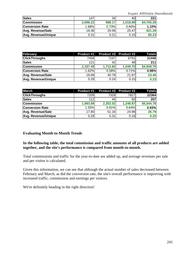**Super Affiliate Handbook**

| Sales                  | 147      | 34     | 40       | 2211       |
|------------------------|----------|--------|----------|------------|
| <b>Commission</b>      | 2.698.22 | 988.17 | 1,018.89 | \$4,705.28 |
| <b>Conversion Rate</b> | 1.68%    | 0.73%  | 0.60%    | 1.10%      |
| Avg. Revenue/Sale      | 18.36    | 29.06  | 25.47    | \$21.29    |
| Avg. Revenue/Unique    | 0.31     | 0.21   | 0.15     | \$0.23     |

| <b>February</b>            | Product #1 |          | Product #2 Product #3 | <b>Totals</b> |
|----------------------------|------------|----------|-----------------------|---------------|
| <b>ClickThroughs</b>       | 7458       | 7197     | 6791                  | 21446         |
| <b>Sales</b>               | 121        | 42       | 48                    | 211           |
| <b>Commission</b>          | 2,187.49   | 1,712.60 | 1,049.70              | \$4,949.79    |
| <b>Conversion Rate</b>     | 1.62%      | 0.58%    | 0.71%                 | 0.98%         |
| Avg. Revenue/Sale          | 18.08      | 40.78    | 21.87                 | 23.46         |
| <b>Avg. Revenue/Unique</b> | 0.29       | 0.24     | 0.15                  | 0.23          |

| <b>March</b>               | Product #1 |          | Product #2 Product #3 | <b>Totals</b> |
|----------------------------|------------|----------|-----------------------|---------------|
| <b>ClickThroughs</b>       | 7209       | 7328     | 7827                  | 22364         |
| <b>Sales</b>               | 112        | 45       | 50                    | 207           |
| <b>Commission</b>          | 1,993.89   | 2,302.02 | 1,248.87              | \$5,544.78    |
| <b>Conversion Rate</b>     | 1.55%      | 0.61%    | 0.64%                 | 0.93%         |
| Avg. Revenue/Sale          | 17.80      | 51.16    | 24.98                 | 26.79         |
| <b>Avg. Revenue/Unique</b> | 0.28       | 0.31     | 0.16                  | 0.25          |

#### **Evaluating Month-to-Month Trends**

**In the following table, the total commission and traffic amounts of all products are added together, and the site's performance is compared from month-to-month.**

Total commissions and traffic for the year-to-date are added up, and average revenues per sale and per visitor is calculated.

Given this information, we can see that although the actual number of sales decreased between February and March, as did the conversion rate, the site's overall performance is improving with increased traffic, commission and earnings per visitors.

We're definitely heading in the right direction!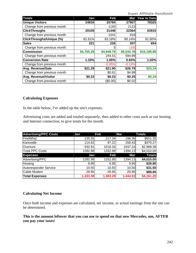**Super Affiliate Handbook**

| <b>Totals</b>                   | Jan        | Feb        | <b>Mar</b> | Year to Date |
|---------------------------------|------------|------------|------------|--------------|
| <b>Unique Visitors</b>          | 24634      | 25784      | 27907      | 78325        |
| Change from previous month      |            | 1150       | 2123       |              |
| <b>ClickThroughs</b>            | 20105      | 21446      | 22364      | 63915        |
| Change from previous month      |            | 1341       | 918        |              |
| <b>ClickThroughs/Unique (%)</b> | 81.61%     | 83.18%     | 80.14%     | 81.60%       |
| <b>Sales</b>                    | 221        | 226        | 207        | 654          |
| Change from previous month      |            | 5          | (19)       |              |
| <b>Commission</b>               | \$4,705.28 | \$4,949.79 | \$5,544.78 | \$15,199.85  |
| Change from previous month      |            | 244.51     | 594.99     |              |
| <b>Conversion Rate</b>          | 1.10%      | 1.05%      | 0.93%      | 1.02%        |
| Change from previous month      |            | $-0.05%$   | $-0.13%$   |              |
| Avg. Revenue/Sale               | \$21.29    | \$21.90    | \$26.79    | \$23.24      |
| Change from previous month      |            | \$0.61     | \$4.88     |              |
| <b>Avg. Revenue/Visitor</b>     | \$0.23     | \$0.23     | \$0.25     | \$0.24       |
| Change from previous month      |            | (\$0.00)   | \$0.02     |              |

#### **Calculating Expenses**

In the table below, I've added up the site's expenses.

Advertising costs are added and totaled separately, then added to other costs such as our hosting and Internet connection, to give totals for the month.

| <b>Advertising/PPC Costs</b> | Jan      | Feb      | <b>Mar</b> | <b>Totals</b> |
|------------------------------|----------|----------|------------|---------------|
| FindWhat                     | 235.55   | 217.34   | 198.36     | \$651.35      |
| Kanoodle                     | 114.62   | 97.22    | 158.43     | \$370.27      |
| Overture                     | 932.81   | 1018.33  | 1037.24    | \$2,988.38    |
| <b>Total PPC Costs</b>       | 1282.98  | 1332.89  | 1394.13    | \$4,010.00    |
| <b>Expenses</b>              | Jan      | Feb      | Mar        | <b>Totals</b> |
| Advertising/PPC              | 1282.98  | 1332.89  | 1394.13    | \$4,010.00    |
| Hosting                      | 9.95     | 9.95     | 9.95       | \$29.85       |
| Autoresponder Service        | 10.50    | 10.50    | 10.50      | \$31.50       |
| Cable Modem                  | 29.95    | 29.95    | 29.95      | \$89.85       |
| <b>Total Expenses</b>        | 1,333.38 | 1,383.29 | 1,444.53   | \$4,161.20    |

#### **Calculating Net Income**

Once both income and expenses are calculated, net income, or actual earnings from the site can be determined.

**This is the amount leftover that you can use to spend on that new Mercedes, um, AFTER you pay your taxes!**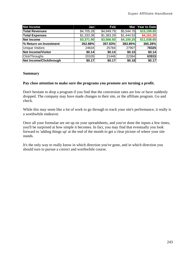| <b>Net Income</b>         | Jan        | Feb        |            | Mar Year to Date |
|---------------------------|------------|------------|------------|------------------|
| <b>Total Revenues</b>     | \$4,705.28 | \$4,949.79 | \$5,544.78 | \$15,199.85      |
| <b>Total Expenses</b>     | \$1,333.38 | \$1,383.29 | \$1,444.53 | \$4,161.20       |
| Net Income                | \$3,371.90 | \$3,566.50 | \$4,100.25 | \$11,038.65      |
| % Return on Investment    | 352.88%    | 357.83%    | 383.85%    | 365.28%          |
| <b>Unique Visitors</b>    | 24634      | 25784      | 27907      | 78325            |
| <b>Net Income/Visitor</b> | \$0.14     | \$0.14     | \$0.15     | \$0.14           |
| <b>ClickThroughs</b>      | 20105      | 21446      | 22364      | 63915            |
| Net Income/Clickthrough   | \$0.17     | \$0.17     | \$0.18     | \$0.17           |

### **Summary**

### **Pay close attention to make sure the programs you promote are turning a profit.**

Don't hesitate to drop a program if you find that the conversion rates are low or have suddenly dropped. The company may have made changes to their site, or the affiliate program. Go and check.

While this may seem like a lot of work to go through to track your site's performance, it really is a worthwhile endeavor.

Once all your formulae are set up on your spreadsheets, and you've done the inputs a few times, you'll be surprised at how simple it becomes. In fact, you may find that eventually you look forward to 'adding things up' at the end of the month to get a clear picture of where your site stands.

It's the only way to really know in which direction you've gone, and in which direction you should turn to pursue a correct and worthwhile course.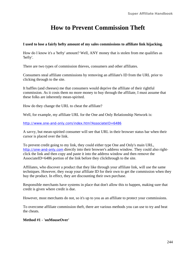# **How to Prevent Commission Theft**

### **I used to lose a fairly hefty amount of my sales commissions to affiliate link hijacking.**

How do I know it's a 'hefty' amount? Well, ANY money that is stolen from me qualifies as 'hefty'.

There are two types of commission thieves, consumers and other affiliates.

Consumers steal affiliate commissions by removing an affiliate's ID from the URL prior to clicking through to the site.

It baffles (and cheeses) me that consumers would deprive the affiliate of their rightful commission. As it costs them no more money to buy through the affiliate, I must assume that these folks are inherently mean-spirited.

How do they change the URL to cheat the affiliate?

Well, for example, my affiliate URL for the One and Only Relationship Network is:

<http://www.one-and-only.com/index.htm?AssociateID=6486>

A savvy, but mean-spirited consumer will see that URL in their browser status bar when their cursor is placed over the link.

To prevent credit going to my link, they could either type One and Only's main URL, [http://one-and-only.com](http://one-and-only.com/) directly into their browser's address window. They could also rightclick the link and then copy and paste it into the address window and then remove the AssociateID=6486 portion of the link before they clickthrough to the site.

Affiliates, who discover a product that they like through your affiliate link, will use the same techniques. However, they swap your affiliate ID for their own to get the commission when they buy the product. In effect, they are discounting their own purchase.

Responsible merchants have systems in place that don't allow this to happen, making sure that credit is given where credit is due.

However, most merchants do not, so it's up to you as an affiliate to protect your commissions.

To overcome affiliate commission theft, there are various methods you can use to try and beat the cheats.

### **Method #1 - 'onMouseOver'**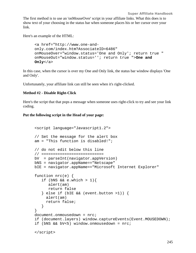The first method is to use an 'onMouseOver' script in your affiliate links. What this does is to show text of your choosing in the status bar when someone places his or her cursor over your link.

Here's an example of the HTML:

```
<a href="http://www.one-and-
only.com/index.htm?AssociateID=6486" 
onMouseOver="window.status='One and Only'; return true " 
onMouseOut="window.status=''; return true ">One and 
Only</a>
```
In this case, when the cursor is over my One and Only link, the status bar window displays 'One and Only'.

Unfortunately, your affiliate link can still be seen when it's right-clicked.

#### **Method #2 - Disable Right-Click**

Here's the script that that pops a message when someone uses right-click to try and see your link coding.

#### **Put the following script in the Head of your page:**

```
<script language="Javascript1.2"> 
// Set the message for the alert box 
am = "This function is disabled!"; 
// do not edit below this line 
// =========================== 
bV = parseInt(navigator.appVersion) 
bNS = navigator.appName=="Netscape" 
bIE = navigator.appName=="Microsoft Internet Explorer" 
function nrc(e) { 
   if (bNS & & e.which > 1) {
      alert(am) 
       return false 
    } else if (bIE && (event.button >1)) { 
      alert(am) 
      return false; 
    } 
} 
document.onmousedown = nrc;
if (document.layers) window.captureEvents(Event.MOUSEDOWN); 
if (bNS && bV<5) window.onmousedown = nrc; 
</script>
```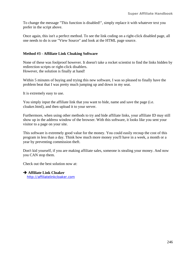To change the message "This function is disabled!", simply replace it with whatever text you prefer in the script above.

Once again, this isn't a perfect method. To see the link coding on a right-click disabled page, all one needs to do is use "View Source" and look at the HTML page source.

### **Method #3 - Affiliate Link Cloaking Software**

None of these was foolproof however. It doesn't take a rocket scientist to find the links hidden by redirection scripts or right-click disablers. However, the solution is finally at hand!

Within 5 minutes of buying and trying this new software, I was so pleased to finally have the problem beat that I was pretty much jumping up and down in my seat.

It is extremely easy to use.

You simply input the affiliate link that you want to hide, name and save the page (i.e. cloaker.html), and then upload it to your server.

Furthermore, when using other methods to try and hide affiliate links, your affiliate ID may still show up in the address window of the browser. With this software, it looks like you sent your visitor to a page on your site.

This software is extremely good value for the money. You could easily recoup the cost of this program in less than a day. Think how much more money you'll have in a week, a month or a year by preventing commission theft.

Don't kid yourself, if you are making affiliate sales, someone is stealing your money. And now you CAN stop them.

Check out the best solution now at:

 $\rightarrow$  **Affiliate Link Cloaker** [http://affiliatelinkcloaker.com](http://www.affiliatelinkcloaker.com/?hop=webvista2.cloaklinks)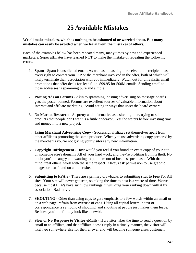# **25 Avoidable Mistakes**

### **We all make mistakes, which is nothing to be ashamed of or worried about. But many mistakes can easily be avoided when we learn from the mistakes of others.**

Each of the examples below has been repeated many, many times by new and experienced marketers. Super affiliates have learned NOT to make the mistake of repeating the following errors.

- 1. **Spam** Spam is unsolicited email. As well as not asking to receive it, the recipient has every right to contact your ISP or the merchant involved in the offer, both of which will likely terminate their association with you immediately. Watch out for unrealistic email promotions that offer deals for 'leads', i.e. \$99.95 for 500M emails. Sending email to those addresses is spamming pure and simple.
- 2. **Posting Ads on Forums** Akin to spamming, posting advertising on message boards gets the poster banned. Forums are excellent sources of valuable information about Internet and affiliate marketing. Avoid acting in ways that upset the board owners.
- 3. **No Market Research** As pretty and informative as a site might be, trying to sell products that people don't want is a futile endeavor. Test the waters before investing time and money into a new project.
- 4. **Using Merchant Advertising Copy** Successful affiliates set themselves apart from other affiliates promoting the same products. When you use advertising copy prepared by the merchants you're not giving your visitors any new information.
- 5. **Copyright Infringement** How would you feel if you found an exact copy of your site on someone else's domain? All of your hard work, and they're profiting from its theft. No doubt you'd be angry and wanting to put them out of business post haste. With that in mind, treat others' work with the same respect. Always ask permission to use graphic images or text found on another site.
- 6. **Submitting to FFA's** There are s primary drawbacks to submitting sites to Free For All sites. Your site will never get seen, so taking the time to post is a waste of time. Worse, because most FFA's have such low rankings, it will drag your ranking down with it by association. Bad move.
- 7. **SHOUTING** Other than using caps to give emphasis to a few words within an email or on a web page, refrain from overuse of caps. Using all capital letters in text or correspondence is symbolic of shouting, and shouting at people just makes them leave. Besides, you'll definitely look like a newbie.
- 8. **Slow or No Response to Visitor eMails** If a visitor takes the time to send a question by email to an affiliate, and that affiliate doesn't reply in a timely manner, the visitor will likely go somewhere else for their answer and will become someone else's customer.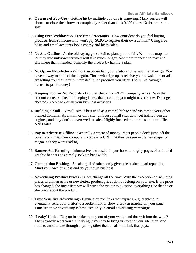- 9. **Overuse of Pop-Ups** Getting hit by multiple pop-ups is annoying. Many surfers will choose to close their browser completely rather than click 'x' 20 times. No browser - no sale.
- 10. **Using Free Webhosts & Free Email Accounts** How confident do you feel buying products from someone who won't pay \$6.95 to register their own domain? Using free hosts and email accounts looks cheesy and loses sales.
- 11. **No Site Outline** As the old saying goes, 'Fail to plan, plan to fail'. Without a map the journey into unknown territory will take much longer, cost more money and may end elsewhere than intended. Simplify the project by having a plan.
- 12. **No Opt-in Newsletter** Without an opt-in list, your visitors come, and then they go. You have no way to contact them again. Those who sign up to receive your newsletters or ads are telling you that they're interested in the products you offer. That's like having a license to print money!
- 13. **Keeping Poor or No Records** Did that check from XYZ Company arrive? Was the amount correct? If record keeping is less than accurate, you might never know. Don't get cheated - keep track of all your business activities.
- 14. **Building a Mall** A 'mall' site is best used as a central hub to send visitors to your other themed domains. As a main or only site, unfocused mall sites don't get traffic from the engines, and they don't convert well to sales. Highly focused theme sites attract traffic AND sales.
- 15. **Pay to Advertise Offline** Generally a waste of money. Most people don't jump off the couch and run to their computer to type in a URL that they've seen in the newspaper or magazine they were reading.
- 16. **Banner Ads Farming** Informative text results in purchases. Lengthy pages of animated graphic banners ads simply soak up bandwidth.
- 17. **Competition Bashing** Speaking ill of others only gives the basher a bad reputation. Mind your own business and do your own business.
- 18. **Advertising Product Prices** Prices change all the time. With the exception of including prices within an ezine or newsletter, product prices do not belong on your site. If the price has changed, the inconsistency will cause the visitor to question everything else that he or she reads about the product.
- 19. **Time Sensitive Advertising** Banners or text links that expire are guaranteed to eventually send your visitor to a broken link or show a broken graphic on your page. Time sensitive advertising is best used only in email advertising campaigns.
- 20. **'Leaky' Links** Do you just take money out of your wallet and throw it into the wind? That's exactly what you are if doing if you pay to bring visitors to your site, then send them to another site through anything other than an affiliate link that pays.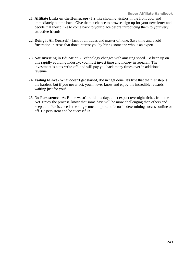- 21. **Affiliate Links on the Homepage** It's like showing visitors in the front door and immediately out the back. Give them a chance to browse, sign up for your newsletter and decide that they'd like to come back to your place before introducing them to your very attractive friends.
- 22. **Doing it All Yourself** Jack of all trades and master of none. Save time and avoid frustration in areas that don't interest you by hiring someone who is an expert.
- 23. **Not Investing in Education** Technology changes with amazing speed. To keep up on this rapidly evolving industry, you must invest time and money in research. The investment is a tax write-off, and will pay you back many times over in additional revenue.
- 24. **Failing to Act** What doesn't get started, doesn't get done. It's true that the first step is the hardest, but if you never act, you'll never know and enjoy the incredible rewards waiting just for you!
- 25. **No Persistence** As Rome wasn't build in a day, don't expect overnight riches from the Net. Enjoy the process, know that some days will be more challenging than others and keep at it. Persistence is the single most important factor in determining success online or off. Be persistent and be successful!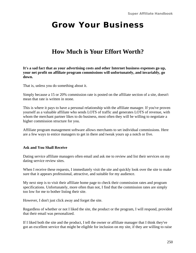# **Grow Your Business**

# **How Much is Your Effort Worth?**

**It's a sad fact that as your advertising costs and other Internet business expenses go up, your net profit on affiliate program commissions will unfortunately, and invariably, go down.** 

That is, unless you do something about it.

Simply because a 15 or 20% commission rate is posted on the affiliate section of a site, doesn't mean that rate is written in stone.

This is where it pays to have a personal relationship with the affiliate manager. If you've proven yourself as a valuable affiliate who sends LOTS of traffic and generates LOTS of revenue, with whom the merchant partner likes to do business, most often they will be willing to negotiate a higher commission structure for you.

Affiliate program management software allows merchants to set individual commissions. Here are a few ways to entice managers to get in there and tweak yours up a notch or five.

### **Ask and You Shall Receive**

Dating service affiliate managers often email and ask me to review and list their services on my dating service review sites.

When I receive these requests, I immediately visit the site and quickly look over the site to make sure that it appears professional, attractive, and suitable for my audience.

My next step is to visit their affiliate home page to check their commission rates and program specifications. Unfortunately, more often than not, I find that the commission rates are simply too low for me to bother listing their site.

However, I don't just click away and forget the site.

Regardless of whether or not I liked the site, the product or the program, I will respond, provided that their email was personalized.

If I liked both the site and the product, I tell the owner or affiliate manager that I think they've got an excellent service that might be eligible for inclusion on my site, if they are willing to raise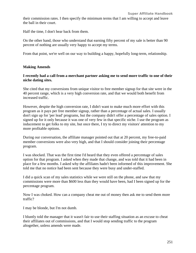their commission rates. I then specify the minimum terms that I am willing to accept and leave the ball in their court.

Half the time, I don't hear back from them.

On the other hand, those who understand that earning fifty percent of my sale is better than 90 percent of nothing are usually very happy to accept my terms.

From that point, we're well on our way to building a happy, hopefully long-term, relationship.

### **Making Amends**

### **I recently had a call from a merchant partner asking me to send more traffic to one of their niche dating sites.**

She cited that my conversions from unique visitor to free member signup for that site were in the 40 percent range, which is a very high conversion rate, and that we would both benefit from increased traffic.

However, despite the high conversion rate, I didn't want to make much more effort with this program as it pays per free member signup, rather than a percentage of actual sales. I usually don't sign up for 'per lead' programs, but the company didn't offer a percentage of sales option. I signed up for it only because it was one of very few in that specific niche. I use the program as inducement to get folks to my site, but once there, I try to direct my visitors' attention to my more profitable options.

During our conversation, the affiliate manager pointed out that at 20 percent, my free-to-paid member conversions were also very high, and that I should consider joining their percentage program.

I was shocked. That was the first time I'd heard that they even offered a percentage of sales option for that program. I asked when they made that change, and was told that it had been in place for a few months. I asked why the affiliates hadn't been informed of this improvement. She told me that no notice had been sent because they were busy and under-staffed.

I did a quick scan of my sales statistics while we were still on the phone, and saw that my commissions were more than \$600 less than they would have been, had I been signed up for the percentage program.

Now I was choked. How can a company cheat me out of money then ask me to send them more traffic?

I may be blonde, but I'm not dumb.

I bluntly told the manager that it wasn't fair to use their staffing situation as an excuse to cheat their affiliates out of commissions, and that I would stop sending traffic to the program altogether, unless amends were made.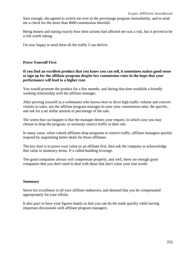Sure enough, she agreed to switch me over to the percentage program immediately, and to send me a check for the more than \$600 commission shortfall.

Being honest and stating exactly how their actions had affected me was a risk, but it proved to be a risk worth taking.

I'm now happy to send them all the traffic I can deliver.

### **Prove Yourself First**

**If you find an excellent product that you know you can sell, it sometimes makes good sense to sign up for the affiliate program despite low commission rates in the hope that your performance will lead to a higher rate.** 

You would promote the product for a few months, and during that time establish a friendly working relationship with the affiliate manager.

After proving yourself as a webmaster who knows how to drive high traffic volume and convert visitors to sales, ask the affiliate program manager to raise your commission rates. Be specific, and ask for a set dollar amount or percentage of the sale.

The worst that can happen is that the manager denies your request, in which case you may choose to drop the program, or seriously restrict traffic to their site.

In many cases, when valued affiliates drop programs or restrict traffic, affiliate managers quickly respond by negotiating better deals for those affiliates.

The key here is to prove your value as an affiliate first, then ask the company to acknowledge that value in monetary terms. It's called building leverage.

The good companies always will compensate properly, and well, there are enough good companies that you don't need to deal with those that don't value your true worth.

### **Summary**

Strive for excellence in all your affiliate endeavors, and demand that you be compensated appropriately for your efforts.

It also pays to have your figures handy so that you can do the math quickly while having important discussions with affiliate program managers.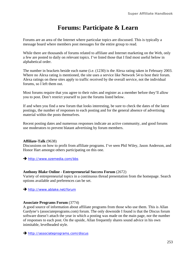# **Forums: Participate & Learn**

Forums are an area of the Internet where particular topics are discussed. This is typically a message board where members post messages for the entire group to read.

While there are thousands of forums related to affiliate and Internet marketing on the Web, only a few are posted to daily on relevant topics. I've listed those that I find most useful below in alphabetical order.

The number in brackets beside each name (i.e. (1230) is the Alexa rating taken in February 2003. Where no Alexa rating is mentioned, the site uses a service like Network 54 to host their forum. Alexa ratings on these sites apply to traffic received by the overall service, not the individual forums, so I left them out.

Most forums require that you agree to their rules and register as a member before they'll allow you to post. Don't restrict yourself to just the forums listed below.

If and when you find a new forum that looks interesting, be sure to check the dates of the latest postings, the number of responses to each posting and for the general absence of advertising material within the posts themselves.

Recent posting dates and numerous responses indicate an active community, and good forums use moderators to prevent blatant advertising by forum members.

### **Affiliate-Talk** (9638)

Discussions on how to profit from affiliate programs. I've seen Phil Wiley, Jason Anderson, and Honor Hart amongst others participating on this one.

 $\rightarrow$  <http://www.ozemedia.com/bbs>

### **Anthony Blake Online - Entrepreneurial Success Forum** (2672)

Variety of entrepreneurial topics in a continuous thread presentation from the homepage. Search options available and preferences can be set.

 $\rightarrow$  <http://www.ablake.net/forum>

### **Associate Programs Forum** (3774)

A good source of information about affiliate programs from those who use them. This is Allan Gardyne's (associateprograms.com) forum. The only downside I found is that the Discus forum software doesn't attach the year in which a posting was made on the main page, nor the number of responses to each post. On the upside, Allan frequently shares sound advice in his own inimitable, levelheaded style.

 $\rightarrow$  <http://associateprograms.com/discus>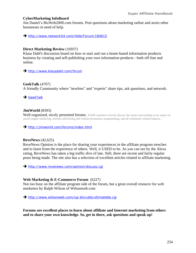### **CyberMarketing InfoBoard**

Jim Daniel's BizWeb2000.com forums. Post questions about marketing online and assist other businesses in need of help.

→ <http://www.network54.com/Hide/Forum/184615>

### **Direct Marketing Review** (16937)

Klaus Dahl's discussion board on how to start and run a home-based information products business by creating and self-publishing your own information products - both off-line and online.

 $\rightarrow$  <http://www.klausdahl.com/forum>

### **GeekTalk** (4707)

A friendly Community where "newbies" and "experts" share tips, ask questions, and network.

### $\rightarrow$  [GeekTalk](http://www.geekvillage.com/forums/)

### **JimWorld** (8393)

Well-organized, nicely presented forums. 30,000 members actively discuss the issues surrounding every aspect of search engine marketing, Internet advertising and website promotion, programming, and all webmaster related subjects.

 $\rightarrow$  <http://jimworld.com/forums/index.html>

### **ReveNews** (42,625)

ReveNews Opinion is the place for sharing your experiences in the affiliate program trenches and to learn from the experience of others. Well, it USED to be. As you can see by the Alexa rating, ReveNews has taken a big traffic dive of late. Still, there are recent and fairly regular posts being made. The site also has a selection of excellent articles related to affiliate marketing.

→ <http://www.revenews.com/opinion/discuss.cgi>

### **Web Marketing & E-Commerce Forum** (6227)

Not too busy on the affiliate program side of the forum, but a great overall resource for web marketers by Ralph Wilson of Wilsonweb.com

 $\rightarrow$  <http://www.wilsonweb.com/cgi-bin/ubb/ultimatebb.cgi>

**Forums are excellent places to learn about affiliate and Internet marketing from others and to share your own knowledge. So, get in there, ask questions and speak up!**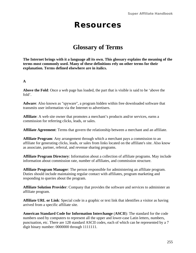# **Resources**

# **Glossary of Terms**

**The Internet brings with it a language all its own. This glossary explains the meaning of the terms most commonly used. Many of these definitions rely on other terms for their explanation. Terms defined elsewhere are in italics.**

### **A**

**Above the Fold**: Once a web page has loaded, the part that is visible is said to be 'above the fold'.

**Adware**: Also known as "spyware", a program hidden within free downloaded software that transmits user information via the Internet to advertisers.

**Affiliate**: A web site owner that promotes a merchant's products and/or services, earns a commission for referring clicks, leads, or sales.

**Affiliate Agreement**: Terms that govern the relationship between a merchant and an affiliate.

**Affiliate Program**: Any arrangement through which a merchant pays a commission to an affiliate for generating clicks, leads, or sales from links located on the affiliate's site. Also know as associate, partner, referral, and revenue sharing programs.

**Affiliate Program Directory**: Information about a collection of affiliate programs. May include information about commission rate, number of affiliates, and commission structure.

**Affiliate Program Manager**: The person responsible for administering an affiliate program. Duties should include maintaining regular contact with affiliates, program marketing and responding to queries about the program.

**Affiliate Solution Provider**: Company that provides the software and services to administer an affiliate program.

**Affiliate URL or Link**: Special code in a graphic or text link that identifies a visitor as having arrived from a specific affiliate site.

**American Standard Code for Information Interchange** (**ASCII**): The standard for the code numbers used by computers to represent all the upper and lower-case Latin letters, numbers, punctuation, etc. There are 128 standard ASCII codes, each of which can be represented by a 7 digit binary number: 0000000 through 1111111.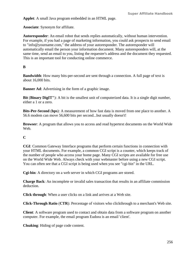**Applet**: A small Java program embedded in an HTML page.

**Associate**: Synonym for affiliate.

**Autoresponder**: An email robot that sends replies automatically, without human intervention. For example, if you had a page of marketing information, you could ask prospects to send email to "info@yourname.com," the address of your autoresponder. The autoresponder will automatically email the person your information document. Many autoresponders will, at the same time, send an email to you, listing the requester's address and the document they requested. This is an important tool for conducting online commerce.

### **B**

**Bandwidth**: How many bits-per-second are sent through a connection. A full page of text is about 16,000 bits.

**Banner Ad**: Advertising in the form of a graphic image.

**Bit** (**Binary DigIT"**): A bit is the smallest unit of computerized data. It is a single digit number, either a 1 or a zero.

**Bits-Per-Second** (**bps**): A measurement of how fast data is moved from one place to another. A 56.6 modem can move 56,600 bits per second...but usually doesn't!

**Browser**: A program that allows you to access and read hypertext documents on the World Wide Web.

### **C**

**CGI**: Common Gateway Interface programs that perform certain functions in connection with your HTML documents. For example, a common CGI script is a counter, which keeps track of the number of people who access your home page. Many CGI scripts are available for free use on the World Wide Web. Always check with your webmaster before using a new CGI script. You can often see that a CGI script is being used when you see "cgi-bin" in the URL.

**Cgi-bin**: A directory on a web server in which CGI programs are stored.

**Charge Back**: An incomplete or invalid sales transaction that results in an affiliate commission deduction.

**Click through**: When a user clicks on a link and arrives at a Web site.

**Click-Through Ratio** (**CTR**): Percentage of visitors who clickthrough to a merchant's Web site.

**Client**: A software program used to contact and obtain data from a software program on another computer. For example, the email program Eudora is an email 'client'.

**Cloaking**: Hiding of page code content.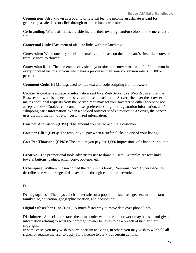**Commission**: Also known as a bounty or referral fee, the income an affiliate is paid for generating a sale, lead or click-through to a merchant's web site.

**Co-branding**: Where affiliates are able include their own logo and/or colors on the merchant's site.

**Contextual Link**: Placement of affiliate links within related text.

**Conversion:** When one of your visitors makes a purchase on the merchant's site… i.e. converts from 'visitor' to 'buyer'.

**Conversion Rate:** The percentage of visits to your site that convert to a sale. I.e. If 1 person in every hundred visitors to your site makes a purchase, then your conversion rate is 1:100 or 1 percent.

**Comment Code**: HTML tags used to hide text and code scripting from browsers.

**Cookie**: A cookie is a piece of information sent by a Web Server to a Web Browser that the Browser software is expected to save and to send back to the Server whenever the browser makes additional requests from the Server. You may set your browser to either accept or not accept cookies. Cookies can contain user preferences, login or registration information, and/or "shopping cart" information. When a cookied browser sends a request to a Server, the Server uses the information to return customized information.

**Cost per Acquisition (CPA): T**he amount you pay to acquire a customer.

**Cost per Click (CPC)**: The amount you pay when a surfer clicks on one of your listings.

**Cost Per Thousand (CPM)**: The amount you pay per 1,000 impressions of a banner or button.

**Creative** - The promotional tools advertisers use to draw in users. Examples are text links, towers, buttons, badges, email copy, pop-ups, etc.

**Cyberspace**: William Gibson coined the term in his book, "Neuromancer". Cyberspace now describes the whole range of data available through computer networks.

### **D**

**Demographics** – The physical characteristics of a population such as age, sex, marital status, family size, education, geographic location, and occupation.

**Digital Subscriber Line** (**DSL**): A much faster way to move data over phone lines.

**Disclaimer** - A disclaimer states the terms under which the site or work may be used and gives information relating to what the copyright owner believes to be a breach of his/her/their copyright.

In some cases you may wish to permit certain activities, in others you may wish to withhold all rights, or require the user to apply for a license to carry out certain actions.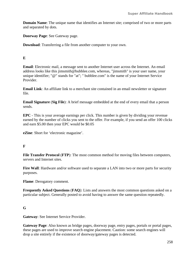**Domain Name**: The unique name that identifies an Internet site; comprised of two or more parts and separated by dots.

**Doorway Page**: See Gateway page.

**Download**: Transferring a file from another computer to your own.

# **E**

**Email**: Electronic mail, a message sent to another Internet user across the Internet. An email address looks like this jimsmith@bubblee.com, whereas, "jimsmith" is your user name, your unique identifier; "@" stands for "at"; " bubblee.com" is the name of your Internet Service Provider.

**Email Link**: An affiliate link to a merchant site contained in an email newsletter or signature file.

**Email Signature** (**Sig File**): A brief message embedded at the end of every email that a person sends.

**EPC** - This is your average earnings per click. This number is given by dividing your revenue earned by the number of clicks you sent to the offer. For example, if you send an offer 100 clicks and earn \$5.00 then your EPC would be \$0.05

**eZine**: Short for 'electronic magazine'.

# **F**

**File Transfer Protocol** (**FTP**): The most common method for moving files between computers, servers and Internet sites.

Fire Wall: Hardware and/or software used to separate a LAN into two or more parts for security purposes.

**Flame**: Derogatory comment.

**Frequently Asked Questions** (**FAQ**): Lists and answers the most common questions asked on a particular subject. Generally posted to avoid having to answer the same question repeatedly.

# **G**

**Gateway**: See Internet Service Provider.

**Gateway Page**: Also known as bridge pages, doorway page, entry pages, portals or portal pages, these pages are used to improve search engine placement. Caution: some search engines will drop a site entirely if the existence of doorway/gateway pages is detected.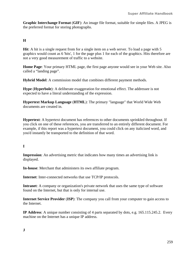**Graphic Interchange Format (GIF):** An image file format, suitable for simple files. A JPEG is the preferred format for storing photographs.

# **H**

**Hit**: A hit is a single request from for a single item on a web server. To load a page with 5 graphics would count as 6 'hits', 1 for the page plus 1 for each of the graphics. Hits therefore are not a very good measurement of traffic to a website.

**Home Page**: Your primary HTML page, the first page anyone would see in your Web site. Also called a "landing page".

**Hybrid Model**: A commission model that combines different payment methods.

**Hype** (**Hyperbole**): A deliberate exaggeration for emotional effect. The addressee is not expected to have a literal understanding of the expression.

**Hypertext Markup Language** (**HTML**): The primary "language" that World Wide Web documents are created in.

**Hypertext**: A hypertext document has references to other documents sprinkled throughout. If you click on one of these references, you are transferred to an entirely different document. For example, if this report was a hypertext document, you could click on any italicized word, and you'd instantly be transported to the definition of that word.

### **I**

**Impression**: An advertising metric that indicates how many times an advertising link is displayed.

**In-house**: Merchant that administers its own affiliate program.

**Internet**: Inter-connected networks that use TCP/IP protocols.

**Intranet**: A company or organization's private network that uses the same type of software found on the Internet, but that is only for internal use.

**Internet Service Provider (ISP):** The company you call from your computer to gain access to the Internet.

**IP Address**: A unique number consisting of 4 parts separated by dots, e.g. 165.115.245.2. Every machine on the Internet has a unique IP address.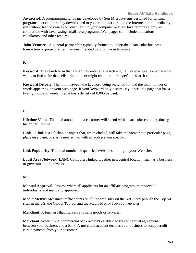**Javascript**: A programming language developed by Sun Microsystems designed for writing programs that can be safely downloaded to your computer through the Internet and immediately run without fear of viruses or other harm to your computer or files. Java requires a browser compatible with Java. Using small Java programs, Web pages can include animations, calculators, and other features.

**Joint Venture** - A general partnership typically formed to undertake a particular business transaction or project rather than one intended to continue indefinitely.

# **K**

**Keyword**: The search term that a user may enter at a search engine. For example, someone who wants to find a site that sells printer paper might enter 'printer paper' at a search engine.

**Keyword Density**: The ratio between the keyword being searched for and the total number of words appearing on your web page. If your keyword only occurs, say, once, in a page that has a twenty thousand words, then it has a density of 0.005 percent.

### **L**

**Lifetime Value**: The total amount that a customer will spend with a particular company during his or her lifetime.

**Link** - A link is a "clickable" object that, when clicked, will take the viewer to a particular page, place on a page, or start a new e-mail with an address you specify.

**Link Popularity**: The total number of qualified Web sites linking to your Web site.

**Local Area Network** (**LAN**): Computers linked together in a central location, such as a business or government organization.

### **M**

**Manual Approval**: Process where all applicants for an affiliate program are reviewed individually and manually approved.

**Media Metrix**: Measures traffic counts on all the web sites on the Net. They publish the Top 50 sites in the US, the Global Top 50, and the Media Metrix Top 500 web sites.

**Merchant**: A business that markets and sells goods or services.

**Merchant Account** - A commercial bank account established by contractual agreement between your business and a bank. A merchant account enables your business to accept credit card payments from your customers.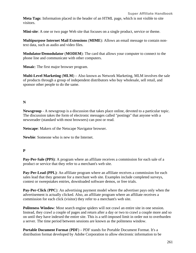**Meta Tags**: Information placed in the header of an HTML page, which is not visible to site visitors.

**Mini-site**: A one or two page Web site that focuses on a single product, service or theme.

**Multipurpose Internet Mail Extensions** (**MIME**): Allows an email message to contain nontext data, such as audio and video files.

**Modulator/Demodulator** (**MODEM**): The card that allows your computer to connect to the phone line and communicate with other computers.

**Mosaic**: The first major browser program.

**Multi-Level Marketing** (**MLM**) – Also known as Network Marketing, MLM involves the sale of products through a group of independent distributors who buy wholesale, sell retail, and sponsor other people to do the same.

### **N**

**Newsgroup** - A newsgroup is a discussion that takes place online, devoted to a particular topic. The discussion takes the form of electronic messages called "postings" that anyone with a newsreader (standard with most browsers) can post or read.

**Netscape**: Makers of the Netscape Navigator browser.

**Newbie**: Someone who is new to the Internet.

### **P**

**Pay-Per-Sale (PPS)**: A program where an affiliate receives a commission for each sale of a product or service that they refer to a merchant's web site.

**Pay-Per-Lead (PPL)**: An affiliate program where an affiliate receives a commission for each sales lead that they generate for a merchant web site. Examples include completed surveys, contest or sweepstakes entries, downloaded software demos, or free trials.

**Pay-Per-Click** (**PPC**): An advertising payment model where the advertiser pays only when the advertisement is actually clicked. Also, an affiliate program where an affiliate receives a commission for each click (visitor) they refer to a merchant's web site.

**Politeness Window**: Most search engine spiders will not crawl an entire site in one session. Instead, they crawl a couple of pages and return after a day or two to crawl a couple more and so on until they have indexed the entire site. This is a self-imposed limit in order not to overburden a server. The time period between sessions are known as the politeness window.

**Portable Document Format** (**PDF**) – PDF stands for Portable Document Format. It's a distribution format developed by Adobe Corporation to allow electronic information to be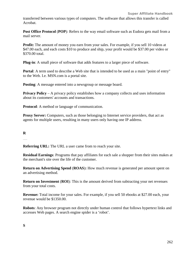transferred between various types of computers. The software that allows this transfer is called Acrobat.

**Post Office Protocol (POP):** Refers to the way email software such as Eudora gets mail from a mail server.

**Profit:** The amount of money you earn from your sales. For example, if you sell 10 videos at \$47.00 each, and each costs \$10 to produce and ship, your profit would be \$37.00 per video or \$370.00 total.

**Plug-in**: A small piece of software that adds features to a larger piece of software.

**Portal:** A term used to describe a Web site that is intended to be used as a main "point of entry" to the Web. I.e. MSN.com is a portal site.

**Posting**: A message entered into a newsgroup or message board.

**Privacy Policy** – A privacy policy establishes how a company collects and uses information about its customers' accounts and transactions.

**Protocol:** A method or language of communication.

**Proxy Server:** Computers, such as those belonging to Internet service providers, that act as agents for multiple users, resulting in many users only having one IP address.

### **R**

**Referring URL:** The URL a user came from to reach your site.

**Residual Earnings**: Programs that pay affiliates for each sale a shopper from their sites makes at the merchant's site over the life of the customer.

**Return on Advertising Spend** (**ROAS**)**:** How much revenue is generated per amount spent on an advertising method.

**Return on Investment (ROI):** This is the amount derived from subtracting your net revenues from your total costs.

**Revenue:** Total income for your sales. For example, if you sell 50 ebooks at \$27.00 each, your revenue would be \$1350.00.

**Robots**: Any browser program not directly under human control that follows hypertext links and accesses Web pages. A search engine spider is a 'robot'.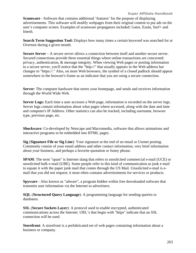**Scumware** - Software that contains additional 'features' for the purpose of displaying advertisements. This software will modify webpages from their original content to put ads on the user's computer screen. Examples of scumware propagators included: Gator, Ezula, Surf+ and Imesh.

**Search Term Suggestion Tool:** Displays how many times a certain keyword was searched for at Overture during a given month.

**Secure Server** – A secure server allows a connection between itself and another secure server. Secured connections provide three essential things where online transactions are concerned: privacy, authentication, & message integrity. When viewing Web pages or posting information to a secure server, you'll notice that the "http://" that usually appears in the Web address bar changes to "https://." Also, on most Web browsers, the symbol of a closed padlock should appear somewhere in the browser's frame as an indicator that you are using a secure connection.

**Server**: The computer hardware that stores your homepage, and sends and receives information through the World Wide Web.

**Server Logs:** Each time a user accesses a Web page, information is recorded on the server logs. Server logs contain information about what pages where accessed, along with the date and time and computer's IP Address. Other statistics can also be tracked, including username, browser type, previous page, etc.

**Shockwave**: Co-developed by Netscape and Macromedia, software that allows animations and interactive programs to be embedded into HTML pages.

**Sig** (**Signature File or Sig Line**): Your signature at the end of an email or Usenet posting. Commonly consist of your email address and other contact information, very brief information about your business, and perhaps a favorite quotation or funny phrase.

**SPAM**: The term "spam" is Internet slang that refers to unsolicited commercial e-mail (UCE) or unsolicited bulk e-mail (UBE). Some people refer to this kind of communication as junk e-mail to equate it with the paper junk mail that comes through the US Mail. Unsolicited e-mail is email that you did not request; it most often contains advertisements for services or products.

**Spyware** - Also known as "adware", a program hidden within free downloaded software that transmits user information via the Internet to advertisers.

**SQL** (**Structured Query Language**): A programming language for sending queries to databases.

**SSL** (**Secure Sockets Layer**): A protocol used to enable encrypted, authenticated communications across the Internet. URL's that begin with "https" indicate that an SSL connection will be used.

**Storefront**: A storefront is a prefabricated set of web pages containing information about a business or company.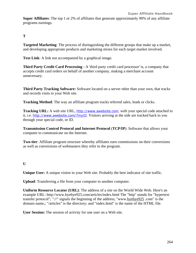**Super Affiliates**: The top 1 or 2% of affiliates that generate approximately 90% of any affiliate programs earnings.

### **T**

**Targeted Marketing**: The process of distinguishing the different groups that make up a market, and developing appropriate products and marketing mixes for each target market involved.

**Text Link**: A link not accompanied by a graphical image.

**Third Party Credit Card Processing** - A 'third party credit card processor' is, a company that accepts credit card orders on behalf of another company, making a merchant account unnecessary.

**Third Party Tracking Software:** Software located on a server other than your own, that tracks and records visits to your Web site.

**Tracking Method**: The way an affiliate program tracks referred sales, leads or clicks.

**Tracking URL:** A web site URL, [http://www.awebsite.com](http://www.mysite.com/), with your special code attached to it, i.e. [http://www.awebsite.com/?myID](http://www.mycompany.com/?myID). Visitors arriving at the side are tracked back to you through your special code, or ID.

**Transmission Control Protocol and Internet Protocol** (**TCP/IP**): Software that allows your computer to communicate on the Internet.

**Two-tier**: Affiliate program structure whereby affiliates earn commissions on their conversions as well as conversions of webmasters they refer to the program.

# **U**

**Unique User:** A unique visitor to your Web site. Probably the best indicator of site traffic.

**Upload**: Transferring a file from your computer to another computer.

**Uniform Resource Locator (URL)**: The address of a site on the World Wide Web. Here's an example URL: http://www.byebye925.com/articles/index.html The "http" stands for "hypertext transfer protocol"; "://" signals the beginning of the address; "www.byebye925 .com" is the domain name,; "/articles" is the directory; and "index.html" is the name of the HTML file.

**User Session:** The session of activity for one user on a Web site.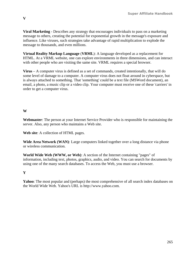**Viral Marketing** - Describes any strategy that encourages individuals to pass on a marketing message to others, creating the potential for exponential growth in the message's exposure and influence. Like viruses, such strategies take advantage of rapid multiplication to explode the message to thousands, and even millions.

**Virtual Reality Markup Language** (**VRML**): A language developed as a replacement for HTML. At a VRML website, one can explore environments in three dimensions, and can interact with other people who are visiting the same site. VRML requires a special browser.

**Virus** – A computer virus is defined as a set of commands, created intentionally, that will do some level of damage to a computer. A computer virus does not float around in cyberspace, but is always attached to something. That 'something' could be a text file (MSWord document), an email, a photo, a music clip or a video clip. Your computer must receive one of these 'carriers' in order to get a computer virus.

### **W**

**Webmaster**: The person at your Internet Service Provider who is responsible for maintaining the server. Also, any person who maintains a Web site.

**Web site**: A collection of HTML pages.

**Wide Area Network (WAN)**: Large computers linked together over a long distance via phone or wireless communication.

**World Wide Web (WWW, or Web)**: A section of the Internet containing "pages" of information, including text, photos, graphics, audio, and video. You can search for documents by using one of the many search databases. To access the Web, you must use a browser.

### **Y**

Yahoo: The most popular and (perhaps) the most comprehensive of all search index databases on the World Wide Web. Yahoo's URL is http://www.yahoo.com.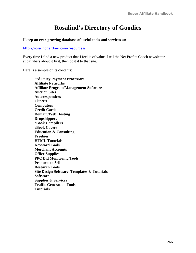# **Rosalind's Directory of Goodies**

#### **I keep an ever-growing database of useful tools and services at:**

[http://rosalindgardner.com/resources/](http://finditat.rosalinds.com/)

Every time I find a new product that I feel is of value, I tell the Net Profits Coach newsletter subscribers about it first, then post it to that site.

Here is a sample of its contents:

**3rd Party Payment Processors Affiliate Networks Affiliate Program/Management Software Auction Sites Autoresponders ClipArt Computers Credit Cards Domain/Web Hosting Dropshippers eBook Compilers eBook Covers Education & Consulting Freebies HTML Tutorials Keyword Tools Merchant Accounts Office Supplies PPC Bid Monitoring Tools Products to Sell Research Tools Site Design Software, Templates & Tutorials Software Supplies & Services Traffic Generation Tools Tutorials**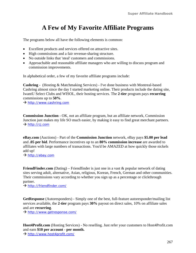# **A Few of My Favorite Affiliate Programs**

The programs below all have the following elements is common:

- Excellent products and services offered on attractive sites.
- High commissions and a fair revenue-sharing structure.
- No outside links that 'steal' customers and commissions.
- Approachable and reasonable affiliate managers who are willing to discuss program and commission improvements.

In alphabetical order, a few of my favorite affiliate programs include:

**Cashring -** (Hosting & Matchmaking Services) - I've done business with Montreal-based Cashring almost since the day I started marketing online. Their products include the dating site, IwantU Select Clubs and WISOL, their hosting services. The **2-tier** program pays **recurring** commissions up to **50%**.

 $\rightarrow$  [http://www.cashring.com](http://www.cashring.com/index.ring?id=sage)

**Commission Junction** - OK, not an affiliate program, but an affiliate network, Commission Junction just makes my life SO much easier, by making it easy to find great merchant partners.  $\rightarrow$  [http://cj.com](http://www.qksrv.net/click-211898-7282777)

**eBay.com** (Auctions) - Part of the **Commission Junction** network, eBay pays **\$5.00 per lead** and **.05 per bid**. Performance incentives up to an **80% commission increase** are awarded to affiliates with large numbers of transactions. You'd be AMAZED at how quickly those nickels add up!

 $\rightarrow$  [http://ebay.com](http://www.qksrv.net/click-1226911-5377629)

**FriendFinder.com** (Dating) – Friendfinder is just one in a vast & popular network of dating sites serving adult, alternative, Asian, religious, Korean, French, German and other communities. Their commissions vary according to whether you sign up as a percentage or clickthrough partner.

 $\rightarrow$  [http://friendfinder.com/](http://friendfinder.com/go/b4371)

**GetResponse** (Autoresponders) - Simply one of the best, full-feature autoresponder/mailing list services available, the **2-tier** program pays **30%** payout on direct sales, 10% on affiliate sales and are **recurring**.

 $\rightarrow$  <http://www.getresponse.com/>

**Host4Profit.com** (Hosting Services) - No reselling. Just refer your customers to Host4Profit.com and earn **\$10 per account** - **per month.**

 $\rightarrow$  [http://www.host4profit.com/](http://www.host4profit.com/cgi-bin/home.cgi?33502)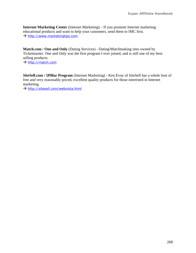**Internet Marketing Center** (Internet Marketing) – If you promote Internet marketing educational products and want to help your customers, send them to IMC first. → [http://www.marketingtips.com](http://www.marketingtips.com/sr/t.x/3885)

**Match.com / One and Only** (Dating Services) - Dating/Matchmaking sites owned by Ticketmaster. One and Only was the first program I ever joined, and is still one of my bestselling products.

 $\rightarrow$  [http://match.com](http://affiliates.match.com/index.asp?billingid=500453)

**SiteSell.com / 5Pillar Program** (Internet Marketing) - Ken Evoy of SiteSell has a whole host of free and very reasonably priced, excellent quality products for those interested in Internet marketing.

 $\rightarrow$  <http://sitesell.com/webvista.html>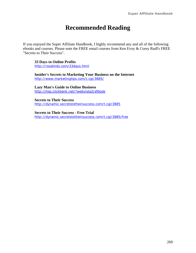# **Recommended Reading**

If you enjoyed the Super Affiliate Handbook, I highly recommend any and all of the following ebooks and courses. Please note the FREE email courses from Ken Evoy & Corey Rudl's FREE "Secrets to Their Success".

**33 Days to Online Profits**  <http://rosalinds.com/33days.html>

**Insider's Secrets to Marketing Your Business on the Internet**  <http://www.marketingtips.com/t.cgi/3885/>

**Lazy Man's Guide to Online Business**  <http://hop.clickbank.net/?webvista2/efbook>

**Secrets to Their Success**  <http://dynamic.secretstotheirsuccess.com/t.cgi/3885>

**Secrets to Their Success - Free Trial**  <http://dynamic.secretstotheirsuccess.com/t.cgi/3885/free>